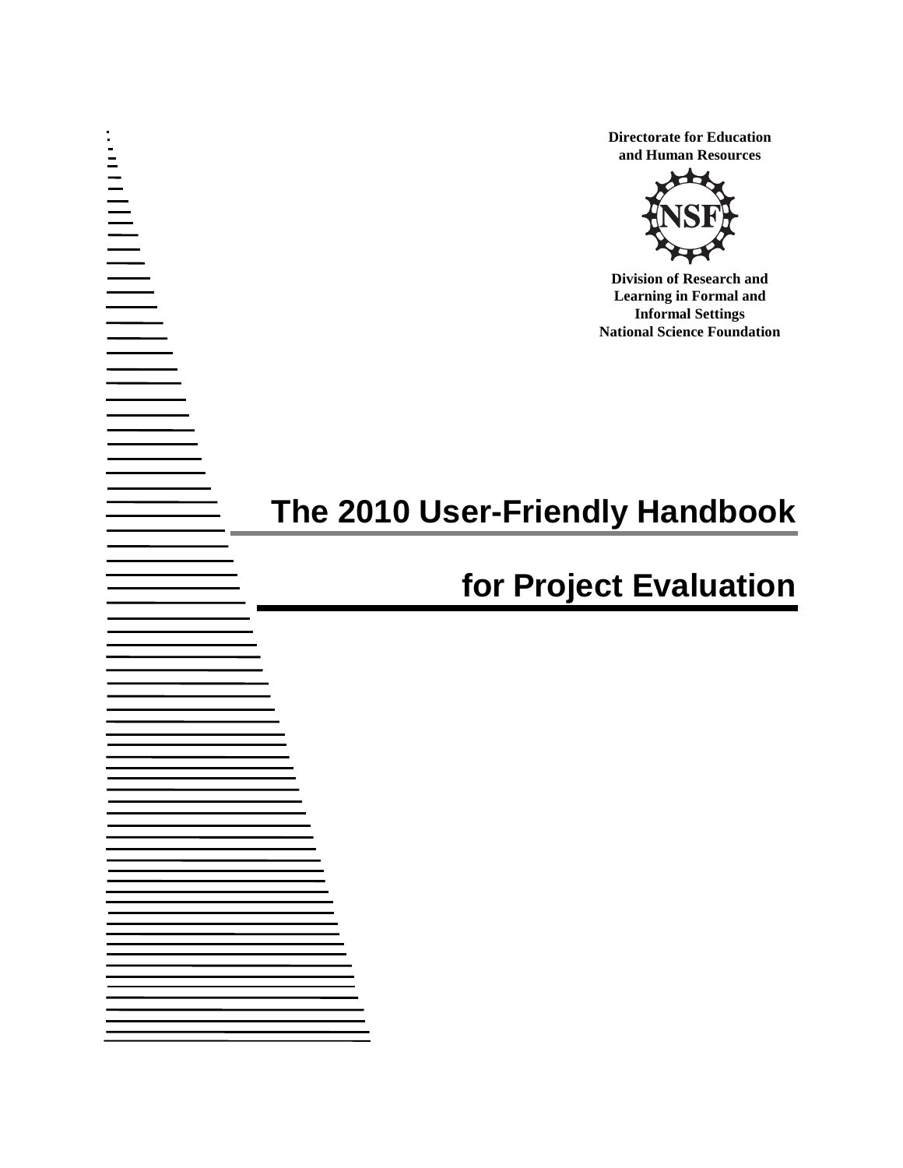**Directorate for Education and Human Resources**



**Division of Research and Learning in Formal and Informal Settings National Science Foundation** 

# **The 2010 User-Friendly Handbook**

# **for Project Evaluation**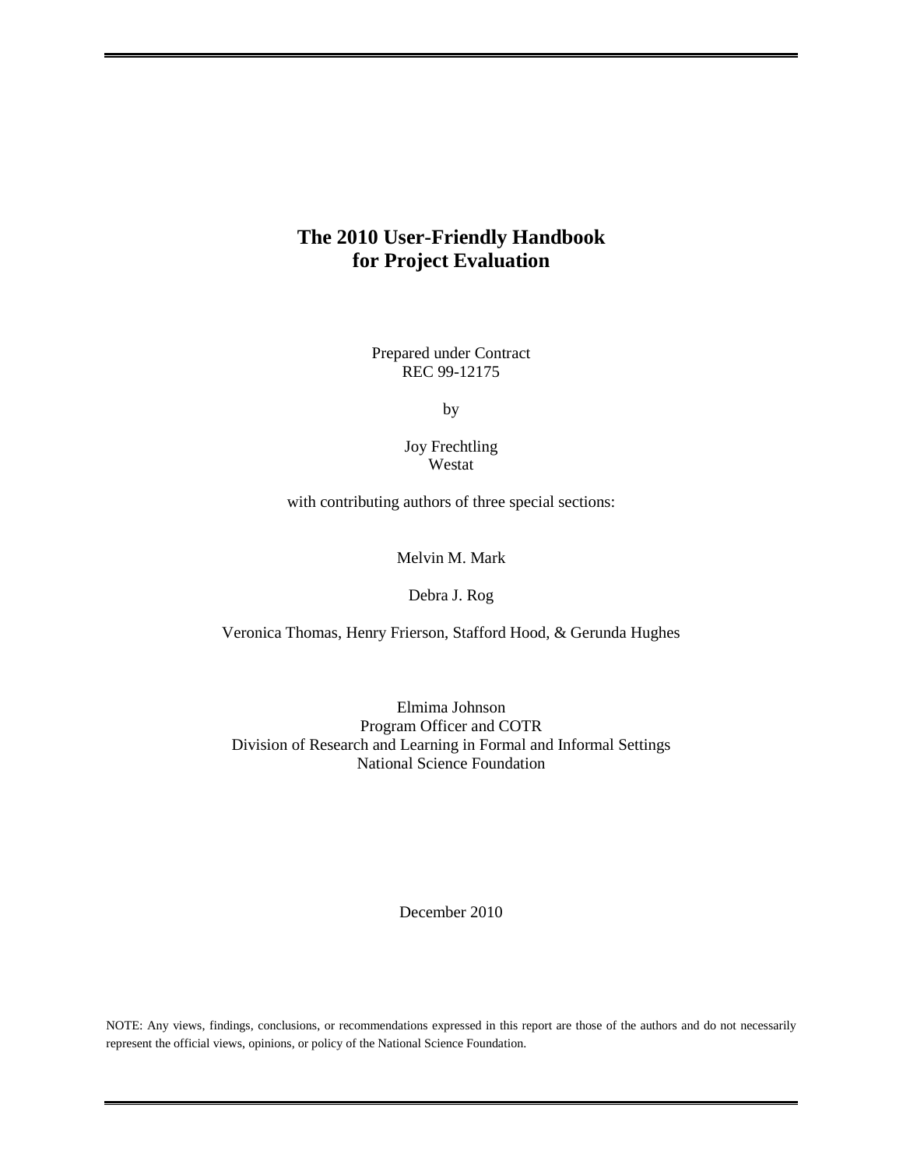## **The 2010 User-Friendly Handbook for Project Evaluation**

Prepared under Contract REC 99-12175

by

Joy Frechtling Westat

with contributing authors of three special sections:

Melvin M. Mark

Debra J. Rog

Veronica Thomas, Henry Frierson, Stafford Hood, & Gerunda Hughes

Elmima Johnson Program Officer and COTR Division of Research and Learning in Formal and Informal Settings National Science Foundation

December 2010

NOTE: Any views, findings, conclusions, or recommendations expressed in this report are those of the authors and do not necessarily represent the official views, opinions, or policy of the National Science Foundation.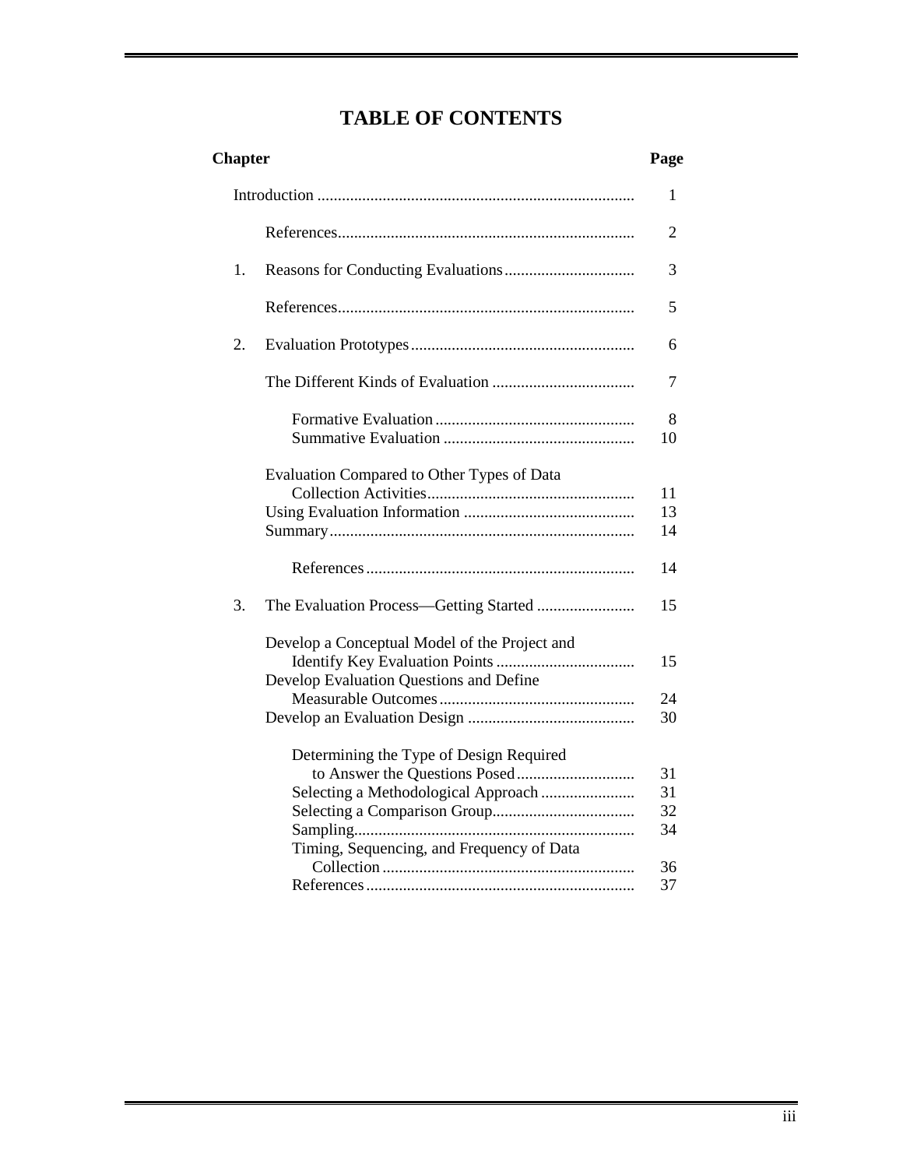# **TABLE OF CONTENTS**

| <b>Chapter</b>                                                                                                              | Page                       |
|-----------------------------------------------------------------------------------------------------------------------------|----------------------------|
|                                                                                                                             | 1                          |
|                                                                                                                             | 2                          |
| 1.                                                                                                                          | 3                          |
|                                                                                                                             | 5                          |
| 2.                                                                                                                          | 6                          |
|                                                                                                                             | 7                          |
|                                                                                                                             | 8<br>10                    |
| Evaluation Compared to Other Types of Data                                                                                  | 11<br>13<br>14             |
|                                                                                                                             | 14                         |
| 3.                                                                                                                          | 15                         |
| Develop a Conceptual Model of the Project and<br>Develop Evaluation Questions and Define                                    | 15<br>24<br>30             |
| Determining the Type of Design Required<br>Selecting a Methodological Approach<br>Timing, Sequencing, and Frequency of Data | 31<br>31<br>32<br>34<br>36 |
|                                                                                                                             | 37                         |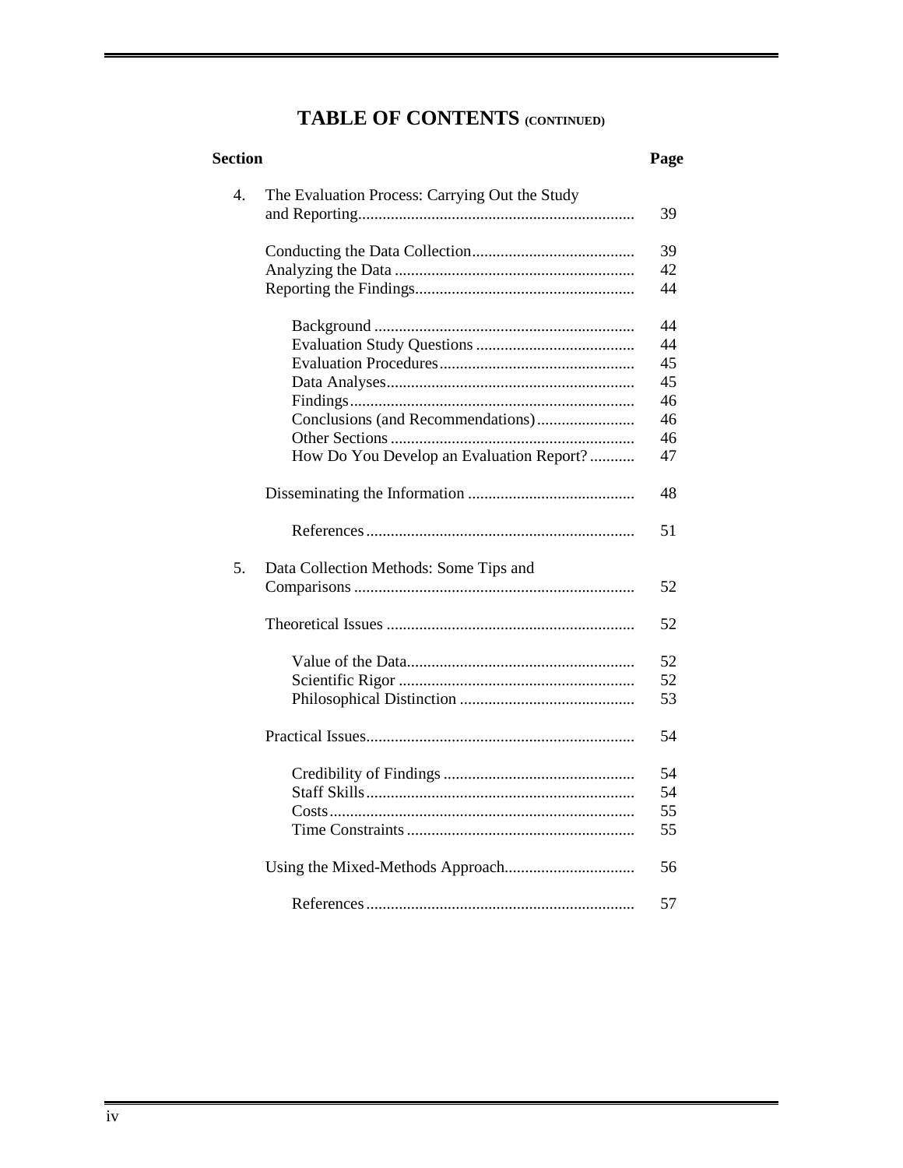# **TABLE OF CONTENTS (CONTINUED)**

| <b>Section</b> |                                                | Page |
|----------------|------------------------------------------------|------|
| 4.             | The Evaluation Process: Carrying Out the Study |      |
|                |                                                | 39   |
|                |                                                | 39   |
|                |                                                | 42   |
|                |                                                | 44   |
|                |                                                | 44   |
|                |                                                | 44   |
|                |                                                | 45   |
|                |                                                | 45   |
|                |                                                | 46   |
|                | Conclusions (and Recommendations)              | 46   |
|                |                                                | 46   |
|                | How Do You Develop an Evaluation Report?       | 47   |
|                |                                                | 48   |
|                |                                                | 51   |
| 5.             | Data Collection Methods: Some Tips and         |      |
|                |                                                | 52   |
|                |                                                | 52   |
|                |                                                | 52   |
|                |                                                | 52   |
|                |                                                | 53   |
|                |                                                | 54   |
|                |                                                | 54   |
|                |                                                | 54   |
|                |                                                | 55   |
|                |                                                | 55   |
|                |                                                | 56   |
|                |                                                | 57   |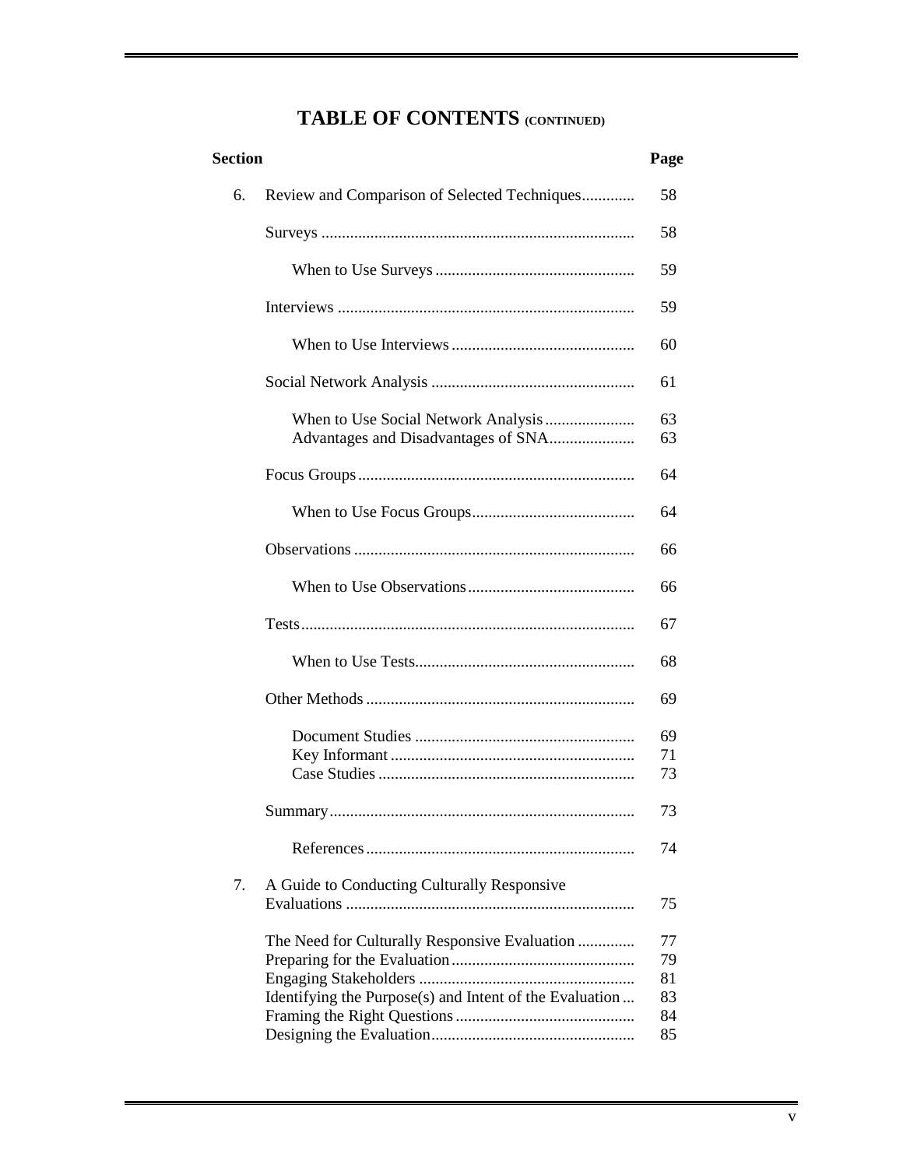| Review and Comparison of Selected Techniques<br>6.<br>58<br>58<br>59<br>59<br>60<br>61<br>When to Use Social Network Analysis<br>63<br>63<br>64<br>64<br>66<br>66<br>67<br>68<br>69<br>69<br>71<br>73<br>73<br>74<br>7.<br>A Guide to Conducting Culturally Responsive<br>75 | <b>Section</b> |  | Page |
|------------------------------------------------------------------------------------------------------------------------------------------------------------------------------------------------------------------------------------------------------------------------------|----------------|--|------|
|                                                                                                                                                                                                                                                                              |                |  |      |
|                                                                                                                                                                                                                                                                              |                |  |      |
|                                                                                                                                                                                                                                                                              |                |  |      |
|                                                                                                                                                                                                                                                                              |                |  |      |
|                                                                                                                                                                                                                                                                              |                |  |      |
|                                                                                                                                                                                                                                                                              |                |  |      |
|                                                                                                                                                                                                                                                                              |                |  |      |
|                                                                                                                                                                                                                                                                              |                |  |      |
|                                                                                                                                                                                                                                                                              |                |  |      |
|                                                                                                                                                                                                                                                                              |                |  |      |
|                                                                                                                                                                                                                                                                              |                |  |      |
|                                                                                                                                                                                                                                                                              |                |  |      |
|                                                                                                                                                                                                                                                                              |                |  |      |
|                                                                                                                                                                                                                                                                              |                |  |      |
|                                                                                                                                                                                                                                                                              |                |  |      |
|                                                                                                                                                                                                                                                                              |                |  |      |
|                                                                                                                                                                                                                                                                              |                |  |      |
|                                                                                                                                                                                                                                                                              |                |  |      |
| 77<br>The Need for Culturally Responsive Evaluation<br>79<br>81<br>83<br>Identifying the Purpose(s) and Intent of the Evaluation<br>84<br>85                                                                                                                                 |                |  |      |

# **TABLE OF CONTENTS (CONTINUED)**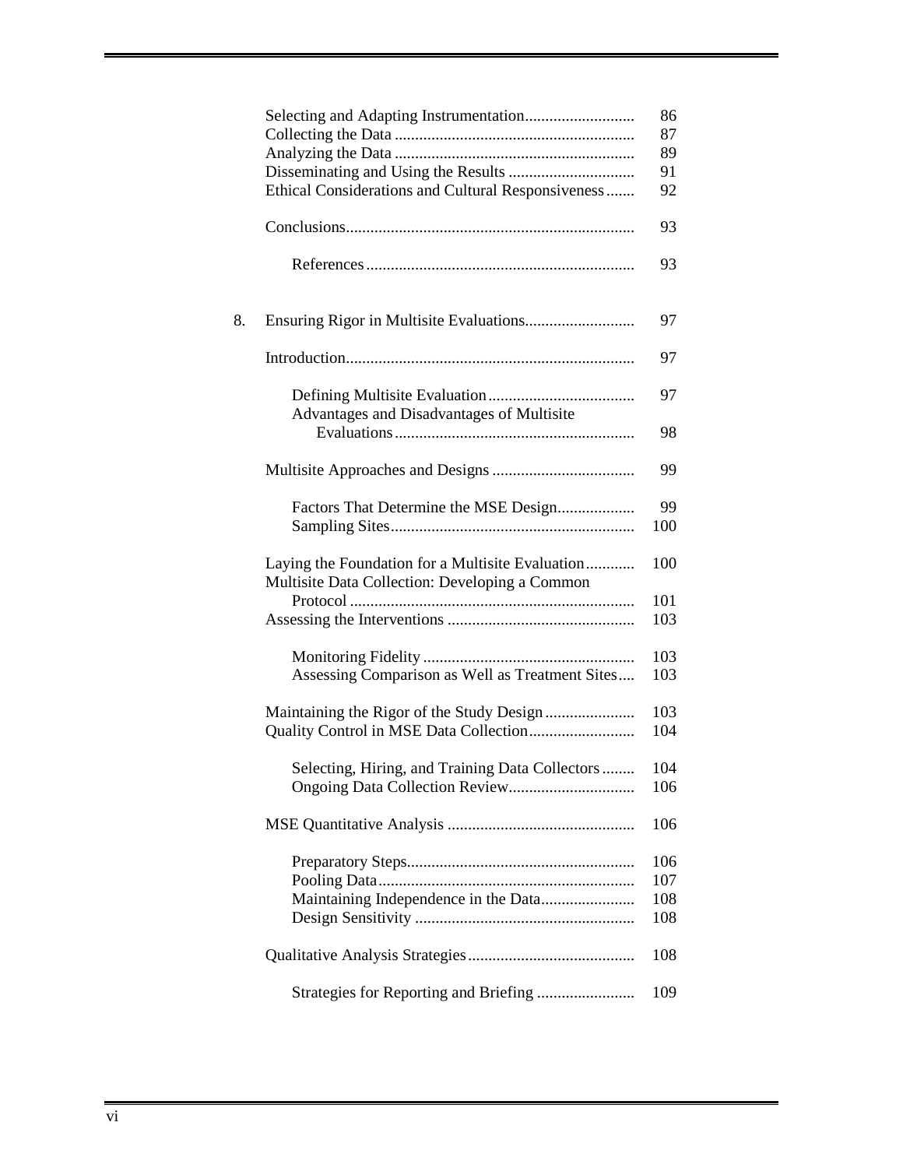|    |                                                                                                    | 86         |
|----|----------------------------------------------------------------------------------------------------|------------|
|    |                                                                                                    | 87         |
|    |                                                                                                    | 89         |
|    |                                                                                                    | 91         |
|    | Ethical Considerations and Cultural Responsiveness                                                 | 92         |
|    |                                                                                                    | 93         |
|    |                                                                                                    | 93         |
| 8. |                                                                                                    | 97         |
|    |                                                                                                    | 97         |
|    | Advantages and Disadvantages of Multisite                                                          | 97         |
|    |                                                                                                    | 98         |
|    |                                                                                                    | 99         |
|    | Factors That Determine the MSE Design                                                              | 99         |
|    |                                                                                                    | 100        |
|    | Laying the Foundation for a Multisite Evaluation<br>Multisite Data Collection: Developing a Common | 100        |
|    |                                                                                                    | 101<br>103 |
|    |                                                                                                    |            |
|    |                                                                                                    | 103        |
|    | Assessing Comparison as Well as Treatment Sites                                                    | 103        |
|    |                                                                                                    | 103        |
|    |                                                                                                    | 104        |
|    | Selecting, Hiring, and Training Data Collectors                                                    | 104        |
|    |                                                                                                    | 106        |
|    |                                                                                                    | 106        |
|    |                                                                                                    | 106        |
|    |                                                                                                    | 107        |
|    | Maintaining Independence in the Data                                                               | 108        |
|    |                                                                                                    | 108        |
|    |                                                                                                    | 108        |
|    | Strategies for Reporting and Briefing                                                              | 109        |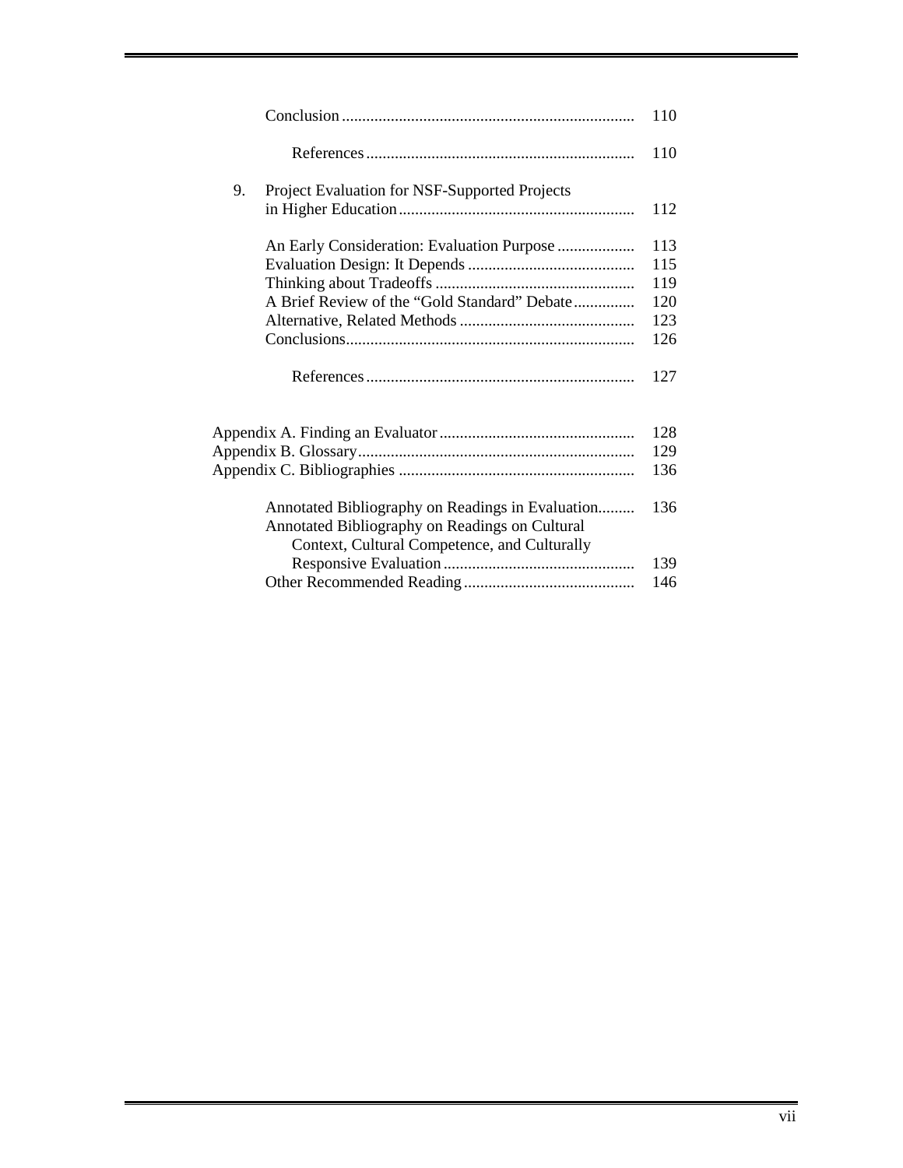|                                                     | 110 |
|-----------------------------------------------------|-----|
|                                                     | 110 |
| 9.<br>Project Evaluation for NSF-Supported Projects |     |
|                                                     | 112 |
| An Early Consideration: Evaluation Purpose          | 113 |
|                                                     | 115 |
|                                                     | 119 |
| A Brief Review of the "Gold Standard" Debate        | 120 |
|                                                     | 123 |
|                                                     | 126 |
|                                                     | 127 |
|                                                     | 128 |
|                                                     | 129 |
|                                                     | 136 |
| Annotated Bibliography on Readings in Evaluation    | 136 |
| Annotated Bibliography on Readings on Cultural      |     |
| Context, Cultural Competence, and Culturally        |     |
|                                                     | 139 |
|                                                     | 146 |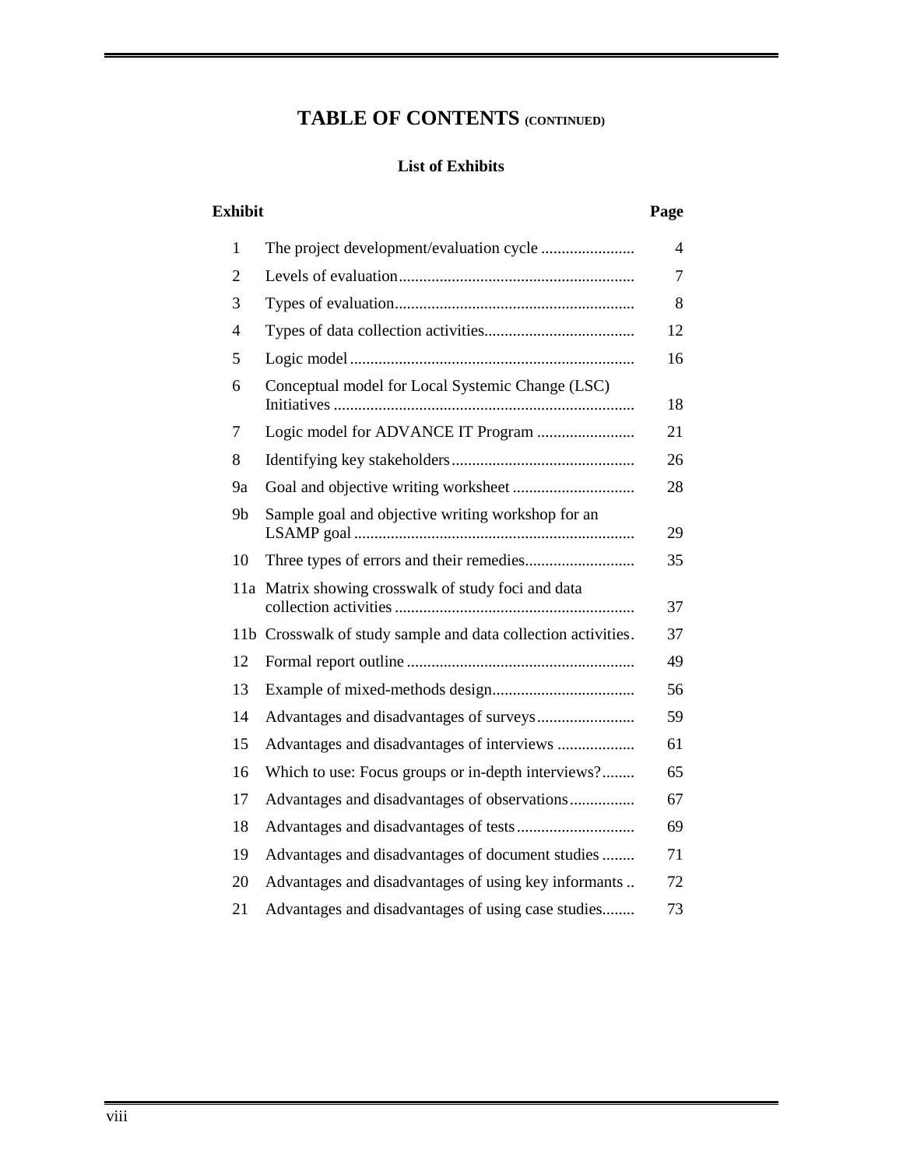# **TABLE OF CONTENTS (CONTINUED)**

### **List of Exhibits**

### **Exhibit Page**

| $\mathbf{1}$   |                                                               | $\overline{4}$ |
|----------------|---------------------------------------------------------------|----------------|
| $\overline{2}$ |                                                               | 7              |
| 3              |                                                               | 8              |
| $\overline{4}$ |                                                               | 12             |
| 5              |                                                               | 16             |
| 6              | Conceptual model for Local Systemic Change (LSC)              | 18             |
| 7              |                                                               | 21             |
| 8              |                                                               | 26             |
| 9a             |                                                               | 28             |
| 9b             | Sample goal and objective writing workshop for an             | 29             |
| 10             |                                                               | 35             |
| 11a            | Matrix showing crosswalk of study foci and data               | 37             |
|                | 11b Crosswalk of study sample and data collection activities. | 37             |
| 12             |                                                               | 49             |
| 13             |                                                               | 56             |
| 14             |                                                               | 59             |
| 15             | Advantages and disadvantages of interviews                    | 61             |
| 16             | Which to use: Focus groups or in-depth interviews?            | 65             |
| 17             | Advantages and disadvantages of observations                  | 67             |
| 18             |                                                               | 69             |
| 19             | Advantages and disadvantages of document studies              | 71             |
| 20             | Advantages and disadvantages of using key informants          | 72             |
| 21             | Advantages and disadvantages of using case studies            | 73             |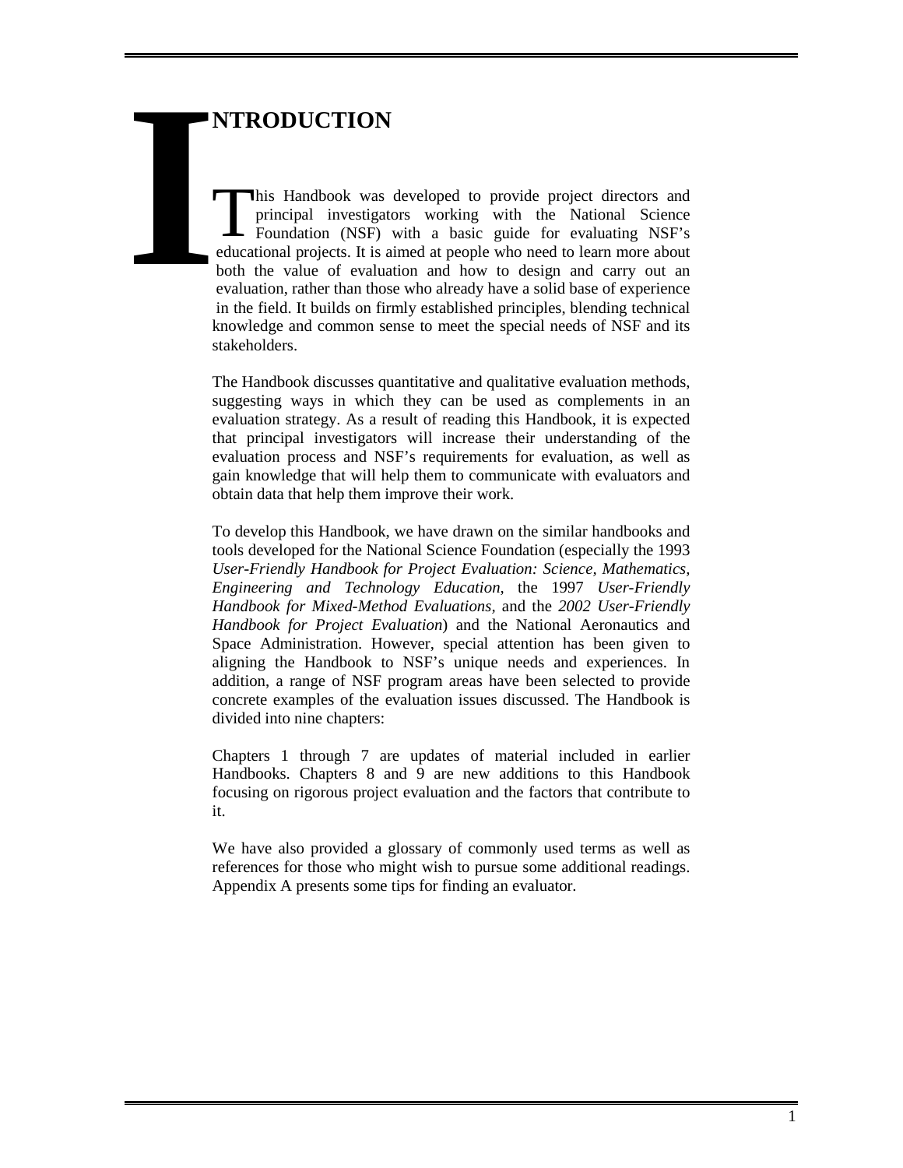# **NTRODUCTION**

his Handbook was developed to provide project directors and principal investigators working with the National Science Foundation (NSF) with a basic guide for evaluating NSF's educational projects. It is aimed at people who need to learn more about both the value of evaluation and how to design and carry out an evaluation, rather than those who already have a solid base of experience in the field. It builds on firmly established principles, blending technical knowledge and common sense to meet the special needs of NSF and its stakeholders. **IFRACE**<br> **IPPER**<br> **IPPER**<br> **IPPER**<br> **IPPER**<br> **IPPER**<br> **IPPER**<br> **IPPER**<br> **IPPER**<br> **IPPER**<br> **IPPER**<br> **IPPER**<br> **IPPER**<br> **IPPER** 

> The Handbook discusses quantitative and qualitative evaluation methods, suggesting ways in which they can be used as complements in an evaluation strategy. As a result of reading this Handbook, it is expected that principal investigators will increase their understanding of the evaluation process and NSF's requirements for evaluation, as well as gain knowledge that will help them to communicate with evaluators and obtain data that help them improve their work.

> To develop this Handbook, we have drawn on the similar handbooks and tools developed for the National Science Foundation (especially the 1993 *User-Friendly Handbook for Project Evaluation: Science, Mathematics, Engineering and Technology Education*, the 1997 *User-Friendly Handbook for Mixed-Method Evaluations,* and the *2002 User-Friendly Handbook for Project Evaluation*) and the National Aeronautics and Space Administration. However, special attention has been given to aligning the Handbook to NSF's unique needs and experiences. In addition, a range of NSF program areas have been selected to provide concrete examples of the evaluation issues discussed. The Handbook is divided into nine chapters:

> Chapters 1 through 7 are updates of material included in earlier Handbooks. Chapters 8 and 9 are new additions to this Handbook focusing on rigorous project evaluation and the factors that contribute to it.

> We have also provided a glossary of commonly used terms as well as references for those who might wish to pursue some additional readings. Appendix A presents some tips for finding an evaluator.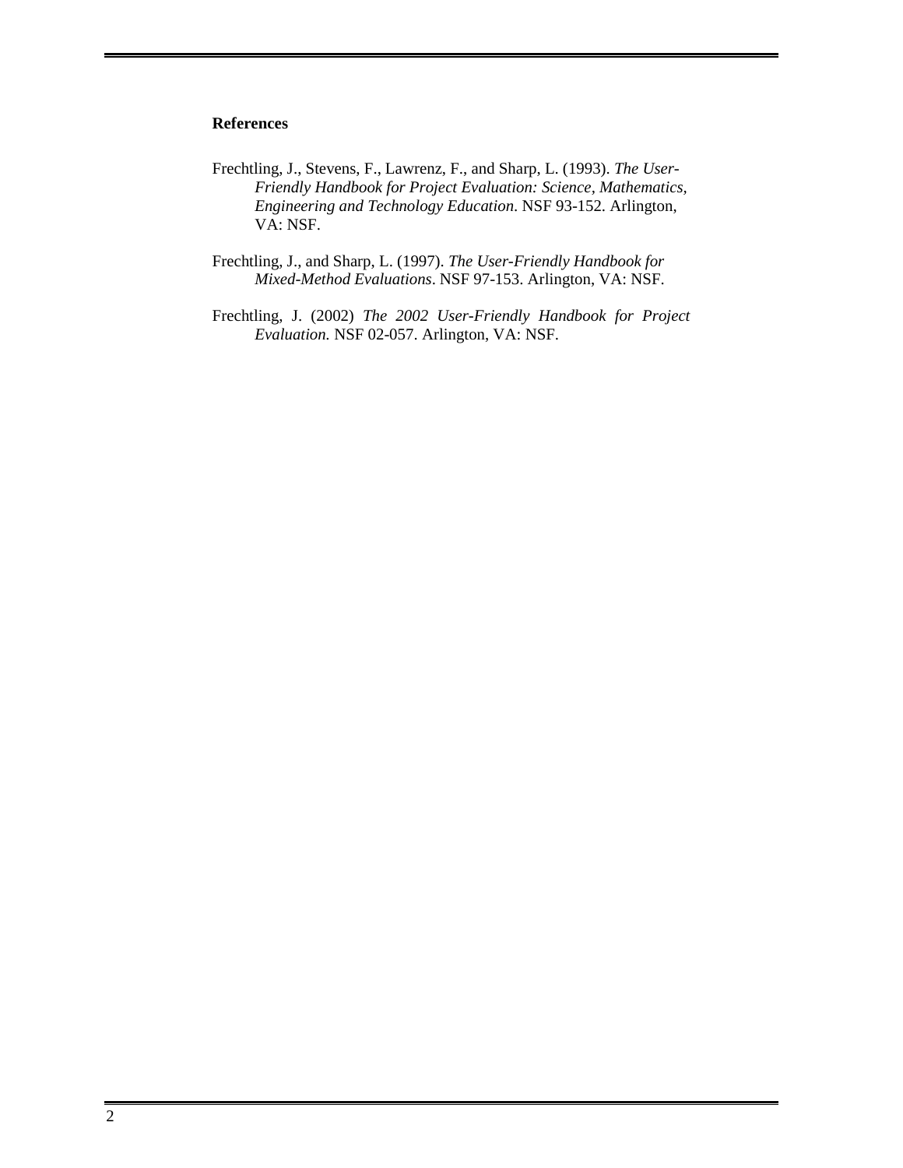### **References**

- Frechtling, J., Stevens, F., Lawrenz, F., and Sharp, L. (1993). *The User-Friendly Handbook for Project Evaluation: Science, Mathematics, Engineering and Technology Education*. NSF 93-152. Arlington, VA: NSF.
- Frechtling, J., and Sharp, L. (1997). *The User-Friendly Handbook for Mixed-Method Evaluations*. NSF 97-153. Arlington, VA: NSF.
- Frechtling, J. (2002) *The 2002 User-Friendly Handbook for Project Evaluation.* NSF 02-057. Arlington, VA: NSF.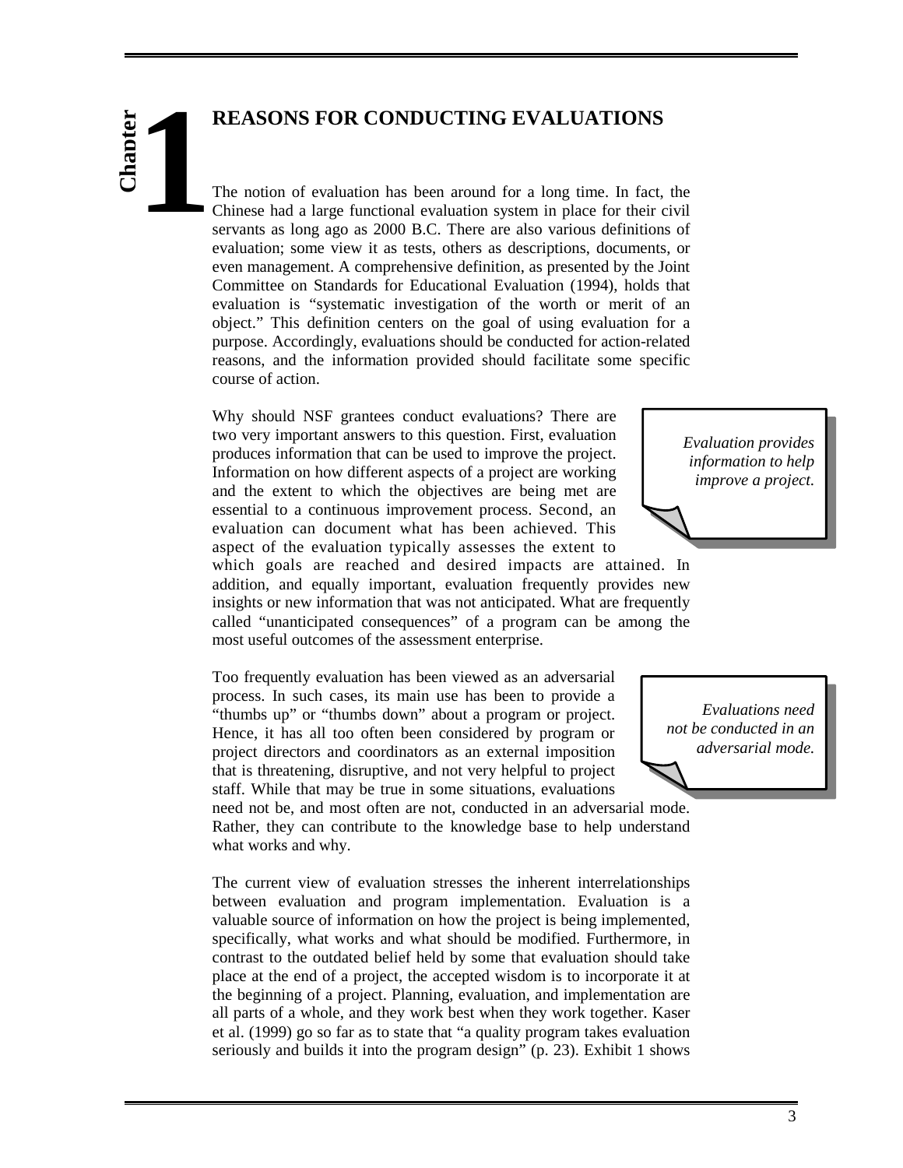# **REASONS FOR CONDUCTING EVALUATIONS**

# **Chapter 1**

The notion of evaluation has been around for a long time. In fact, the Chinese had a large functional evaluation system in place for their civil servants as long ago as 2000 B.C. There are also various definitions of evaluation; some view it as tests, others as descriptions, documents, or even management. A comprehensive definition, as presented by the Joint Committee on Standards for Educational Evaluation (1994), holds that evaluation is "systematic investigation of the worth or merit of an object." This definition centers on the goal of using evaluation for a purpose. Accordingly, evaluations should be conducted for action-related reasons, and the information provided should facilitate some specific course of action.

Why should NSF grantees conduct evaluations? There are two very important answers to this question. First, evaluation produces information that can be used to improve the project. Information on how different aspects of a project are working and the extent to which the objectives are being met are essential to a continuous improvement process. Second, an evaluation can document what has been achieved. This aspect of the evaluation typically assesses the extent to

which goals are reached and desired impacts are attained. In addition, and equally important, evaluation frequently provides new insights or new information that was not anticipated. What are frequently called "unanticipated consequences" of a program can be among the most useful outcomes of the assessment enterprise.

Too frequently evaluation has been viewed as an adversarial process. In such cases, its main use has been to provide a "thumbs up" or "thumbs down" about a program or project. Hence, it has all too often been considered by program or project directors and coordinators as an external imposition that is threatening, disruptive, and not very helpful to project staff. While that may be true in some situations, evaluations

need not be, and most often are not, conducted in an adversarial mode. Rather, they can contribute to the knowledge base to help understand what works and why.

The current view of evaluation stresses the inherent interrelationships between evaluation and program implementation. Evaluation is a valuable source of information on how the project is being implemented, specifically, what works and what should be modified. Furthermore, in contrast to the outdated belief held by some that evaluation should take place at the end of a project, the accepted wisdom is to incorporate it at the beginning of a project. Planning, evaluation, and implementation are all parts of a whole, and they work best when they work together. Kaser et al. (1999) go so far as to state that "a quality program takes evaluation seriously and builds it into the program design" (p. 23). Exhibit 1 shows



*Evaluations need not be conducted in an adversarial mode.*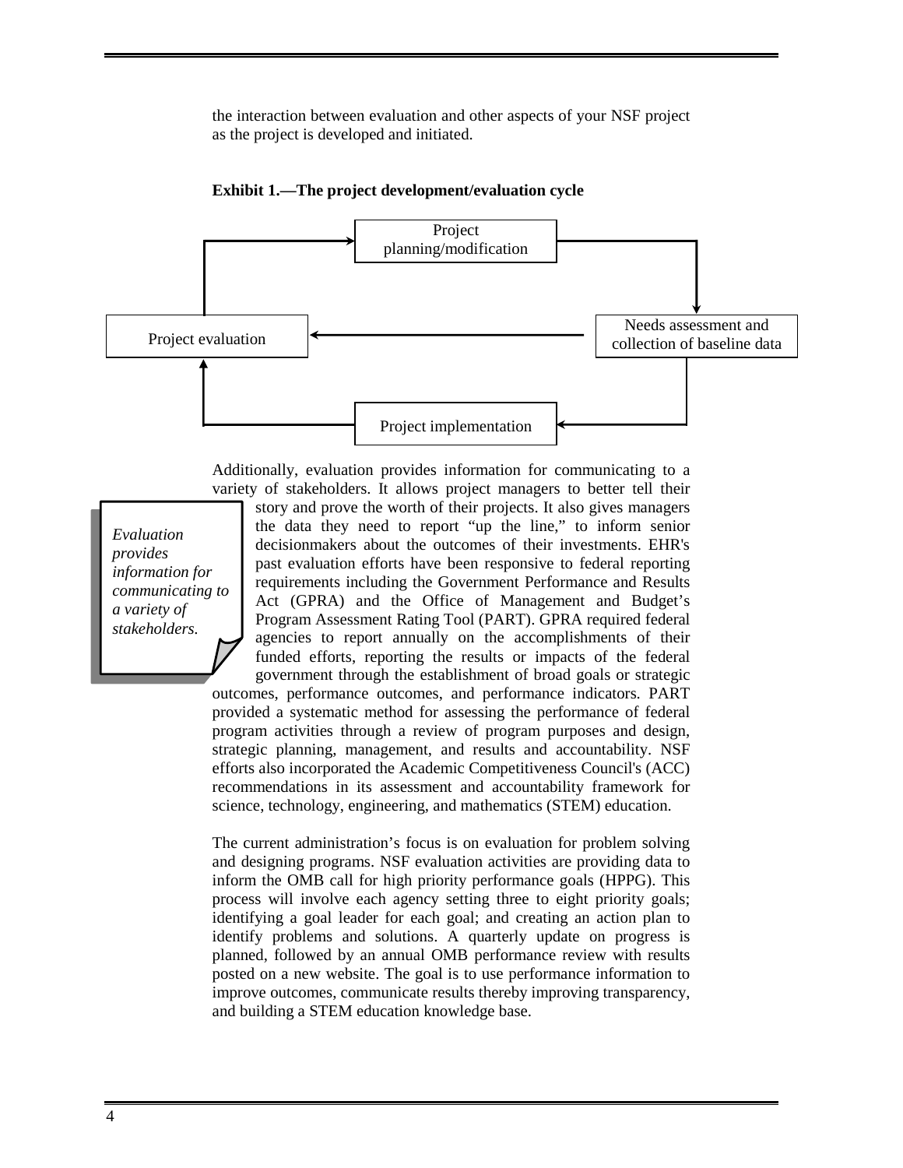the interaction between evaluation and other aspects of your NSF project as the project is developed and initiated.





Additionally, evaluation provides information for communicating to a variety of stakeholders. It allows project managers to better tell their

*Evaluation provides information for communicating to a variety of stakeholders.* 

story and prove the worth of their projects. It also gives managers the data they need to report "up the line," to inform senior decisionmakers about the outcomes of their investments. EHR's past evaluation efforts have been responsive to federal reporting requirements including the Government Performance and Results Act (GPRA) and the Office of Management and Budget's Program Assessment Rating Tool (PART). GPRA required federal agencies to report annually on the accomplishments of their funded efforts, reporting the results or impacts of the federal government through the establishment of broad goals or strategic

outcomes, performance outcomes, and performance indicators. PART provided a systematic method for assessing the performance of federal program activities through a review of program purposes and design, strategic planning, management, and results and accountability. NSF efforts also incorporated the Academic Competitiveness Council's (ACC) recommendations in its assessment and accountability framework for science, technology, engineering, and mathematics (STEM) education.

The current administration's focus is on evaluation for problem solving and designing programs. NSF evaluation activities are providing data to inform the OMB call for high priority performance goals (HPPG). This process will involve each agency setting three to eight priority goals; identifying a goal leader for each goal; and creating an action plan to identify problems and solutions. A quarterly update on progress is planned, followed by an annual OMB performance review with results posted on a new website. The goal is to use performance information to improve outcomes, communicate results thereby improving transparency, and building a STEM education knowledge base.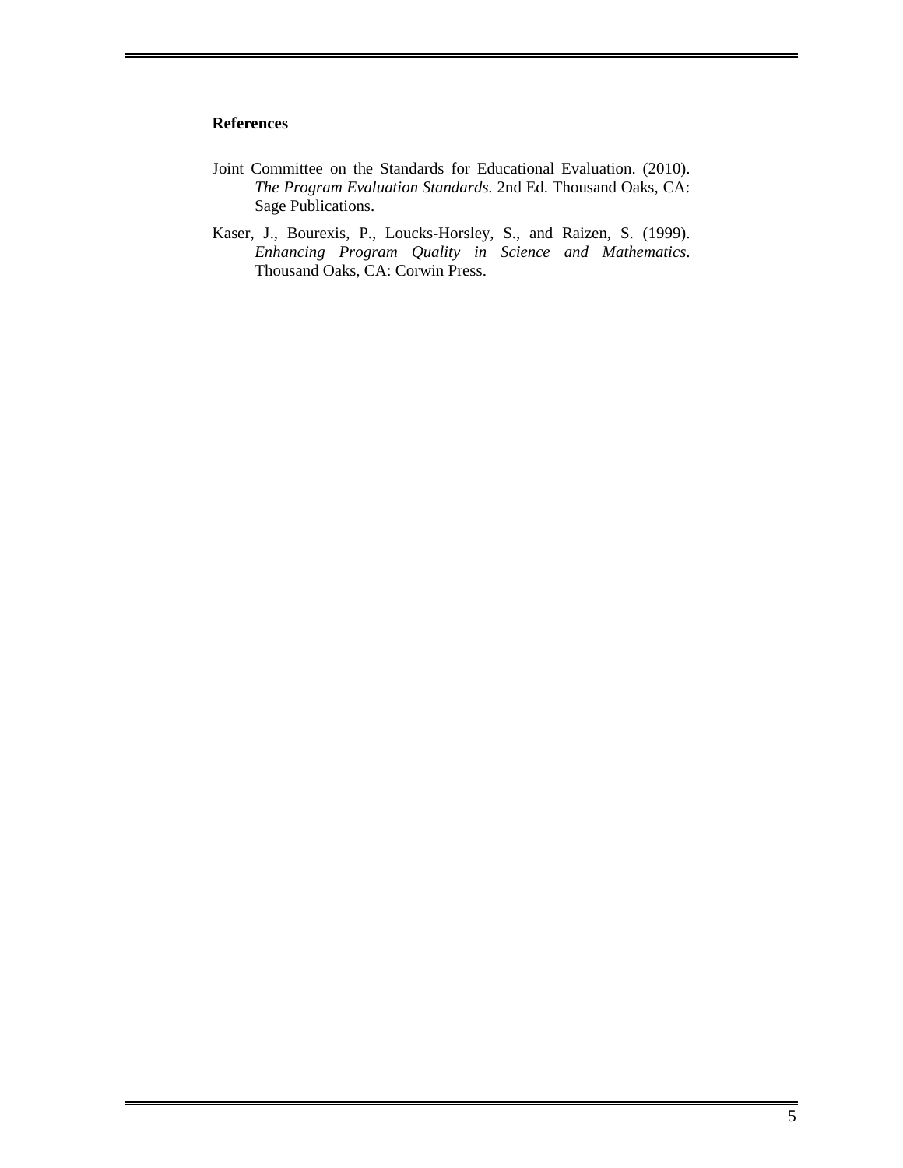### **References**

- Joint Committee on the Standards for Educational Evaluation. (2010). *The Program Evaluation Standards*. 2nd Ed. Thousand Oaks, CA: Sage Publications.
- Kaser, J., Bourexis, P., Loucks-Horsley, S., and Raizen, S. (1999). *Enhancing Program Quality in Science and Mathematics*. Thousand Oaks, CA: Corwin Press.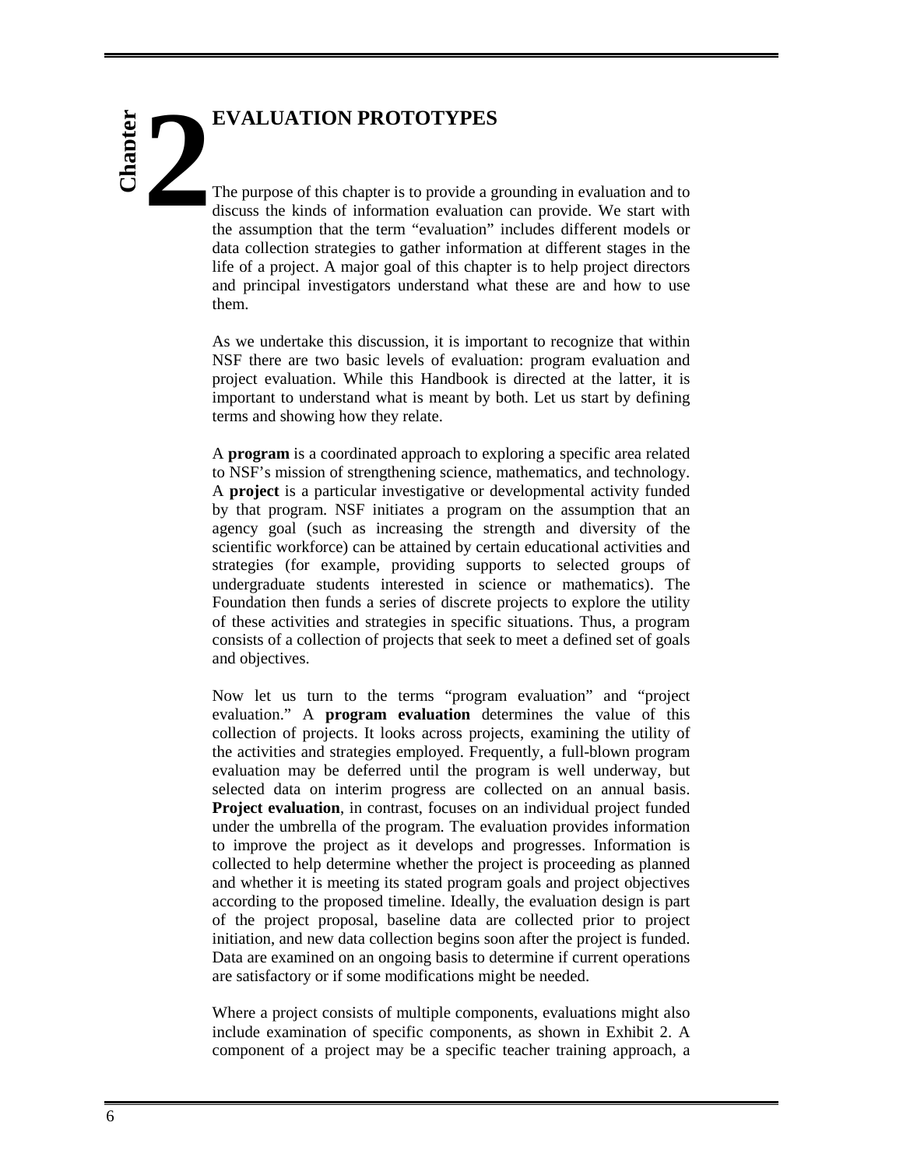# **EVALUATION PROTOTYPES Chapter**

The purpose of this chapter is to provide a grounding in evaluation and to discuss the kinds of information evaluation can provide. We start with the assumption that the term "evaluation" includes different models or data collection strategies to gather information at different stages in the life of a project. A major goal of this chapter is to help project directors and principal investigators understand what these are and how to use them.

As we undertake this discussion, it is important to recognize that within NSF there are two basic levels of evaluation: program evaluation and project evaluation. While this Handbook is directed at the latter, it is important to understand what is meant by both. Let us start by defining terms and showing how they relate.

A **program** is a coordinated approach to exploring a specific area related to NSF's mission of strengthening science, mathematics, and technology. A **project** is a particular investigative or developmental activity funded by that program. NSF initiates a program on the assumption that an agency goal (such as increasing the strength and diversity of the scientific workforce) can be attained by certain educational activities and strategies (for example, providing supports to selected groups of undergraduate students interested in science or mathematics). The Foundation then funds a series of discrete projects to explore the utility of these activities and strategies in specific situations. Thus, a program consists of a collection of projects that seek to meet a defined set of goals and objectives.

Now let us turn to the terms "program evaluation" and "project evaluation." A **program evaluation** determines the value of this collection of projects. It looks across projects, examining the utility of the activities and strategies employed. Frequently, a full-blown program evaluation may be deferred until the program is well underway, but selected data on interim progress are collected on an annual basis. **Project evaluation**, in contrast, focuses on an individual project funded under the umbrella of the program. The evaluation provides information to improve the project as it develops and progresses. Information is collected to help determine whether the project is proceeding as planned and whether it is meeting its stated program goals and project objectives according to the proposed timeline. Ideally, the evaluation design is part of the project proposal, baseline data are collected prior to project initiation, and new data collection begins soon after the project is funded. Data are examined on an ongoing basis to determine if current operations are satisfactory or if some modifications might be needed.

Where a project consists of multiple components, evaluations might also include examination of specific components, as shown in Exhibit 2. A component of a project may be a specific teacher training approach, a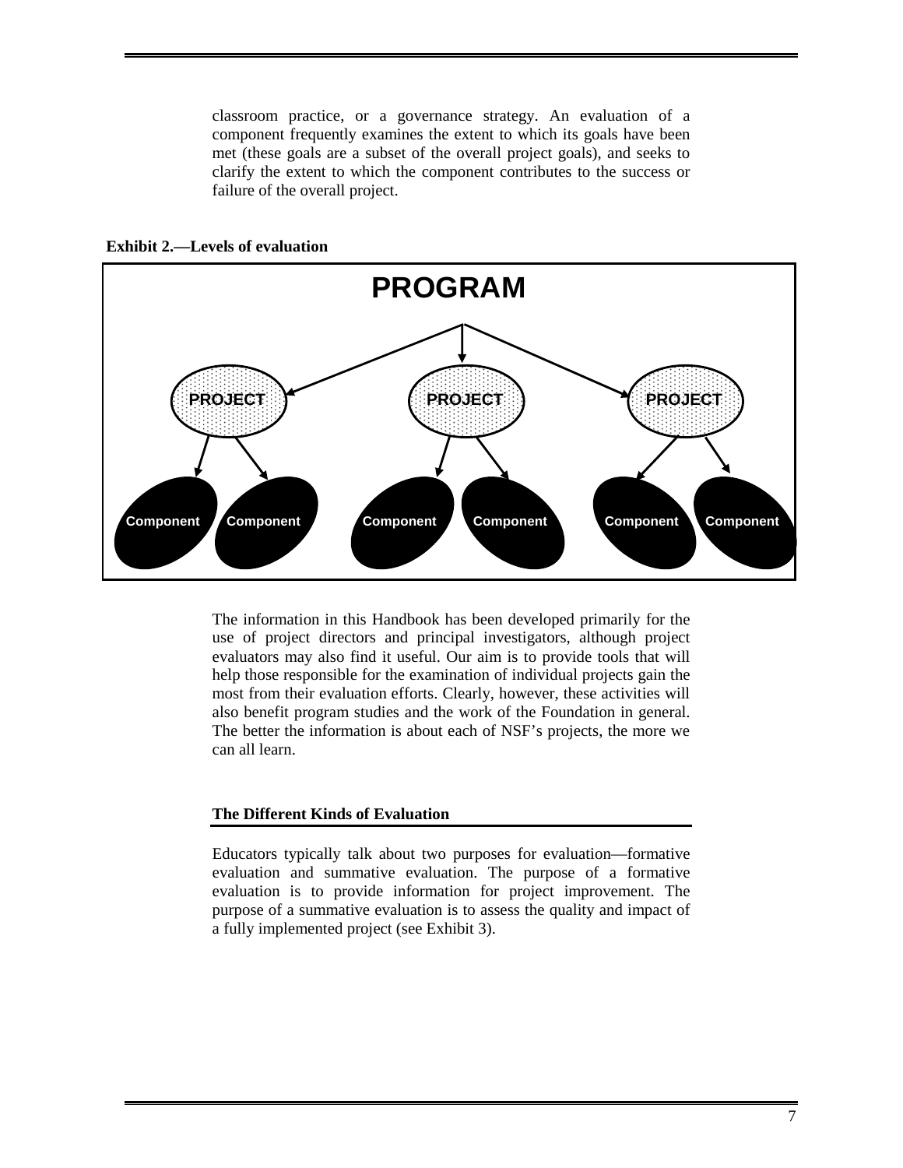classroom practice, or a governance strategy. An evaluation of a component frequently examines the extent to which its goals have been met (these goals are a subset of the overall project goals), and seeks to clarify the extent to which the component contributes to the success or failure of the overall project.



**Exhibit 2.—Levels of evaluation** 

The information in this Handbook has been developed primarily for the use of project directors and principal investigators, although project evaluators may also find it useful. Our aim is to provide tools that will help those responsible for the examination of individual projects gain the most from their evaluation efforts. Clearly, however, these activities will also benefit program studies and the work of the Foundation in general. The better the information is about each of NSF's projects, the more we can all learn.

### **The Different Kinds of Evaluation**

Educators typically talk about two purposes for evaluation—formative evaluation and summative evaluation. The purpose of a formative evaluation is to provide information for project improvement. The purpose of a summative evaluation is to assess the quality and impact of a fully implemented project (see Exhibit 3).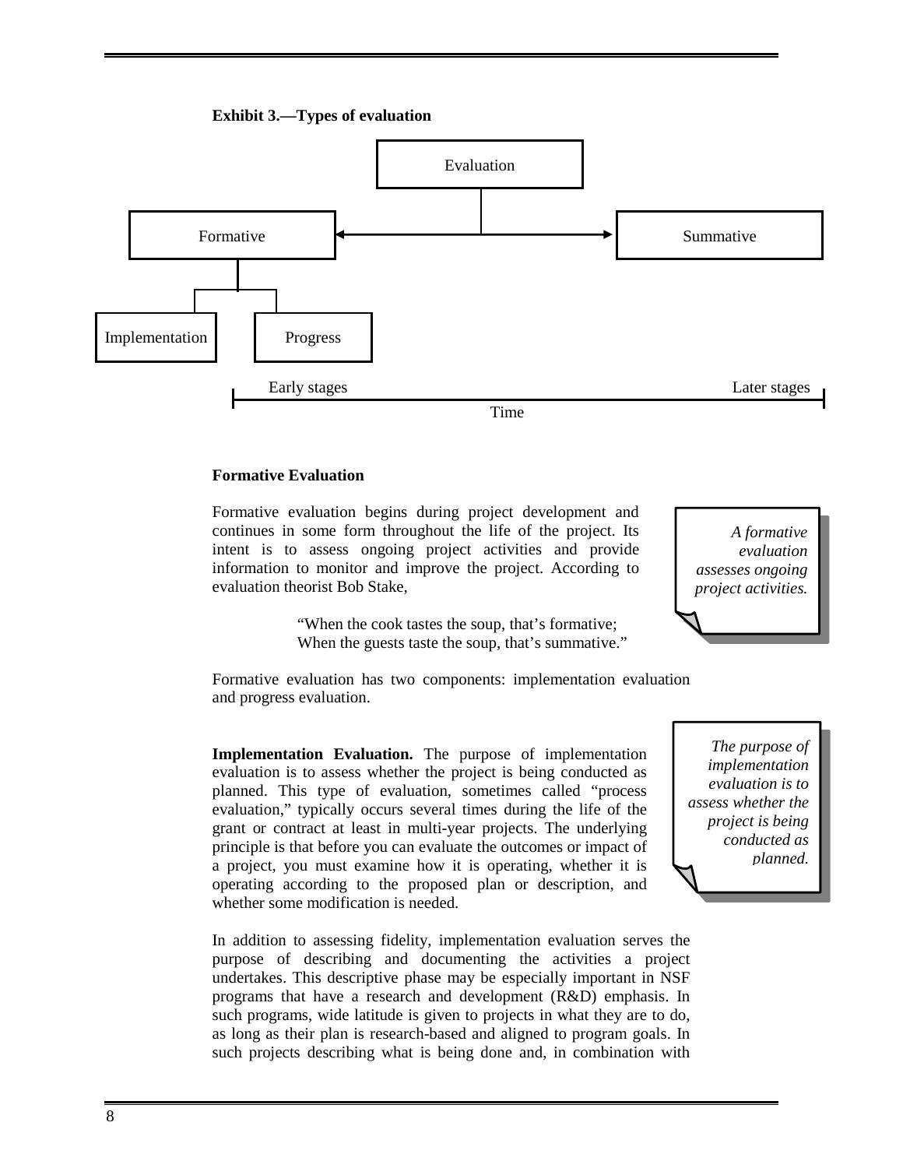



### **Formative Evaluation**

Formative evaluation begins during project development and continues in some form throughout the life of the project. Its intent is to assess ongoing project activities and provide information to monitor and improve the project. According to evaluation theorist Bob Stake,

> "When the cook tastes the soup, that's formative; When the guests taste the soup, that's summative."

*A formative evaluation assesses ongoing project activities.* 

Formative evaluation has two components: implementation evaluation and progress evaluation.

**Implementation Evaluation.** The purpose of implementation evaluation is to assess whether the project is being conducted as planned. This type of evaluation, sometimes called "process evaluation," typically occurs several times during the life of the grant or contract at least in multi-year projects. The underlying principle is that before you can evaluate the outcomes or impact of a project, you must examine how it is operating, whether it is operating according to the proposed plan or description, and whether some modification is needed.

In addition to assessing fidelity, implementation evaluation serves the purpose of describing and documenting the activities a project undertakes. This descriptive phase may be especially important in NSF programs that have a research and development (R&D) emphasis. In such programs, wide latitude is given to projects in what they are to do, as long as their plan is research-based and aligned to program goals. In such projects describing what is being done and, in combination with

*The purpose of implementation evaluation is to assess whether the project is being conducted as planned.*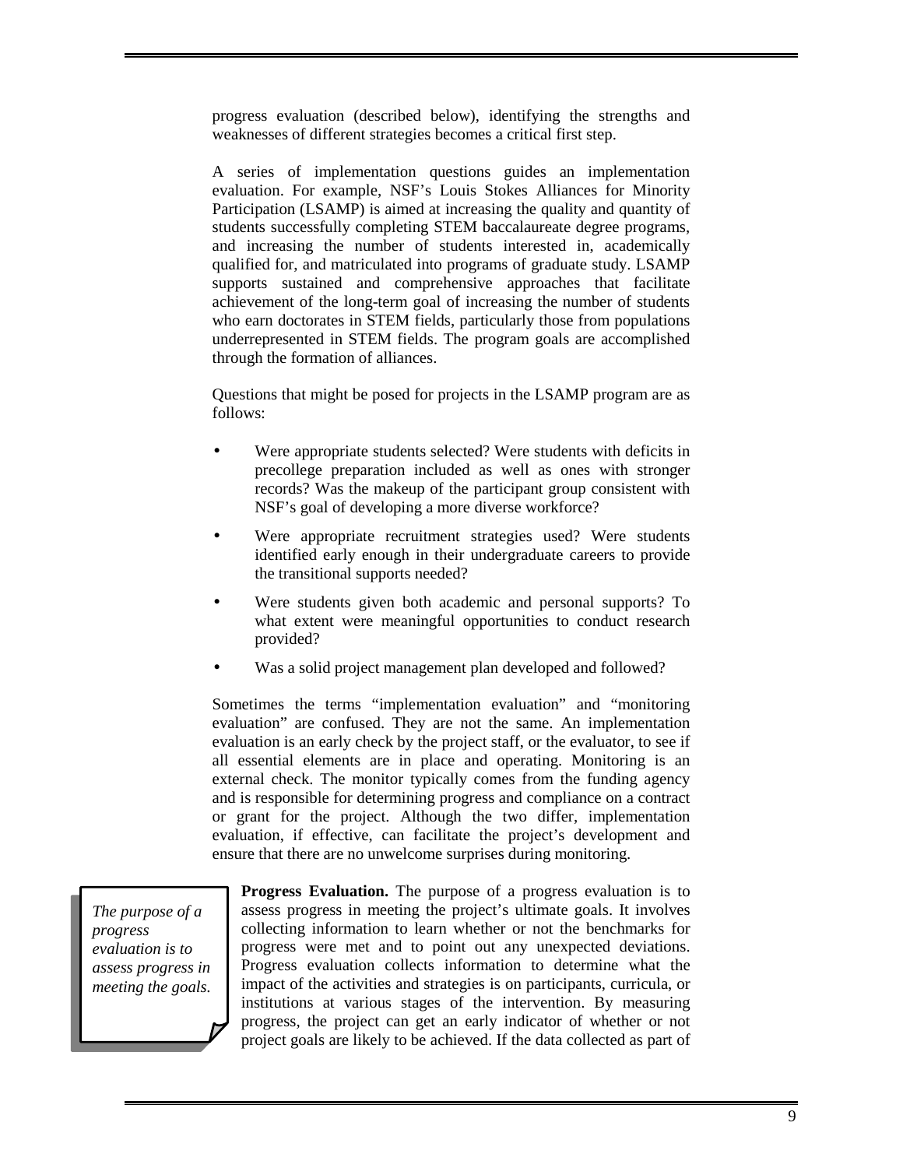progress evaluation (described below), identifying the strengths and weaknesses of different strategies becomes a critical first step.

A series of implementation questions guides an implementation evaluation. For example, NSF's Louis Stokes Alliances for Minority Participation (LSAMP) is aimed at increasing the quality and quantity of students successfully completing STEM baccalaureate degree programs, and increasing the number of students interested in, academically qualified for, and matriculated into programs of graduate study. LSAMP supports sustained and comprehensive approaches that facilitate achievement of the long-term goal of increasing the number of students who earn doctorates in STEM fields, particularly those from populations underrepresented in STEM fields. The program goals are accomplished through the formation of alliances.

Questions that might be posed for projects in the LSAMP program are as follows:

- Were appropriate students selected? Were students with deficits in precollege preparation included as well as ones with stronger records? Was the makeup of the participant group consistent with NSF's goal of developing a more diverse workforce?
- Were appropriate recruitment strategies used? Were students identified early enough in their undergraduate careers to provide the transitional supports needed?
- Were students given both academic and personal supports? To what extent were meaningful opportunities to conduct research provided?
- Was a solid project management plan developed and followed?

Sometimes the terms "implementation evaluation" and "monitoring evaluation" are confused. They are not the same. An implementation evaluation is an early check by the project staff, or the evaluator, to see if all essential elements are in place and operating. Monitoring is an external check. The monitor typically comes from the funding agency and is responsible for determining progress and compliance on a contract or grant for the project. Although the two differ, implementation evaluation, if effective, can facilitate the project's development and ensure that there are no unwelcome surprises during monitoring.

*The purpose of a progress evaluation is to assess progress in meeting the goals.* 

**Progress Evaluation.** The purpose of a progress evaluation is to assess progress in meeting the project's ultimate goals. It involves collecting information to learn whether or not the benchmarks for progress were met and to point out any unexpected deviations. Progress evaluation collects information to determine what the impact of the activities and strategies is on participants, curricula, or institutions at various stages of the intervention. By measuring progress, the project can get an early indicator of whether or not project goals are likely to be achieved. If the data collected as part of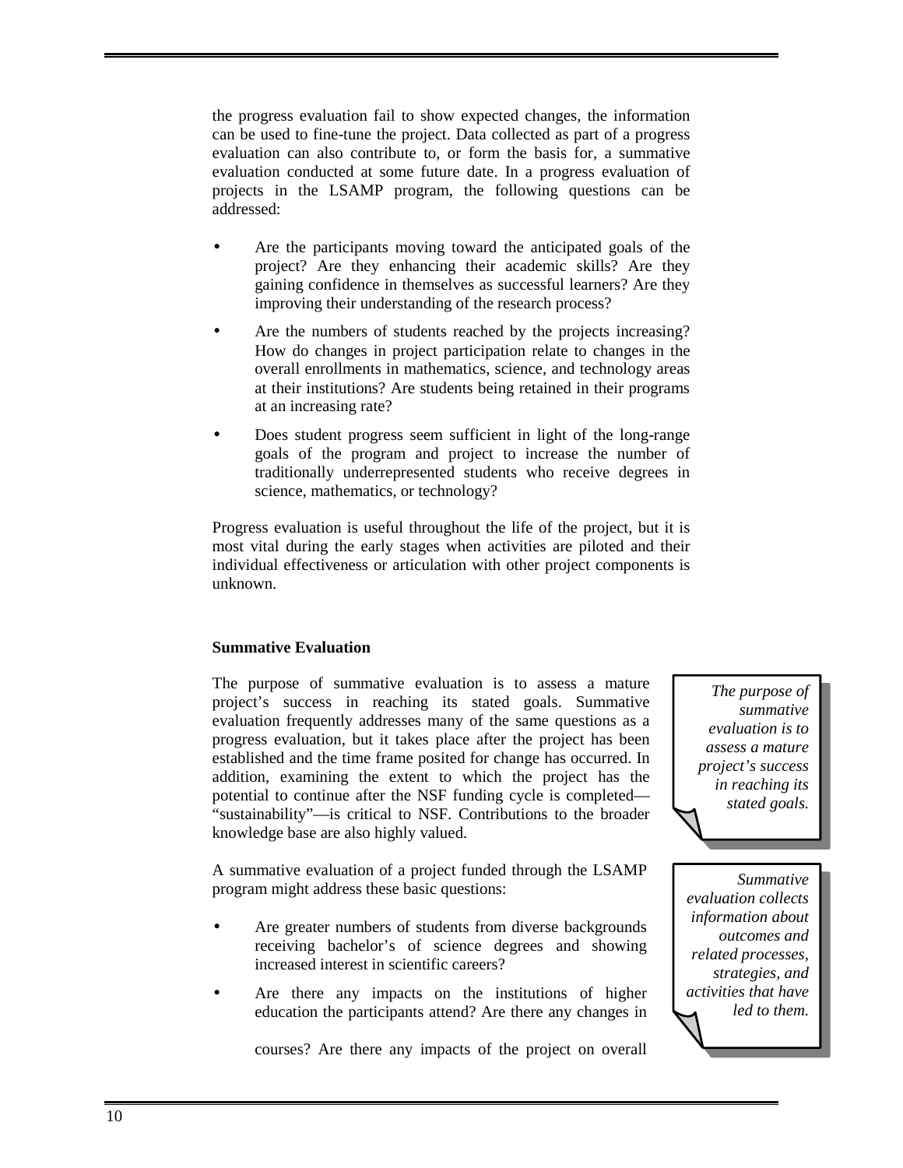the progress evaluation fail to show expected changes, the information can be used to fine-tune the project. Data collected as part of a progress evaluation can also contribute to, or form the basis for, a summative evaluation conducted at some future date. In a progress evaluation of projects in the LSAMP program, the following questions can be addressed:

- Are the participants moving toward the anticipated goals of the project? Are they enhancing their academic skills? Are they gaining confidence in themselves as successful learners? Are they improving their understanding of the research process?
- Are the numbers of students reached by the projects increasing? How do changes in project participation relate to changes in the overall enrollments in mathematics, science, and technology areas at their institutions? Are students being retained in their programs at an increasing rate?
- Does student progress seem sufficient in light of the long-range goals of the program and project to increase the number of traditionally underrepresented students who receive degrees in science, mathematics, or technology?

Progress evaluation is useful throughout the life of the project, but it is most vital during the early stages when activities are piloted and their individual effectiveness or articulation with other project components is unknown.

### **Summative Evaluation**

The purpose of summative evaluation is to assess a mature project's success in reaching its stated goals. Summative evaluation frequently addresses many of the same questions as a progress evaluation, but it takes place after the project has been established and the time frame posited for change has occurred. In addition, examining the extent to which the project has the potential to continue after the NSF funding cycle is completed— "sustainability"—is critical to NSF. Contributions to the broader knowledge base are also highly valued.

A summative evaluation of a project funded through the LSAMP program might address these basic questions:

- Are greater numbers of students from diverse backgrounds receiving bachelor's of science degrees and showing increased interest in scientific careers?
- Are there any impacts on the institutions of higher education the participants attend? Are there any changes in

*The purpose of summative evaluation is to assess a mature project's success in reaching its stated goals.* 

*Summative evaluation collects information about outcomes and related processes, strategies, and activities that have led to them.*

courses? Are there any impacts of the project on overall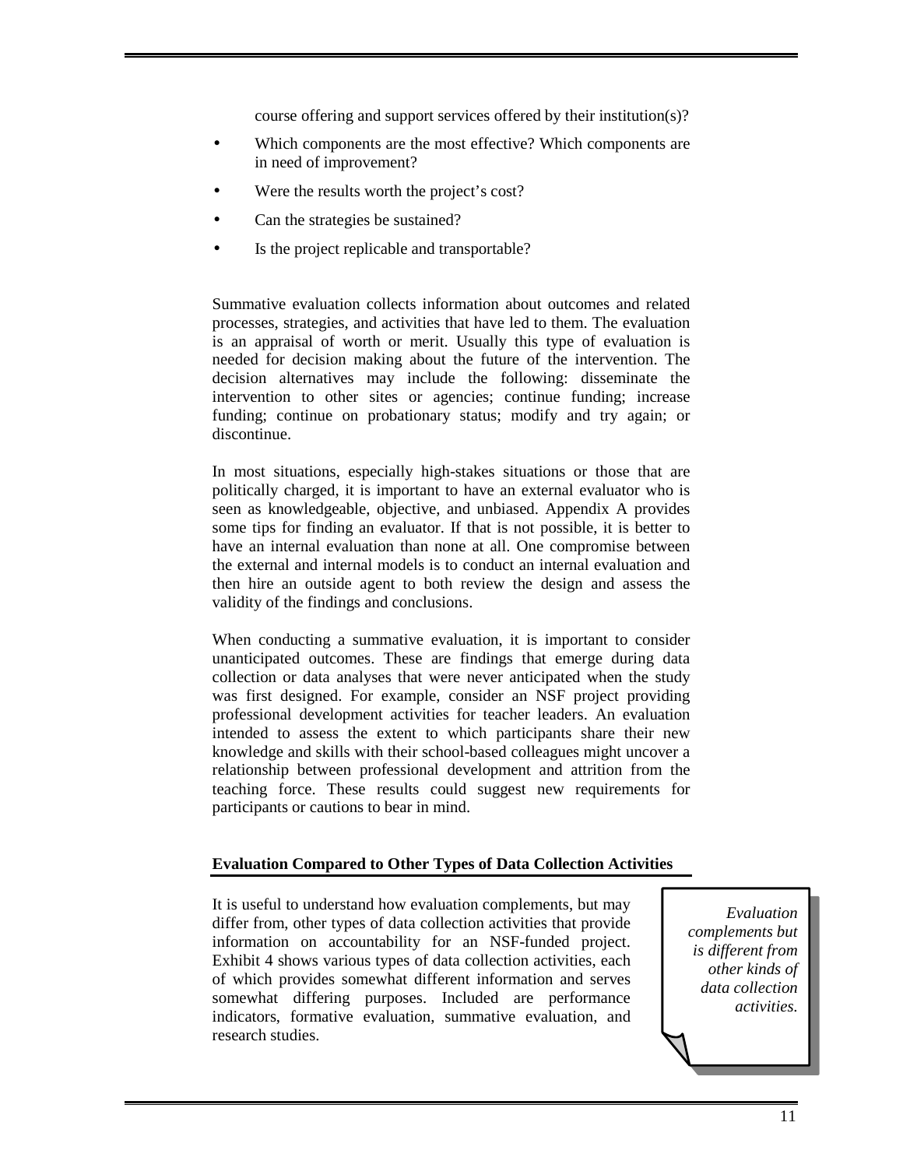course offering and support services offered by their institution(s)?

- Which components are the most effective? Which components are in need of improvement?
- Were the results worth the project's cost?
- Can the strategies be sustained?
- Is the project replicable and transportable?

Summative evaluation collects information about outcomes and related processes, strategies, and activities that have led to them. The evaluation is an appraisal of worth or merit. Usually this type of evaluation is needed for decision making about the future of the intervention. The decision alternatives may include the following: disseminate the intervention to other sites or agencies; continue funding; increase funding; continue on probationary status; modify and try again; or discontinue.

In most situations, especially high-stakes situations or those that are politically charged, it is important to have an external evaluator who is seen as knowledgeable, objective, and unbiased. Appendix A provides some tips for finding an evaluator. If that is not possible, it is better to have an internal evaluation than none at all. One compromise between the external and internal models is to conduct an internal evaluation and then hire an outside agent to both review the design and assess the validity of the findings and conclusions.

When conducting a summative evaluation, it is important to consider unanticipated outcomes. These are findings that emerge during data collection or data analyses that were never anticipated when the study was first designed. For example, consider an NSF project providing professional development activities for teacher leaders. An evaluation intended to assess the extent to which participants share their new knowledge and skills with their school-based colleagues might uncover a relationship between professional development and attrition from the teaching force. These results could suggest new requirements for participants or cautions to bear in mind.

### **Evaluation Compared to Other Types of Data Collection Activities**

It is useful to understand how evaluation complements, but may differ from, other types of data collection activities that provide information on accountability for an NSF-funded project. Exhibit 4 shows various types of data collection activities, each of which provides somewhat different information and serves somewhat differing purposes. Included are performance indicators, formative evaluation, summative evaluation, and research studies.

*Evaluation complements but is different from other kinds of data collection activities.*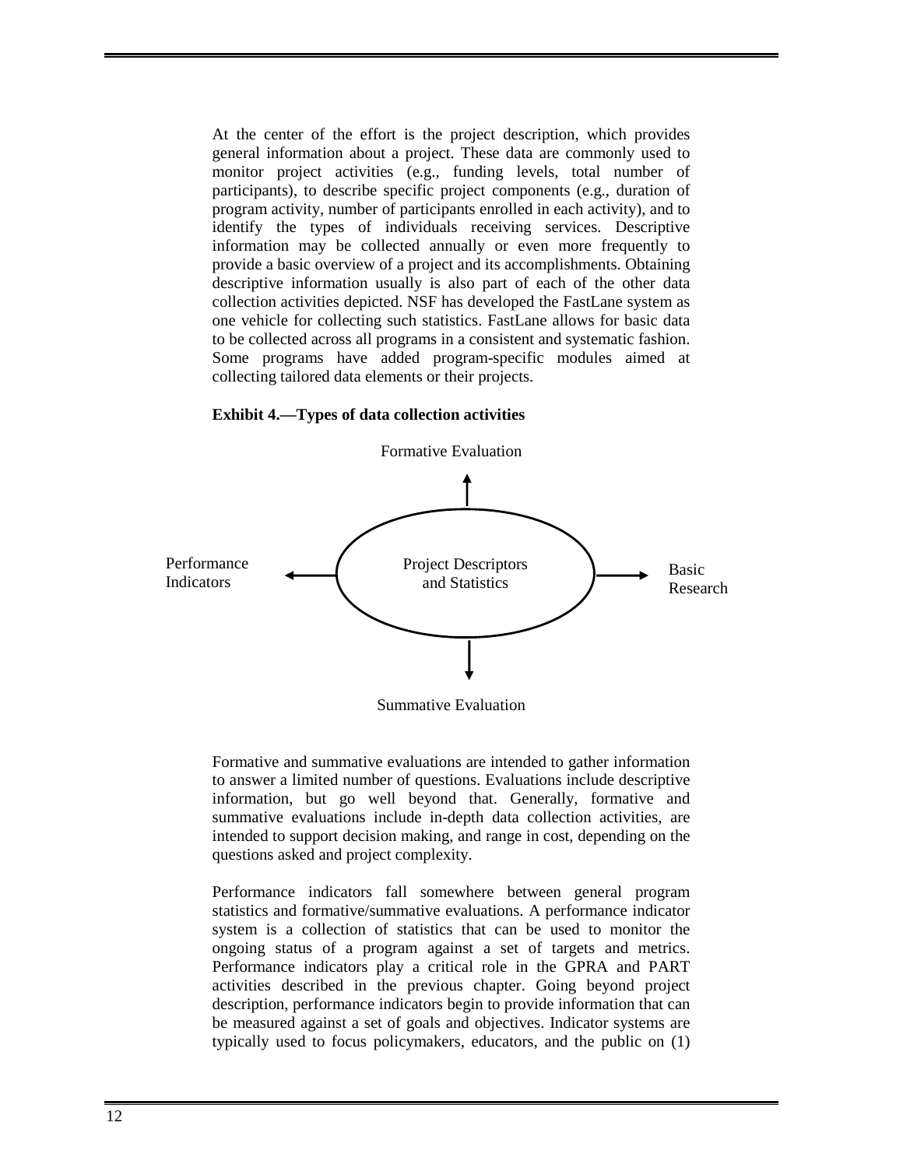At the center of the effort is the project description, which provides general information about a project. These data are commonly used to monitor project activities (e.g., funding levels, total number of participants), to describe specific project components (e.g., duration of program activity, number of participants enrolled in each activity), and to identify the types of individuals receiving services. Descriptive information may be collected annually or even more frequently to provide a basic overview of a project and its accomplishments. Obtaining descriptive information usually is also part of each of the other data collection activities depicted. NSF has developed the FastLane system as one vehicle for collecting such statistics. FastLane allows for basic data to be collected across all programs in a consistent and systematic fashion. Some programs have added program-specific modules aimed at collecting tailored data elements or their projects.



**Exhibit 4.—Types of data collection activities** 

Summative Evaluation

Formative and summative evaluations are intended to gather information to answer a limited number of questions. Evaluations include descriptive information, but go well beyond that. Generally, formative and summative evaluations include in-depth data collection activities, are intended to support decision making, and range in cost, depending on the questions asked and project complexity.

Performance indicators fall somewhere between general program statistics and formative/summative evaluations. A performance indicator system is a collection of statistics that can be used to monitor the ongoing status of a program against a set of targets and metrics. Performance indicators play a critical role in the GPRA and PART activities described in the previous chapter. Going beyond project description, performance indicators begin to provide information that can be measured against a set of goals and objectives. Indicator systems are typically used to focus policymakers, educators, and the public on (1)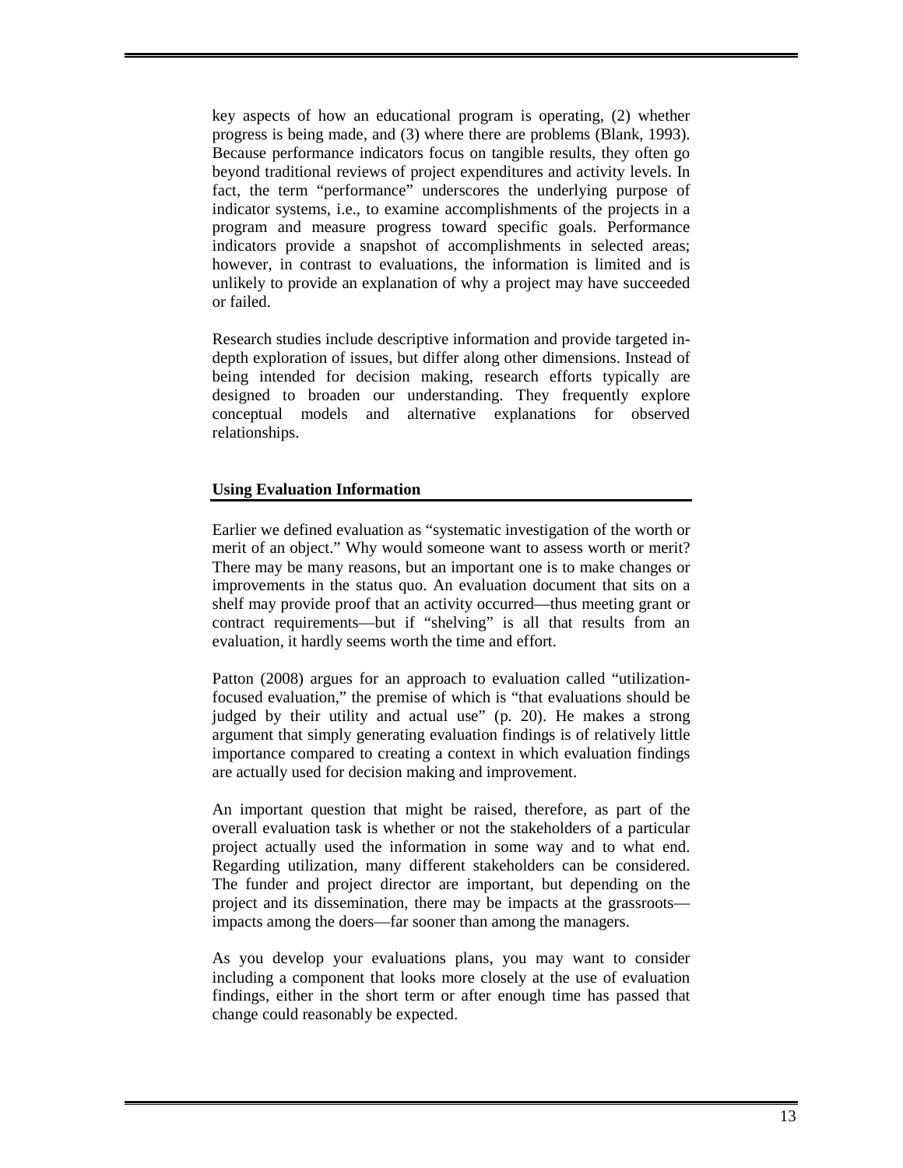key aspects of how an educational program is operating, (2) whether progress is being made, and (3) where there are problems (Blank, 1993). Because performance indicators focus on tangible results, they often go beyond traditional reviews of project expenditures and activity levels. In fact, the term "performance" underscores the underlying purpose of indicator systems, i.e., to examine accomplishments of the projects in a program and measure progress toward specific goals. Performance indicators provide a snapshot of accomplishments in selected areas; however, in contrast to evaluations, the information is limited and is unlikely to provide an explanation of why a project may have succeeded or failed.

Research studies include descriptive information and provide targeted indepth exploration of issues, but differ along other dimensions. Instead of being intended for decision making, research efforts typically are designed to broaden our understanding. They frequently explore conceptual models and alternative explanations for observed relationships.

### **Using Evaluation Information**

Earlier we defined evaluation as "systematic investigation of the worth or merit of an object." Why would someone want to assess worth or merit? There may be many reasons, but an important one is to make changes or improvements in the status quo. An evaluation document that sits on a shelf may provide proof that an activity occurred—thus meeting grant or contract requirements—but if "shelving" is all that results from an evaluation, it hardly seems worth the time and effort.

Patton (2008) argues for an approach to evaluation called "utilizationfocused evaluation," the premise of which is "that evaluations should be judged by their utility and actual use" (p. 20). He makes a strong argument that simply generating evaluation findings is of relatively little importance compared to creating a context in which evaluation findings are actually used for decision making and improvement.

An important question that might be raised, therefore, as part of the overall evaluation task is whether or not the stakeholders of a particular project actually used the information in some way and to what end. Regarding utilization, many different stakeholders can be considered. The funder and project director are important, but depending on the project and its dissemination, there may be impacts at the grassroots impacts among the doers—far sooner than among the managers.

As you develop your evaluations plans, you may want to consider including a component that looks more closely at the use of evaluation findings, either in the short term or after enough time has passed that change could reasonably be expected.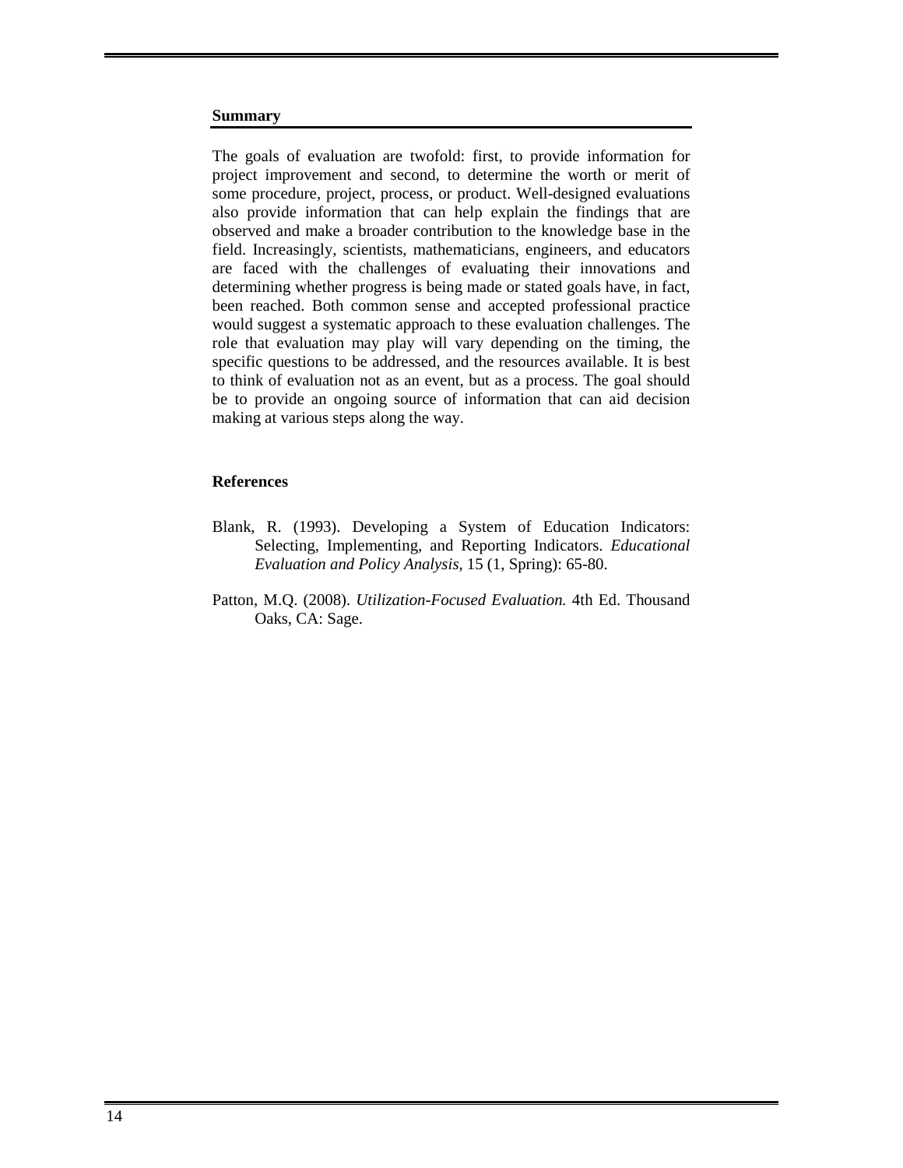### **Summary**

The goals of evaluation are twofold: first, to provide information for project improvement and second, to determine the worth or merit of some procedure, project, process, or product. Well-designed evaluations also provide information that can help explain the findings that are observed and make a broader contribution to the knowledge base in the field. Increasingly, scientists, mathematicians, engineers, and educators are faced with the challenges of evaluating their innovations and determining whether progress is being made or stated goals have, in fact, been reached. Both common sense and accepted professional practice would suggest a systematic approach to these evaluation challenges. The role that evaluation may play will vary depending on the timing, the specific questions to be addressed, and the resources available. It is best to think of evaluation not as an event, but as a process. The goal should be to provide an ongoing source of information that can aid decision making at various steps along the way.

### **References**

- Blank, R. (1993). Developing a System of Education Indicators: Selecting, Implementing, and Reporting Indicators. *Educational Evaluation and Policy Analysis*, 15 (1, Spring): 65-80.
- Patton, M.Q. (2008). *Utilization-Focused Evaluation.* 4th Ed. Thousand Oaks, CA: Sage.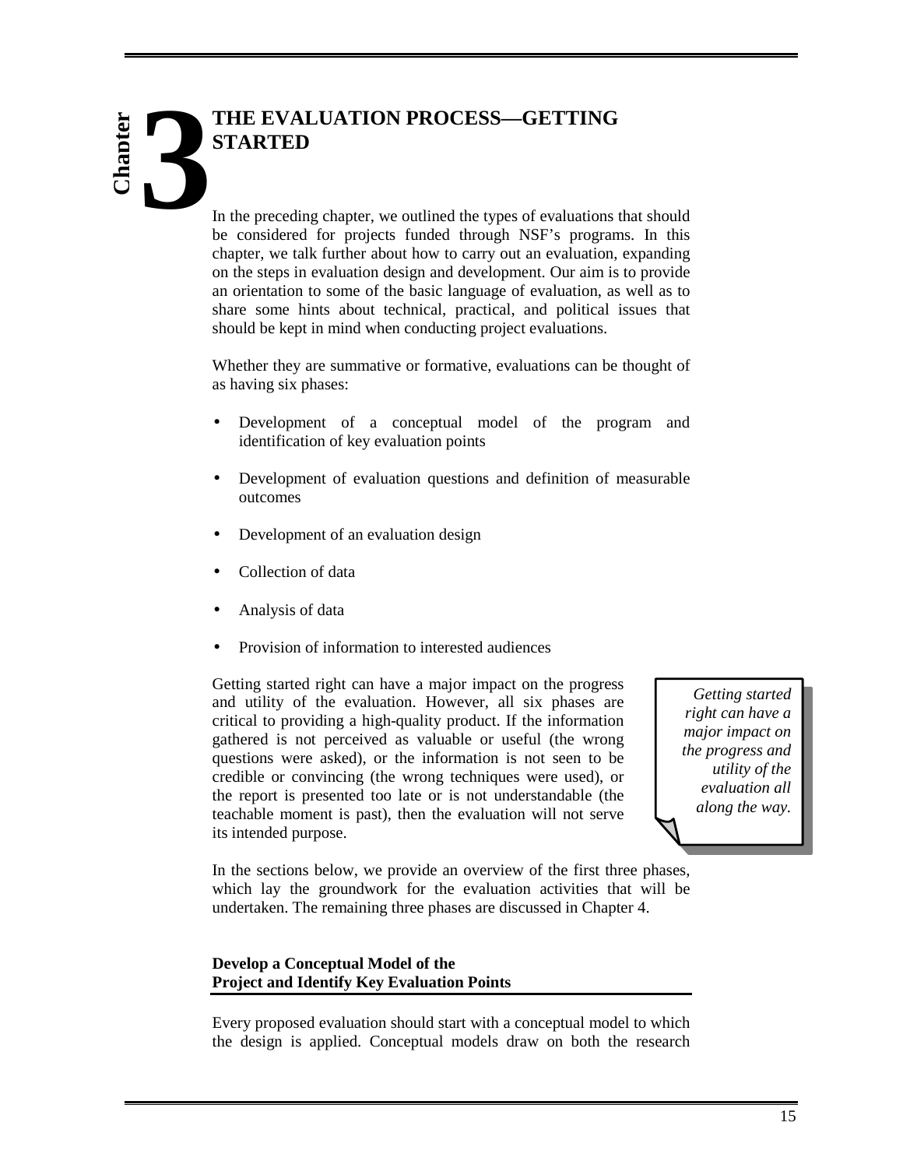# **THE EVALUATION PROCESS—GETTING STARTED 3 hapter**

In the preceding chapter, we outlined the types of evaluations that should be considered for projects funded through NSF's programs. In this chapter, we talk further about how to carry out an evaluation, expanding on the steps in evaluation design and development. Our aim is to provide an orientation to some of the basic language of evaluation, as well as to share some hints about technical, practical, and political issues that should be kept in mind when conducting project evaluations.

Whether they are summative or formative, evaluations can be thought of as having six phases:

- Development of a conceptual model of the program and identification of key evaluation points
- Development of evaluation questions and definition of measurable outcomes
- Development of an evaluation design
- Collection of data
- Analysis of data
- Provision of information to interested audiences

Getting started right can have a major impact on the progress and utility of the evaluation. However, all six phases are critical to providing a high-quality product. If the information gathered is not perceived as valuable or useful (the wrong questions were asked), or the information is not seen to be credible or convincing (the wrong techniques were used), or the report is presented too late or is not understandable (the teachable moment is past), then the evaluation will not serve its intended purpose.

*Getting started right can have a major impact on the progress and utility of the evaluation all along the way.* 

In the sections below, we provide an overview of the first three phases, which lay the groundwork for the evaluation activities that will be undertaken. The remaining three phases are discussed in Chapter 4.

### **Develop a Conceptual Model of the Project and Identify Key Evaluation Points**

Every proposed evaluation should start with a conceptual model to which the design is applied. Conceptual models draw on both the research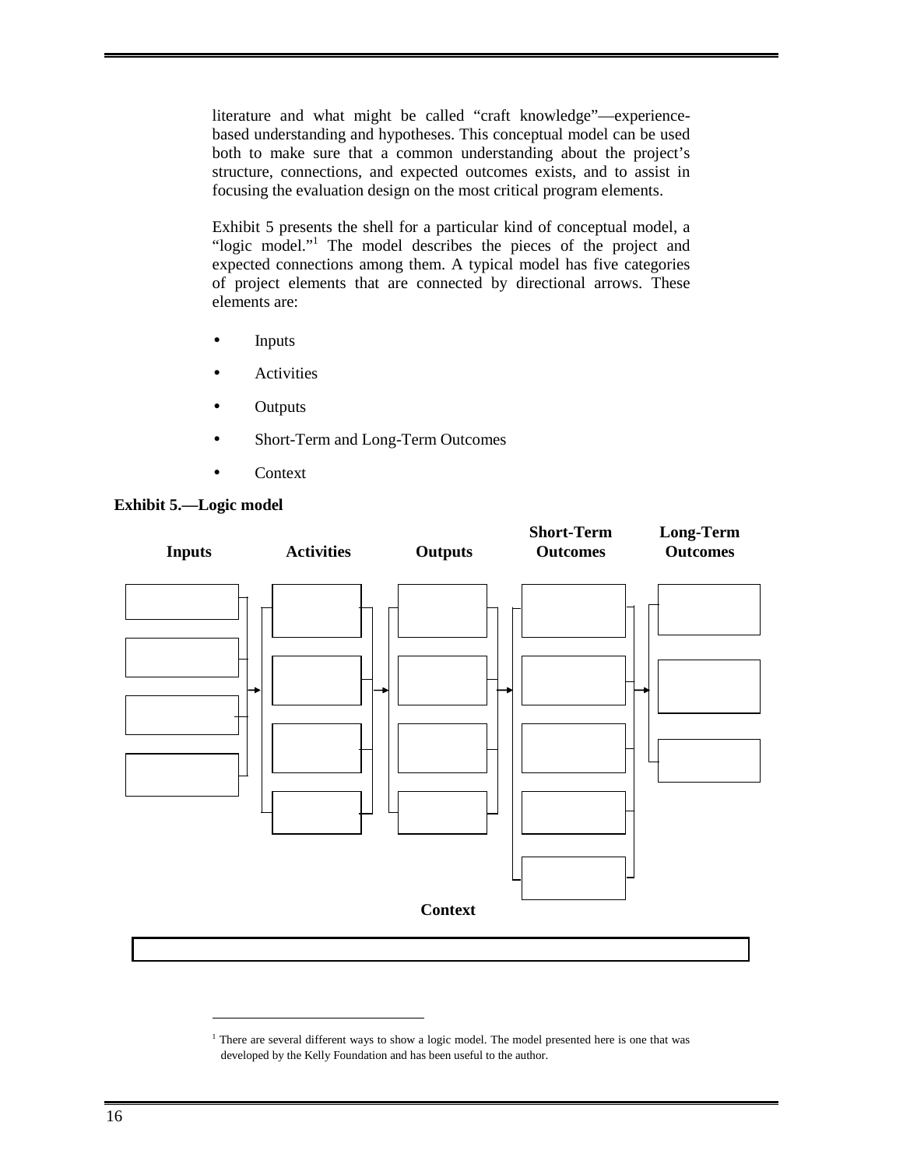literature and what might be called "craft knowledge"—experiencebased understanding and hypotheses. This conceptual model can be used both to make sure that a common understanding about the project's structure, connections, and expected outcomes exists, and to assist in focusing the evaluation design on the most critical program elements.

Exhibit 5 presents the shell for a particular kind of conceptual model, a "logic model."<sup>1</sup> The model describes the pieces of the project and expected connections among them. A typical model has five categories of project elements that are connected by directional arrows. These elements are:

- **Inputs**
- **Activities**
- **Outputs**
- Short-Term and Long-Term Outcomes
- Context



### **Exhibit 5.—Logic model**

-

<sup>&</sup>lt;sup>1</sup> There are several different ways to show a logic model. The model presented here is one that was developed by the Kelly Foundation and has been useful to the author.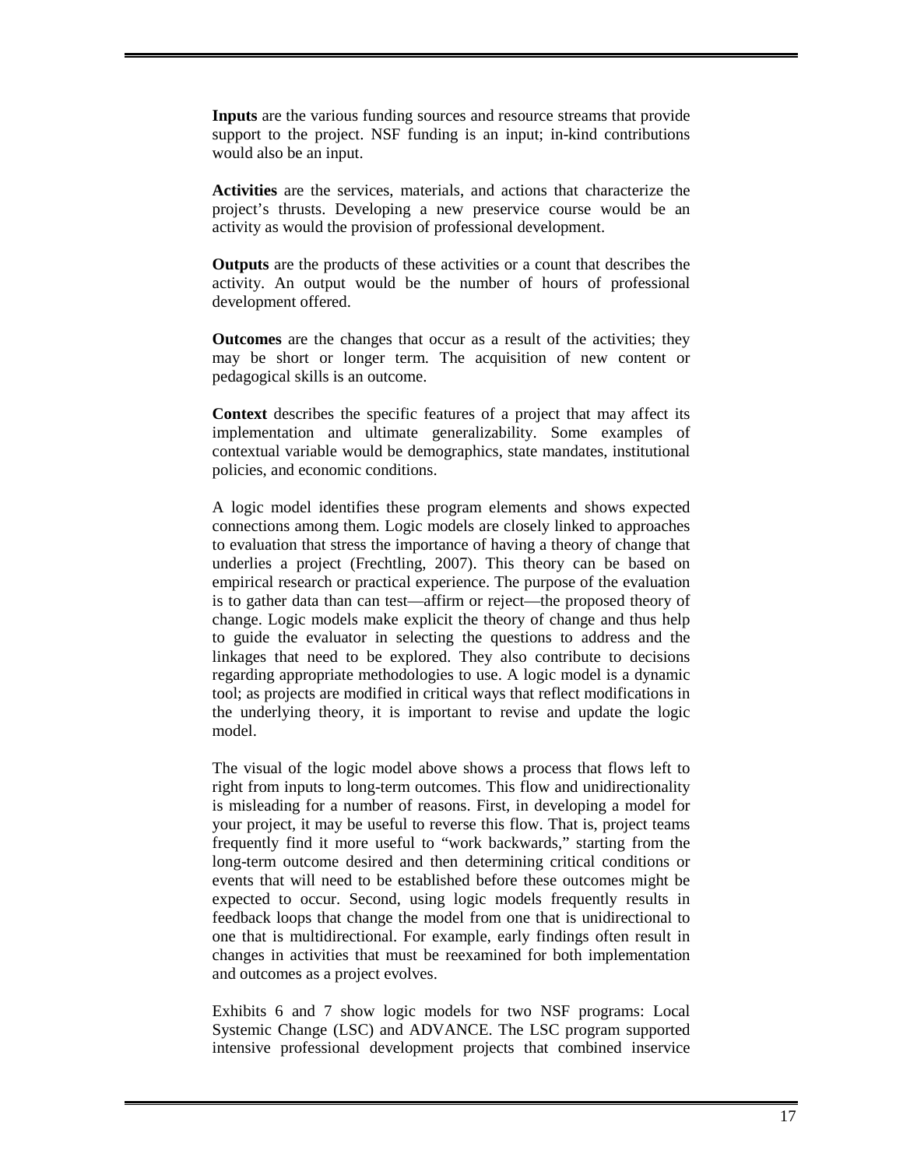**Inputs** are the various funding sources and resource streams that provide support to the project. NSF funding is an input; in-kind contributions would also be an input.

**Activities** are the services, materials, and actions that characterize the project's thrusts. Developing a new preservice course would be an activity as would the provision of professional development.

**Outputs** are the products of these activities or a count that describes the activity. An output would be the number of hours of professional development offered.

**Outcomes** are the changes that occur as a result of the activities; they may be short or longer term. The acquisition of new content or pedagogical skills is an outcome.

**Context** describes the specific features of a project that may affect its implementation and ultimate generalizability. Some examples of contextual variable would be demographics, state mandates, institutional policies, and economic conditions.

A logic model identifies these program elements and shows expected connections among them. Logic models are closely linked to approaches to evaluation that stress the importance of having a theory of change that underlies a project (Frechtling, 2007). This theory can be based on empirical research or practical experience. The purpose of the evaluation is to gather data than can test—affirm or reject—the proposed theory of change. Logic models make explicit the theory of change and thus help to guide the evaluator in selecting the questions to address and the linkages that need to be explored. They also contribute to decisions regarding appropriate methodologies to use. A logic model is a dynamic tool; as projects are modified in critical ways that reflect modifications in the underlying theory, it is important to revise and update the logic model.

The visual of the logic model above shows a process that flows left to right from inputs to long-term outcomes. This flow and unidirectionality is misleading for a number of reasons. First, in developing a model for your project, it may be useful to reverse this flow. That is, project teams frequently find it more useful to "work backwards," starting from the long-term outcome desired and then determining critical conditions or events that will need to be established before these outcomes might be expected to occur. Second, using logic models frequently results in feedback loops that change the model from one that is unidirectional to one that is multidirectional. For example, early findings often result in changes in activities that must be reexamined for both implementation and outcomes as a project evolves.

Exhibits 6 and 7 show logic models for two NSF programs: Local Systemic Change (LSC) and ADVANCE. The LSC program supported intensive professional development projects that combined inservice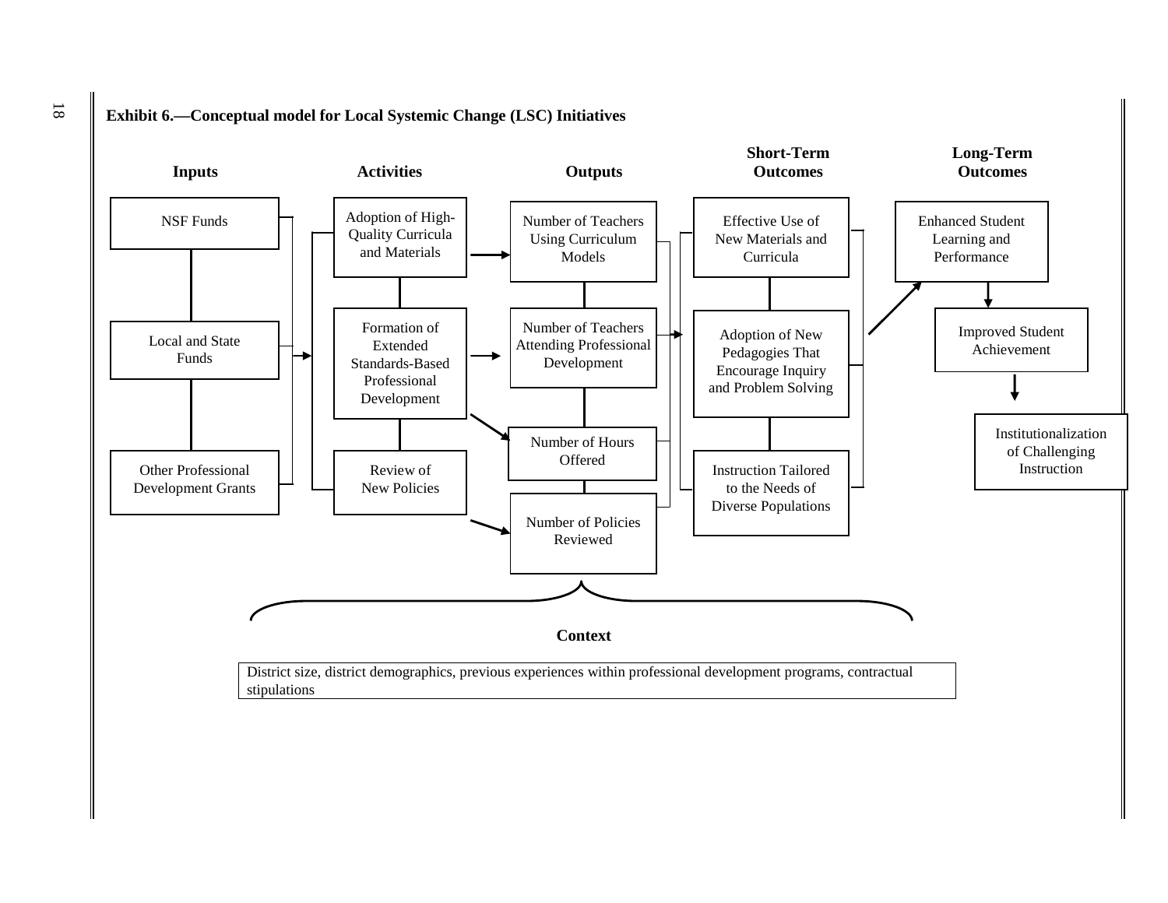

# 18 **Exhibit 6.—Conceptual model for Local Systemic Change (LSC) Initiatives**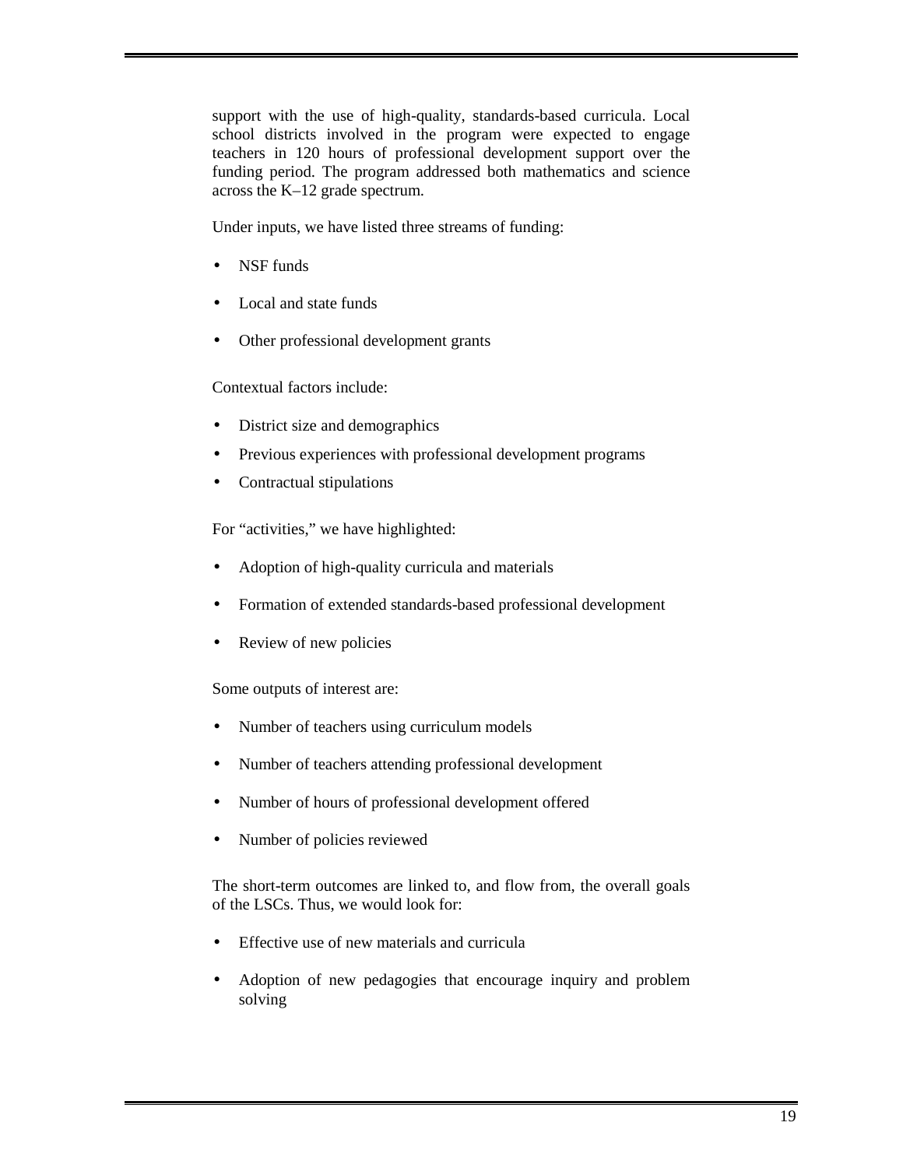support with the use of high-quality, standards-based curricula. Local school districts involved in the program were expected to engage teachers in 120 hours of professional development support over the funding period. The program addressed both mathematics and science across the K–12 grade spectrum.

Under inputs, we have listed three streams of funding:

- NSF funds
- Local and state funds
- Other professional development grants

Contextual factors include:

- District size and demographics
- Previous experiences with professional development programs
- Contractual stipulations

For "activities," we have highlighted:

- Adoption of high-quality curricula and materials
- Formation of extended standards-based professional development
- Review of new policies

Some outputs of interest are:

- Number of teachers using curriculum models
- Number of teachers attending professional development
- Number of hours of professional development offered
- Number of policies reviewed

The short-term outcomes are linked to, and flow from, the overall goals of the LSCs. Thus, we would look for:

- Effective use of new materials and curricula
- Adoption of new pedagogies that encourage inquiry and problem solving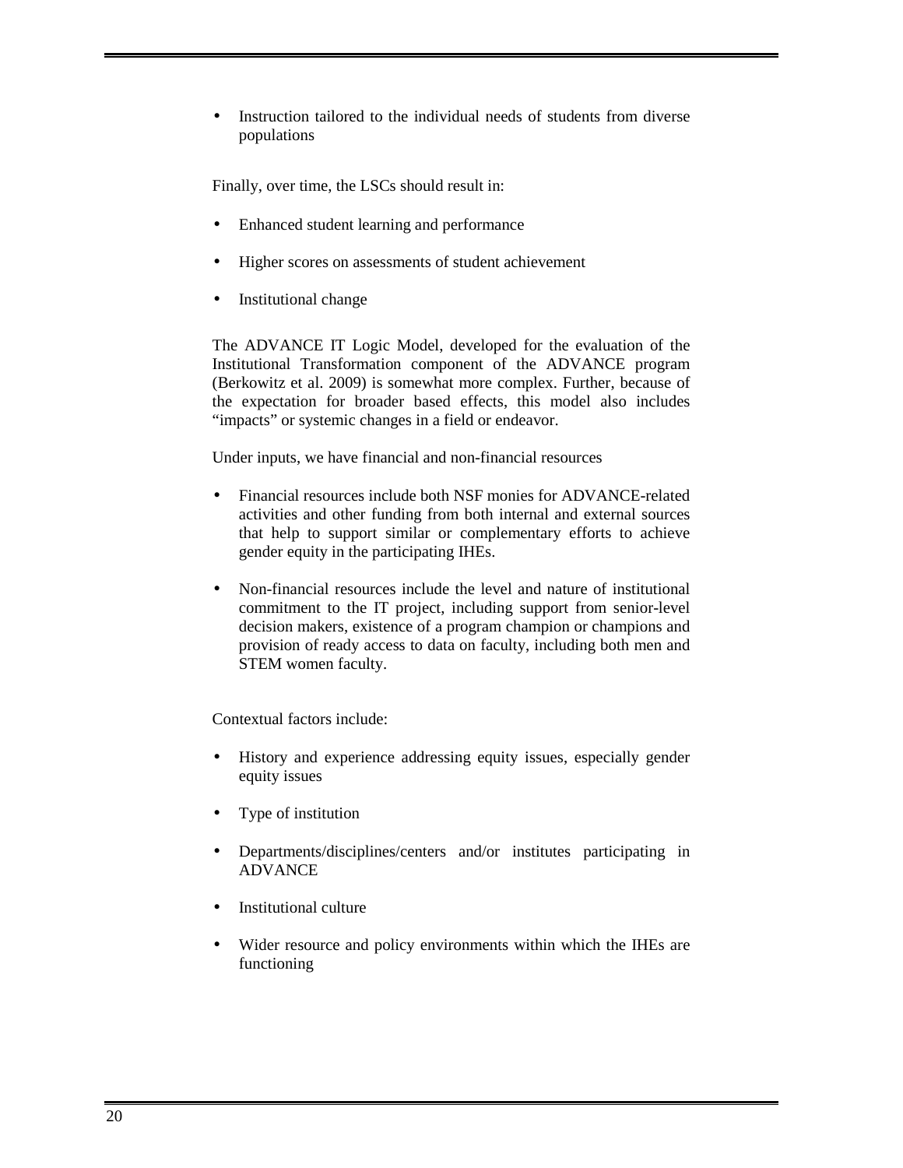Instruction tailored to the individual needs of students from diverse populations

Finally, over time, the LSCs should result in:

- Enhanced student learning and performance
- Higher scores on assessments of student achievement
- Institutional change

The ADVANCE IT Logic Model, developed for the evaluation of the Institutional Transformation component of the ADVANCE program (Berkowitz et al. 2009) is somewhat more complex. Further, because of the expectation for broader based effects, this model also includes "impacts" or systemic changes in a field or endeavor.

Under inputs, we have financial and non-financial resources

- Financial resources include both NSF monies for ADVANCE-related activities and other funding from both internal and external sources that help to support similar or complementary efforts to achieve gender equity in the participating IHEs.
- Non-financial resources include the level and nature of institutional commitment to the IT project, including support from senior-level decision makers, existence of a program champion or champions and provision of ready access to data on faculty, including both men and STEM women faculty.

Contextual factors include:

- History and experience addressing equity issues, especially gender equity issues
- Type of institution
- Departments/disciplines/centers and/or institutes participating in ADVANCE
- Institutional culture
- Wider resource and policy environments within which the IHEs are functioning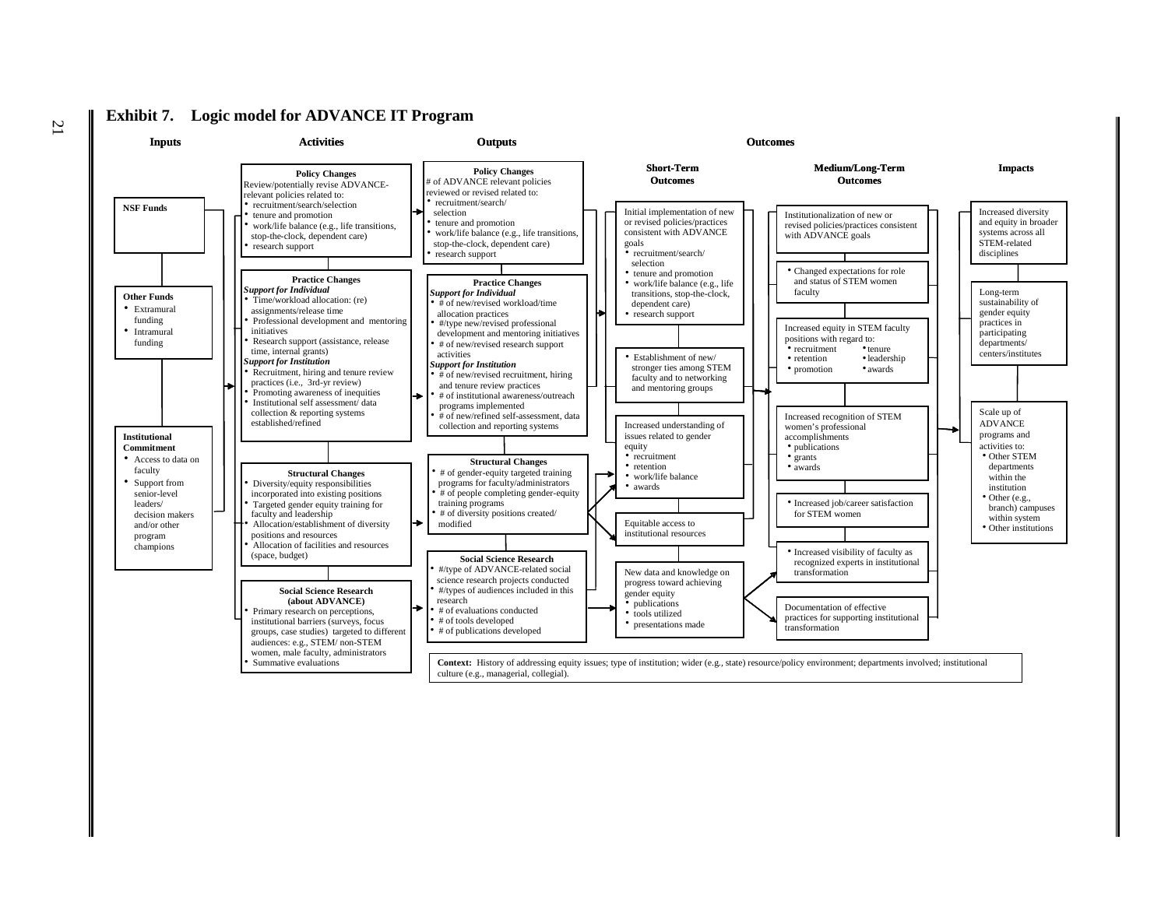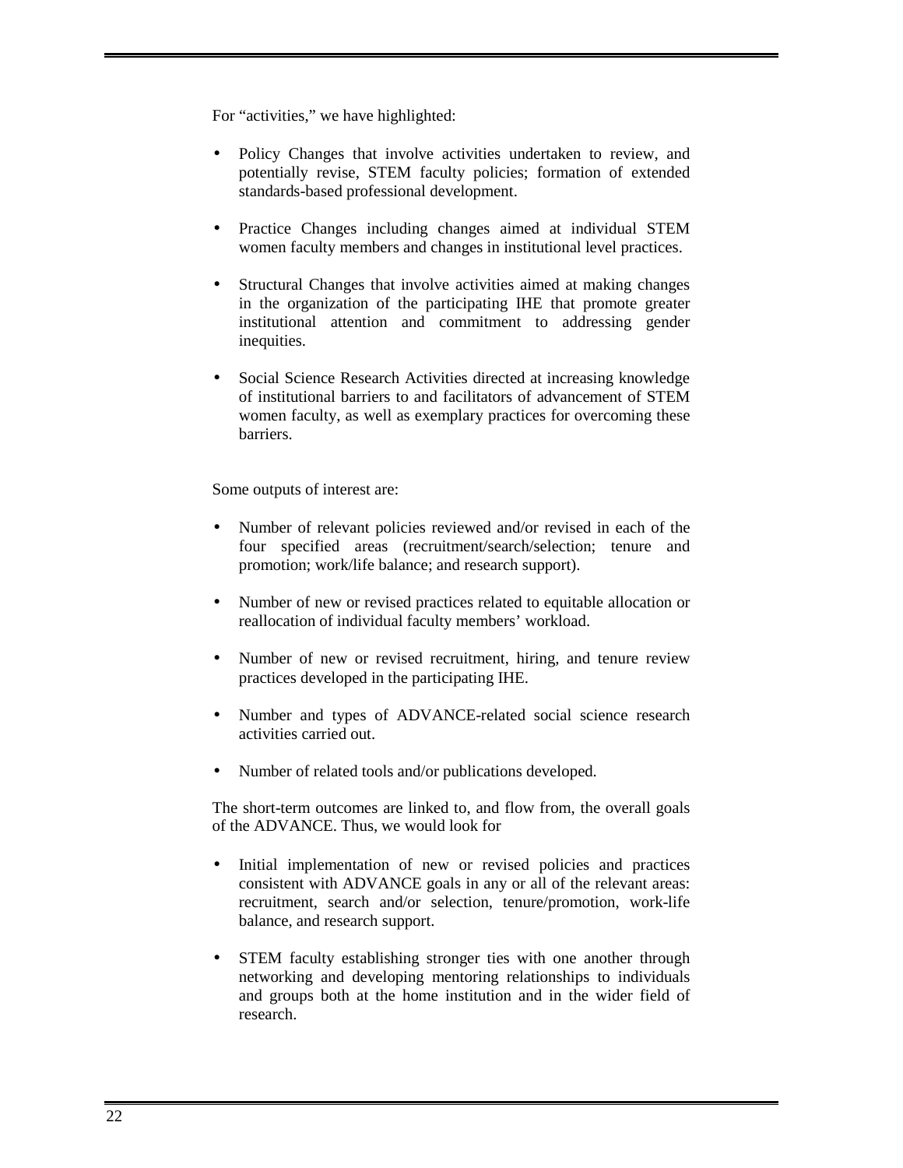For "activities," we have highlighted:

- Policy Changes that involve activities undertaken to review, and potentially revise, STEM faculty policies; formation of extended standards-based professional development.
- Practice Changes including changes aimed at individual STEM women faculty members and changes in institutional level practices.
- Structural Changes that involve activities aimed at making changes in the organization of the participating IHE that promote greater institutional attention and commitment to addressing gender inequities.
- Social Science Research Activities directed at increasing knowledge of institutional barriers to and facilitators of advancement of STEM women faculty, as well as exemplary practices for overcoming these barriers.

Some outputs of interest are:

- Number of relevant policies reviewed and/or revised in each of the four specified areas (recruitment/search/selection; tenure and promotion; work/life balance; and research support).
- Number of new or revised practices related to equitable allocation or reallocation of individual faculty members' workload.
- Number of new or revised recruitment, hiring, and tenure review practices developed in the participating IHE.
- Number and types of ADVANCE-related social science research activities carried out.
- Number of related tools and/or publications developed.

The short-term outcomes are linked to, and flow from, the overall goals of the ADVANCE. Thus, we would look for

- Initial implementation of new or revised policies and practices consistent with ADVANCE goals in any or all of the relevant areas: recruitment, search and/or selection, tenure/promotion, work-life balance, and research support.
- STEM faculty establishing stronger ties with one another through networking and developing mentoring relationships to individuals and groups both at the home institution and in the wider field of research.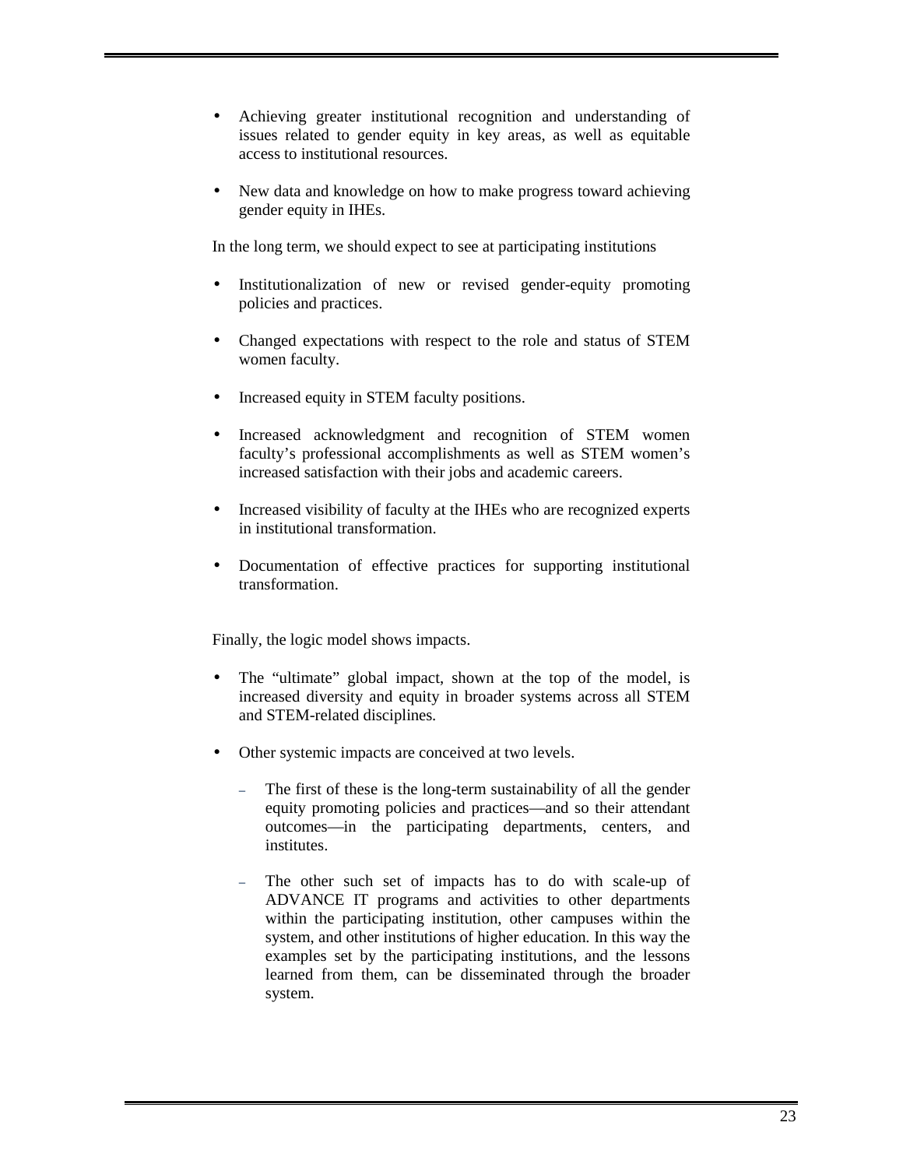- Achieving greater institutional recognition and understanding of issues related to gender equity in key areas, as well as equitable access to institutional resources.
- New data and knowledge on how to make progress toward achieving gender equity in IHEs.

In the long term, we should expect to see at participating institutions

- Institutionalization of new or revised gender-equity promoting policies and practices.
- Changed expectations with respect to the role and status of STEM women faculty.
- Increased equity in STEM faculty positions.
- Increased acknowledgment and recognition of STEM women faculty's professional accomplishments as well as STEM women's increased satisfaction with their jobs and academic careers.
- Increased visibility of faculty at the IHEs who are recognized experts in institutional transformation.
- Documentation of effective practices for supporting institutional transformation.

Finally, the logic model shows impacts.

- The "ultimate" global impact, shown at the top of the model, is increased diversity and equity in broader systems across all STEM and STEM-related disciplines*.*
- Other systemic impacts are conceived at two levels.
	- The first of these is the long-term sustainability of all the gender equity promoting policies and practices—and so their attendant outcomes—in the participating departments, centers, and institutes.
	- The other such set of impacts has to do with scale-up of ADVANCE IT programs and activities to other departments within the participating institution, other campuses within the system, and other institutions of higher education*.* In this way the examples set by the participating institutions, and the lessons learned from them, can be disseminated through the broader system.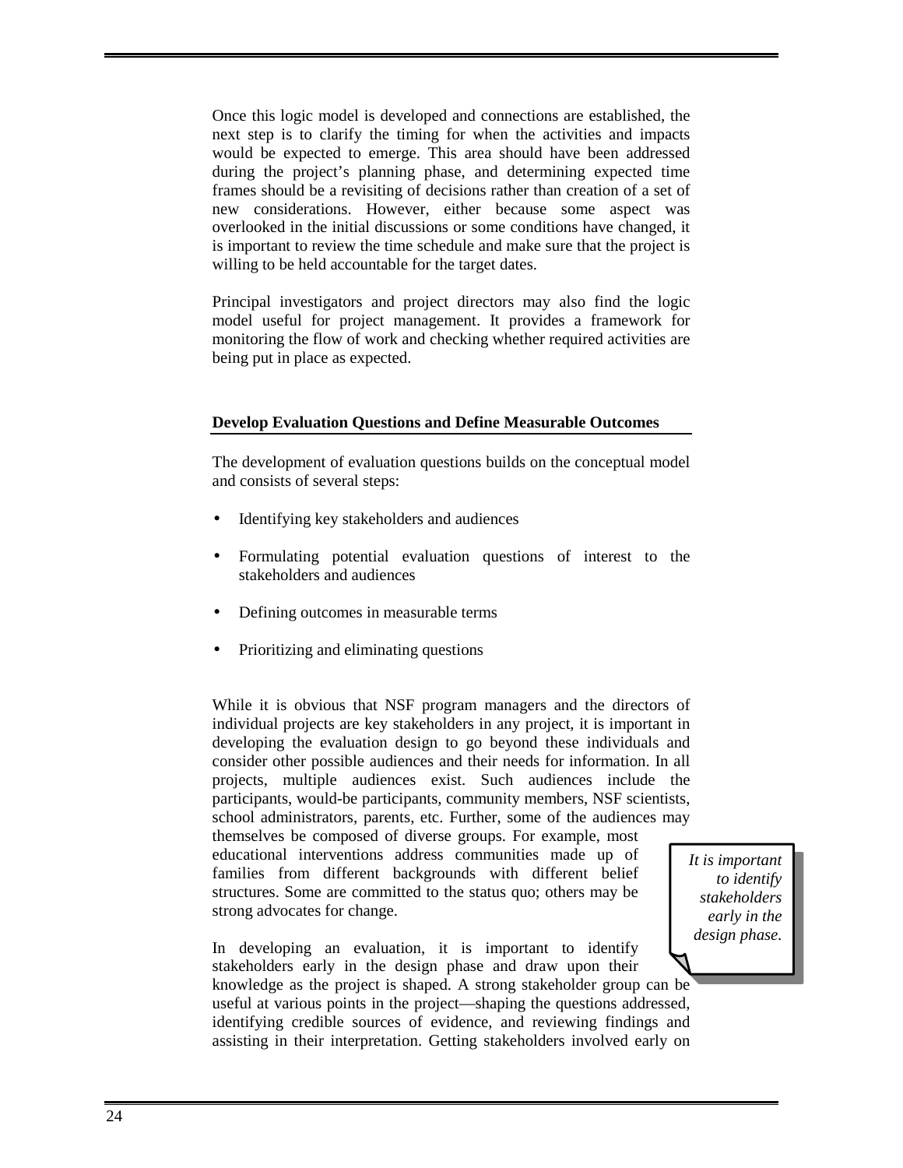Once this logic model is developed and connections are established, the next step is to clarify the timing for when the activities and impacts would be expected to emerge. This area should have been addressed during the project's planning phase, and determining expected time frames should be a revisiting of decisions rather than creation of a set of new considerations. However, either because some aspect was overlooked in the initial discussions or some conditions have changed, it is important to review the time schedule and make sure that the project is willing to be held accountable for the target dates.

Principal investigators and project directors may also find the logic model useful for project management. It provides a framework for monitoring the flow of work and checking whether required activities are being put in place as expected.

### **Develop Evaluation Questions and Define Measurable Outcomes**

The development of evaluation questions builds on the conceptual model and consists of several steps:

- Identifying key stakeholders and audiences
- Formulating potential evaluation questions of interest to the stakeholders and audiences
- Defining outcomes in measurable terms
- Prioritizing and eliminating questions

While it is obvious that NSF program managers and the directors of individual projects are key stakeholders in any project, it is important in developing the evaluation design to go beyond these individuals and consider other possible audiences and their needs for information. In all projects, multiple audiences exist. Such audiences include the participants, would-be participants, community members, NSF scientists, school administrators, parents, etc. Further, some of the audiences may

themselves be composed of diverse groups. For example, most educational interventions address communities made up of families from different backgrounds with different belief structures. Some are committed to the status quo; others may be strong advocates for change.

In developing an evaluation, it is important to identify stakeholders early in the design phase and draw upon their knowledge as the project is shaped. A strong stakeholder group can be useful at various points in the project—shaping the questions addressed, identifying credible sources of evidence, and reviewing findings and assisting in their interpretation. Getting stakeholders involved early on

*It is important to identify stakeholders early in the design phase.*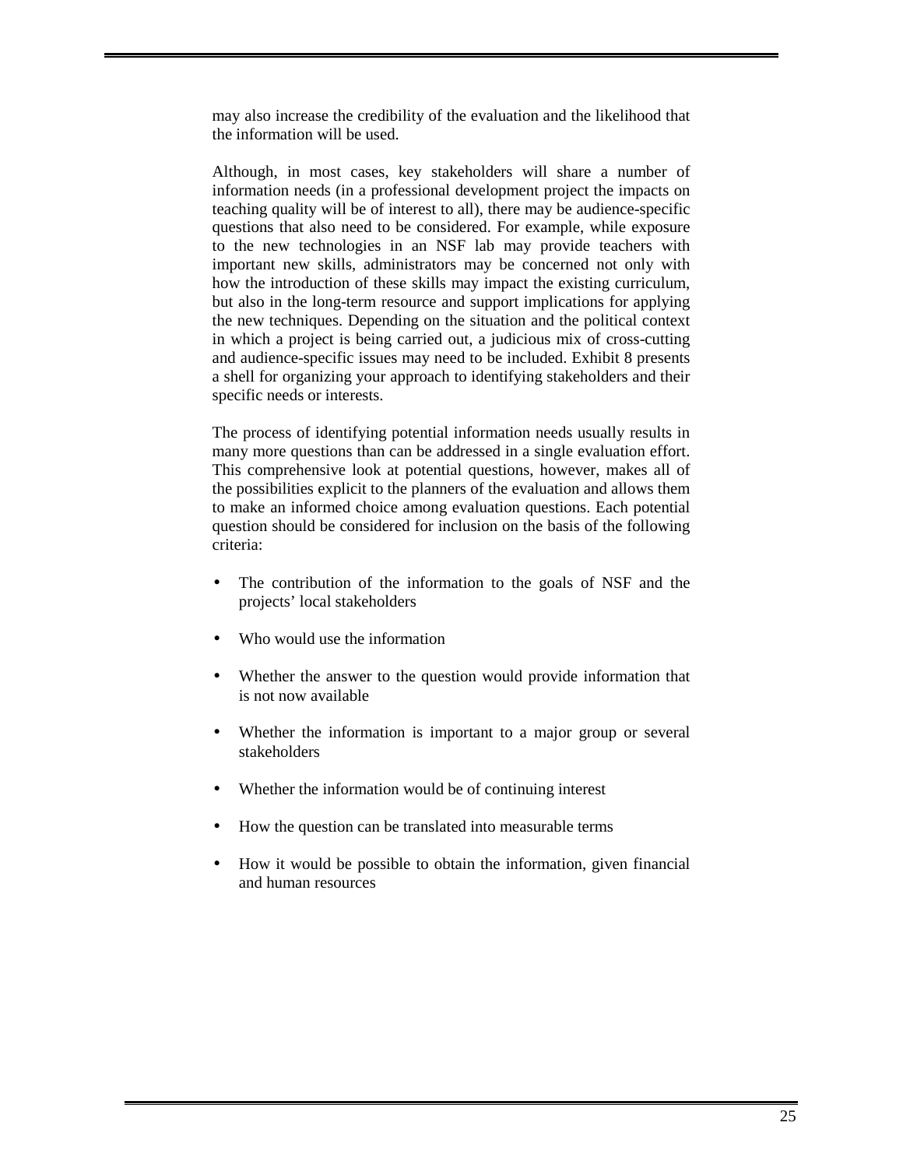may also increase the credibility of the evaluation and the likelihood that the information will be used.

Although, in most cases, key stakeholders will share a number of information needs (in a professional development project the impacts on teaching quality will be of interest to all), there may be audience-specific questions that also need to be considered. For example, while exposure to the new technologies in an NSF lab may provide teachers with important new skills, administrators may be concerned not only with how the introduction of these skills may impact the existing curriculum, but also in the long-term resource and support implications for applying the new techniques. Depending on the situation and the political context in which a project is being carried out, a judicious mix of cross-cutting and audience-specific issues may need to be included. Exhibit 8 presents a shell for organizing your approach to identifying stakeholders and their specific needs or interests.

The process of identifying potential information needs usually results in many more questions than can be addressed in a single evaluation effort. This comprehensive look at potential questions, however, makes all of the possibilities explicit to the planners of the evaluation and allows them to make an informed choice among evaluation questions. Each potential question should be considered for inclusion on the basis of the following criteria:

- The contribution of the information to the goals of NSF and the projects' local stakeholders
- Who would use the information
- Whether the answer to the question would provide information that is not now available
- Whether the information is important to a major group or several stakeholders
- Whether the information would be of continuing interest
- How the question can be translated into measurable terms
- How it would be possible to obtain the information, given financial and human resources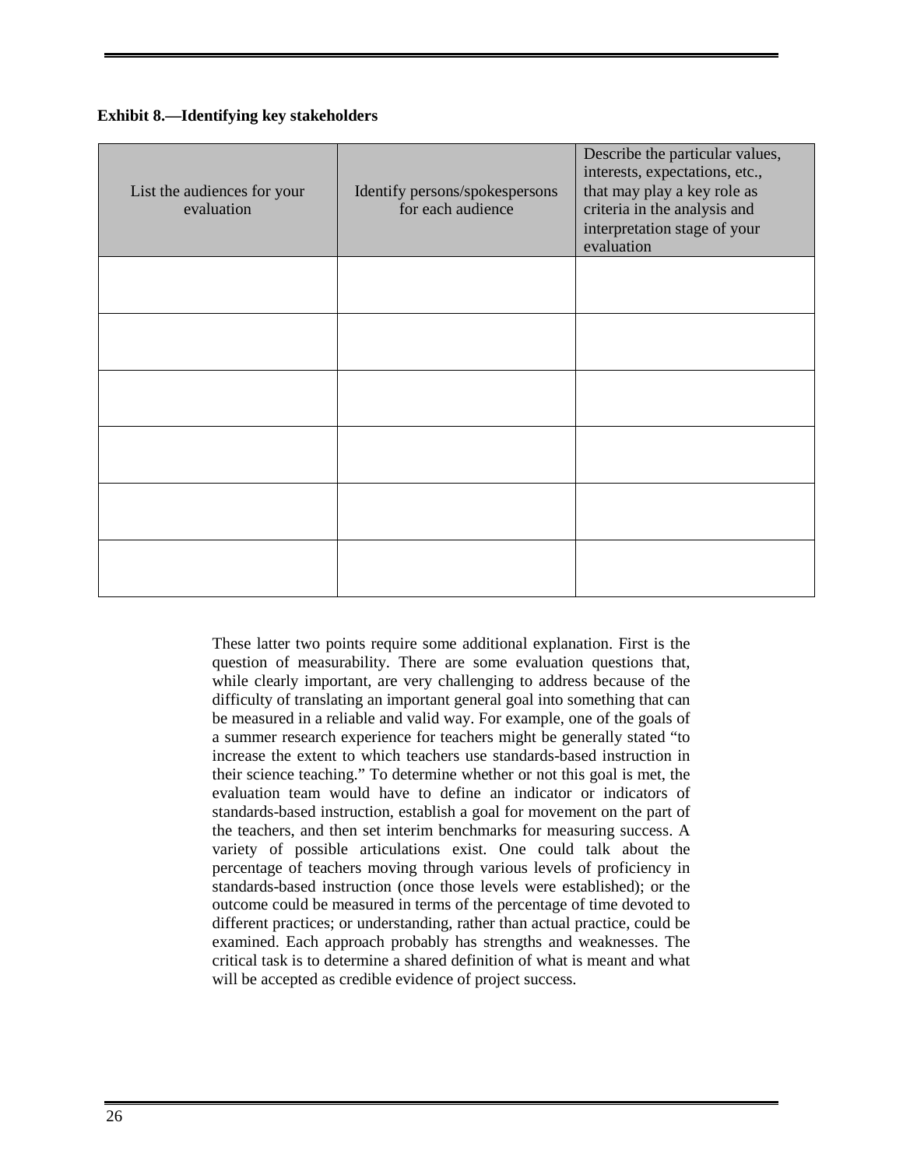| List the audiences for your<br>evaluation | Identify persons/spokespersons<br>for each audience | Describe the particular values,<br>interests, expectations, etc.,<br>that may play a key role as<br>criteria in the analysis and<br>interpretation stage of your<br>evaluation |
|-------------------------------------------|-----------------------------------------------------|--------------------------------------------------------------------------------------------------------------------------------------------------------------------------------|
|                                           |                                                     |                                                                                                                                                                                |
|                                           |                                                     |                                                                                                                                                                                |
|                                           |                                                     |                                                                                                                                                                                |
|                                           |                                                     |                                                                                                                                                                                |
|                                           |                                                     |                                                                                                                                                                                |
|                                           |                                                     |                                                                                                                                                                                |

These latter two points require some additional explanation. First is the question of measurability. There are some evaluation questions that, while clearly important, are very challenging to address because of the difficulty of translating an important general goal into something that can be measured in a reliable and valid way. For example, one of the goals of a summer research experience for teachers might be generally stated "to increase the extent to which teachers use standards-based instruction in their science teaching." To determine whether or not this goal is met, the evaluation team would have to define an indicator or indicators of standards-based instruction, establish a goal for movement on the part of the teachers, and then set interim benchmarks for measuring success. A variety of possible articulations exist. One could talk about the percentage of teachers moving through various levels of proficiency in standards-based instruction (once those levels were established); or the outcome could be measured in terms of the percentage of time devoted to different practices; or understanding, rather than actual practice, could be examined. Each approach probably has strengths and weaknesses. The critical task is to determine a shared definition of what is meant and what will be accepted as credible evidence of project success.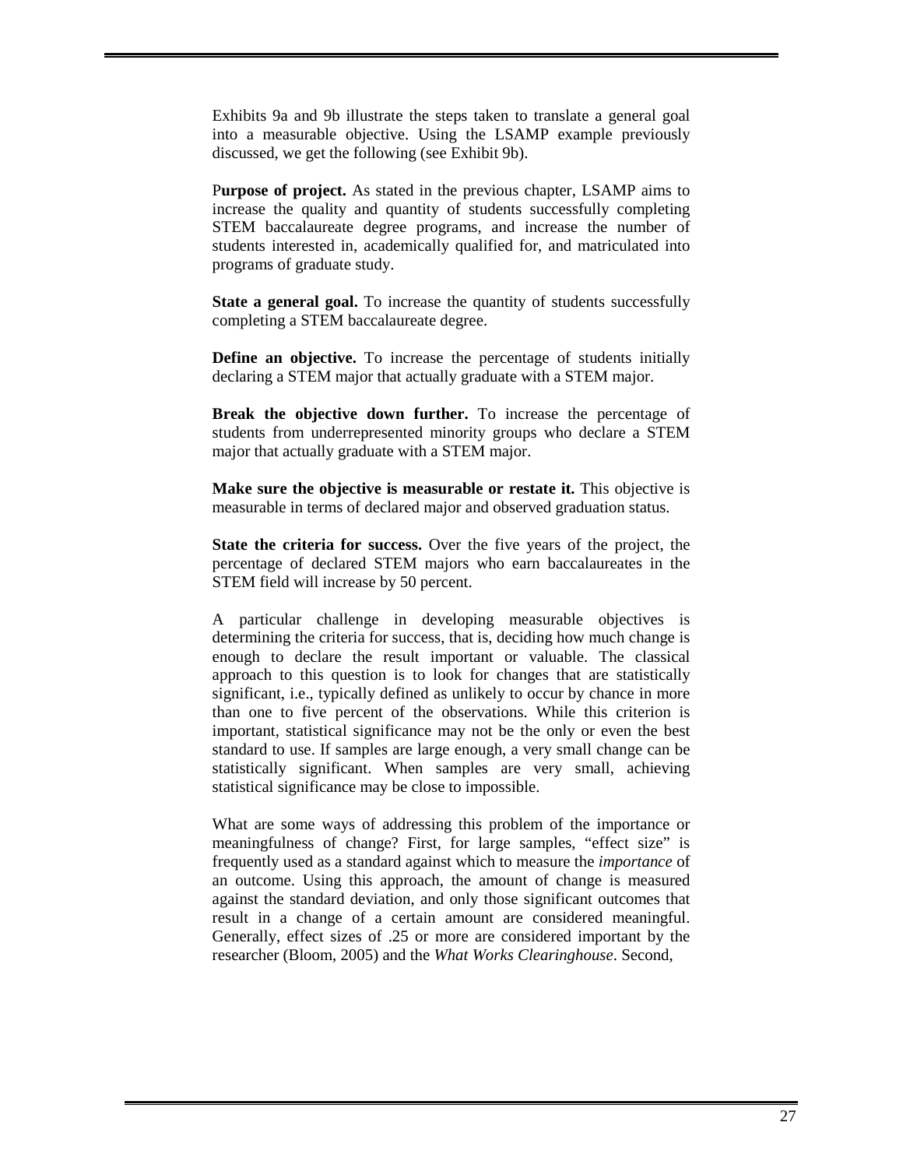Exhibits 9a and 9b illustrate the steps taken to translate a general goal into a measurable objective. Using the LSAMP example previously discussed, we get the following (see Exhibit 9b).

P**urpose of project.** As stated in the previous chapter, LSAMP aims to increase the quality and quantity of students successfully completing STEM baccalaureate degree programs, and increase the number of students interested in, academically qualified for, and matriculated into programs of graduate study.

**State a general goal.** To increase the quantity of students successfully completing a STEM baccalaureate degree.

**Define an objective.** To increase the percentage of students initially declaring a STEM major that actually graduate with a STEM major.

**Break the objective down further.** To increase the percentage of students from underrepresented minority groups who declare a STEM major that actually graduate with a STEM major.

**Make sure the objective is measurable or restate it.** This objective is measurable in terms of declared major and observed graduation status.

**State the criteria for success.** Over the five years of the project, the percentage of declared STEM majors who earn baccalaureates in the STEM field will increase by 50 percent.

A particular challenge in developing measurable objectives is determining the criteria for success, that is, deciding how much change is enough to declare the result important or valuable. The classical approach to this question is to look for changes that are statistically significant, i.e., typically defined as unlikely to occur by chance in more than one to five percent of the observations. While this criterion is important, statistical significance may not be the only or even the best standard to use. If samples are large enough, a very small change can be statistically significant. When samples are very small, achieving statistical significance may be close to impossible.

What are some ways of addressing this problem of the importance or meaningfulness of change? First, for large samples, "effect size" is frequently used as a standard against which to measure the *importance* of an outcome. Using this approach, the amount of change is measured against the standard deviation, and only those significant outcomes that result in a change of a certain amount are considered meaningful. Generally, effect sizes of .25 or more are considered important by the researcher (Bloom, 2005) and the *What Works Clearinghouse*. Second,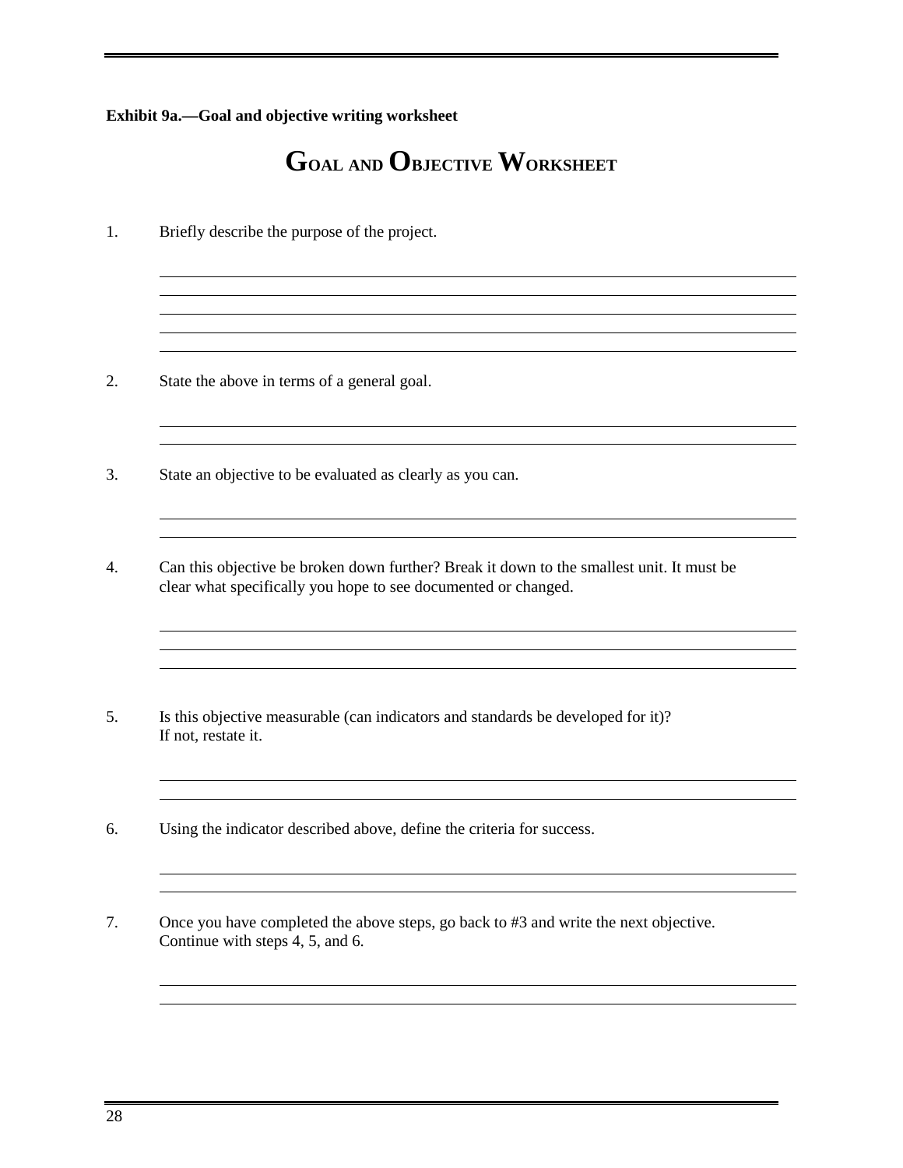#### **Exhibit 9a.—Goal and objective writing worksheet**

## **GOAL AND OBJECTIVE WORKSHEET**

the control of the control of the control of the control of the control of the control of the control of the control of the control of the control of the control of the control of the control of the control of the control

1. Briefly describe the purpose of the project.

- 2. State the above in terms of a general goal.
- 3. State an objective to be evaluated as clearly as you can.
- 4. Can this objective be broken down further? Break it down to the smallest unit. It must be clear what specifically you hope to see documented or changed.
- 5. Is this objective measurable (can indicators and standards be developed for it)? If not, restate it.
- 6. Using the indicator described above, define the criteria for success.
- 7. Once you have completed the above steps, go back to #3 and write the next objective. Continue with steps 4, 5, and 6.

 $\overline{a}$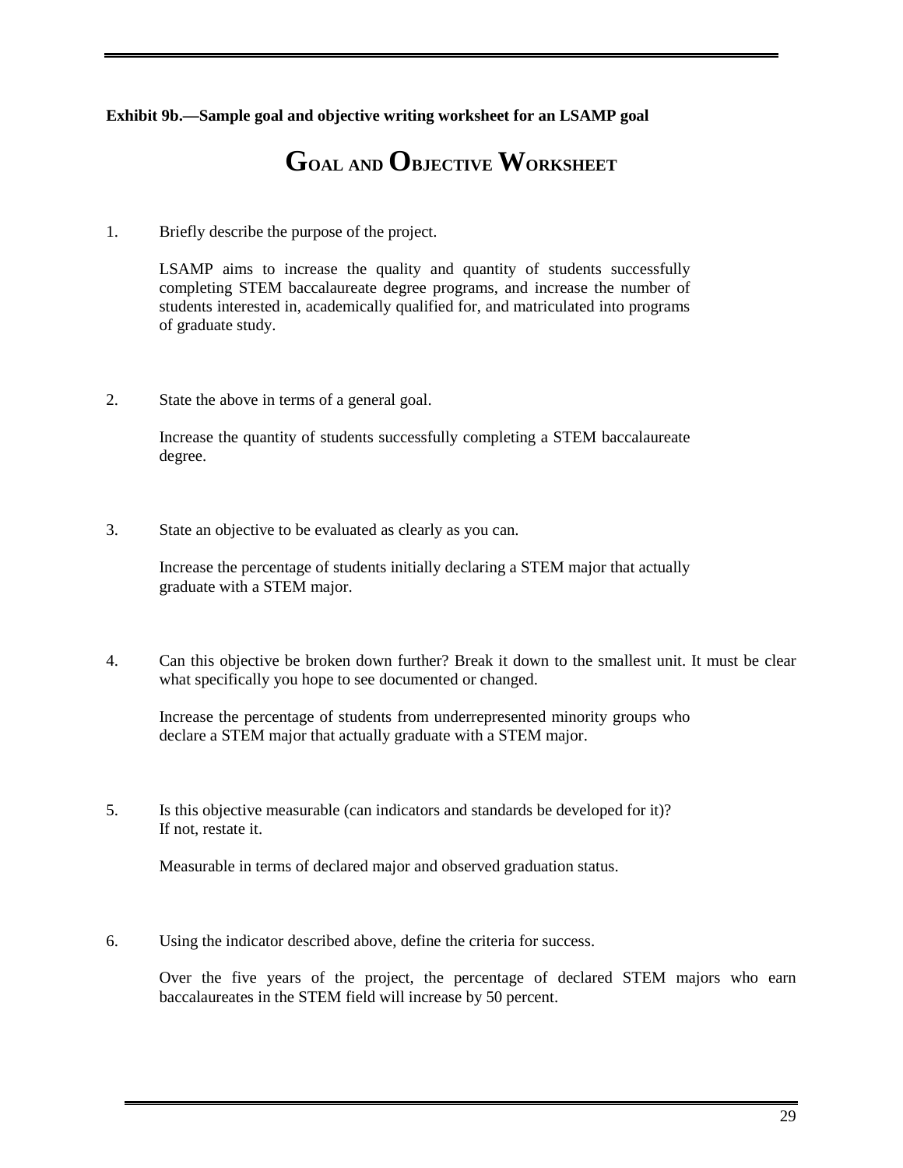**Exhibit 9b.—Sample goal and objective writing worksheet for an LSAMP goal** 

### **GOAL AND OBJECTIVE WORKSHEET**

1. Briefly describe the purpose of the project.

LSAMP aims to increase the quality and quantity of students successfully completing STEM baccalaureate degree programs, and increase the number of students interested in, academically qualified for, and matriculated into programs of graduate study.

2. State the above in terms of a general goal.

Increase the quantity of students successfully completing a STEM baccalaureate degree.

3. State an objective to be evaluated as clearly as you can.

Increase the percentage of students initially declaring a STEM major that actually graduate with a STEM major.

4. Can this objective be broken down further? Break it down to the smallest unit. It must be clear what specifically you hope to see documented or changed.

Increase the percentage of students from underrepresented minority groups who declare a STEM major that actually graduate with a STEM major.

5. Is this objective measurable (can indicators and standards be developed for it)? If not, restate it.

Measurable in terms of declared major and observed graduation status.

6. Using the indicator described above, define the criteria for success.

 Over the five years of the project, the percentage of declared STEM majors who earn baccalaureates in the STEM field will increase by 50 percent.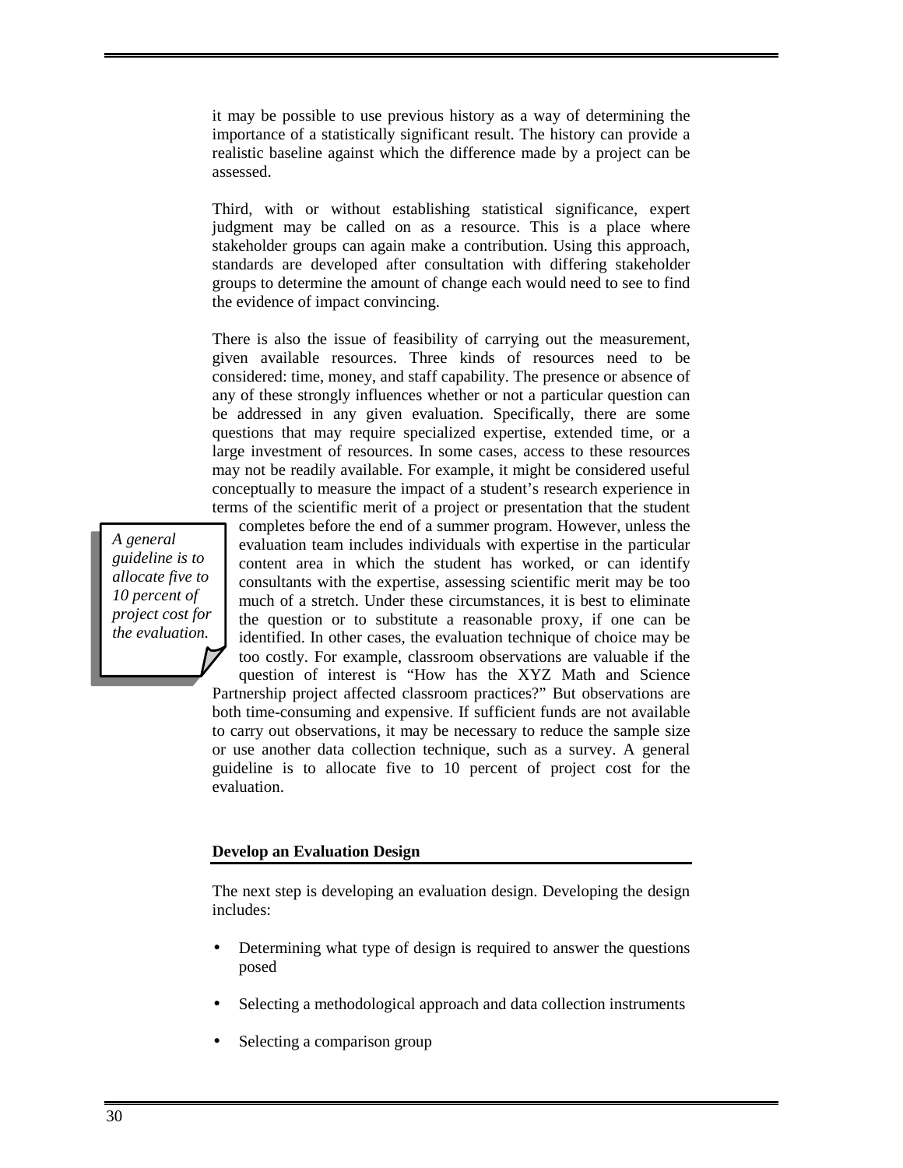it may be possible to use previous history as a way of determining the importance of a statistically significant result. The history can provide a realistic baseline against which the difference made by a project can be assessed.

Third, with or without establishing statistical significance, expert judgment may be called on as a resource. This is a place where stakeholder groups can again make a contribution. Using this approach, standards are developed after consultation with differing stakeholder groups to determine the amount of change each would need to see to find the evidence of impact convincing.

There is also the issue of feasibility of carrying out the measurement, given available resources. Three kinds of resources need to be considered: time, money, and staff capability. The presence or absence of any of these strongly influences whether or not a particular question can be addressed in any given evaluation. Specifically, there are some questions that may require specialized expertise, extended time, or a large investment of resources. In some cases, access to these resources may not be readily available. For example, it might be considered useful conceptually to measure the impact of a student's research experience in terms of the scientific merit of a project or presentation that the student

*A general guideline is to allocate five to 10 percent of project cost for the evaluation.* 

completes before the end of a summer program. However, unless the evaluation team includes individuals with expertise in the particular content area in which the student has worked, or can identify consultants with the expertise, assessing scientific merit may be too much of a stretch. Under these circumstances, it is best to eliminate the question or to substitute a reasonable proxy, if one can be identified. In other cases, the evaluation technique of choice may be too costly. For example, classroom observations are valuable if the question of interest is "How has the XYZ Math and Science Partnership project affected classroom practices?" But observations are both time-consuming and expensive. If sufficient funds are not available to carry out observations, it may be necessary to reduce the sample size or use another data collection technique, such as a survey. A general guideline is to allocate five to 10 percent of project cost for the evaluation.

#### **Develop an Evaluation Design**

The next step is developing an evaluation design. Developing the design includes:

- Determining what type of design is required to answer the questions posed
- Selecting a methodological approach and data collection instruments
- Selecting a comparison group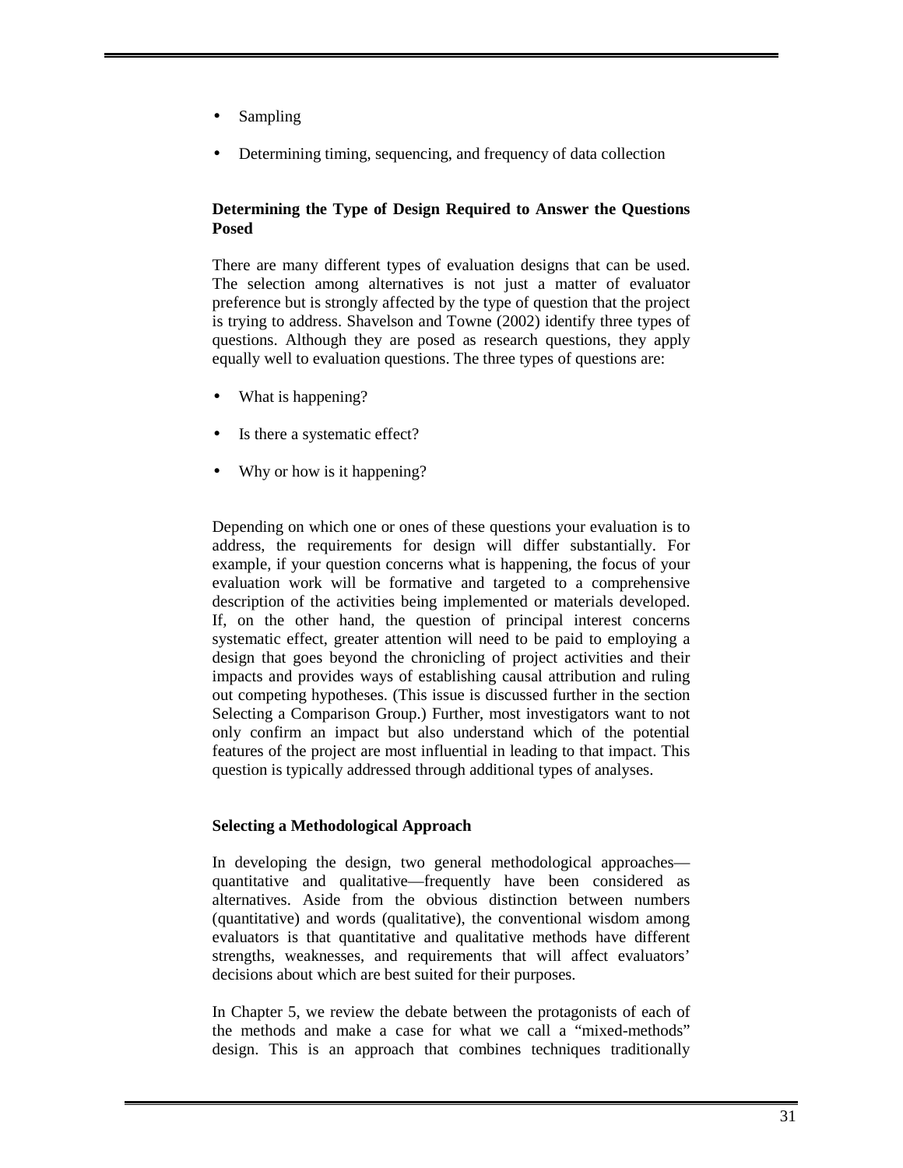- Sampling
- Determining timing, sequencing, and frequency of data collection

#### **Determining the Type of Design Required to Answer the Questions Posed**

There are many different types of evaluation designs that can be used. The selection among alternatives is not just a matter of evaluator preference but is strongly affected by the type of question that the project is trying to address. Shavelson and Towne (2002) identify three types of questions. Although they are posed as research questions, they apply equally well to evaluation questions. The three types of questions are:

- What is happening?
- Is there a systematic effect?
- Why or how is it happening?

Depending on which one or ones of these questions your evaluation is to address, the requirements for design will differ substantially. For example, if your question concerns what is happening, the focus of your evaluation work will be formative and targeted to a comprehensive description of the activities being implemented or materials developed. If, on the other hand, the question of principal interest concerns systematic effect, greater attention will need to be paid to employing a design that goes beyond the chronicling of project activities and their impacts and provides ways of establishing causal attribution and ruling out competing hypotheses. (This issue is discussed further in the section Selecting a Comparison Group.) Further, most investigators want to not only confirm an impact but also understand which of the potential features of the project are most influential in leading to that impact. This question is typically addressed through additional types of analyses.

#### **Selecting a Methodological Approach**

In developing the design, two general methodological approaches quantitative and qualitative—frequently have been considered as alternatives. Aside from the obvious distinction between numbers (quantitative) and words (qualitative), the conventional wisdom among evaluators is that quantitative and qualitative methods have different strengths, weaknesses, and requirements that will affect evaluators' decisions about which are best suited for their purposes.

In Chapter 5, we review the debate between the protagonists of each of the methods and make a case for what we call a "mixed-methods" design. This is an approach that combines techniques traditionally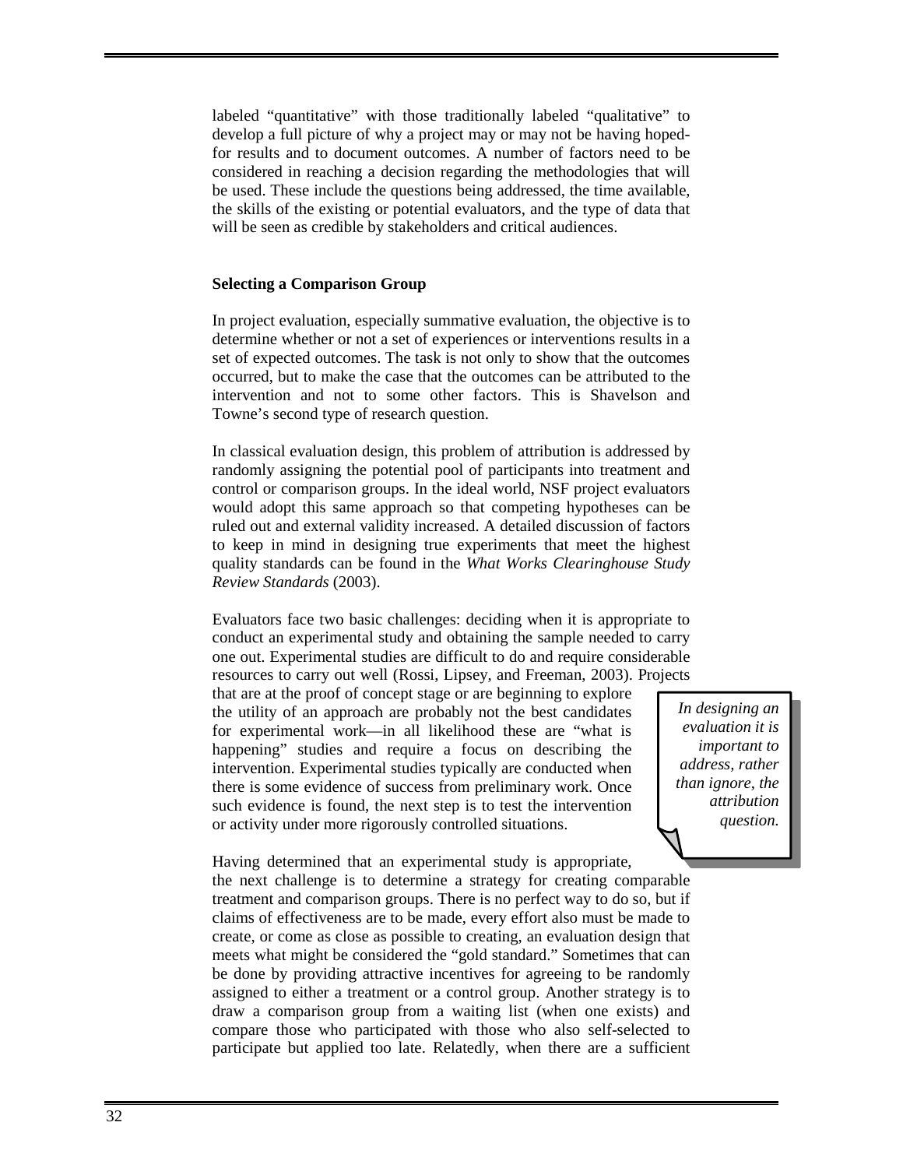labeled "quantitative" with those traditionally labeled "qualitative" to develop a full picture of why a project may or may not be having hopedfor results and to document outcomes. A number of factors need to be considered in reaching a decision regarding the methodologies that will be used. These include the questions being addressed, the time available, the skills of the existing or potential evaluators, and the type of data that will be seen as credible by stakeholders and critical audiences.

#### **Selecting a Comparison Group**

In project evaluation, especially summative evaluation, the objective is to determine whether or not a set of experiences or interventions results in a set of expected outcomes. The task is not only to show that the outcomes occurred, but to make the case that the outcomes can be attributed to the intervention and not to some other factors. This is Shavelson and Towne's second type of research question.

In classical evaluation design, this problem of attribution is addressed by randomly assigning the potential pool of participants into treatment and control or comparison groups. In the ideal world, NSF project evaluators would adopt this same approach so that competing hypotheses can be ruled out and external validity increased. A detailed discussion of factors to keep in mind in designing true experiments that meet the highest quality standards can be found in the *What Works Clearinghouse Study Review Standards* (2003).

Evaluators face two basic challenges: deciding when it is appropriate to conduct an experimental study and obtaining the sample needed to carry one out. Experimental studies are difficult to do and require considerable resources to carry out well (Rossi, Lipsey, and Freeman, 2003). Projects

that are at the proof of concept stage or are beginning to explore the utility of an approach are probably not the best candidates for experimental work—in all likelihood these are "what is happening" studies and require a focus on describing the intervention. Experimental studies typically are conducted when there is some evidence of success from preliminary work. Once such evidence is found, the next step is to test the intervention or activity under more rigorously controlled situations.

*In designing an evaluation it is important to address, rather than ignore, the attribution question.*

Having determined that an experimental study is appropriate, the next challenge is to determine a strategy for creating comparable treatment and comparison groups. There is no perfect way to do so, but if claims of effectiveness are to be made, every effort also must be made to create, or come as close as possible to creating, an evaluation design that meets what might be considered the "gold standard." Sometimes that can be done by providing attractive incentives for agreeing to be randomly assigned to either a treatment or a control group. Another strategy is to draw a comparison group from a waiting list (when one exists) and compare those who participated with those who also self-selected to participate but applied too late. Relatedly, when there are a sufficient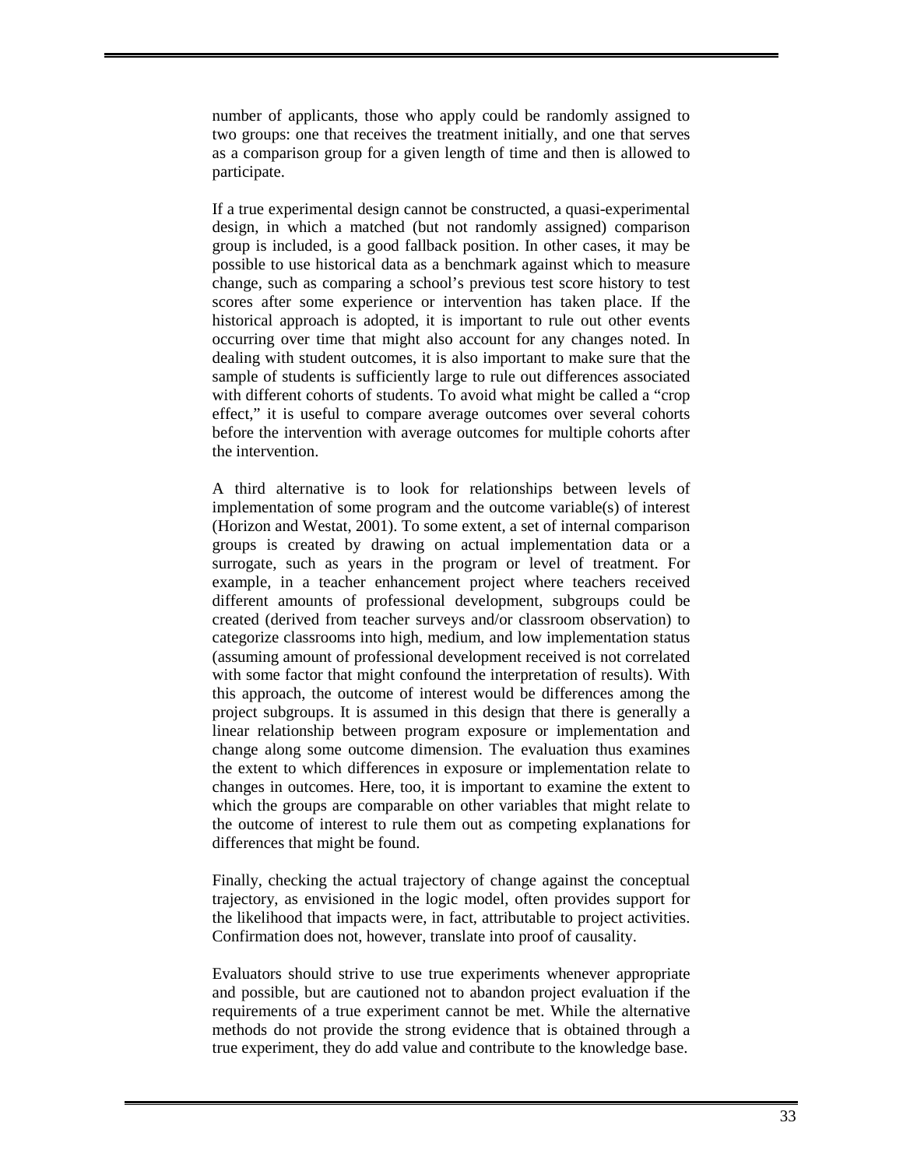number of applicants, those who apply could be randomly assigned to two groups: one that receives the treatment initially, and one that serves as a comparison group for a given length of time and then is allowed to participate.

If a true experimental design cannot be constructed, a quasi-experimental design, in which a matched (but not randomly assigned) comparison group is included, is a good fallback position. In other cases, it may be possible to use historical data as a benchmark against which to measure change, such as comparing a school's previous test score history to test scores after some experience or intervention has taken place. If the historical approach is adopted, it is important to rule out other events occurring over time that might also account for any changes noted. In dealing with student outcomes, it is also important to make sure that the sample of students is sufficiently large to rule out differences associated with different cohorts of students. To avoid what might be called a "crop effect," it is useful to compare average outcomes over several cohorts before the intervention with average outcomes for multiple cohorts after the intervention.

A third alternative is to look for relationships between levels of implementation of some program and the outcome variable(s) of interest (Horizon and Westat, 2001). To some extent, a set of internal comparison groups is created by drawing on actual implementation data or a surrogate, such as years in the program or level of treatment. For example, in a teacher enhancement project where teachers received different amounts of professional development, subgroups could be created (derived from teacher surveys and/or classroom observation) to categorize classrooms into high, medium, and low implementation status (assuming amount of professional development received is not correlated with some factor that might confound the interpretation of results). With this approach, the outcome of interest would be differences among the project subgroups. It is assumed in this design that there is generally a linear relationship between program exposure or implementation and change along some outcome dimension. The evaluation thus examines the extent to which differences in exposure or implementation relate to changes in outcomes. Here, too, it is important to examine the extent to which the groups are comparable on other variables that might relate to the outcome of interest to rule them out as competing explanations for differences that might be found.

Finally, checking the actual trajectory of change against the conceptual trajectory, as envisioned in the logic model, often provides support for the likelihood that impacts were, in fact, attributable to project activities. Confirmation does not, however, translate into proof of causality.

Evaluators should strive to use true experiments whenever appropriate and possible, but are cautioned not to abandon project evaluation if the requirements of a true experiment cannot be met. While the alternative methods do not provide the strong evidence that is obtained through a true experiment, they do add value and contribute to the knowledge base.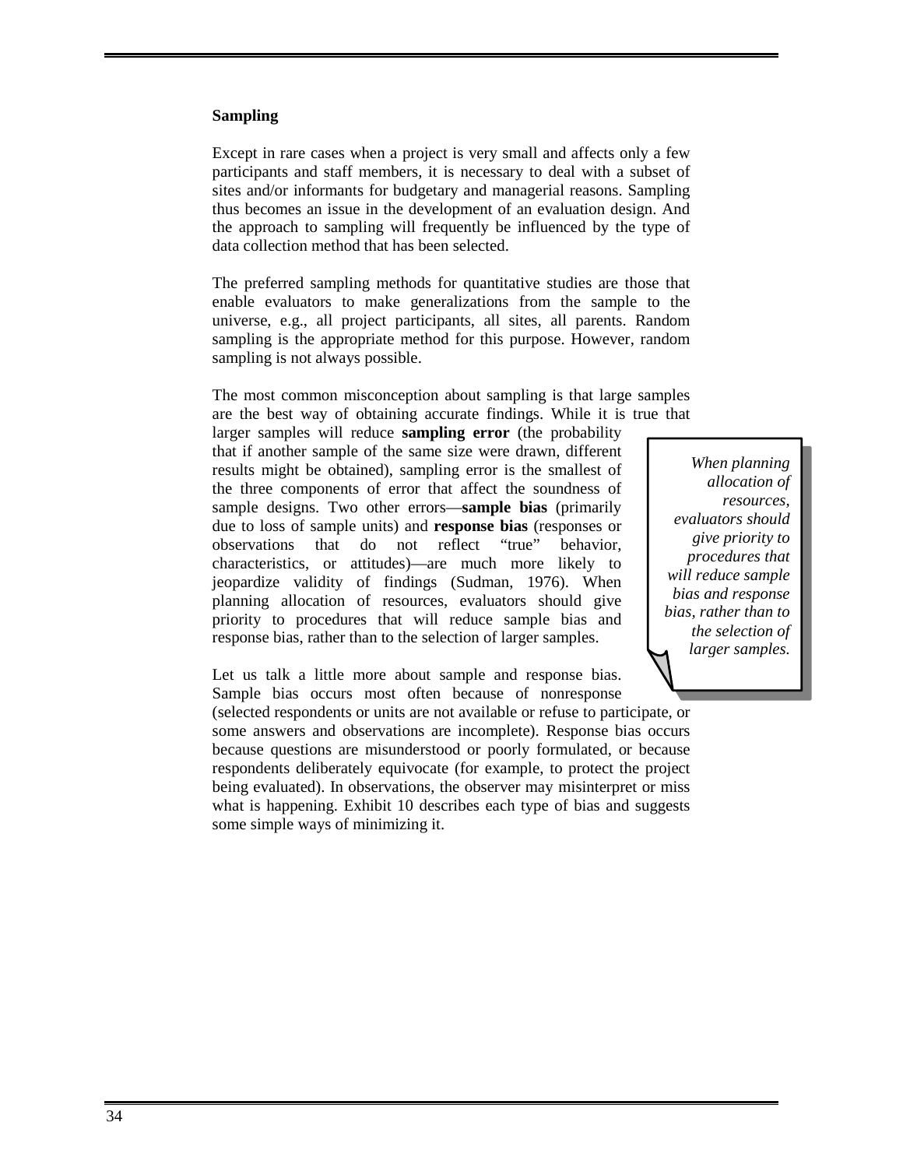#### **Sampling**

Except in rare cases when a project is very small and affects only a few participants and staff members, it is necessary to deal with a subset of sites and/or informants for budgetary and managerial reasons. Sampling thus becomes an issue in the development of an evaluation design. And the approach to sampling will frequently be influenced by the type of data collection method that has been selected.

The preferred sampling methods for quantitative studies are those that enable evaluators to make generalizations from the sample to the universe, e.g., all project participants, all sites, all parents. Random sampling is the appropriate method for this purpose. However, random sampling is not always possible.

The most common misconception about sampling is that large samples are the best way of obtaining accurate findings. While it is true that

larger samples will reduce **sampling error** (the probability that if another sample of the same size were drawn, different results might be obtained), sampling error is the smallest of the three components of error that affect the soundness of sample designs. Two other errors—**sample bias** (primarily due to loss of sample units) and **response bias** (responses or observations that do not reflect "true" behavior, characteristics, or attitudes)—are much more likely to jeopardize validity of findings (Sudman, 1976). When planning allocation of resources, evaluators should give priority to procedures that will reduce sample bias and response bias, rather than to the selection of larger samples.

*When planning allocation of resources, evaluators should give priority to procedures that will reduce sample bias and response bias, rather than to the selection of larger samples.*

Let us talk a little more about sample and response bias. Sample bias occurs most often because of nonresponse

(selected respondents or units are not available or refuse to participate, or some answers and observations are incomplete). Response bias occurs because questions are misunderstood or poorly formulated, or because respondents deliberately equivocate (for example, to protect the project being evaluated). In observations, the observer may misinterpret or miss what is happening. Exhibit 10 describes each type of bias and suggests some simple ways of minimizing it.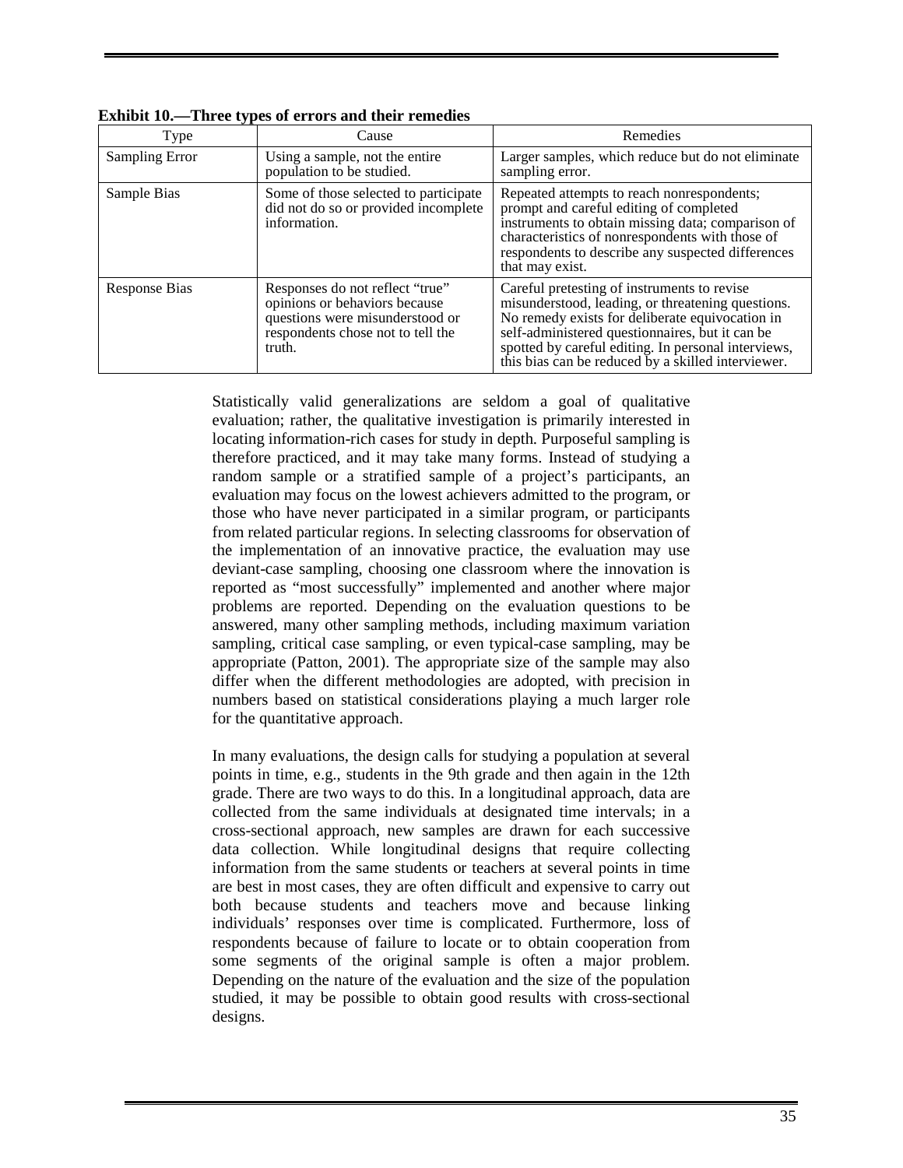| <b>Type</b>    | Cause                                                                                                                                              | Remedies                                                                                                                                                                                                                                                                                                            |
|----------------|----------------------------------------------------------------------------------------------------------------------------------------------------|---------------------------------------------------------------------------------------------------------------------------------------------------------------------------------------------------------------------------------------------------------------------------------------------------------------------|
| Sampling Error | Using a sample, not the entire<br>population to be studied.                                                                                        | Larger samples, which reduce but do not eliminate<br>sampling error.                                                                                                                                                                                                                                                |
| Sample Bias    | Some of those selected to participate<br>did not do so or provided incomplete<br>information.                                                      | Repeated attempts to reach nonrespondents;<br>prompt and careful editing of completed<br>instruments to obtain missing data; comparison of<br>characteristics of nonrespondents with those of<br>respondents to describe any suspected differences<br>that may exist.                                               |
| Response Bias  | Responses do not reflect "true"<br>opinions or behaviors because<br>questions were misunderstood or<br>respondents chose not to tell the<br>truth. | Careful pretesting of instruments to revise<br>misunderstood, leading, or threatening questions.<br>No remedy exists for deliberate equivocation in<br>self-administered questionnaires, but it can be<br>spotted by careful editing. In personal interviews,<br>this bias can be reduced by a skilled interviewer. |

**Exhibit 10.—Three types of errors and their remedies** 

Statistically valid generalizations are seldom a goal of qualitative evaluation; rather, the qualitative investigation is primarily interested in locating information-rich cases for study in depth. Purposeful sampling is therefore practiced, and it may take many forms. Instead of studying a random sample or a stratified sample of a project's participants, an evaluation may focus on the lowest achievers admitted to the program, or those who have never participated in a similar program, or participants from related particular regions. In selecting classrooms for observation of the implementation of an innovative practice, the evaluation may use deviant-case sampling, choosing one classroom where the innovation is reported as "most successfully" implemented and another where major problems are reported. Depending on the evaluation questions to be answered, many other sampling methods, including maximum variation sampling, critical case sampling, or even typical-case sampling, may be appropriate (Patton, 2001). The appropriate size of the sample may also differ when the different methodologies are adopted, with precision in numbers based on statistical considerations playing a much larger role for the quantitative approach.

In many evaluations, the design calls for studying a population at several points in time, e.g., students in the 9th grade and then again in the 12th grade. There are two ways to do this. In a longitudinal approach, data are collected from the same individuals at designated time intervals; in a cross-sectional approach, new samples are drawn for each successive data collection. While longitudinal designs that require collecting information from the same students or teachers at several points in time are best in most cases, they are often difficult and expensive to carry out both because students and teachers move and because linking individuals' responses over time is complicated. Furthermore, loss of respondents because of failure to locate or to obtain cooperation from some segments of the original sample is often a major problem. Depending on the nature of the evaluation and the size of the population studied, it may be possible to obtain good results with cross-sectional designs.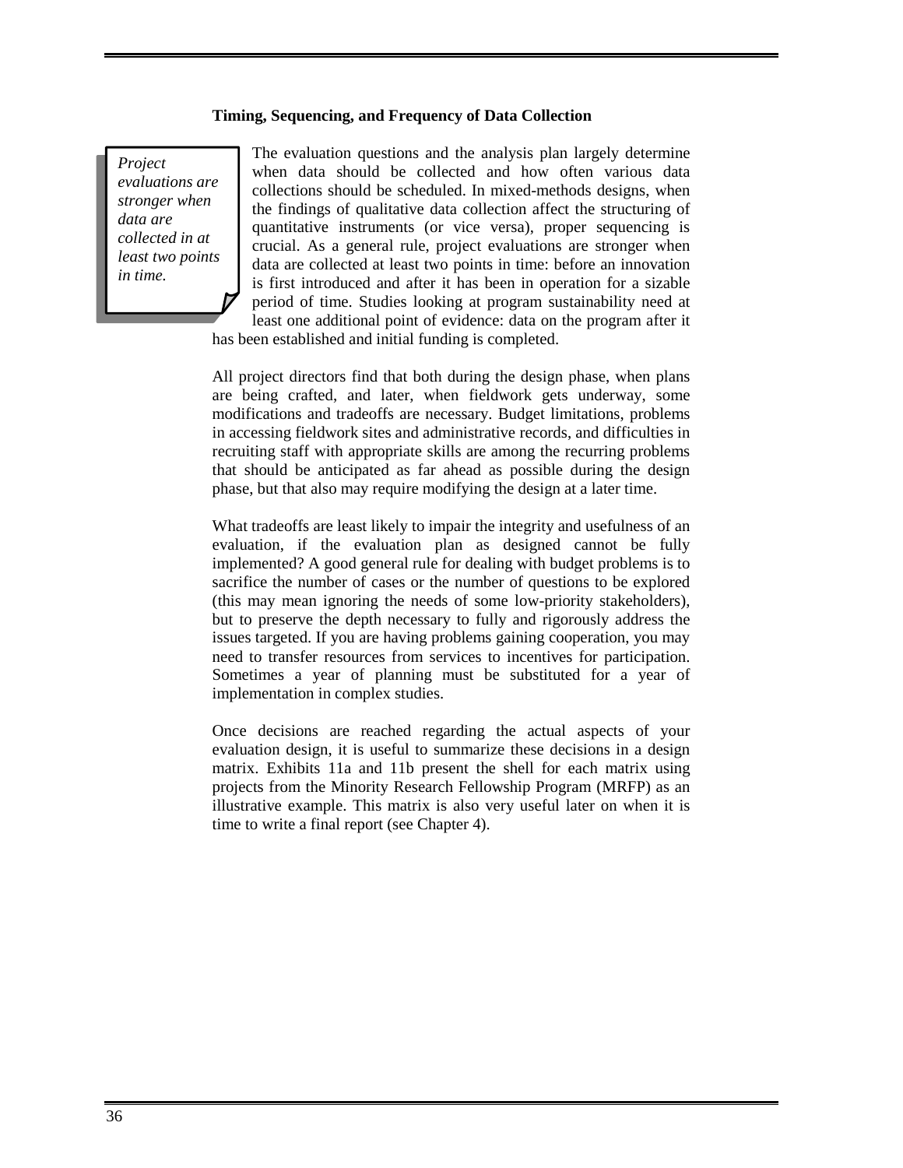#### **Timing, Sequencing, and Frequency of Data Collection**

*Project evaluations are stronger when data are collected in at least two points in time.* 

The evaluation questions and the analysis plan largely determine when data should be collected and how often various data collections should be scheduled. In mixed-methods designs, when the findings of qualitative data collection affect the structuring of quantitative instruments (or vice versa), proper sequencing is crucial. As a general rule, project evaluations are stronger when data are collected at least two points in time: before an innovation is first introduced and after it has been in operation for a sizable period of time. Studies looking at program sustainability need at least one additional point of evidence: data on the program after it

has been established and initial funding is completed.

All project directors find that both during the design phase, when plans are being crafted, and later, when fieldwork gets underway, some modifications and tradeoffs are necessary. Budget limitations, problems in accessing fieldwork sites and administrative records, and difficulties in recruiting staff with appropriate skills are among the recurring problems that should be anticipated as far ahead as possible during the design phase, but that also may require modifying the design at a later time.

What tradeoffs are least likely to impair the integrity and usefulness of an evaluation, if the evaluation plan as designed cannot be fully implemented? A good general rule for dealing with budget problems is to sacrifice the number of cases or the number of questions to be explored (this may mean ignoring the needs of some low-priority stakeholders), but to preserve the depth necessary to fully and rigorously address the issues targeted. If you are having problems gaining cooperation, you may need to transfer resources from services to incentives for participation. Sometimes a year of planning must be substituted for a year of implementation in complex studies.

Once decisions are reached regarding the actual aspects of your evaluation design, it is useful to summarize these decisions in a design matrix. Exhibits 11a and 11b present the shell for each matrix using projects from the Minority Research Fellowship Program (MRFP) as an illustrative example. This matrix is also very useful later on when it is time to write a final report (see Chapter 4).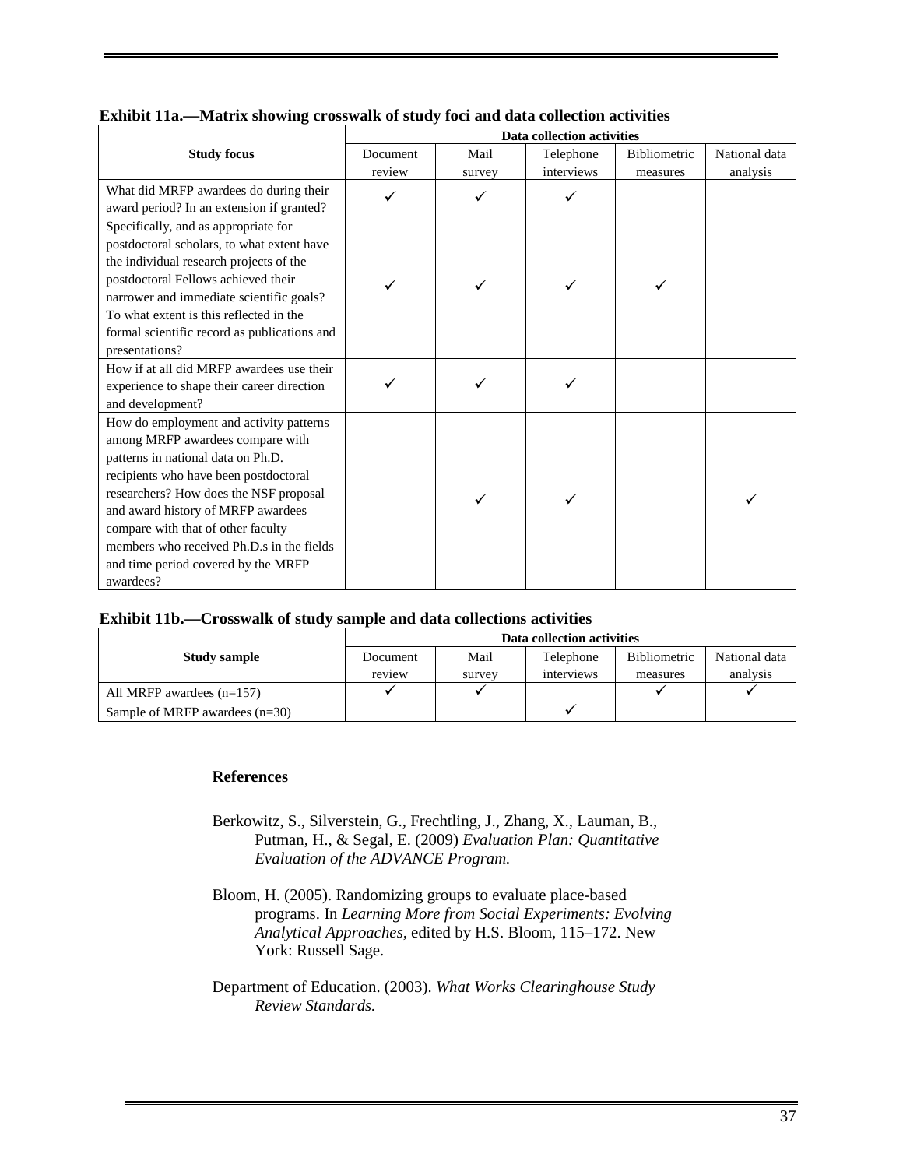|                                              | Data collection activities |        |            |                     |               |  |
|----------------------------------------------|----------------------------|--------|------------|---------------------|---------------|--|
| <b>Study focus</b>                           | Document                   | Mail   | Telephone  | <b>Bibliometric</b> | National data |  |
|                                              | review                     | survey | interviews | measures            | analysis      |  |
| What did MRFP awardees do during their       |                            |        | ✓          |                     |               |  |
| award period? In an extension if granted?    |                            |        |            |                     |               |  |
| Specifically, and as appropriate for         |                            |        |            |                     |               |  |
| postdoctoral scholars, to what extent have   |                            |        |            |                     |               |  |
| the individual research projects of the      |                            |        |            |                     |               |  |
| postdoctoral Fellows achieved their          |                            |        |            |                     |               |  |
| narrower and immediate scientific goals?     |                            |        |            |                     |               |  |
| To what extent is this reflected in the      |                            |        |            |                     |               |  |
| formal scientific record as publications and |                            |        |            |                     |               |  |
| presentations?                               |                            |        |            |                     |               |  |
| How if at all did MRFP awardees use their    |                            |        |            |                     |               |  |
| experience to shape their career direction   |                            |        |            |                     |               |  |
| and development?                             |                            |        |            |                     |               |  |
| How do employment and activity patterns      |                            |        |            |                     |               |  |
| among MRFP awardees compare with             |                            |        |            |                     |               |  |
| patterns in national data on Ph.D.           |                            |        |            |                     |               |  |
| recipients who have been postdoctoral        |                            |        |            |                     |               |  |
| researchers? How does the NSF proposal       |                            |        |            |                     |               |  |
| and award history of MRFP awardees           |                            |        |            |                     |               |  |
| compare with that of other faculty           |                            |        |            |                     |               |  |
| members who received Ph.D.s in the fields    |                            |        |            |                     |               |  |
| and time period covered by the MRFP          |                            |        |            |                     |               |  |
| awardees?                                    |                            |        |            |                     |               |  |

| Exhibit 11a.—Matrix showing crosswalk of study foci and data collection activities |  |  |  |
|------------------------------------------------------------------------------------|--|--|--|
|------------------------------------------------------------------------------------|--|--|--|

| Exhibit 11b.-Crosswalk of study sample and data collections activities |  |  |  |
|------------------------------------------------------------------------|--|--|--|
|                                                                        |  |  |  |

|                                  | Data collection activities |        |            |              |               |
|----------------------------------|----------------------------|--------|------------|--------------|---------------|
| <b>Study sample</b>              | Document                   | Mail   | Telephone  | Bibliometric | National data |
|                                  | review                     | survey | interviews | measures     | analysis      |
| All MRFP awardees $(n=157)$      |                            |        |            |              |               |
| Sample of MRFP awardees $(n=30)$ |                            |        |            |              |               |

#### **References**

- Berkowitz, S., Silverstein, G., Frechtling, J., Zhang, X., Lauman, B., Putman, H., & Segal, E. (2009) *Evaluation Plan: Quantitative Evaluation of the ADVANCE Program.*
- Bloom, H. (2005). Randomizing groups to evaluate place-based programs. In *Learning More from Social Experiments: Evolving Analytical Approaches,* edited by H.S. Bloom, 115–172. New York: Russell Sage.
- Department of Education. (2003). *What Works Clearinghouse Study Review Standards.*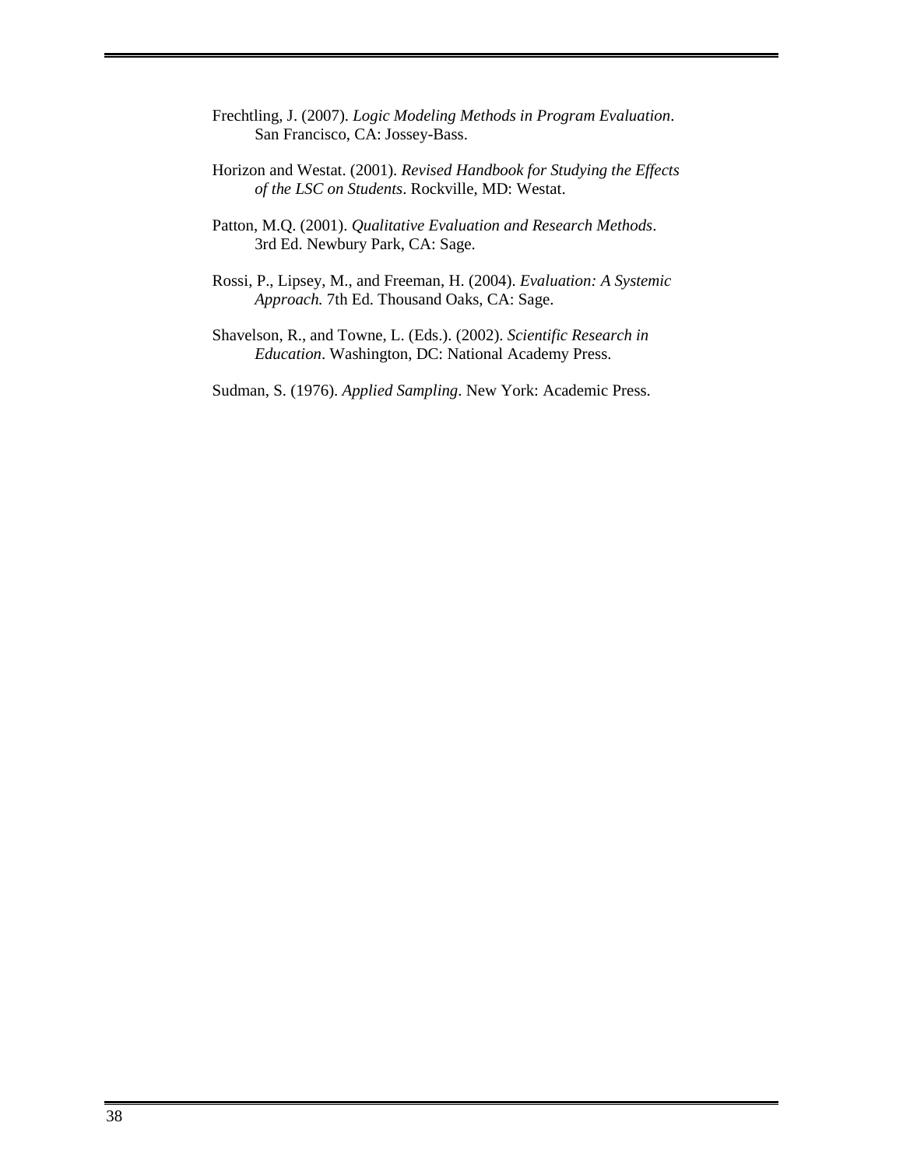- Frechtling, J. (2007). *Logic Modeling Methods in Program Evaluation*. San Francisco, CA: Jossey-Bass.
- Horizon and Westat. (2001). *Revised Handbook for Studying the Effects of the LSC on Students*. Rockville, MD: Westat.
- Patton, M.Q. (2001). *Qualitative Evaluation and Research Methods*. 3rd Ed. Newbury Park, CA: Sage.
- Rossi, P., Lipsey, M., and Freeman, H. (2004). *Evaluation: A Systemic Approach.* 7th Ed. Thousand Oaks, CA: Sage.
- Shavelson, R., and Towne, L. (Eds.). (2002). *Scientific Research in Education*. Washington, DC: National Academy Press.
- Sudman, S. (1976). *Applied Sampling*. New York: Academic Press.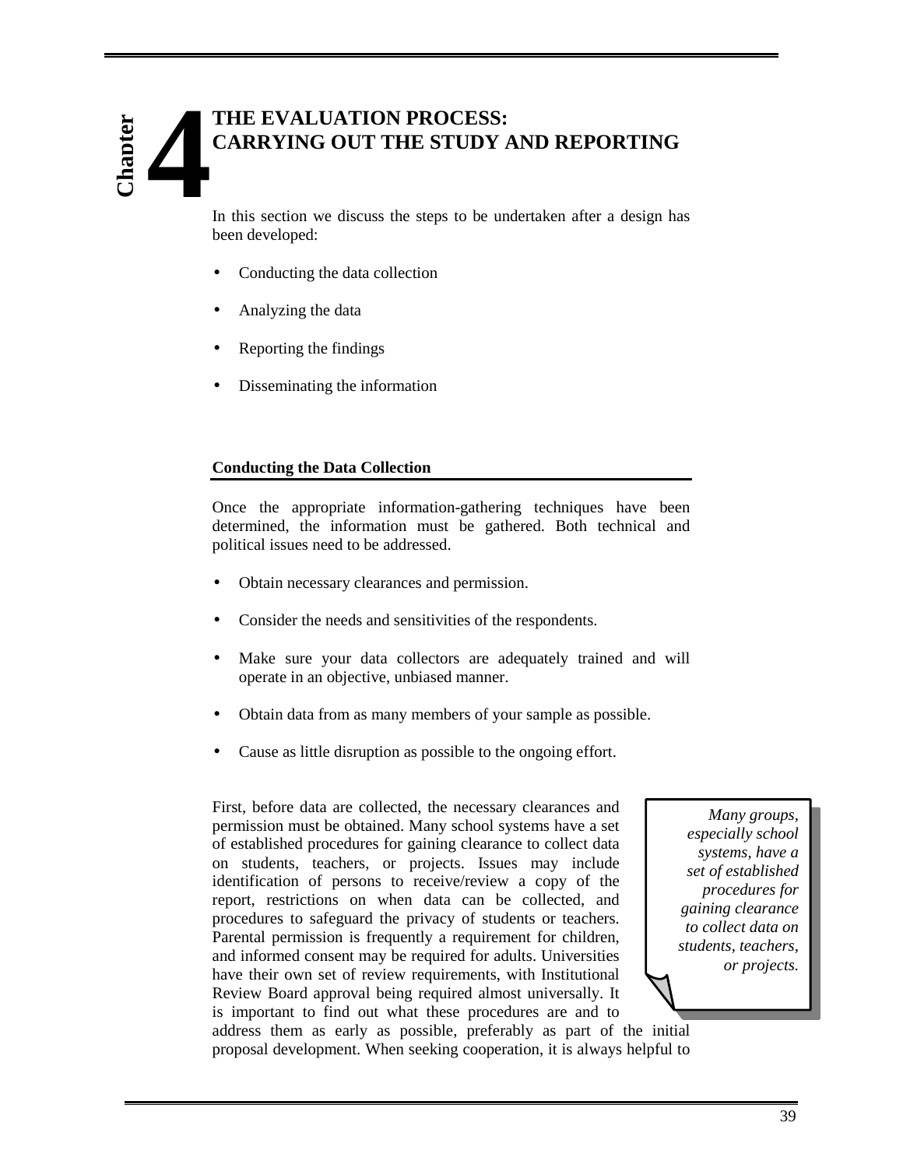# **THE EVALUATION PROCESS: CARRYING OUT THE STUDY AND REPORTING 4 Chapter**

In this section we discuss the steps to be undertaken after a design has been developed:

- Conducting the data collection
- Analyzing the data
- Reporting the findings
- Disseminating the information

#### **Conducting the Data Collection**

Once the appropriate information-gathering techniques have been determined, the information must be gathered. Both technical and political issues need to be addressed.

- Obtain necessary clearances and permission.
- Consider the needs and sensitivities of the respondents.
- Make sure your data collectors are adequately trained and will operate in an objective, unbiased manner.
- Obtain data from as many members of your sample as possible.
- Cause as little disruption as possible to the ongoing effort.

First, before data are collected, the necessary clearances and permission must be obtained. Many school systems have a set of established procedures for gaining clearance to collect data on students, teachers, or projects. Issues may include identification of persons to receive/review a copy of the report, restrictions on when data can be collected, and procedures to safeguard the privacy of students or teachers. Parental permission is frequently a requirement for children, and informed consent may be required for adults. Universities have their own set of review requirements, with Institutional Review Board approval being required almost universally. It is important to find out what these procedures are and to

*Many groups, especially school systems, have a set of established procedures for gaining clearance to collect data on students, teachers, or projects.* 

address them as early as possible, preferably as part of the initial proposal development. When seeking cooperation, it is always helpful to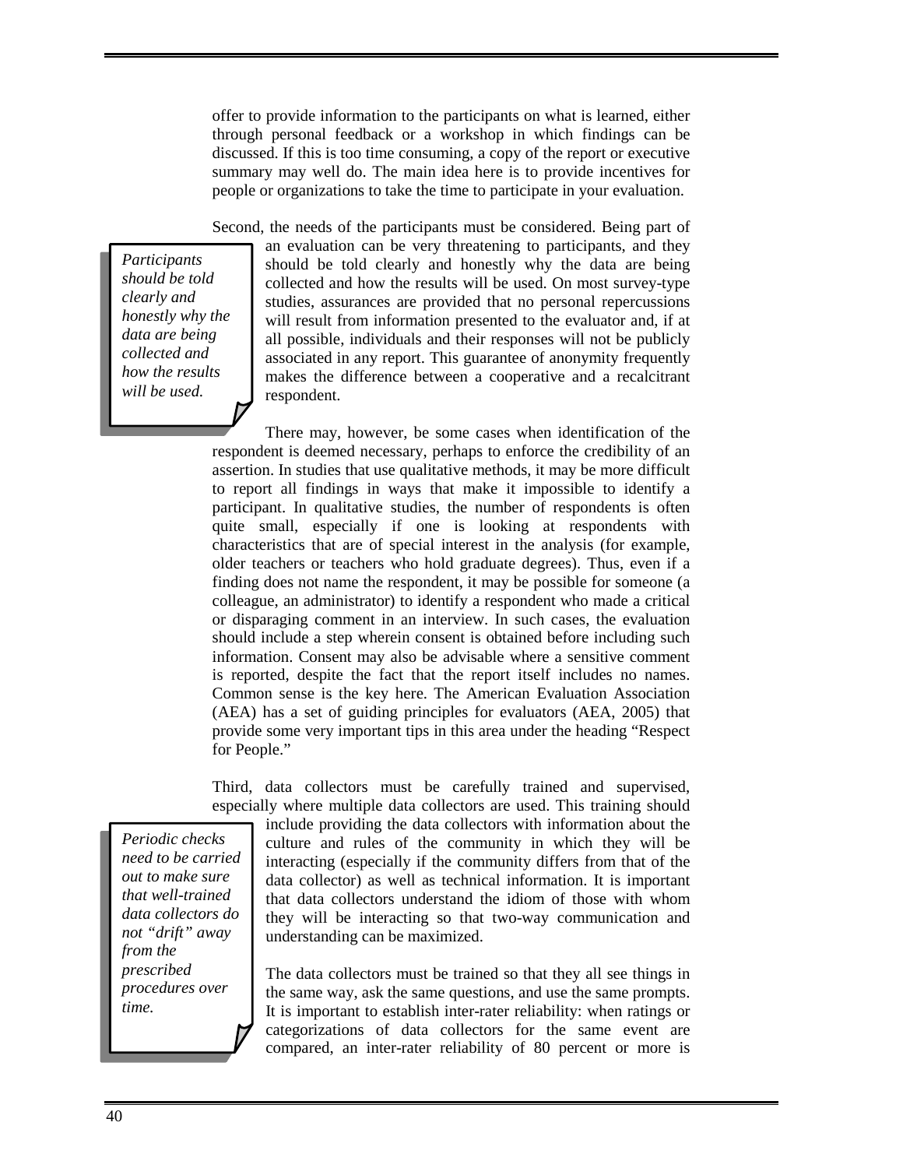offer to provide information to the participants on what is learned, either through personal feedback or a workshop in which findings can be discussed. If this is too time consuming, a copy of the report or executive summary may well do. The main idea here is to provide incentives for people or organizations to take the time to participate in your evaluation.

Second, the needs of the participants must be considered. Being part of

*Participants should be told clearly and honestly why the data are being collected and how the results will be used.* 

an evaluation can be very threatening to participants, and they should be told clearly and honestly why the data are being collected and how the results will be used. On most survey-type studies, assurances are provided that no personal repercussions will result from information presented to the evaluator and, if at all possible, individuals and their responses will not be publicly associated in any report. This guarantee of anonymity frequently makes the difference between a cooperative and a recalcitrant respondent.

There may, however, be some cases when identification of the respondent is deemed necessary, perhaps to enforce the credibility of an assertion. In studies that use qualitative methods, it may be more difficult to report all findings in ways that make it impossible to identify a participant. In qualitative studies, the number of respondents is often quite small, especially if one is looking at respondents with characteristics that are of special interest in the analysis (for example, older teachers or teachers who hold graduate degrees). Thus, even if a finding does not name the respondent, it may be possible for someone (a colleague, an administrator) to identify a respondent who made a critical or disparaging comment in an interview. In such cases, the evaluation should include a step wherein consent is obtained before including such information. Consent may also be advisable where a sensitive comment is reported, despite the fact that the report itself includes no names. Common sense is the key here. The American Evaluation Association (AEA) has a set of guiding principles for evaluators (AEA, 2005) that provide some very important tips in this area under the heading "Respect for People."

Third, data collectors must be carefully trained and supervised, especially where multiple data collectors are used. This training should

include providing the data collectors with information about the culture and rules of the community in which they will be interacting (especially if the community differs from that of the data collector) as well as technical information. It is important that data collectors understand the idiom of those with whom they will be interacting so that two-way communication and understanding can be maximized.

The data collectors must be trained so that they all see things in the same way, ask the same questions, and use the same prompts. It is important to establish inter-rater reliability: when ratings or categorizations of data collectors for the same event are compared, an inter-rater reliability of 80 percent or more is

*Periodic checks need to be carried out to make sure that well-trained data collectors do not "drift" away from the prescribed procedures over time.*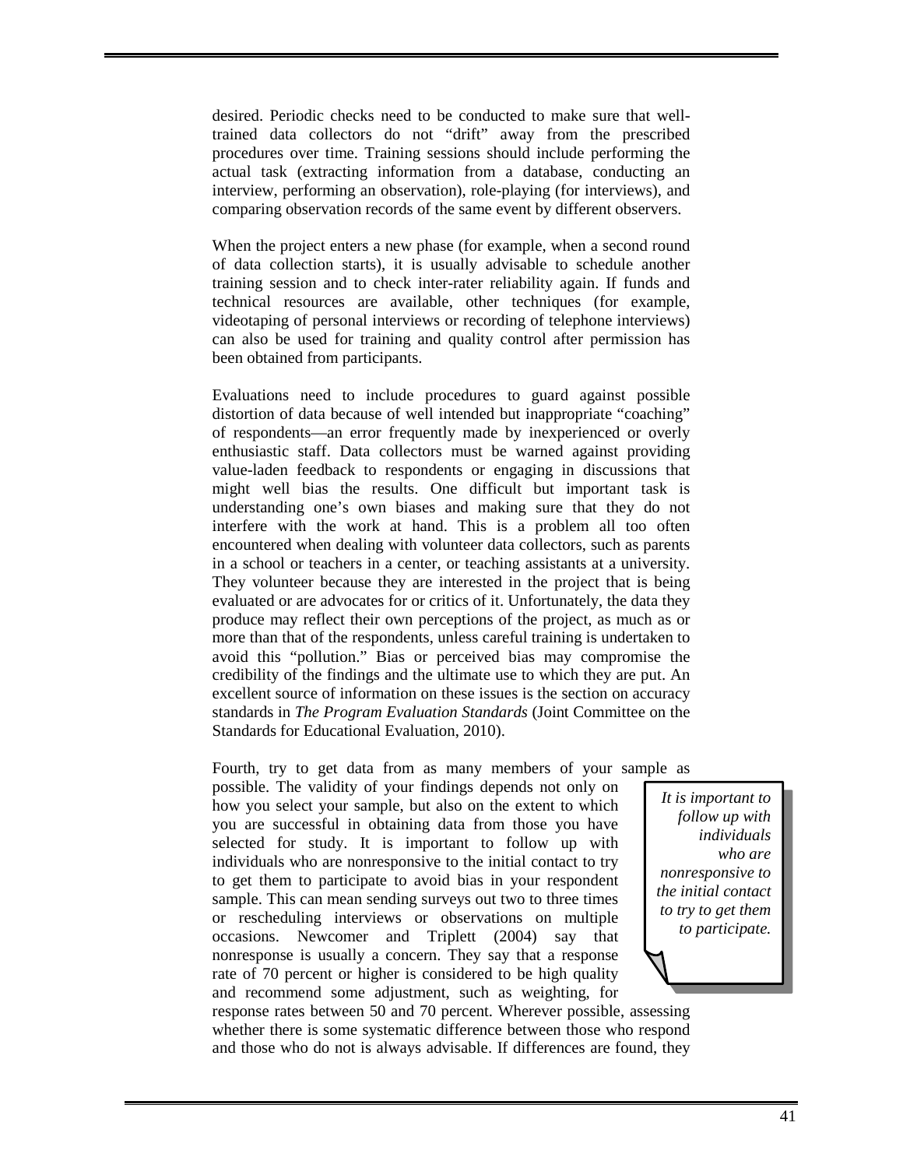desired. Periodic checks need to be conducted to make sure that welltrained data collectors do not "drift" away from the prescribed procedures over time. Training sessions should include performing the actual task (extracting information from a database, conducting an interview, performing an observation), role-playing (for interviews), and comparing observation records of the same event by different observers.

When the project enters a new phase (for example, when a second round of data collection starts), it is usually advisable to schedule another training session and to check inter-rater reliability again. If funds and technical resources are available, other techniques (for example, videotaping of personal interviews or recording of telephone interviews) can also be used for training and quality control after permission has been obtained from participants.

Evaluations need to include procedures to guard against possible distortion of data because of well intended but inappropriate "coaching" of respondents—an error frequently made by inexperienced or overly enthusiastic staff. Data collectors must be warned against providing value-laden feedback to respondents or engaging in discussions that might well bias the results. One difficult but important task is understanding one's own biases and making sure that they do not interfere with the work at hand. This is a problem all too often encountered when dealing with volunteer data collectors, such as parents in a school or teachers in a center, or teaching assistants at a university. They volunteer because they are interested in the project that is being evaluated or are advocates for or critics of it. Unfortunately, the data they produce may reflect their own perceptions of the project, as much as or more than that of the respondents, unless careful training is undertaken to avoid this "pollution." Bias or perceived bias may compromise the credibility of the findings and the ultimate use to which they are put. An excellent source of information on these issues is the section on accuracy standards in *The Program Evaluation Standards* (Joint Committee on the Standards for Educational Evaluation, 2010).

Fourth, try to get data from as many members of your sample as possible. The validity of your findings depends not only on how you select your sample, but also on the extent to which you are successful in obtaining data from those you have selected for study. It is important to follow up with individuals who are nonresponsive to the initial contact to try to get them to participate to avoid bias in your respondent sample. This can mean sending surveys out two to three times or rescheduling interviews or observations on multiple occasions. Newcomer and Triplett (2004) say that nonresponse is usually a concern. They say that a response rate of 70 percent or higher is considered to be high quality and recommend some adjustment, such as weighting, for

*It is important to follow up with individuals who are nonresponsive to the initial contact to try to get them to participate.* 

response rates between 50 and 70 percent. Wherever possible, assessing whether there is some systematic difference between those who respond and those who do not is always advisable. If differences are found, they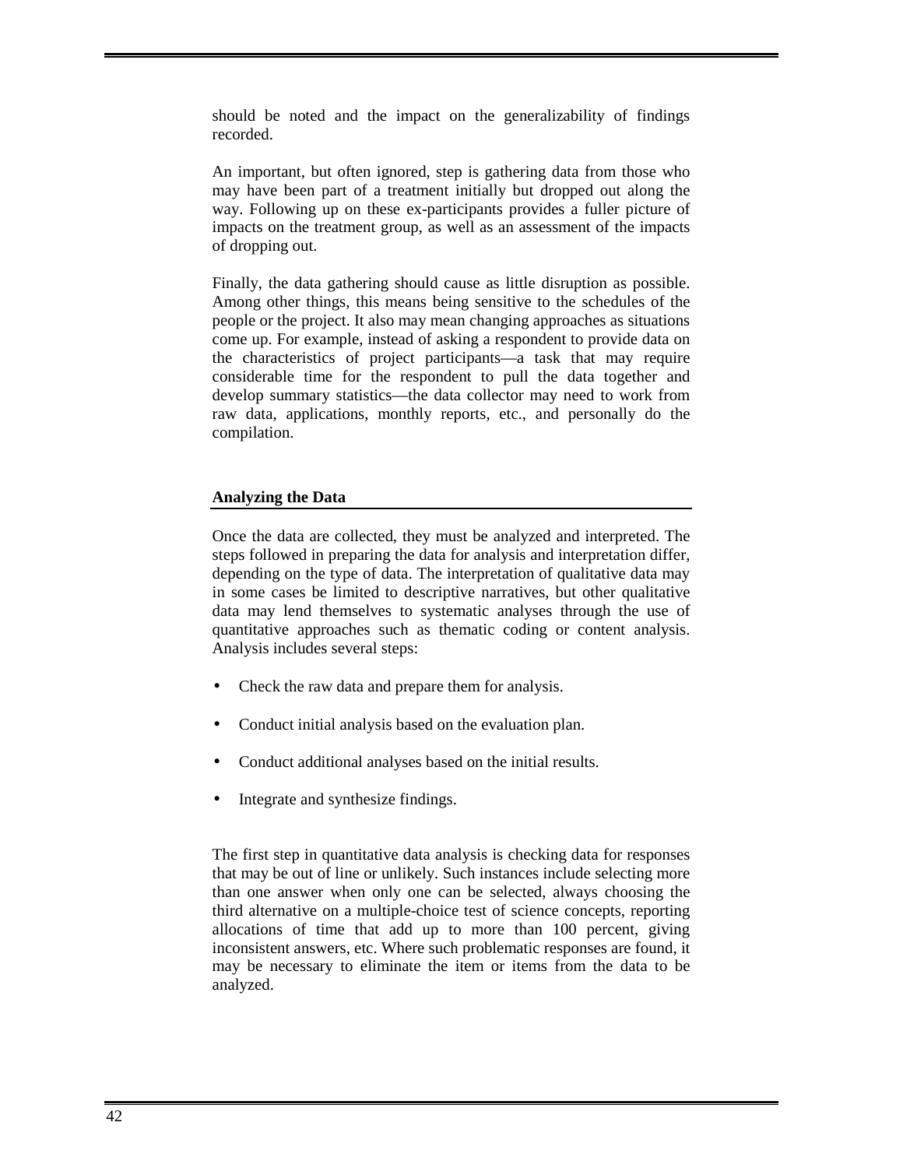should be noted and the impact on the generalizability of findings recorded.

An important, but often ignored, step is gathering data from those who may have been part of a treatment initially but dropped out along the way. Following up on these ex-participants provides a fuller picture of impacts on the treatment group, as well as an assessment of the impacts of dropping out.

Finally, the data gathering should cause as little disruption as possible. Among other things, this means being sensitive to the schedules of the people or the project. It also may mean changing approaches as situations come up. For example, instead of asking a respondent to provide data on the characteristics of project participants—a task that may require considerable time for the respondent to pull the data together and develop summary statistics—the data collector may need to work from raw data, applications, monthly reports, etc., and personally do the compilation.

#### **Analyzing the Data**

Once the data are collected, they must be analyzed and interpreted. The steps followed in preparing the data for analysis and interpretation differ, depending on the type of data. The interpretation of qualitative data may in some cases be limited to descriptive narratives, but other qualitative data may lend themselves to systematic analyses through the use of quantitative approaches such as thematic coding or content analysis. Analysis includes several steps:

- Check the raw data and prepare them for analysis.
- Conduct initial analysis based on the evaluation plan.
- Conduct additional analyses based on the initial results.
- Integrate and synthesize findings.

The first step in quantitative data analysis is checking data for responses that may be out of line or unlikely. Such instances include selecting more than one answer when only one can be selected, always choosing the third alternative on a multiple-choice test of science concepts, reporting allocations of time that add up to more than 100 percent, giving inconsistent answers, etc. Where such problematic responses are found, it may be necessary to eliminate the item or items from the data to be analyzed.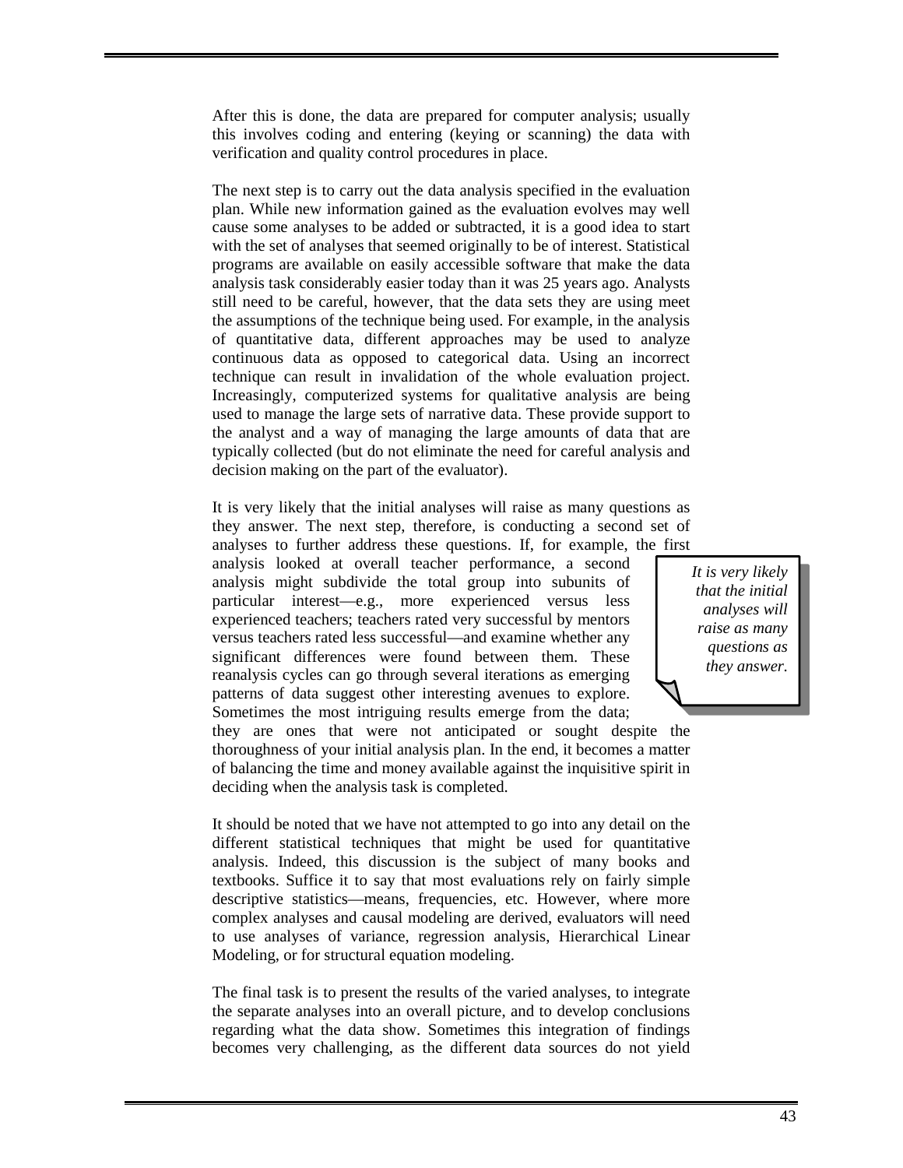After this is done, the data are prepared for computer analysis; usually this involves coding and entering (keying or scanning) the data with verification and quality control procedures in place.

The next step is to carry out the data analysis specified in the evaluation plan. While new information gained as the evaluation evolves may well cause some analyses to be added or subtracted, it is a good idea to start with the set of analyses that seemed originally to be of interest. Statistical programs are available on easily accessible software that make the data analysis task considerably easier today than it was 25 years ago. Analysts still need to be careful, however, that the data sets they are using meet the assumptions of the technique being used. For example, in the analysis of quantitative data, different approaches may be used to analyze continuous data as opposed to categorical data. Using an incorrect technique can result in invalidation of the whole evaluation project. Increasingly, computerized systems for qualitative analysis are being used to manage the large sets of narrative data. These provide support to the analyst and a way of managing the large amounts of data that are typically collected (but do not eliminate the need for careful analysis and decision making on the part of the evaluator).

It is very likely that the initial analyses will raise as many questions as they answer. The next step, therefore, is conducting a second set of analyses to further address these questions. If, for example, the first

analysis looked at overall teacher performance, a second analysis might subdivide the total group into subunits of particular interest—e.g., more experienced versus less experienced teachers; teachers rated very successful by mentors versus teachers rated less successful—and examine whether any significant differences were found between them. These reanalysis cycles can go through several iterations as emerging patterns of data suggest other interesting avenues to explore. Sometimes the most intriguing results emerge from the data;

*It is very likely that the initial analyses will raise as many questions as they answer.* 

they are ones that were not anticipated or sought despite the thoroughness of your initial analysis plan. In the end, it becomes a matter of balancing the time and money available against the inquisitive spirit in deciding when the analysis task is completed.

It should be noted that we have not attempted to go into any detail on the different statistical techniques that might be used for quantitative analysis. Indeed, this discussion is the subject of many books and textbooks. Suffice it to say that most evaluations rely on fairly simple descriptive statistics—means, frequencies, etc. However, where more complex analyses and causal modeling are derived, evaluators will need to use analyses of variance, regression analysis, Hierarchical Linear Modeling, or for structural equation modeling.

The final task is to present the results of the varied analyses, to integrate the separate analyses into an overall picture, and to develop conclusions regarding what the data show. Sometimes this integration of findings becomes very challenging, as the different data sources do not yield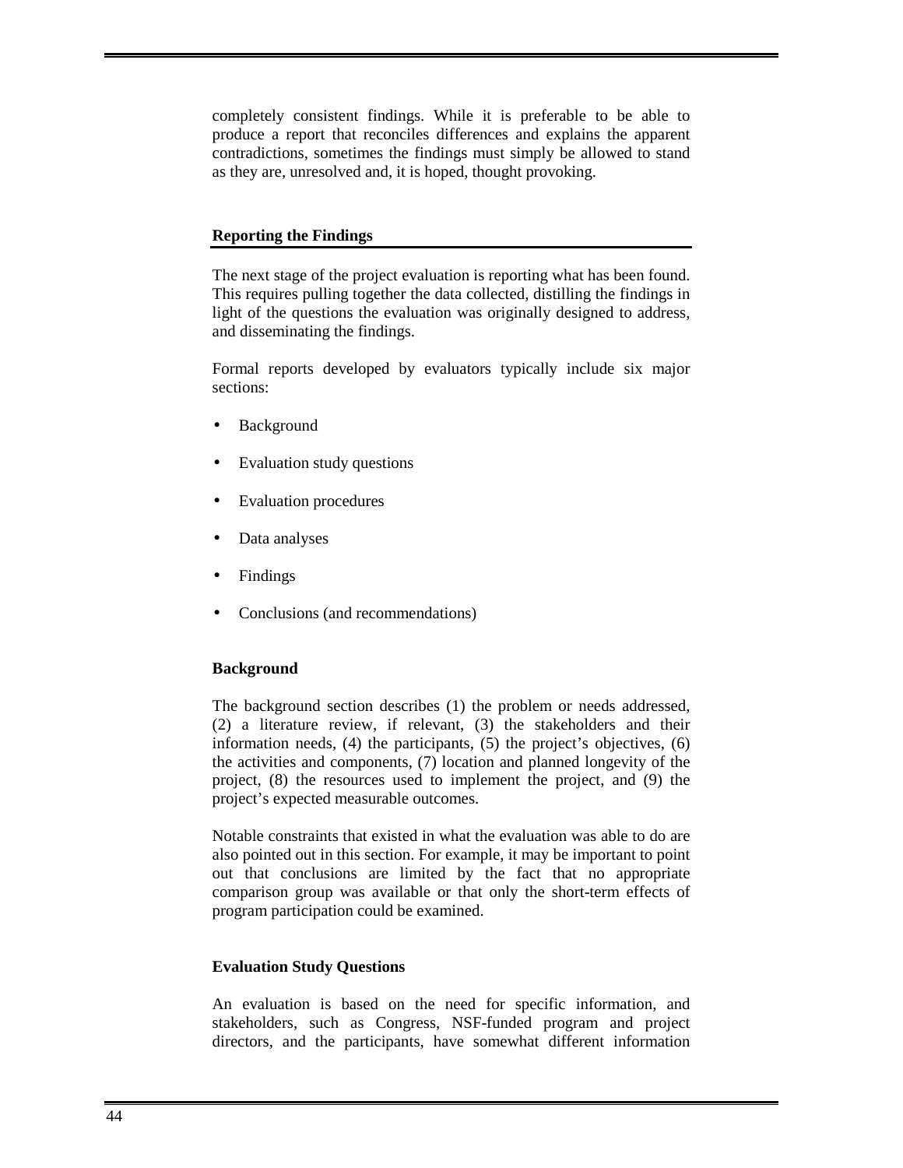completely consistent findings. While it is preferable to be able to produce a report that reconciles differences and explains the apparent contradictions, sometimes the findings must simply be allowed to stand as they are, unresolved and, it is hoped, thought provoking.

#### **Reporting the Findings**

The next stage of the project evaluation is reporting what has been found. This requires pulling together the data collected, distilling the findings in light of the questions the evaluation was originally designed to address, and disseminating the findings.

Formal reports developed by evaluators typically include six major sections:

- **Background**
- Evaluation study questions
- Evaluation procedures
- Data analyses
- **Findings**
- Conclusions (and recommendations)

#### **Background**

The background section describes (1) the problem or needs addressed, (2) a literature review, if relevant, (3) the stakeholders and their information needs, (4) the participants, (5) the project's objectives, (6) the activities and components, (7) location and planned longevity of the project, (8) the resources used to implement the project, and (9) the project's expected measurable outcomes.

Notable constraints that existed in what the evaluation was able to do are also pointed out in this section. For example, it may be important to point out that conclusions are limited by the fact that no appropriate comparison group was available or that only the short-term effects of program participation could be examined.

#### **Evaluation Study Questions**

An evaluation is based on the need for specific information, and stakeholders, such as Congress, NSF-funded program and project directors, and the participants, have somewhat different information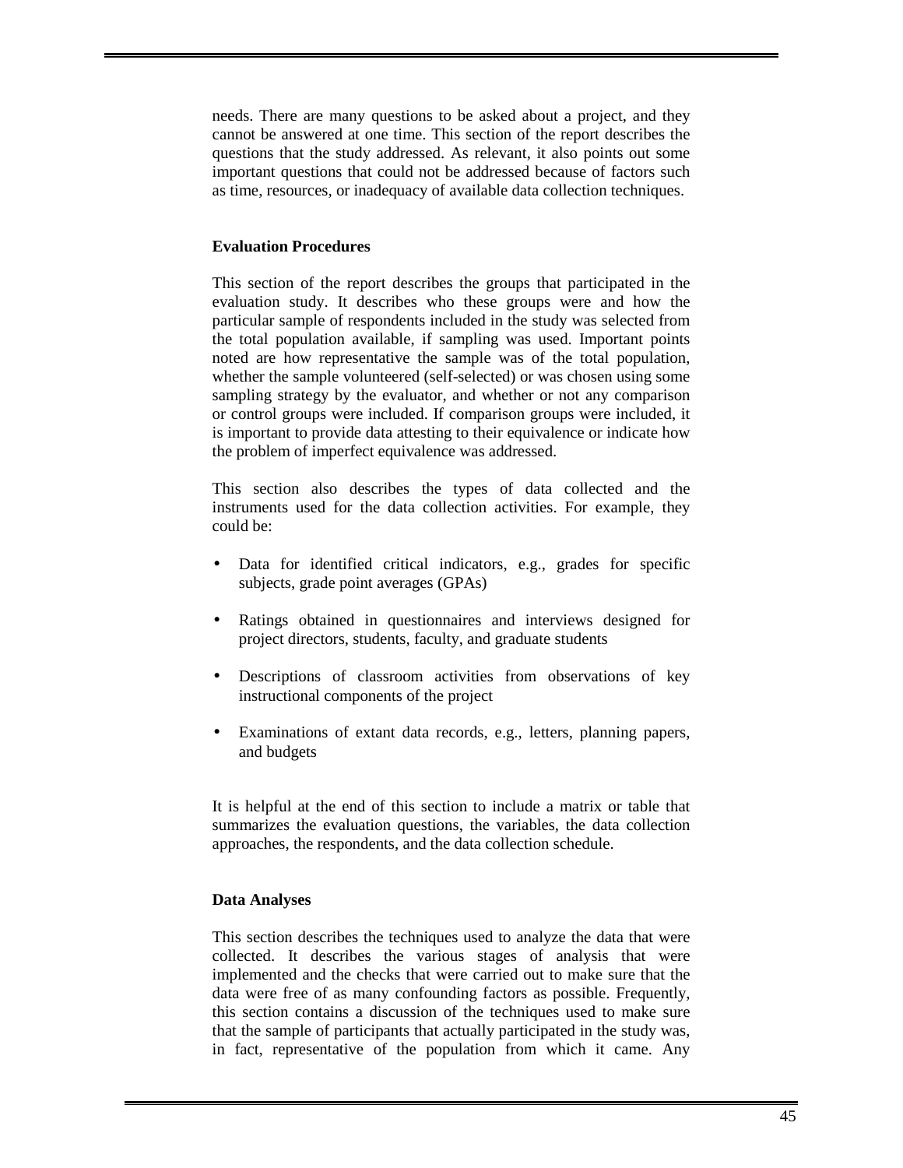needs. There are many questions to be asked about a project, and they cannot be answered at one time. This section of the report describes the questions that the study addressed. As relevant, it also points out some important questions that could not be addressed because of factors such as time, resources, or inadequacy of available data collection techniques.

#### **Evaluation Procedures**

This section of the report describes the groups that participated in the evaluation study. It describes who these groups were and how the particular sample of respondents included in the study was selected from the total population available, if sampling was used. Important points noted are how representative the sample was of the total population, whether the sample volunteered (self-selected) or was chosen using some sampling strategy by the evaluator, and whether or not any comparison or control groups were included. If comparison groups were included, it is important to provide data attesting to their equivalence or indicate how the problem of imperfect equivalence was addressed.

This section also describes the types of data collected and the instruments used for the data collection activities. For example, they could be:

- Data for identified critical indicators, e.g., grades for specific subjects, grade point averages (GPAs)
- Ratings obtained in questionnaires and interviews designed for project directors, students, faculty, and graduate students
- Descriptions of classroom activities from observations of key instructional components of the project
- Examinations of extant data records, e.g., letters, planning papers, and budgets

It is helpful at the end of this section to include a matrix or table that summarizes the evaluation questions, the variables, the data collection approaches, the respondents, and the data collection schedule.

#### **Data Analyses**

This section describes the techniques used to analyze the data that were collected. It describes the various stages of analysis that were implemented and the checks that were carried out to make sure that the data were free of as many confounding factors as possible. Frequently, this section contains a discussion of the techniques used to make sure that the sample of participants that actually participated in the study was, in fact, representative of the population from which it came. Any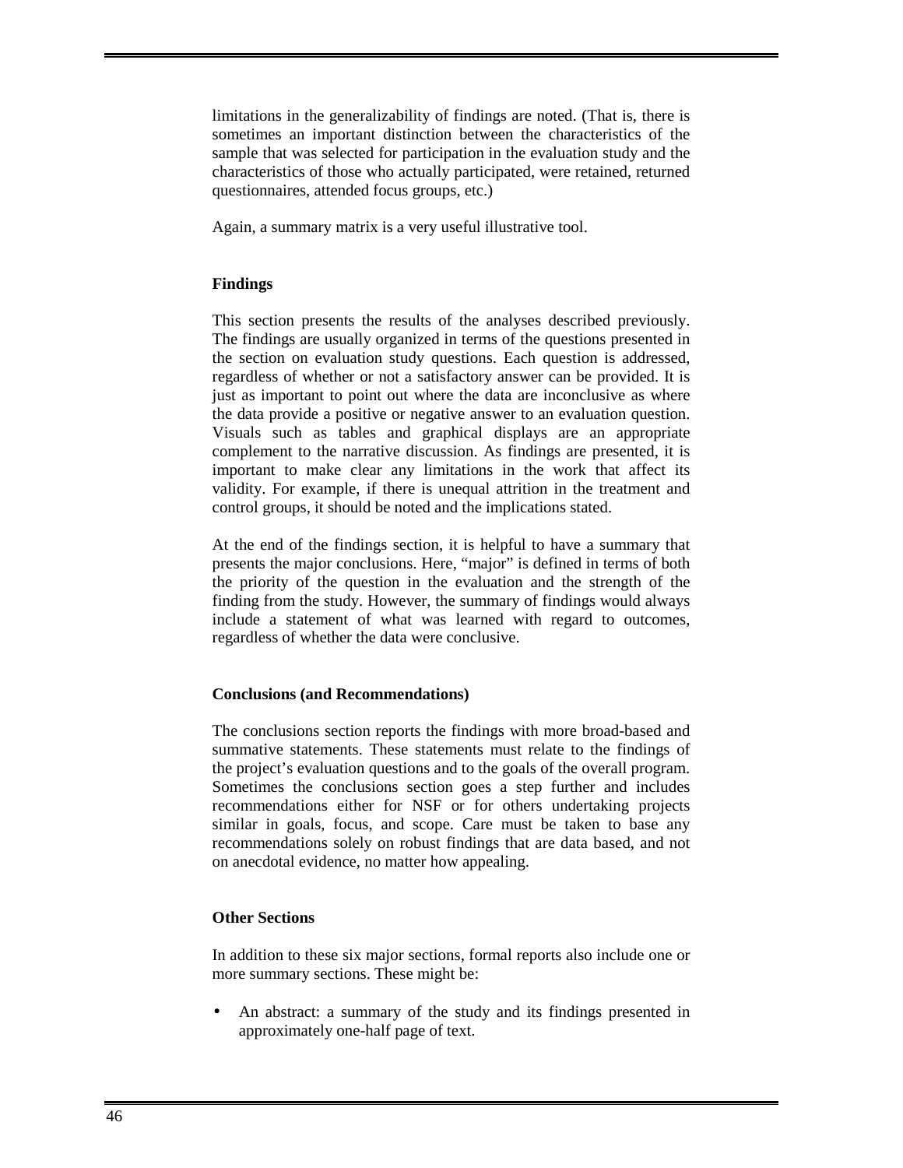limitations in the generalizability of findings are noted. (That is, there is sometimes an important distinction between the characteristics of the sample that was selected for participation in the evaluation study and the characteristics of those who actually participated, were retained, returned questionnaires, attended focus groups, etc.)

Again, a summary matrix is a very useful illustrative tool.

#### **Findings**

This section presents the results of the analyses described previously. The findings are usually organized in terms of the questions presented in the section on evaluation study questions. Each question is addressed, regardless of whether or not a satisfactory answer can be provided. It is just as important to point out where the data are inconclusive as where the data provide a positive or negative answer to an evaluation question. Visuals such as tables and graphical displays are an appropriate complement to the narrative discussion. As findings are presented, it is important to make clear any limitations in the work that affect its validity. For example, if there is unequal attrition in the treatment and control groups, it should be noted and the implications stated.

At the end of the findings section, it is helpful to have a summary that presents the major conclusions. Here, "major" is defined in terms of both the priority of the question in the evaluation and the strength of the finding from the study. However, the summary of findings would always include a statement of what was learned with regard to outcomes, regardless of whether the data were conclusive.

#### **Conclusions (and Recommendations)**

The conclusions section reports the findings with more broad-based and summative statements. These statements must relate to the findings of the project's evaluation questions and to the goals of the overall program. Sometimes the conclusions section goes a step further and includes recommendations either for NSF or for others undertaking projects similar in goals, focus, and scope. Care must be taken to base any recommendations solely on robust findings that are data based, and not on anecdotal evidence, no matter how appealing.

#### **Other Sections**

In addition to these six major sections, formal reports also include one or more summary sections. These might be:

• An abstract: a summary of the study and its findings presented in approximately one-half page of text.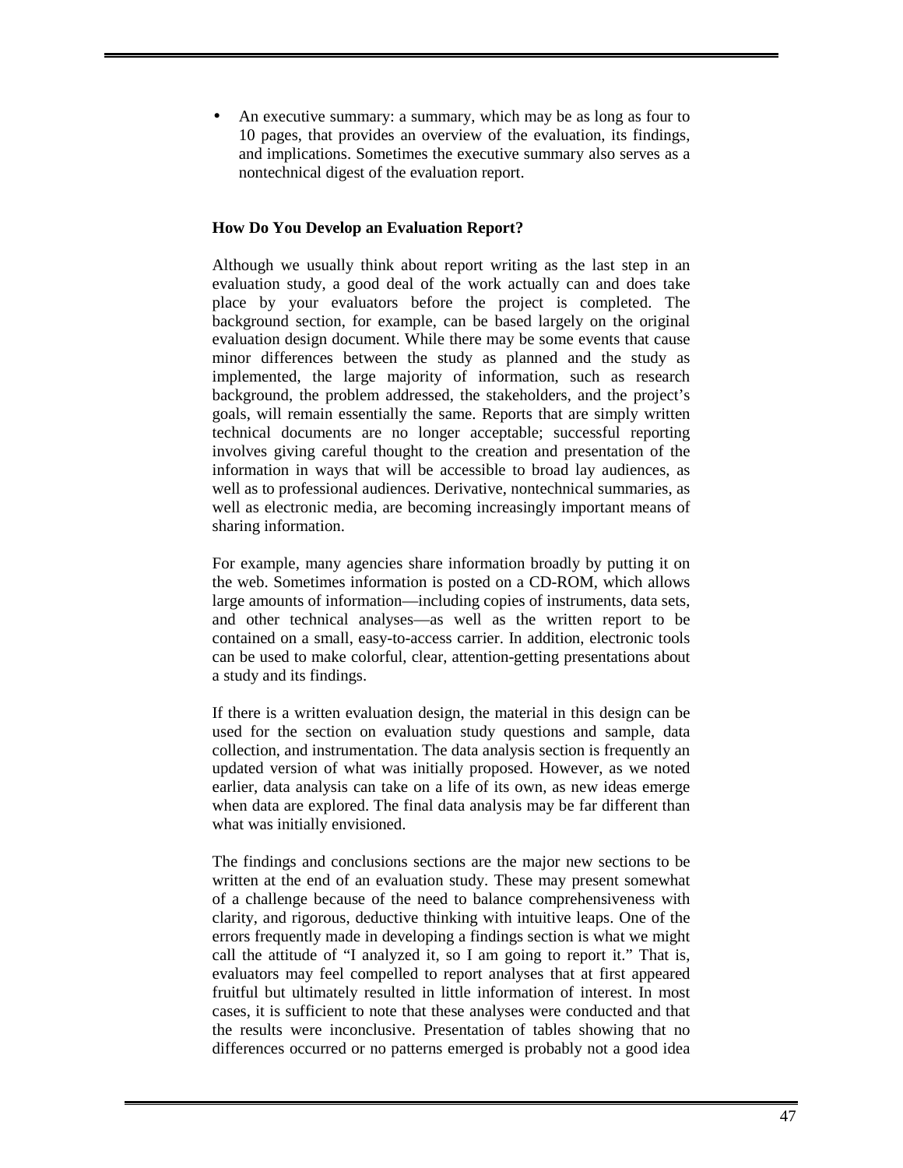• An executive summary: a summary, which may be as long as four to 10 pages, that provides an overview of the evaluation, its findings, and implications. Sometimes the executive summary also serves as a nontechnical digest of the evaluation report.

#### **How Do You Develop an Evaluation Report?**

Although we usually think about report writing as the last step in an evaluation study, a good deal of the work actually can and does take place by your evaluators before the project is completed. The background section, for example, can be based largely on the original evaluation design document. While there may be some events that cause minor differences between the study as planned and the study as implemented, the large majority of information, such as research background, the problem addressed, the stakeholders, and the project's goals, will remain essentially the same. Reports that are simply written technical documents are no longer acceptable; successful reporting involves giving careful thought to the creation and presentation of the information in ways that will be accessible to broad lay audiences, as well as to professional audiences. Derivative, nontechnical summaries, as well as electronic media, are becoming increasingly important means of sharing information.

For example, many agencies share information broadly by putting it on the web. Sometimes information is posted on a CD-ROM, which allows large amounts of information—including copies of instruments, data sets, and other technical analyses—as well as the written report to be contained on a small, easy-to-access carrier. In addition, electronic tools can be used to make colorful, clear, attention-getting presentations about a study and its findings.

If there is a written evaluation design, the material in this design can be used for the section on evaluation study questions and sample, data collection, and instrumentation. The data analysis section is frequently an updated version of what was initially proposed. However, as we noted earlier, data analysis can take on a life of its own, as new ideas emerge when data are explored. The final data analysis may be far different than what was initially envisioned.

The findings and conclusions sections are the major new sections to be written at the end of an evaluation study. These may present somewhat of a challenge because of the need to balance comprehensiveness with clarity, and rigorous, deductive thinking with intuitive leaps. One of the errors frequently made in developing a findings section is what we might call the attitude of "I analyzed it, so I am going to report it." That is, evaluators may feel compelled to report analyses that at first appeared fruitful but ultimately resulted in little information of interest. In most cases, it is sufficient to note that these analyses were conducted and that the results were inconclusive. Presentation of tables showing that no differences occurred or no patterns emerged is probably not a good idea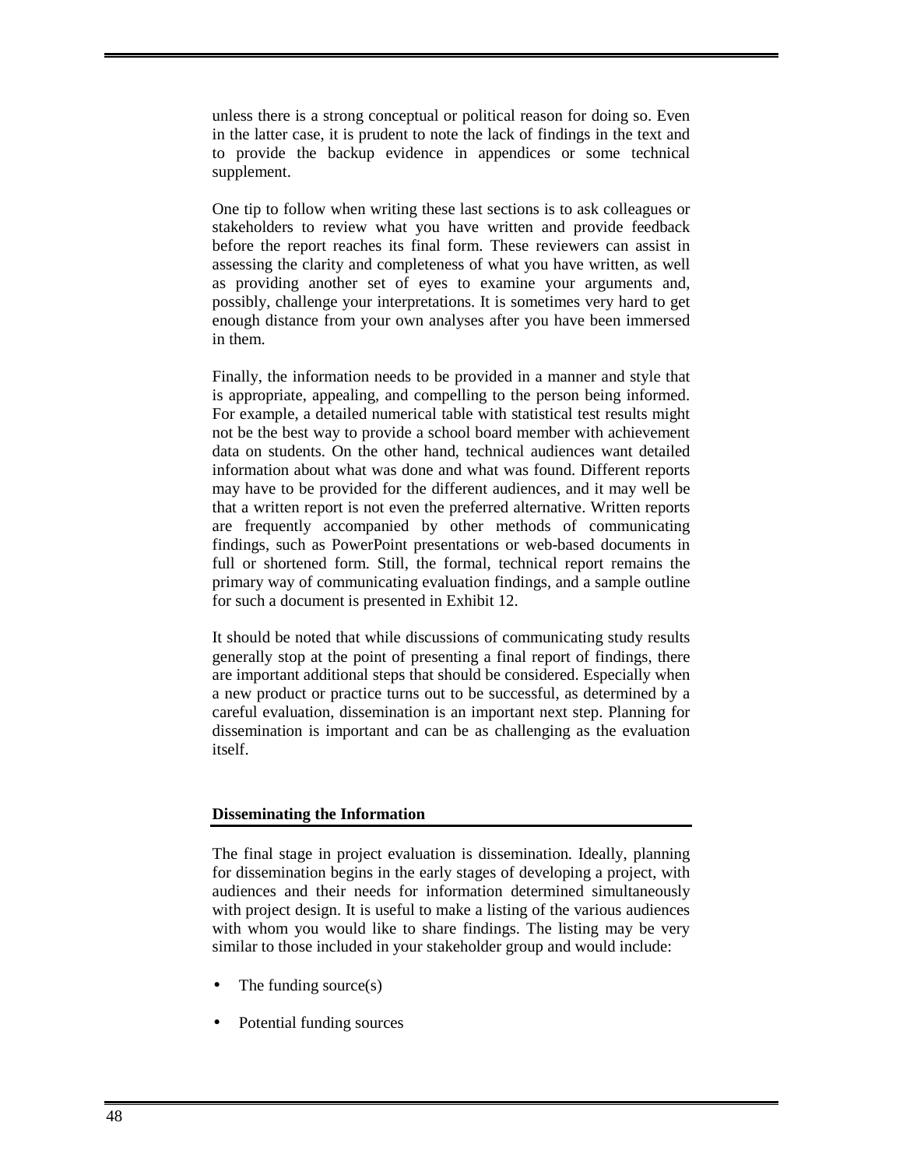unless there is a strong conceptual or political reason for doing so. Even in the latter case, it is prudent to note the lack of findings in the text and to provide the backup evidence in appendices or some technical supplement.

One tip to follow when writing these last sections is to ask colleagues or stakeholders to review what you have written and provide feedback before the report reaches its final form. These reviewers can assist in assessing the clarity and completeness of what you have written, as well as providing another set of eyes to examine your arguments and, possibly, challenge your interpretations. It is sometimes very hard to get enough distance from your own analyses after you have been immersed in them.

Finally, the information needs to be provided in a manner and style that is appropriate, appealing, and compelling to the person being informed. For example, a detailed numerical table with statistical test results might not be the best way to provide a school board member with achievement data on students. On the other hand, technical audiences want detailed information about what was done and what was found. Different reports may have to be provided for the different audiences, and it may well be that a written report is not even the preferred alternative. Written reports are frequently accompanied by other methods of communicating findings, such as PowerPoint presentations or web-based documents in full or shortened form. Still, the formal, technical report remains the primary way of communicating evaluation findings, and a sample outline for such a document is presented in Exhibit 12.

It should be noted that while discussions of communicating study results generally stop at the point of presenting a final report of findings, there are important additional steps that should be considered. Especially when a new product or practice turns out to be successful, as determined by a careful evaluation, dissemination is an important next step. Planning for dissemination is important and can be as challenging as the evaluation itself.

#### **Disseminating the Information**

The final stage in project evaluation is dissemination. Ideally, planning for dissemination begins in the early stages of developing a project, with audiences and their needs for information determined simultaneously with project design. It is useful to make a listing of the various audiences with whom you would like to share findings. The listing may be very similar to those included in your stakeholder group and would include:

- The funding source $(s)$
- Potential funding sources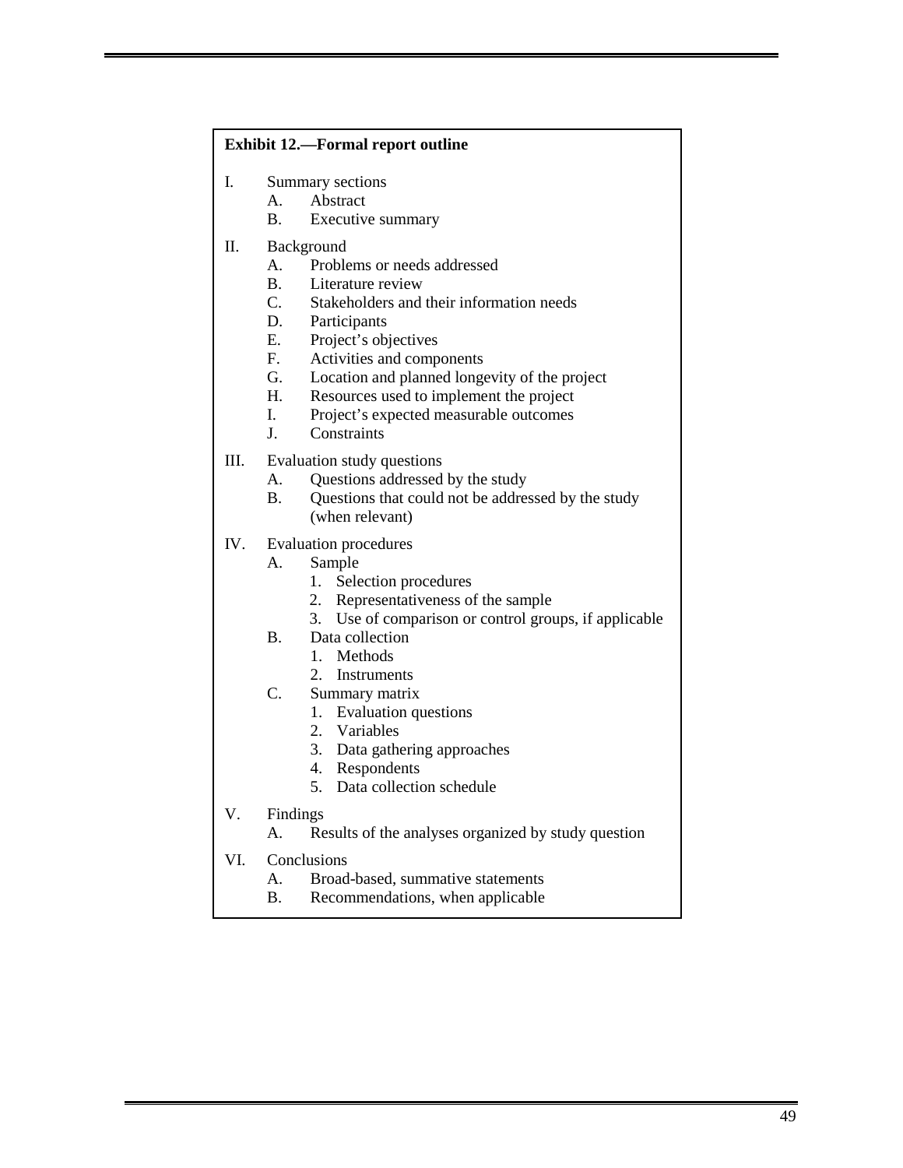#### **Exhibit 12.—Formal report outline**

- I. Summary sections
	- A. Abstract
	- B. Executive summary
- II. Background
	- A. Problems or needs addressed
	- B. Literature review
	- C. Stakeholders and their information needs
	- D. Participants
	- E. Project's objectives
	- F. Activities and components
	- G. Location and planned longevity of the project
	- H. Resources used to implement the project
	- I. Project's expected measurable outcomes
	- J. Constraints
- III. Evaluation study questions
	- A. Questions addressed by the study
	- B. Questions that could not be addressed by the study (when relevant)
- IV. Evaluation procedures
	- A. Sample
		- 1. Selection procedures
		- 2. Representativeness of the sample
		- 3. Use of comparison or control groups, if applicable
	- B. Data collection
		- 1. Methods
		- 2. Instruments
	- C. Summary matrix
		- 1. Evaluation questions
		- 2. Variables
		- 3. Data gathering approaches
		- 4. Respondents
		- 5. Data collection schedule
- V. Findings
	- A. Results of the analyses organized by study question
- VI. Conclusions
	- A. Broad-based, summative statements
	- B. Recommendations, when applicable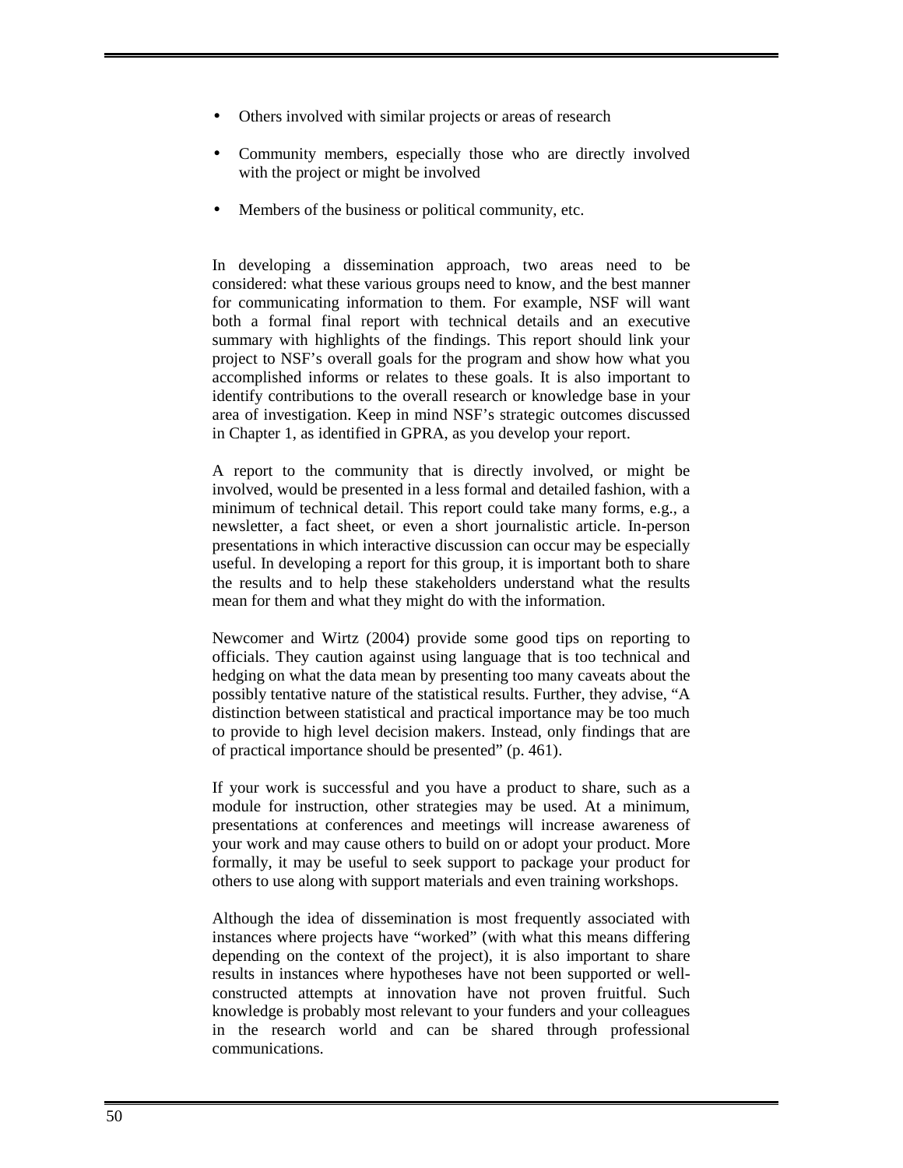- Others involved with similar projects or areas of research
- Community members, especially those who are directly involved with the project or might be involved
- Members of the business or political community, etc.

In developing a dissemination approach, two areas need to be considered: what these various groups need to know, and the best manner for communicating information to them. For example, NSF will want both a formal final report with technical details and an executive summary with highlights of the findings. This report should link your project to NSF's overall goals for the program and show how what you accomplished informs or relates to these goals. It is also important to identify contributions to the overall research or knowledge base in your area of investigation. Keep in mind NSF's strategic outcomes discussed in Chapter 1, as identified in GPRA, as you develop your report.

A report to the community that is directly involved, or might be involved, would be presented in a less formal and detailed fashion, with a minimum of technical detail. This report could take many forms, e.g., a newsletter, a fact sheet, or even a short journalistic article. In-person presentations in which interactive discussion can occur may be especially useful. In developing a report for this group, it is important both to share the results and to help these stakeholders understand what the results mean for them and what they might do with the information.

Newcomer and Wirtz (2004) provide some good tips on reporting to officials. They caution against using language that is too technical and hedging on what the data mean by presenting too many caveats about the possibly tentative nature of the statistical results. Further, they advise, "A distinction between statistical and practical importance may be too much to provide to high level decision makers. Instead, only findings that are of practical importance should be presented" (p. 461).

If your work is successful and you have a product to share, such as a module for instruction, other strategies may be used. At a minimum, presentations at conferences and meetings will increase awareness of your work and may cause others to build on or adopt your product. More formally, it may be useful to seek support to package your product for others to use along with support materials and even training workshops.

Although the idea of dissemination is most frequently associated with instances where projects have "worked" (with what this means differing depending on the context of the project), it is also important to share results in instances where hypotheses have not been supported or wellconstructed attempts at innovation have not proven fruitful. Such knowledge is probably most relevant to your funders and your colleagues in the research world and can be shared through professional communications.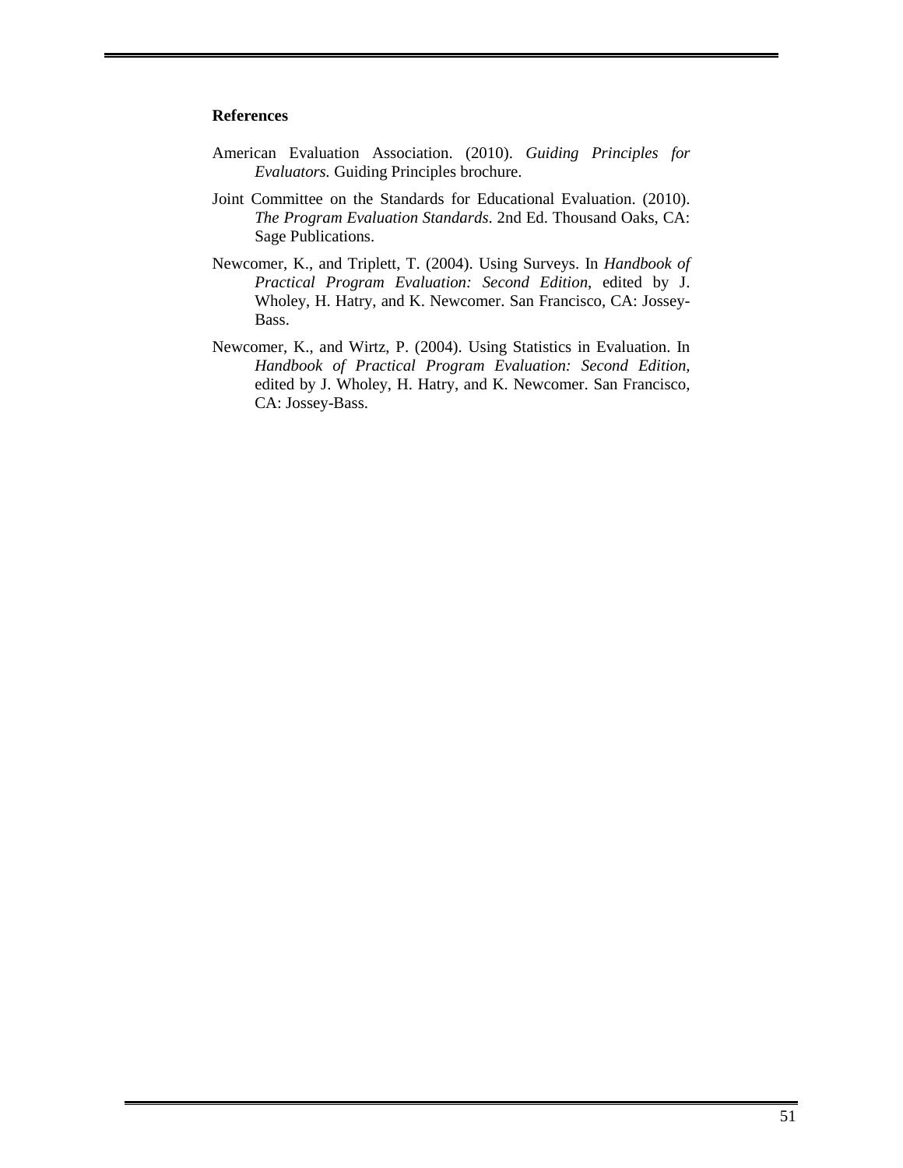#### **References**

- American Evaluation Association. (2010). *Guiding Principles for Evaluators.* Guiding Principles brochure.
- Joint Committee on the Standards for Educational Evaluation. (2010). *The Program Evaluation Standards*. 2nd Ed. Thousand Oaks, CA: Sage Publications.
- Newcomer, K., and Triplett, T. (2004). Using Surveys. In *Handbook of Practical Program Evaluation: Second Edition*, edited by J. Wholey, H. Hatry, and K. Newcomer. San Francisco, CA: Jossey-Bass.
- Newcomer, K., and Wirtz, P. (2004). Using Statistics in Evaluation. In *Handbook of Practical Program Evaluation: Second Edition,*  edited by J. Wholey, H. Hatry, and K. Newcomer. San Francisco, CA: Jossey-Bass.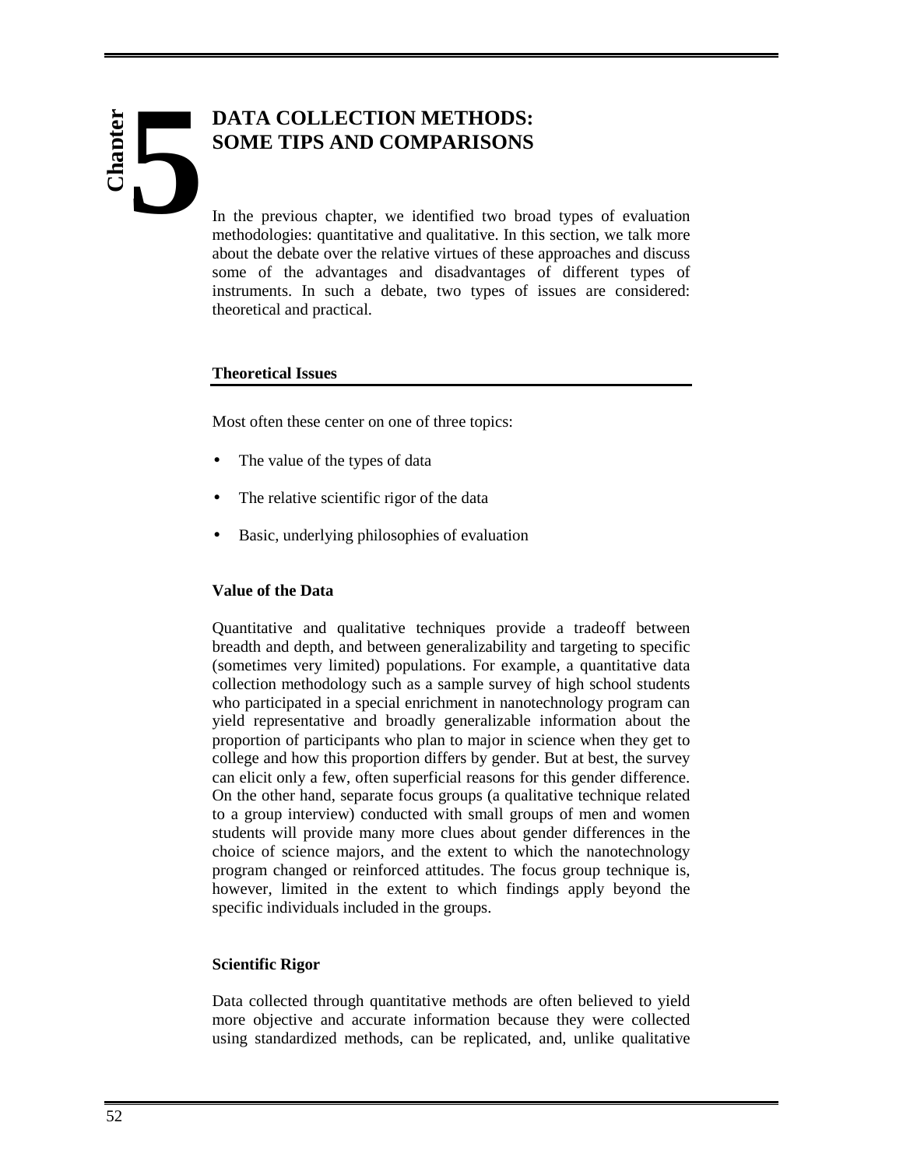# **Chapter 5**

#### **DATA COLLECTION METHODS: SOME TIPS AND COMPARISONS**

In the previous chapter, we identified two broad types of evaluation methodologies: quantitative and qualitative. In this section, we talk more about the debate over the relative virtues of these approaches and discuss some of the advantages and disadvantages of different types of instruments. In such a debate, two types of issues are considered: theoretical and practical.

#### **Theoretical Issues**

Most often these center on one of three topics:

- The value of the types of data
- The relative scientific rigor of the data
- Basic, underlying philosophies of evaluation

#### **Value of the Data**

Quantitative and qualitative techniques provide a tradeoff between breadth and depth, and between generalizability and targeting to specific (sometimes very limited) populations. For example, a quantitative data collection methodology such as a sample survey of high school students who participated in a special enrichment in nanotechnology program can yield representative and broadly generalizable information about the proportion of participants who plan to major in science when they get to college and how this proportion differs by gender. But at best, the survey can elicit only a few, often superficial reasons for this gender difference. On the other hand, separate focus groups (a qualitative technique related to a group interview) conducted with small groups of men and women students will provide many more clues about gender differences in the choice of science majors, and the extent to which the nanotechnology program changed or reinforced attitudes. The focus group technique is, however, limited in the extent to which findings apply beyond the specific individuals included in the groups.

#### **Scientific Rigor**

Data collected through quantitative methods are often believed to yield more objective and accurate information because they were collected using standardized methods, can be replicated, and, unlike qualitative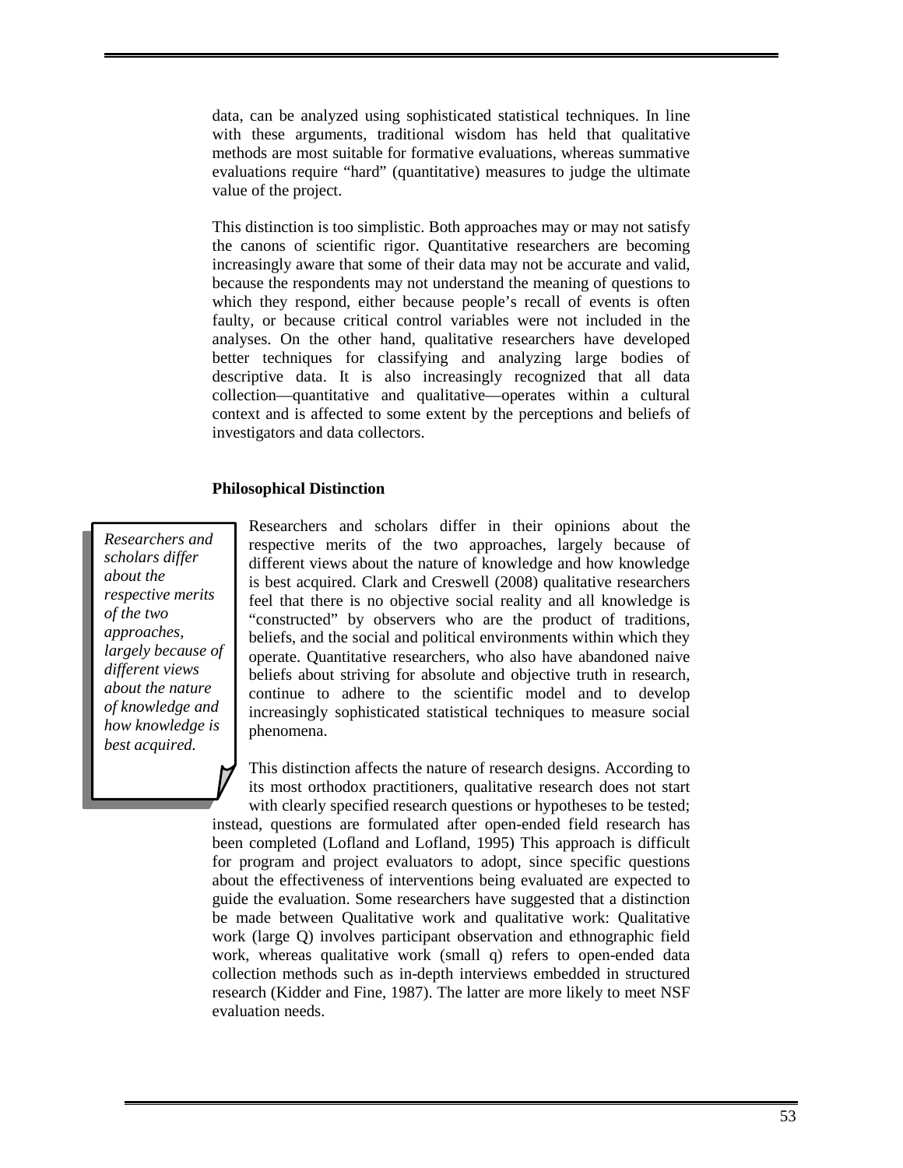data, can be analyzed using sophisticated statistical techniques. In line with these arguments, traditional wisdom has held that qualitative methods are most suitable for formative evaluations, whereas summative evaluations require "hard" (quantitative) measures to judge the ultimate value of the project.

This distinction is too simplistic. Both approaches may or may not satisfy the canons of scientific rigor. Quantitative researchers are becoming increasingly aware that some of their data may not be accurate and valid, because the respondents may not understand the meaning of questions to which they respond, either because people's recall of events is often faulty, or because critical control variables were not included in the analyses. On the other hand, qualitative researchers have developed better techniques for classifying and analyzing large bodies of descriptive data. It is also increasingly recognized that all data collection—quantitative and qualitative—operates within a cultural context and is affected to some extent by the perceptions and beliefs of investigators and data collectors.

#### **Philosophical Distinction**

*Researchers and scholars differ about the respective merits of the two approaches, largely because of different views about the nature of knowledge and how knowledge is best acquired.* 

Researchers and scholars differ in their opinions about the respective merits of the two approaches, largely because of different views about the nature of knowledge and how knowledge is best acquired. Clark and Creswell (2008) qualitative researchers feel that there is no objective social reality and all knowledge is "constructed" by observers who are the product of traditions, beliefs, and the social and political environments within which they operate. Quantitative researchers, who also have abandoned naive beliefs about striving for absolute and objective truth in research, continue to adhere to the scientific model and to develop increasingly sophisticated statistical techniques to measure social phenomena.

This distinction affects the nature of research designs. According to its most orthodox practitioners, qualitative research does not start with clearly specified research questions or hypotheses to be tested; instead, questions are formulated after open-ended field research has been completed (Lofland and Lofland, 1995) This approach is difficult for program and project evaluators to adopt, since specific questions about the effectiveness of interventions being evaluated are expected to guide the evaluation. Some researchers have suggested that a distinction be made between Qualitative work and qualitative work: Qualitative work (large Q) involves participant observation and ethnographic field work, whereas qualitative work (small q) refers to open-ended data collection methods such as in-depth interviews embedded in structured research (Kidder and Fine, 1987). The latter are more likely to meet NSF evaluation needs.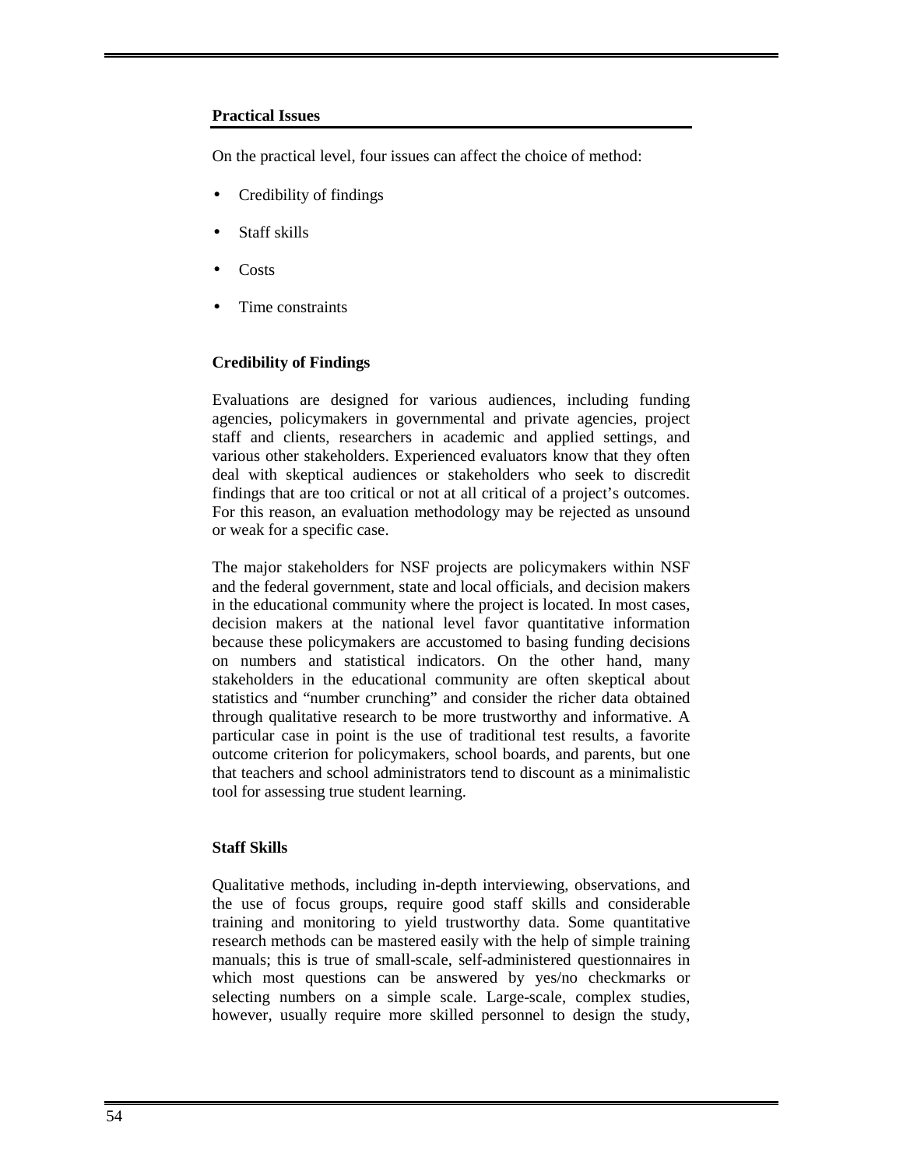#### **Practical Issues**

On the practical level, four issues can affect the choice of method:

- Credibility of findings
- Staff skills
- Costs
- Time constraints

#### **Credibility of Findings**

Evaluations are designed for various audiences, including funding agencies, policymakers in governmental and private agencies, project staff and clients, researchers in academic and applied settings, and various other stakeholders. Experienced evaluators know that they often deal with skeptical audiences or stakeholders who seek to discredit findings that are too critical or not at all critical of a project's outcomes. For this reason, an evaluation methodology may be rejected as unsound or weak for a specific case.

The major stakeholders for NSF projects are policymakers within NSF and the federal government, state and local officials, and decision makers in the educational community where the project is located. In most cases, decision makers at the national level favor quantitative information because these policymakers are accustomed to basing funding decisions on numbers and statistical indicators. On the other hand, many stakeholders in the educational community are often skeptical about statistics and "number crunching" and consider the richer data obtained through qualitative research to be more trustworthy and informative. A particular case in point is the use of traditional test results, a favorite outcome criterion for policymakers, school boards, and parents, but one that teachers and school administrators tend to discount as a minimalistic tool for assessing true student learning.

#### **Staff Skills**

Qualitative methods, including in-depth interviewing, observations, and the use of focus groups, require good staff skills and considerable training and monitoring to yield trustworthy data. Some quantitative research methods can be mastered easily with the help of simple training manuals; this is true of small-scale, self-administered questionnaires in which most questions can be answered by yes/no checkmarks or selecting numbers on a simple scale. Large-scale, complex studies, however, usually require more skilled personnel to design the study,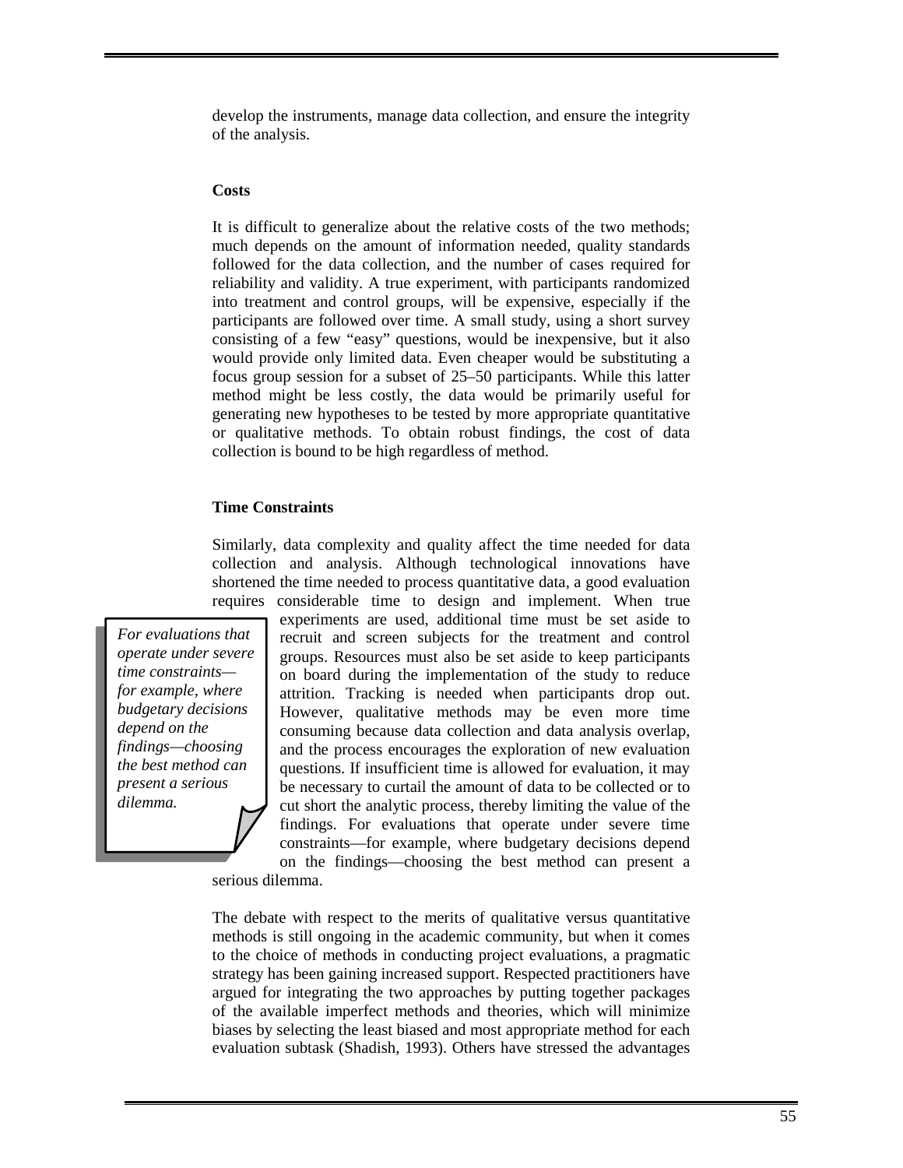develop the instruments, manage data collection, and ensure the integrity of the analysis.

#### **Costs**

It is difficult to generalize about the relative costs of the two methods; much depends on the amount of information needed, quality standards followed for the data collection, and the number of cases required for reliability and validity. A true experiment, with participants randomized into treatment and control groups, will be expensive, especially if the participants are followed over time. A small study, using a short survey consisting of a few "easy" questions, would be inexpensive, but it also would provide only limited data. Even cheaper would be substituting a focus group session for a subset of 25–50 participants. While this latter method might be less costly, the data would be primarily useful for generating new hypotheses to be tested by more appropriate quantitative or qualitative methods. To obtain robust findings, the cost of data collection is bound to be high regardless of method.

#### **Time Constraints**

Similarly, data complexity and quality affect the time needed for data collection and analysis. Although technological innovations have shortened the time needed to process quantitative data, a good evaluation requires considerable time to design and implement. When true

*For evaluations that operate under severe time constraints for example, where budgetary decisions depend on the findings—choosing the best method can present a serious dilemma.*

experiments are used, additional time must be set aside to recruit and screen subjects for the treatment and control groups. Resources must also be set aside to keep participants on board during the implementation of the study to reduce attrition. Tracking is needed when participants drop out. However, qualitative methods may be even more time consuming because data collection and data analysis overlap, and the process encourages the exploration of new evaluation questions. If insufficient time is allowed for evaluation, it may be necessary to curtail the amount of data to be collected or to cut short the analytic process, thereby limiting the value of the findings. For evaluations that operate under severe time constraints—for example, where budgetary decisions depend on the findings—choosing the best method can present a

serious dilemma.

The debate with respect to the merits of qualitative versus quantitative methods is still ongoing in the academic community, but when it comes to the choice of methods in conducting project evaluations, a pragmatic strategy has been gaining increased support. Respected practitioners have argued for integrating the two approaches by putting together packages of the available imperfect methods and theories, which will minimize biases by selecting the least biased and most appropriate method for each evaluation subtask (Shadish, 1993). Others have stressed the advantages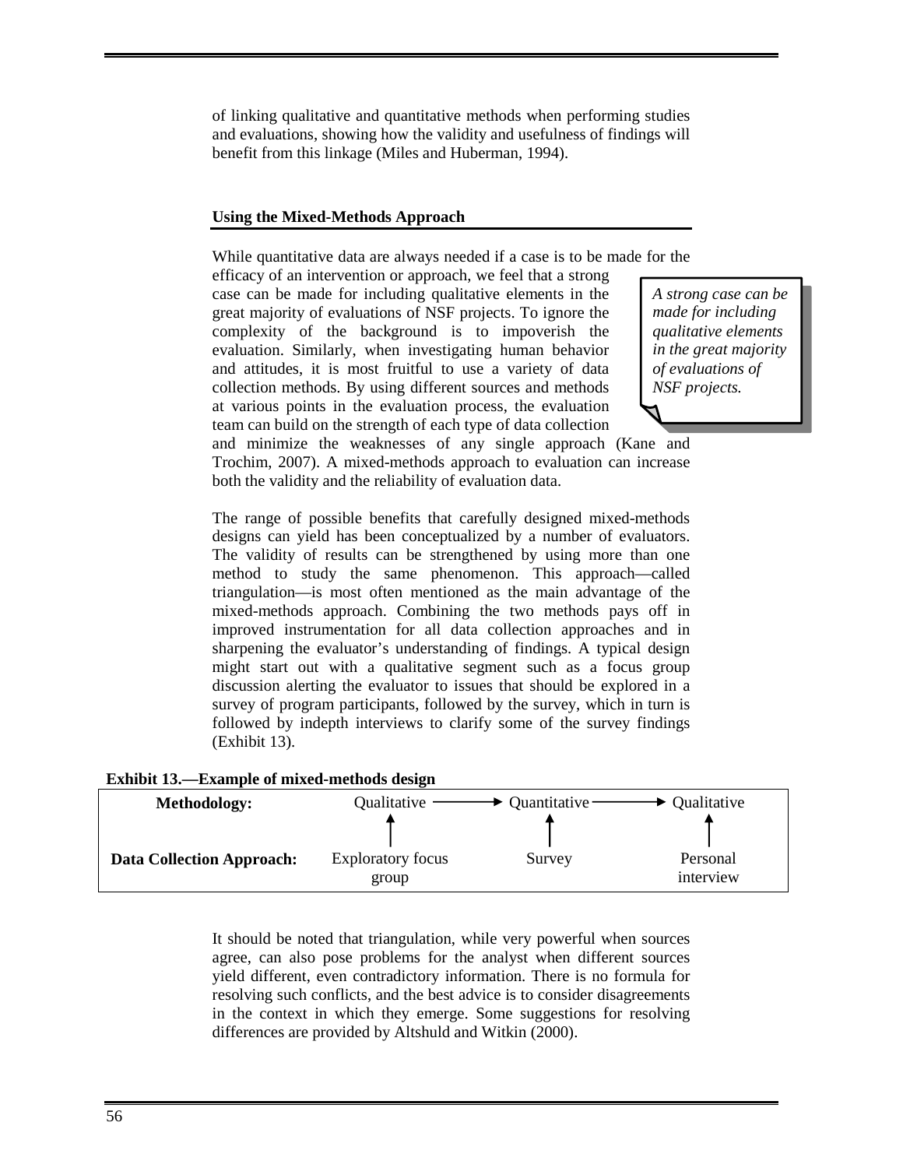of linking qualitative and quantitative methods when performing studies and evaluations, showing how the validity and usefulness of findings will benefit from this linkage (Miles and Huberman, 1994).

#### **Using the Mixed-Methods Approach**

While quantitative data are always needed if a case is to be made for the

efficacy of an intervention or approach, we feel that a strong case can be made for including qualitative elements in the great majority of evaluations of NSF projects. To ignore the complexity of the background is to impoverish the evaluation. Similarly, when investigating human behavior and attitudes, it is most fruitful to use a variety of data collection methods. By using different sources and methods at various points in the evaluation process, the evaluation team can build on the strength of each type of data collection

*A strong case can be made for including qualitative elements in the great majority of evaluations of NSF projects.* 

and minimize the weaknesses of any single approach (Kane and Trochim, 2007). A mixed-methods approach to evaluation can increase both the validity and the reliability of evaluation data.

The range of possible benefits that carefully designed mixed-methods designs can yield has been conceptualized by a number of evaluators. The validity of results can be strengthened by using more than one method to study the same phenomenon. This approach—called triangulation—is most often mentioned as the main advantage of the mixed-methods approach. Combining the two methods pays off in improved instrumentation for all data collection approaches and in sharpening the evaluator's understanding of findings. A typical design might start out with a qualitative segment such as a focus group discussion alerting the evaluator to issues that should be explored in a survey of program participants, followed by the survey, which in turn is followed by indepth interviews to clarify some of the survey findings (Exhibit 13).

| <b>Methodology:</b>              | Qualitative                       | Quantitative - | Qualitative           |
|----------------------------------|-----------------------------------|----------------|-----------------------|
| <b>Data Collection Approach:</b> | <b>Exploratory focus</b><br>group | Survey         | Personal<br>interview |

It should be noted that triangulation, while very powerful when sources agree, can also pose problems for the analyst when different sources yield different, even contradictory information. There is no formula for resolving such conflicts, and the best advice is to consider disagreements in the context in which they emerge. Some suggestions for resolving differences are provided by Altshuld and Witkin (2000).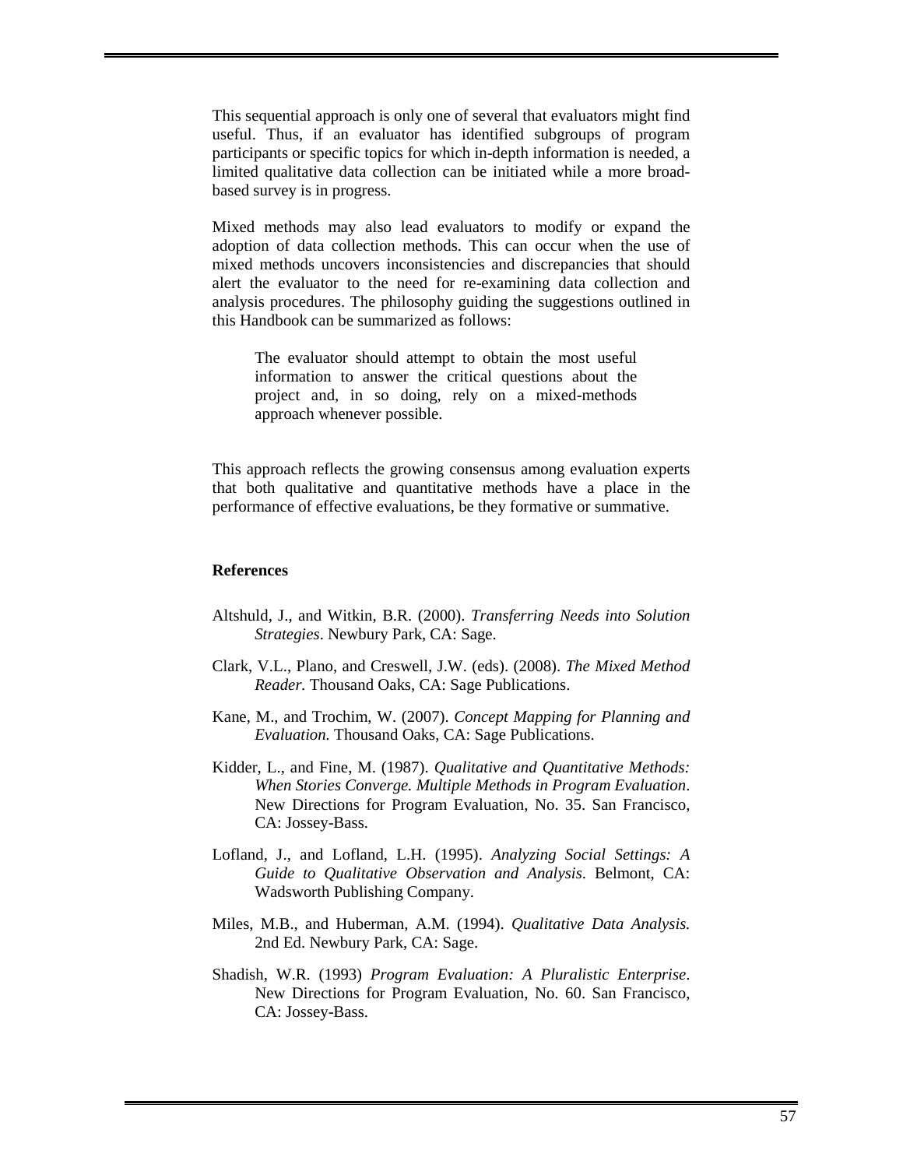This sequential approach is only one of several that evaluators might find useful. Thus, if an evaluator has identified subgroups of program participants or specific topics for which in-depth information is needed, a limited qualitative data collection can be initiated while a more broadbased survey is in progress.

Mixed methods may also lead evaluators to modify or expand the adoption of data collection methods. This can occur when the use of mixed methods uncovers inconsistencies and discrepancies that should alert the evaluator to the need for re-examining data collection and analysis procedures. The philosophy guiding the suggestions outlined in this Handbook can be summarized as follows:

 The evaluator should attempt to obtain the most useful information to answer the critical questions about the project and, in so doing, rely on a mixed-methods approach whenever possible.

This approach reflects the growing consensus among evaluation experts that both qualitative and quantitative methods have a place in the performance of effective evaluations, be they formative or summative.

#### **References**

- Altshuld, J., and Witkin, B.R. (2000). *Transferring Needs into Solution Strategies*. Newbury Park, CA: Sage.
- Clark, V.L., Plano, and Creswell, J.W. (eds). (2008). *The Mixed Method Reader.* Thousand Oaks, CA: Sage Publications.
- Kane, M., and Trochim, W. (2007). *Concept Mapping for Planning and Evaluation.* Thousand Oaks, CA: Sage Publications.
- Kidder, L., and Fine, M. (1987). *Qualitative and Quantitative Methods: When Stories Converge. Multiple Methods in Program Evaluation*. New Directions for Program Evaluation, No. 35. San Francisco, CA: Jossey-Bass.
- Lofland, J., and Lofland, L.H. (1995). *Analyzing Social Settings: A Guide to Qualitative Observation and Analysis*. Belmont, CA: Wadsworth Publishing Company.
- Miles, M.B., and Huberman, A.M. (1994). *Qualitative Data Analysis.*  2nd Ed. Newbury Park, CA: Sage.
- Shadish, W.R. (1993) *Program Evaluation: A Pluralistic Enterprise*. New Directions for Program Evaluation, No. 60. San Francisco, CA: Jossey-Bass.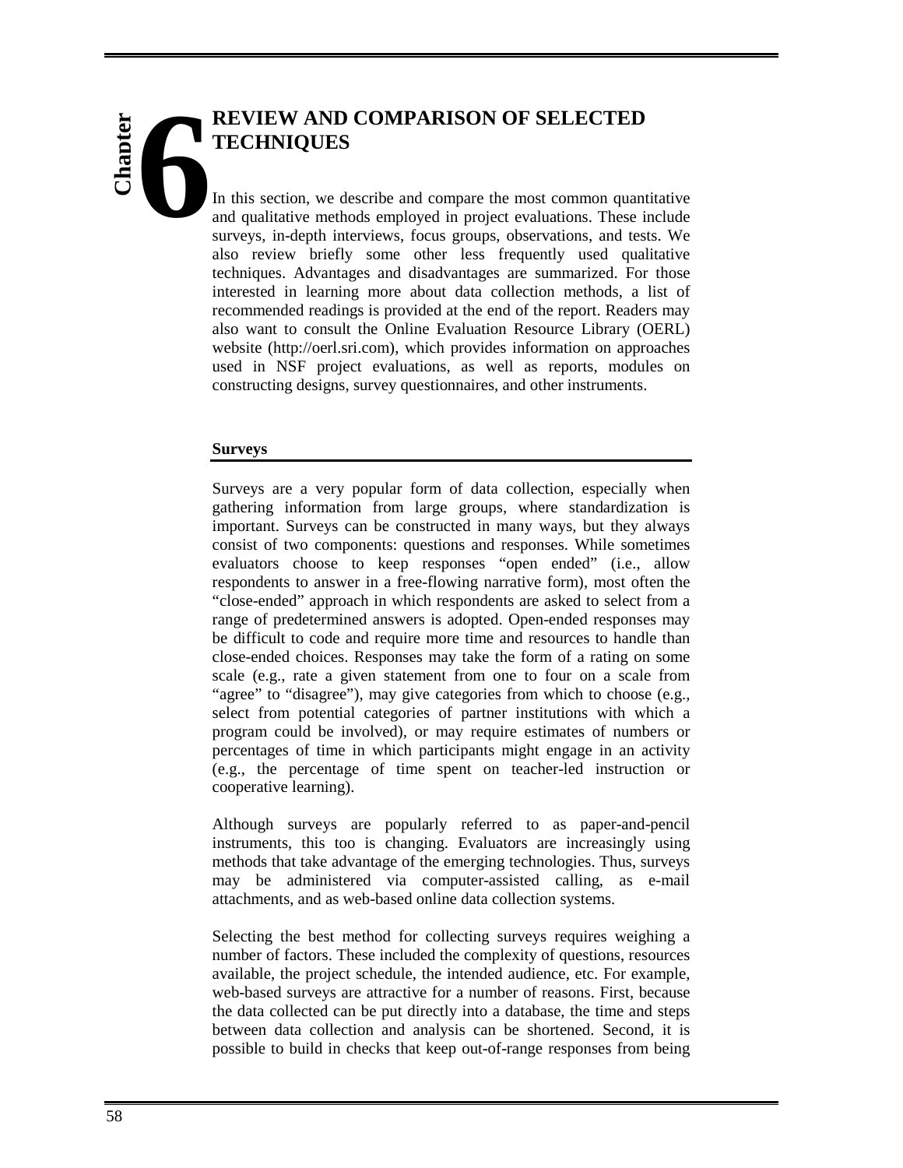# **REVIEW AND COMPARISON OF SELECTED TECHNIQUES Chapter 6**

In this section, we describe and compare the most common quantitative and qualitative methods employed in project evaluations. These include surveys, in-depth interviews, focus groups, observations, and tests. We also review briefly some other less frequently used qualitative techniques. Advantages and disadvantages are summarized. For those interested in learning more about data collection methods, a list of recommended readings is provided at the end of the report. Readers may also want to consult the Online Evaluation Resource Library (OERL) website (http://oerl.sri.com), which provides information on approaches used in NSF project evaluations, as well as reports, modules on constructing designs, survey questionnaires, and other instruments.

#### **Surveys**

Surveys are a very popular form of data collection, especially when gathering information from large groups, where standardization is important. Surveys can be constructed in many ways, but they always consist of two components: questions and responses. While sometimes evaluators choose to keep responses "open ended" (i.e., allow respondents to answer in a free-flowing narrative form), most often the "close-ended" approach in which respondents are asked to select from a range of predetermined answers is adopted. Open-ended responses may be difficult to code and require more time and resources to handle than close-ended choices. Responses may take the form of a rating on some scale (e.g., rate a given statement from one to four on a scale from "agree" to "disagree"), may give categories from which to choose (e.g., select from potential categories of partner institutions with which a program could be involved), or may require estimates of numbers or percentages of time in which participants might engage in an activity (e.g., the percentage of time spent on teacher-led instruction or cooperative learning).

Although surveys are popularly referred to as paper-and-pencil instruments, this too is changing. Evaluators are increasingly using methods that take advantage of the emerging technologies. Thus, surveys may be administered via computer-assisted calling, as e-mail attachments, and as web-based online data collection systems.

Selecting the best method for collecting surveys requires weighing a number of factors. These included the complexity of questions, resources available, the project schedule, the intended audience, etc. For example, web-based surveys are attractive for a number of reasons. First, because the data collected can be put directly into a database, the time and steps between data collection and analysis can be shortened. Second, it is possible to build in checks that keep out-of-range responses from being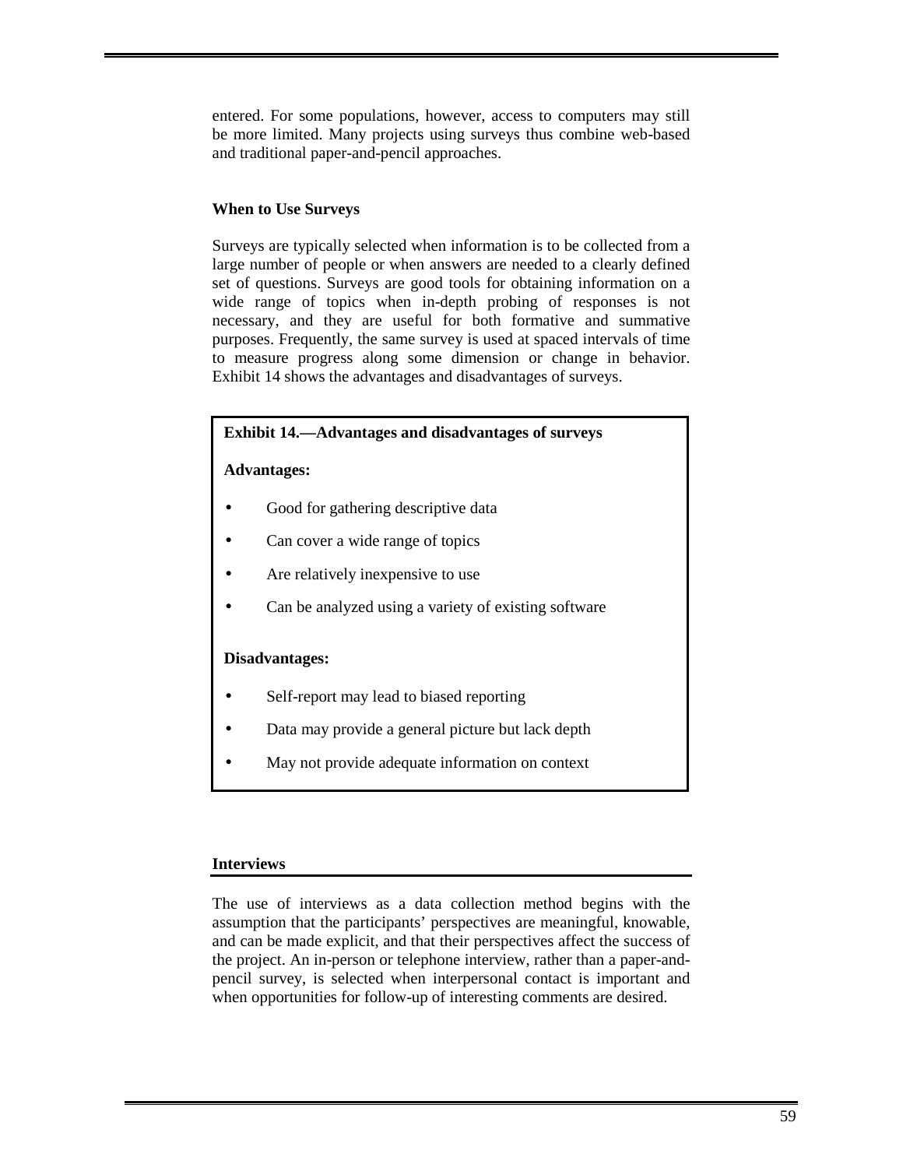entered. For some populations, however, access to computers may still be more limited. Many projects using surveys thus combine web-based and traditional paper-and-pencil approaches.

#### **When to Use Surveys**

Surveys are typically selected when information is to be collected from a large number of people or when answers are needed to a clearly defined set of questions. Surveys are good tools for obtaining information on a wide range of topics when in-depth probing of responses is not necessary, and they are useful for both formative and summative purposes. Frequently, the same survey is used at spaced intervals of time to measure progress along some dimension or change in behavior. Exhibit 14 shows the advantages and disadvantages of surveys.

#### **Exhibit 14.—Advantages and disadvantages of surveys**

#### **Advantages:**

- Good for gathering descriptive data
- Can cover a wide range of topics
- Are relatively inexpensive to use
- Can be analyzed using a variety of existing software

#### **Disadvantages:**

- Self-report may lead to biased reporting
- Data may provide a general picture but lack depth
- May not provide adequate information on context

#### **Interviews**

The use of interviews as a data collection method begins with the assumption that the participants' perspectives are meaningful, knowable, and can be made explicit, and that their perspectives affect the success of the project. An in-person or telephone interview, rather than a paper-andpencil survey, is selected when interpersonal contact is important and when opportunities for follow-up of interesting comments are desired.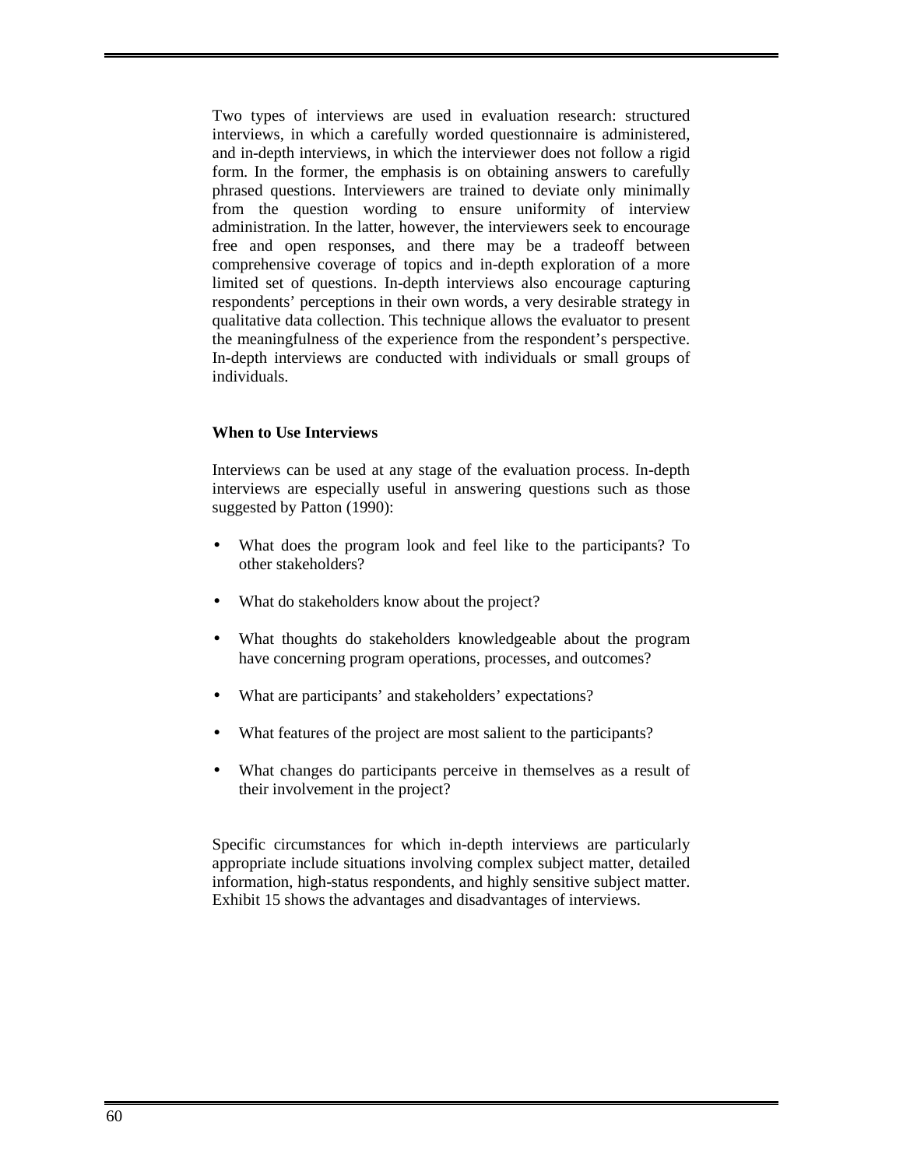Two types of interviews are used in evaluation research: structured interviews, in which a carefully worded questionnaire is administered, and in-depth interviews, in which the interviewer does not follow a rigid form. In the former, the emphasis is on obtaining answers to carefully phrased questions. Interviewers are trained to deviate only minimally from the question wording to ensure uniformity of interview administration. In the latter, however, the interviewers seek to encourage free and open responses, and there may be a tradeoff between comprehensive coverage of topics and in-depth exploration of a more limited set of questions. In-depth interviews also encourage capturing respondents' perceptions in their own words, a very desirable strategy in qualitative data collection. This technique allows the evaluator to present the meaningfulness of the experience from the respondent's perspective. In-depth interviews are conducted with individuals or small groups of individuals.

#### **When to Use Interviews**

Interviews can be used at any stage of the evaluation process. In-depth interviews are especially useful in answering questions such as those suggested by Patton (1990):

- What does the program look and feel like to the participants? To other stakeholders?
- What do stakeholders know about the project?
- What thoughts do stakeholders knowledgeable about the program have concerning program operations, processes, and outcomes?
- What are participants' and stakeholders' expectations?
- What features of the project are most salient to the participants?
- What changes do participants perceive in themselves as a result of their involvement in the project?

Specific circumstances for which in-depth interviews are particularly appropriate include situations involving complex subject matter, detailed information, high-status respondents, and highly sensitive subject matter. Exhibit 15 shows the advantages and disadvantages of interviews.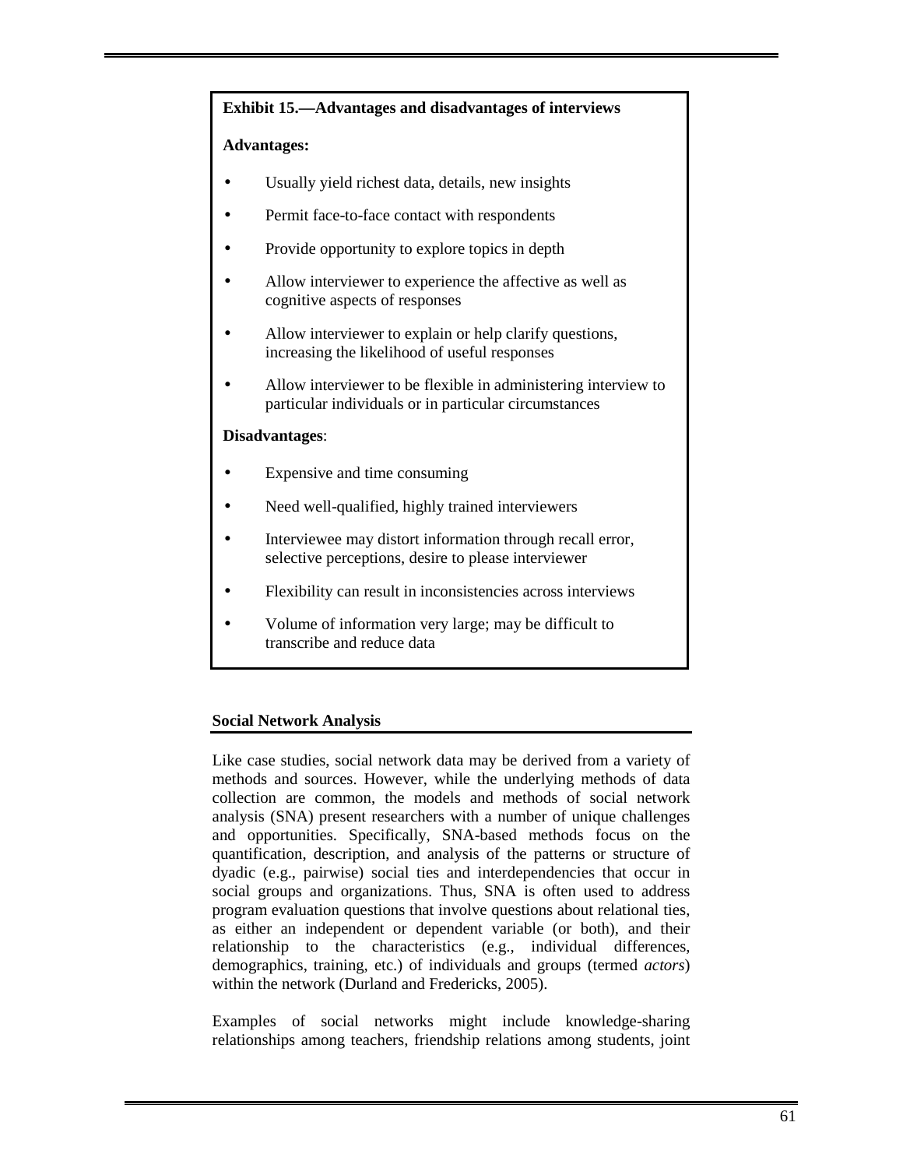#### **Exhibit 15.—Advantages and disadvantages of interviews**

#### **Advantages:**

- Usually yield richest data, details, new insights
- Permit face-to-face contact with respondents
- Provide opportunity to explore topics in depth
- Allow interviewer to experience the affective as well as cognitive aspects of responses
- Allow interviewer to explain or help clarify questions, increasing the likelihood of useful responses
- Allow interviewer to be flexible in administering interview to particular individuals or in particular circumstances

#### **Disadvantages**:

- Expensive and time consuming
- Need well-qualified, highly trained interviewers
- Interviewee may distort information through recall error, selective perceptions, desire to please interviewer
- Flexibility can result in inconsistencies across interviews
- Volume of information very large; may be difficult to transcribe and reduce data

#### **Social Network Analysis**

Like case studies, social network data may be derived from a variety of methods and sources. However, while the underlying methods of data collection are common, the models and methods of social network analysis (SNA) present researchers with a number of unique challenges and opportunities. Specifically, SNA-based methods focus on the quantification, description, and analysis of the patterns or structure of dyadic (e.g., pairwise) social ties and interdependencies that occur in social groups and organizations. Thus, SNA is often used to address program evaluation questions that involve questions about relational ties, as either an independent or dependent variable (or both), and their relationship to the characteristics (e.g., individual differences, demographics, training, etc.) of individuals and groups (termed *actors*) within the network (Durland and Fredericks, 2005).

Examples of social networks might include knowledge-sharing relationships among teachers, friendship relations among students, joint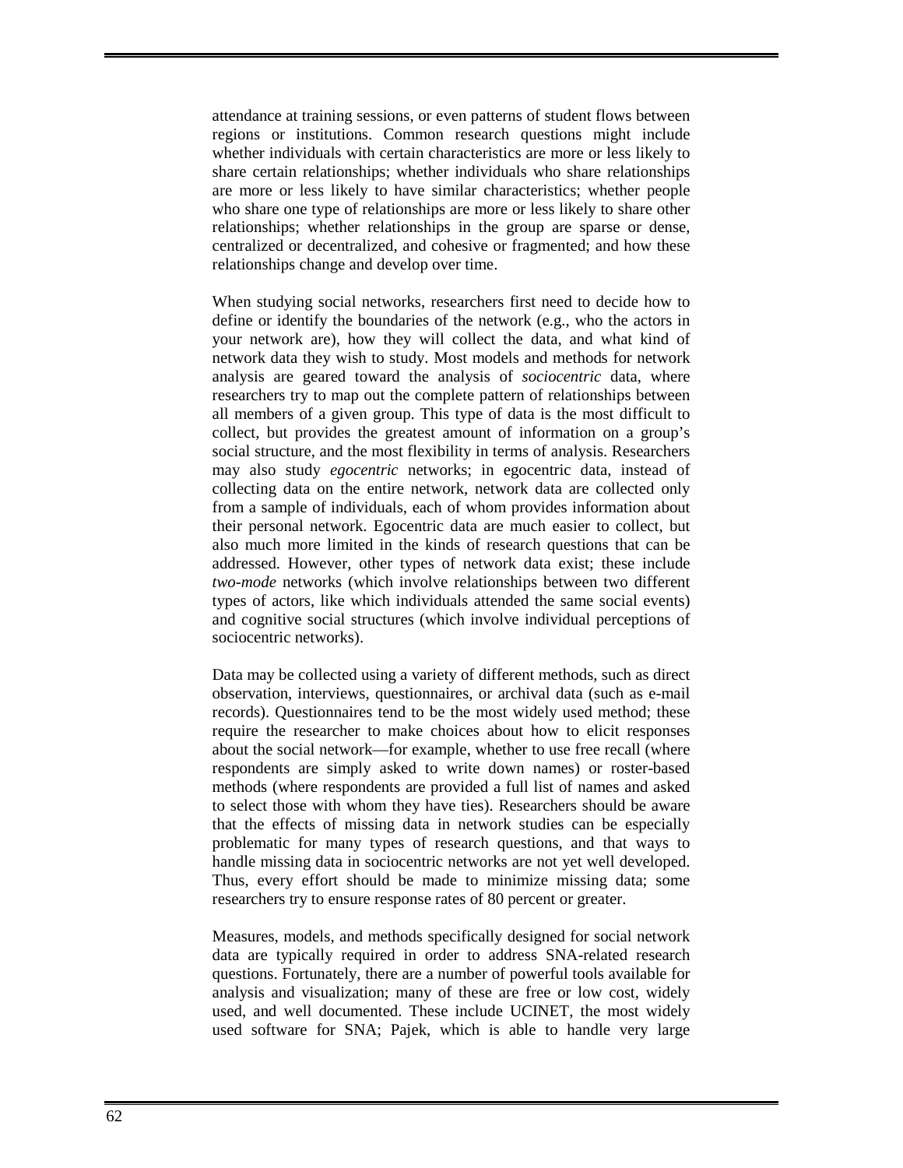attendance at training sessions, or even patterns of student flows between regions or institutions. Common research questions might include whether individuals with certain characteristics are more or less likely to share certain relationships; whether individuals who share relationships are more or less likely to have similar characteristics; whether people who share one type of relationships are more or less likely to share other relationships; whether relationships in the group are sparse or dense, centralized or decentralized, and cohesive or fragmented; and how these relationships change and develop over time.

When studying social networks, researchers first need to decide how to define or identify the boundaries of the network (e.g., who the actors in your network are), how they will collect the data, and what kind of network data they wish to study. Most models and methods for network analysis are geared toward the analysis of *sociocentric* data, where researchers try to map out the complete pattern of relationships between all members of a given group. This type of data is the most difficult to collect, but provides the greatest amount of information on a group's social structure, and the most flexibility in terms of analysis. Researchers may also study *egocentric* networks; in egocentric data, instead of collecting data on the entire network, network data are collected only from a sample of individuals, each of whom provides information about their personal network. Egocentric data are much easier to collect, but also much more limited in the kinds of research questions that can be addressed. However, other types of network data exist; these include *two-mode* networks (which involve relationships between two different types of actors, like which individuals attended the same social events) and cognitive social structures (which involve individual perceptions of sociocentric networks).

Data may be collected using a variety of different methods, such as direct observation, interviews, questionnaires, or archival data (such as e-mail records). Questionnaires tend to be the most widely used method; these require the researcher to make choices about how to elicit responses about the social network—for example, whether to use free recall (where respondents are simply asked to write down names) or roster-based methods (where respondents are provided a full list of names and asked to select those with whom they have ties). Researchers should be aware that the effects of missing data in network studies can be especially problematic for many types of research questions, and that ways to handle missing data in sociocentric networks are not yet well developed. Thus, every effort should be made to minimize missing data; some researchers try to ensure response rates of 80 percent or greater.

Measures, models, and methods specifically designed for social network data are typically required in order to address SNA-related research questions. Fortunately, there are a number of powerful tools available for analysis and visualization; many of these are free or low cost, widely used, and well documented. These include UCINET, the most widely used software for SNA; Pajek, which is able to handle very large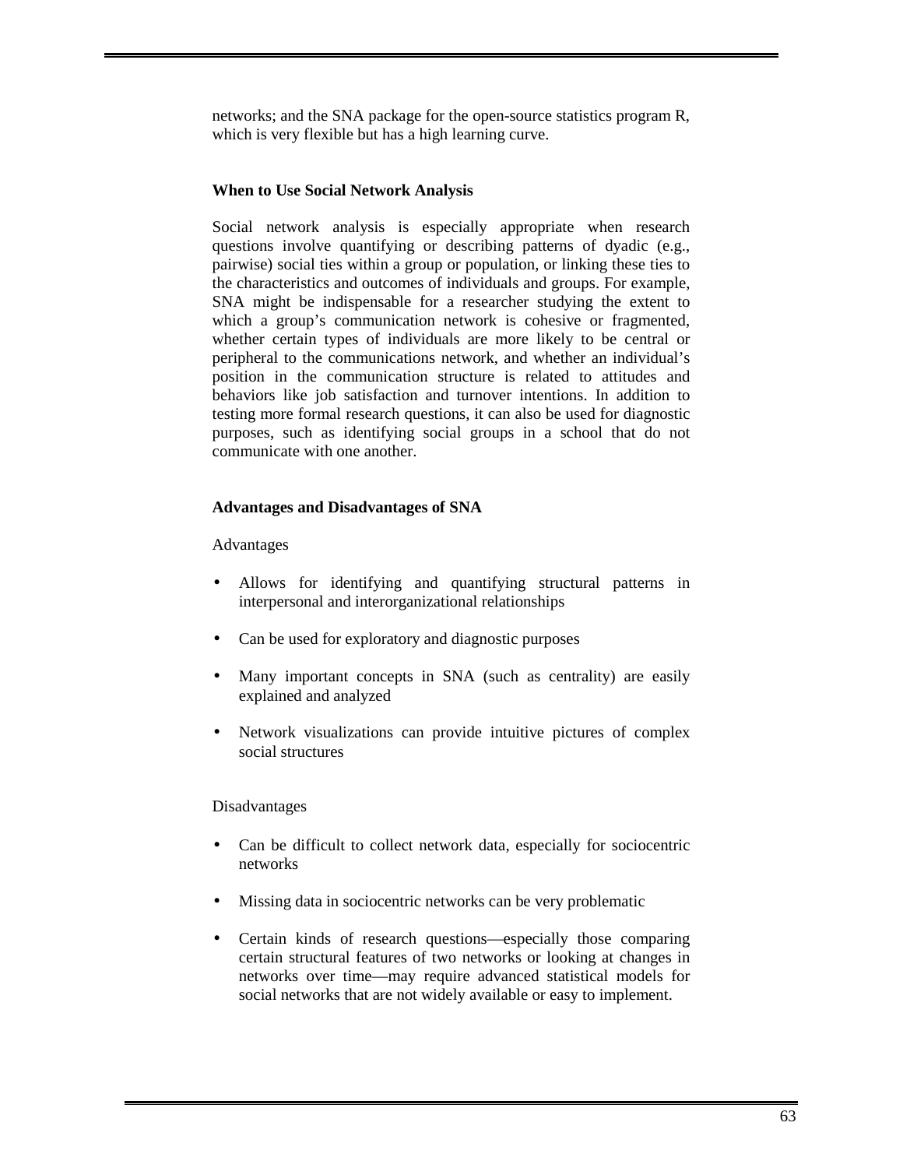networks; and the SNA package for the open-source statistics program R, which is very flexible but has a high learning curve.

## **When to Use Social Network Analysis**

Social network analysis is especially appropriate when research questions involve quantifying or describing patterns of dyadic (e.g., pairwise) social ties within a group or population, or linking these ties to the characteristics and outcomes of individuals and groups. For example, SNA might be indispensable for a researcher studying the extent to which a group's communication network is cohesive or fragmented, whether certain types of individuals are more likely to be central or peripheral to the communications network, and whether an individual's position in the communication structure is related to attitudes and behaviors like job satisfaction and turnover intentions. In addition to testing more formal research questions, it can also be used for diagnostic purposes, such as identifying social groups in a school that do not communicate with one another.

## **Advantages and Disadvantages of SNA**

Advantages

- Allows for identifying and quantifying structural patterns in interpersonal and interorganizational relationships
- Can be used for exploratory and diagnostic purposes
- Many important concepts in SNA (such as centrality) are easily explained and analyzed
- Network visualizations can provide intuitive pictures of complex social structures

#### Disadvantages

- Can be difficult to collect network data, especially for sociocentric networks
- Missing data in sociocentric networks can be very problematic
- Certain kinds of research questions—especially those comparing certain structural features of two networks or looking at changes in networks over time—may require advanced statistical models for social networks that are not widely available or easy to implement.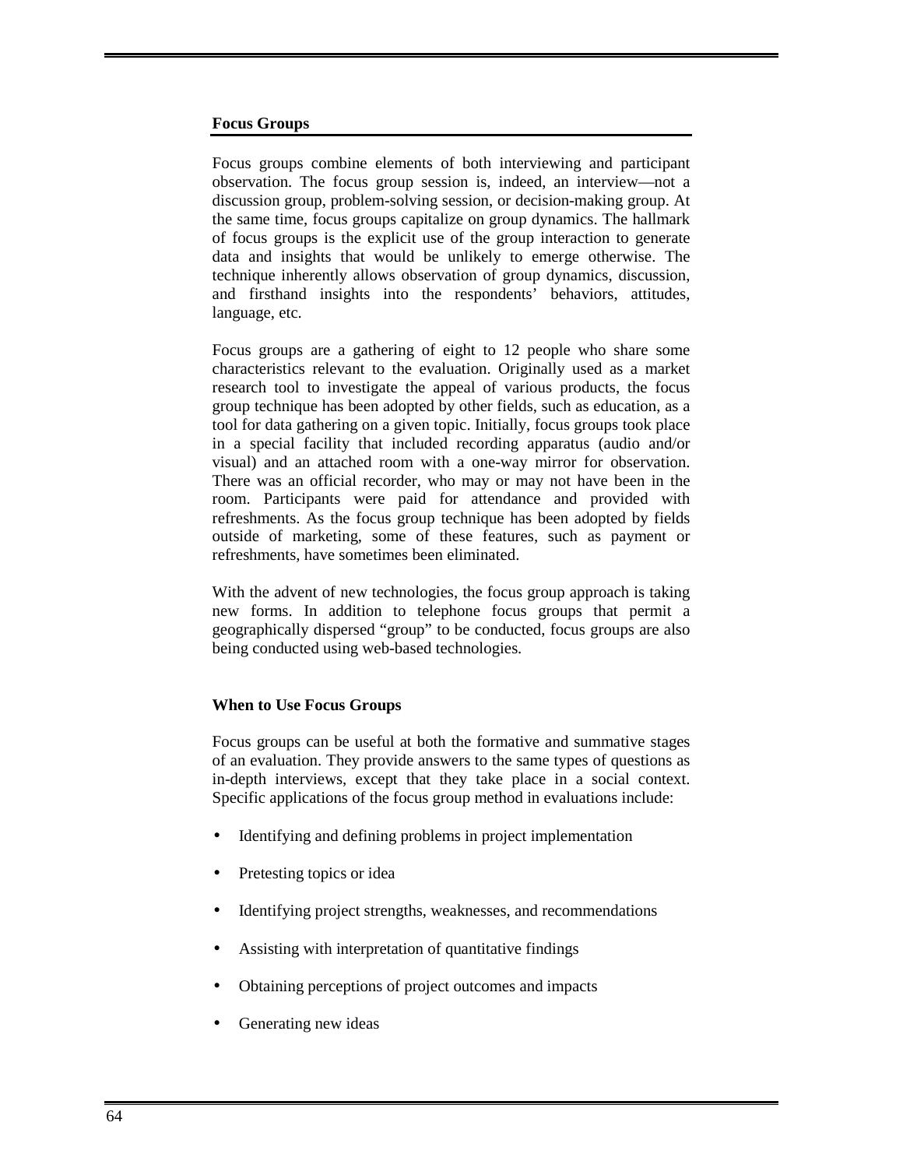#### **Focus Groups**

Focus groups combine elements of both interviewing and participant observation. The focus group session is, indeed, an interview—not a discussion group, problem-solving session, or decision-making group. At the same time, focus groups capitalize on group dynamics. The hallmark of focus groups is the explicit use of the group interaction to generate data and insights that would be unlikely to emerge otherwise. The technique inherently allows observation of group dynamics, discussion, and firsthand insights into the respondents' behaviors, attitudes, language, etc.

Focus groups are a gathering of eight to 12 people who share some characteristics relevant to the evaluation. Originally used as a market research tool to investigate the appeal of various products, the focus group technique has been adopted by other fields, such as education, as a tool for data gathering on a given topic. Initially, focus groups took place in a special facility that included recording apparatus (audio and/or visual) and an attached room with a one-way mirror for observation. There was an official recorder, who may or may not have been in the room. Participants were paid for attendance and provided with refreshments. As the focus group technique has been adopted by fields outside of marketing, some of these features, such as payment or refreshments, have sometimes been eliminated.

With the advent of new technologies, the focus group approach is taking new forms. In addition to telephone focus groups that permit a geographically dispersed "group" to be conducted, focus groups are also being conducted using web-based technologies.

#### **When to Use Focus Groups**

Focus groups can be useful at both the formative and summative stages of an evaluation. They provide answers to the same types of questions as in-depth interviews, except that they take place in a social context. Specific applications of the focus group method in evaluations include:

- Identifying and defining problems in project implementation
- Pretesting topics or idea
- Identifying project strengths, weaknesses, and recommendations
- Assisting with interpretation of quantitative findings
- Obtaining perceptions of project outcomes and impacts
- Generating new ideas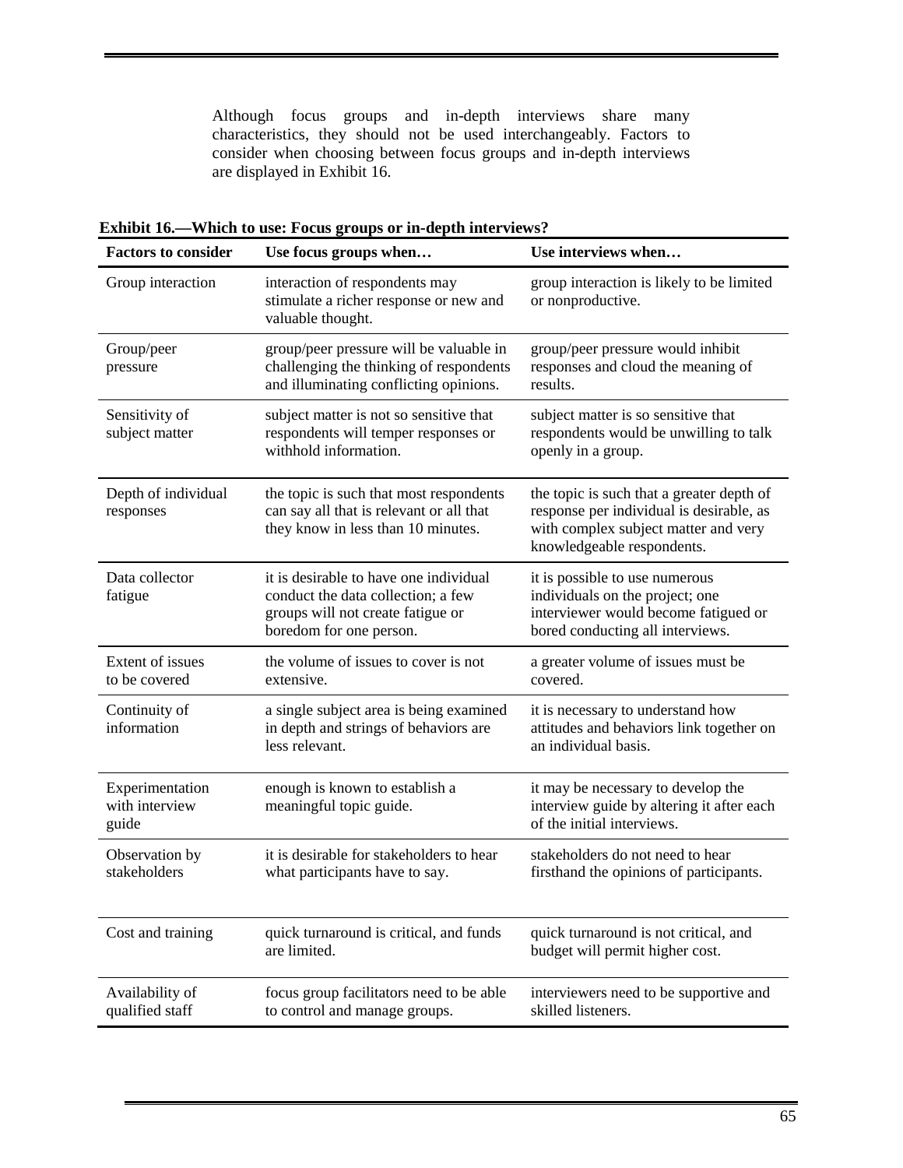Although focus groups and in-depth interviews share many characteristics, they should not be used interchangeably. Factors to consider when choosing between focus groups and in-depth interviews are displayed in Exhibit 16.

| <b>Factors to consider</b>                 | Use focus groups when                                                                                                                        | Use interviews when                                                                                                                                         |
|--------------------------------------------|----------------------------------------------------------------------------------------------------------------------------------------------|-------------------------------------------------------------------------------------------------------------------------------------------------------------|
| Group interaction                          | interaction of respondents may<br>stimulate a richer response or new and<br>valuable thought.                                                | group interaction is likely to be limited<br>or nonproductive.                                                                                              |
| Group/peer<br>pressure                     | group/peer pressure will be valuable in<br>challenging the thinking of respondents<br>and illuminating conflicting opinions.                 | group/peer pressure would inhibit<br>responses and cloud the meaning of<br>results.                                                                         |
| Sensitivity of<br>subject matter           | subject matter is not so sensitive that<br>respondents will temper responses or<br>withhold information.                                     | subject matter is so sensitive that<br>respondents would be unwilling to talk<br>openly in a group.                                                         |
| Depth of individual<br>responses           | the topic is such that most respondents<br>can say all that is relevant or all that<br>they know in less than 10 minutes.                    | the topic is such that a greater depth of<br>response per individual is desirable, as<br>with complex subject matter and very<br>knowledgeable respondents. |
| Data collector<br>fatigue                  | it is desirable to have one individual<br>conduct the data collection; a few<br>groups will not create fatigue or<br>boredom for one person. | it is possible to use numerous<br>individuals on the project; one<br>interviewer would become fatigued or<br>bored conducting all interviews.               |
| Extent of issues<br>to be covered          | the volume of issues to cover is not<br>extensive.                                                                                           | a greater volume of issues must be<br>covered.                                                                                                              |
| Continuity of<br>information               | a single subject area is being examined<br>in depth and strings of behaviors are<br>less relevant.                                           | it is necessary to understand how<br>attitudes and behaviors link together on<br>an individual basis.                                                       |
| Experimentation<br>with interview<br>guide | enough is known to establish a<br>meaningful topic guide.                                                                                    | it may be necessary to develop the<br>interview guide by altering it after each<br>of the initial interviews.                                               |
| Observation by<br>stakeholders             | it is desirable for stakeholders to hear<br>what participants have to say.                                                                   | stakeholders do not need to hear<br>firsthand the opinions of participants.                                                                                 |
| Cost and training                          | quick turnaround is critical, and funds<br>are limited.                                                                                      | quick turnaround is not critical, and<br>budget will permit higher cost.                                                                                    |
| Availability of<br>qualified staff         | focus group facilitators need to be able<br>to control and manage groups.                                                                    | interviewers need to be supportive and<br>skilled listeners.                                                                                                |

**Exhibit 16.—Which to use: Focus groups or in-depth interviews?**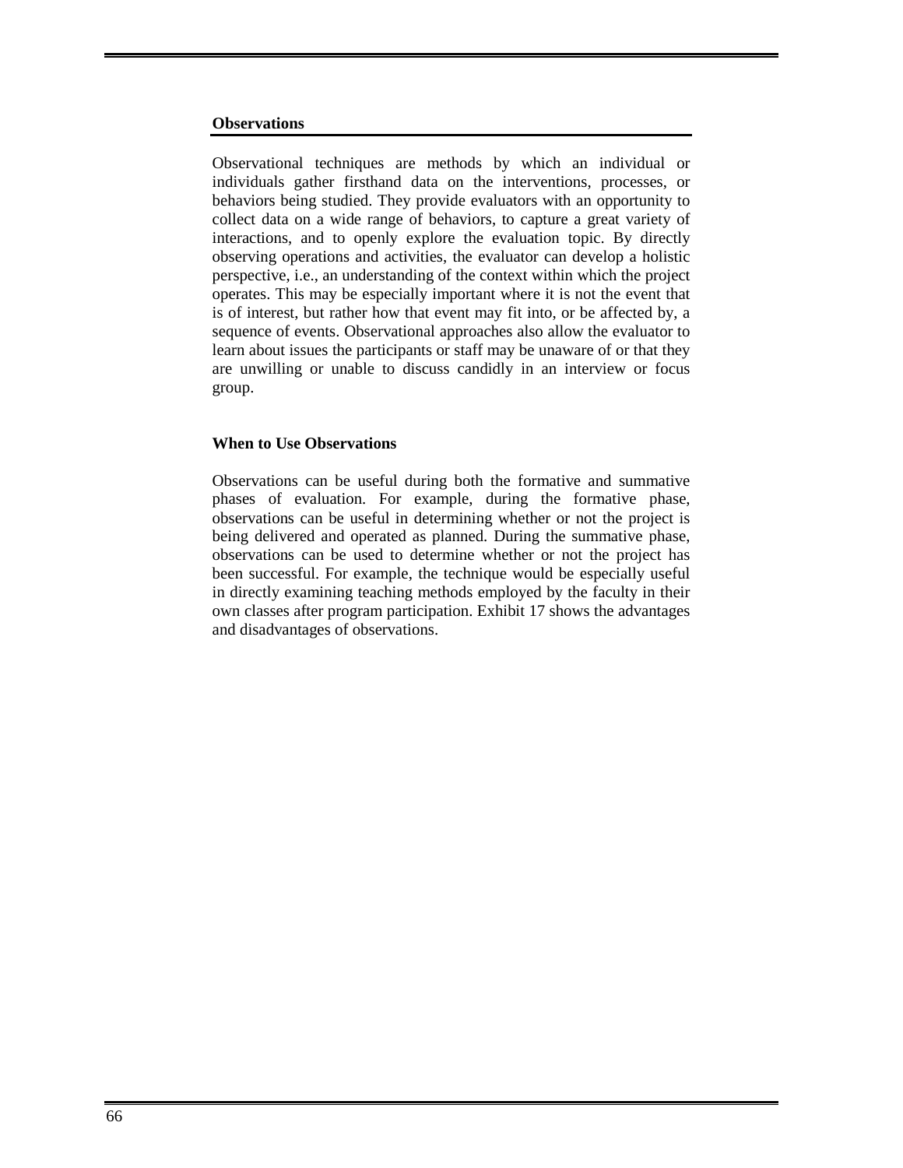#### **Observations**

Observational techniques are methods by which an individual or individuals gather firsthand data on the interventions, processes, or behaviors being studied. They provide evaluators with an opportunity to collect data on a wide range of behaviors, to capture a great variety of interactions, and to openly explore the evaluation topic. By directly observing operations and activities, the evaluator can develop a holistic perspective, i.e., an understanding of the context within which the project operates. This may be especially important where it is not the event that is of interest, but rather how that event may fit into, or be affected by, a sequence of events. Observational approaches also allow the evaluator to learn about issues the participants or staff may be unaware of or that they are unwilling or unable to discuss candidly in an interview or focus group.

#### **When to Use Observations**

Observations can be useful during both the formative and summative phases of evaluation. For example, during the formative phase, observations can be useful in determining whether or not the project is being delivered and operated as planned. During the summative phase, observations can be used to determine whether or not the project has been successful. For example, the technique would be especially useful in directly examining teaching methods employed by the faculty in their own classes after program participation. Exhibit 17 shows the advantages and disadvantages of observations.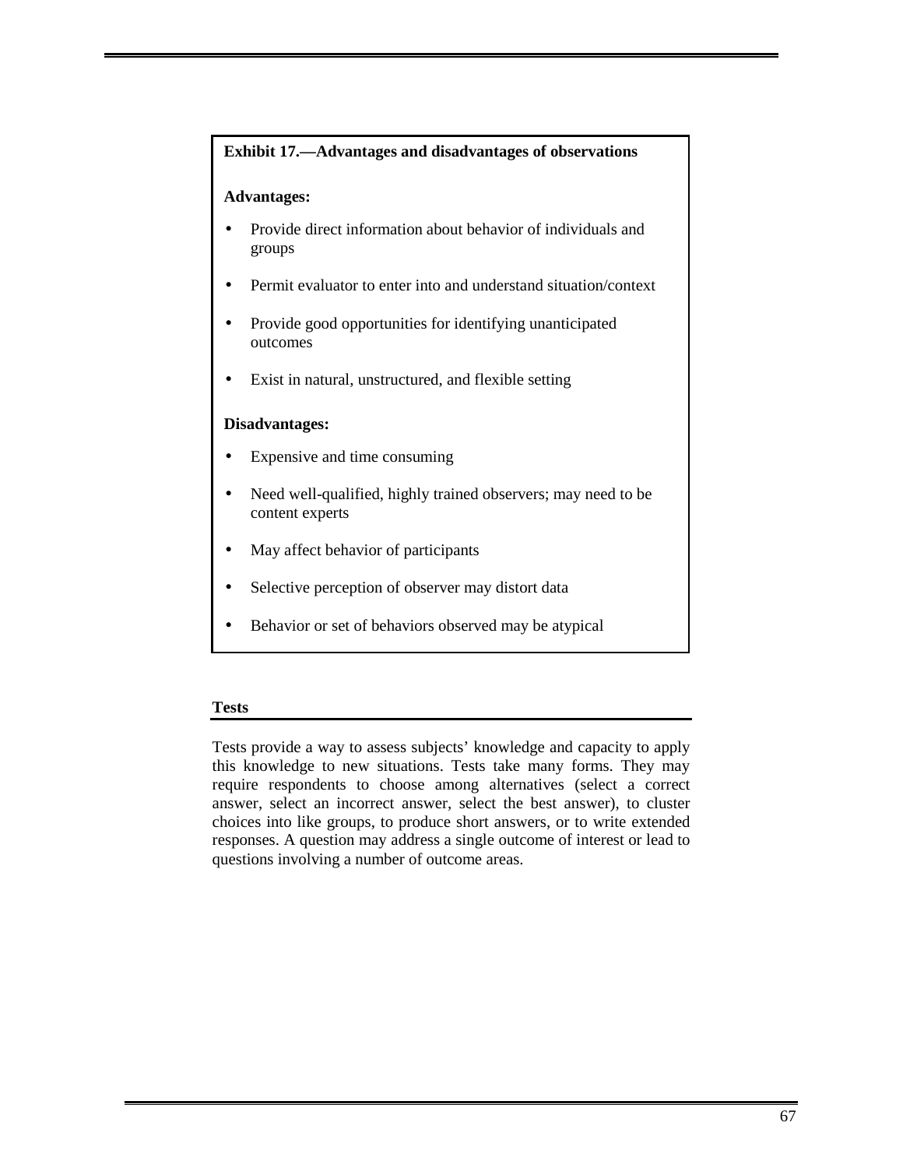# **Exhibit 17.—Advantages and disadvantages of observations**

#### **Advantages:**

- Provide direct information about behavior of individuals and groups
- Permit evaluator to enter into and understand situation/context
- Provide good opportunities for identifying unanticipated outcomes
- Exist in natural, unstructured, and flexible setting

## **Disadvantages:**

- Expensive and time consuming
- Need well-qualified, highly trained observers; may need to be content experts
- May affect behavior of participants
- Selective perception of observer may distort data
- Behavior or set of behaviors observed may be atypical

#### **Tests**

Tests provide a way to assess subjects' knowledge and capacity to apply this knowledge to new situations. Tests take many forms. They may require respondents to choose among alternatives (select a correct answer, select an incorrect answer, select the best answer), to cluster choices into like groups, to produce short answers, or to write extended responses. A question may address a single outcome of interest or lead to questions involving a number of outcome areas.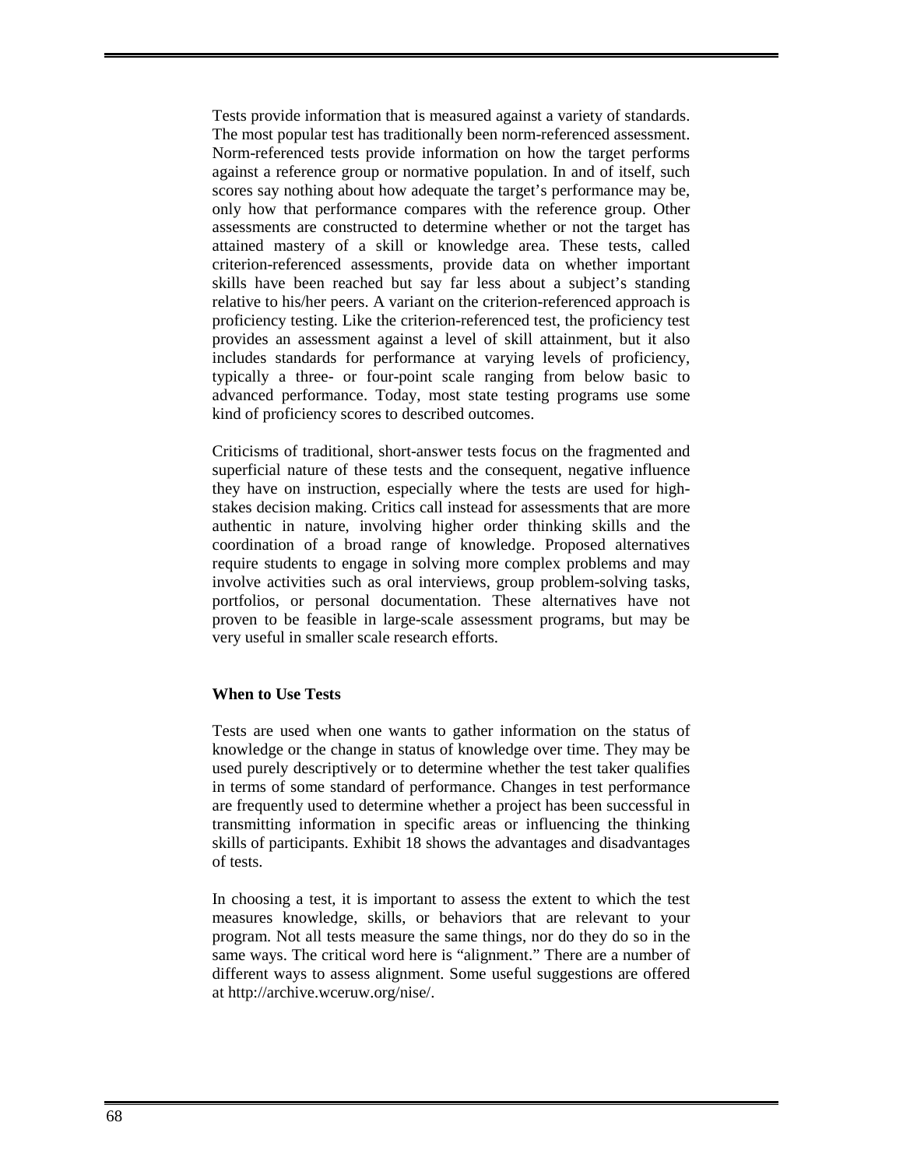Tests provide information that is measured against a variety of standards. The most popular test has traditionally been norm-referenced assessment. Norm-referenced tests provide information on how the target performs against a reference group or normative population. In and of itself, such scores say nothing about how adequate the target's performance may be, only how that performance compares with the reference group. Other assessments are constructed to determine whether or not the target has attained mastery of a skill or knowledge area. These tests, called criterion-referenced assessments, provide data on whether important skills have been reached but say far less about a subject's standing relative to his/her peers. A variant on the criterion-referenced approach is proficiency testing. Like the criterion-referenced test, the proficiency test provides an assessment against a level of skill attainment, but it also includes standards for performance at varying levels of proficiency, typically a three- or four-point scale ranging from below basic to advanced performance. Today, most state testing programs use some kind of proficiency scores to described outcomes.

Criticisms of traditional, short-answer tests focus on the fragmented and superficial nature of these tests and the consequent, negative influence they have on instruction, especially where the tests are used for highstakes decision making. Critics call instead for assessments that are more authentic in nature, involving higher order thinking skills and the coordination of a broad range of knowledge. Proposed alternatives require students to engage in solving more complex problems and may involve activities such as oral interviews, group problem-solving tasks, portfolios, or personal documentation. These alternatives have not proven to be feasible in large-scale assessment programs, but may be very useful in smaller scale research efforts.

#### **When to Use Tests**

Tests are used when one wants to gather information on the status of knowledge or the change in status of knowledge over time. They may be used purely descriptively or to determine whether the test taker qualifies in terms of some standard of performance. Changes in test performance are frequently used to determine whether a project has been successful in transmitting information in specific areas or influencing the thinking skills of participants. Exhibit 18 shows the advantages and disadvantages of tests.

In choosing a test, it is important to assess the extent to which the test measures knowledge, skills, or behaviors that are relevant to your program. Not all tests measure the same things, nor do they do so in the same ways. The critical word here is "alignment." There are a number of different ways to assess alignment. Some useful suggestions are offered at http://archive.wceruw.org/nise/.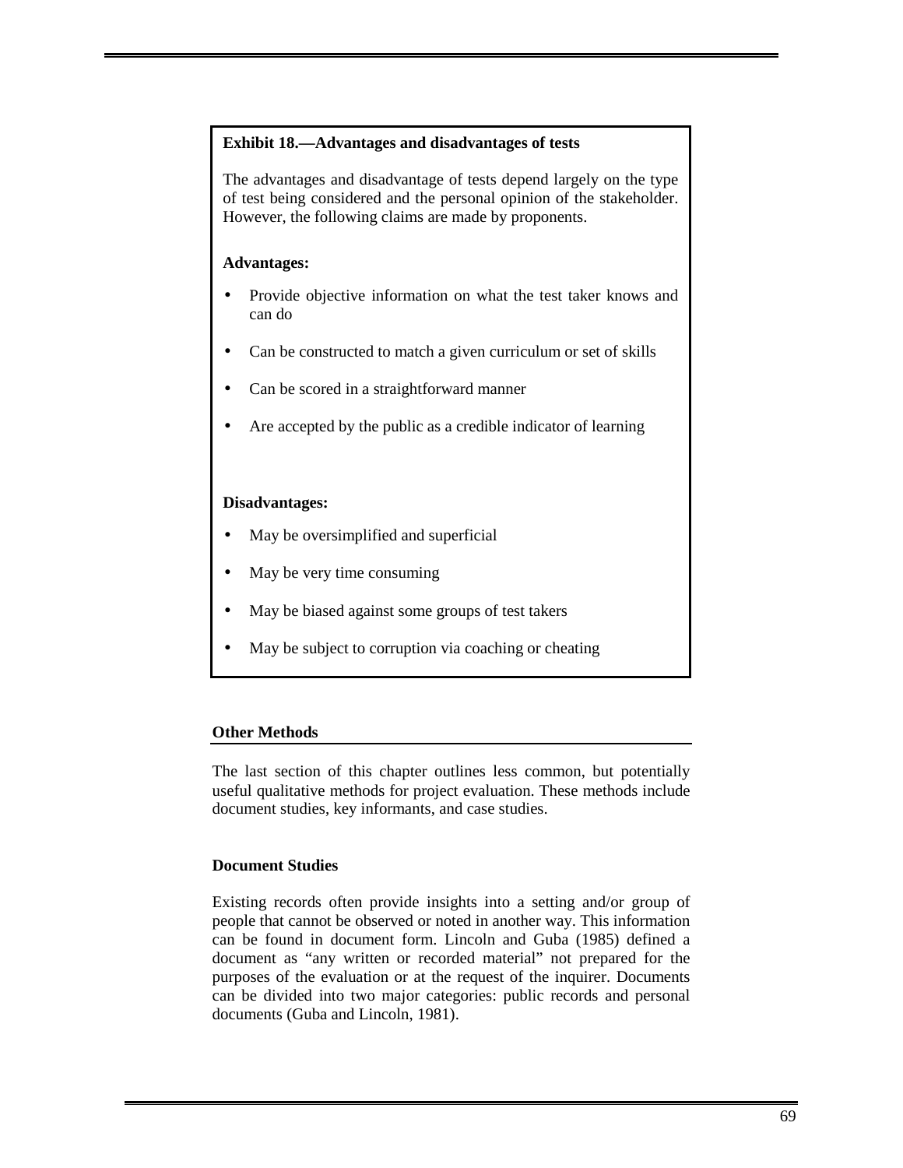#### **Exhibit 18.—Advantages and disadvantages of tests**

The advantages and disadvantage of tests depend largely on the type of test being considered and the personal opinion of the stakeholder. However, the following claims are made by proponents.

# **Advantages:**

- Provide objective information on what the test taker knows and can do
- Can be constructed to match a given curriculum or set of skills
- Can be scored in a straightforward manner
- Are accepted by the public as a credible indicator of learning

# **Disadvantages:**

- May be oversimplified and superficial
- May be very time consuming
- May be biased against some groups of test takers
- May be subject to corruption via coaching or cheating

#### **Other Methods**

The last section of this chapter outlines less common, but potentially useful qualitative methods for project evaluation. These methods include document studies, key informants, and case studies.

# **Document Studies**

Existing records often provide insights into a setting and/or group of people that cannot be observed or noted in another way. This information can be found in document form. Lincoln and Guba (1985) defined a document as "any written or recorded material" not prepared for the purposes of the evaluation or at the request of the inquirer. Documents can be divided into two major categories: public records and personal documents (Guba and Lincoln, 1981).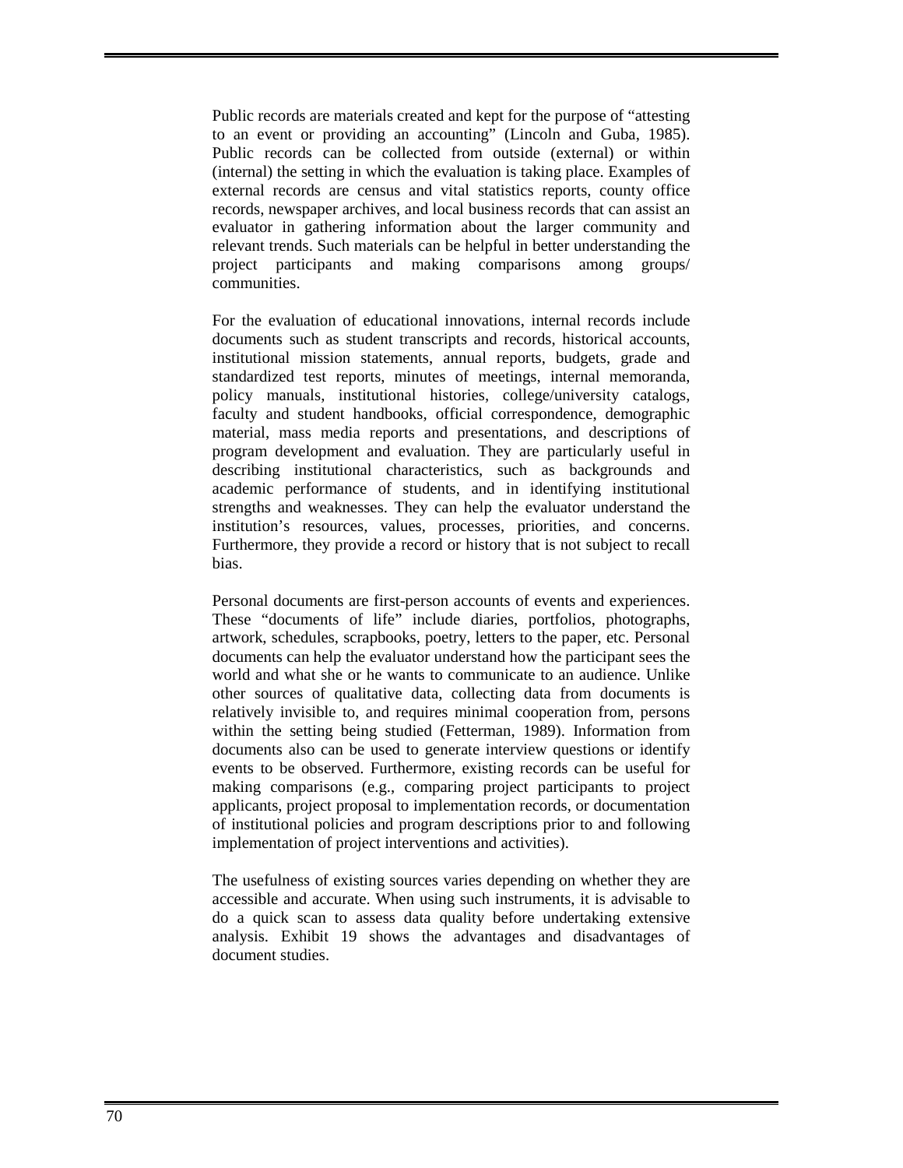Public records are materials created and kept for the purpose of "attesting to an event or providing an accounting" (Lincoln and Guba, 1985). Public records can be collected from outside (external) or within (internal) the setting in which the evaluation is taking place. Examples of external records are census and vital statistics reports, county office records, newspaper archives, and local business records that can assist an evaluator in gathering information about the larger community and relevant trends. Such materials can be helpful in better understanding the project participants and making comparisons among groups/ communities.

For the evaluation of educational innovations, internal records include documents such as student transcripts and records, historical accounts, institutional mission statements, annual reports, budgets, grade and standardized test reports, minutes of meetings, internal memoranda, policy manuals, institutional histories, college/university catalogs, faculty and student handbooks, official correspondence, demographic material, mass media reports and presentations, and descriptions of program development and evaluation. They are particularly useful in describing institutional characteristics, such as backgrounds and academic performance of students, and in identifying institutional strengths and weaknesses. They can help the evaluator understand the institution's resources, values, processes, priorities, and concerns. Furthermore, they provide a record or history that is not subject to recall bias.

Personal documents are first-person accounts of events and experiences. These "documents of life" include diaries, portfolios, photographs, artwork, schedules, scrapbooks, poetry, letters to the paper, etc. Personal documents can help the evaluator understand how the participant sees the world and what she or he wants to communicate to an audience. Unlike other sources of qualitative data, collecting data from documents is relatively invisible to, and requires minimal cooperation from, persons within the setting being studied (Fetterman, 1989). Information from documents also can be used to generate interview questions or identify events to be observed. Furthermore, existing records can be useful for making comparisons (e.g., comparing project participants to project applicants, project proposal to implementation records, or documentation of institutional policies and program descriptions prior to and following implementation of project interventions and activities).

The usefulness of existing sources varies depending on whether they are accessible and accurate. When using such instruments, it is advisable to do a quick scan to assess data quality before undertaking extensive analysis. Exhibit 19 shows the advantages and disadvantages of document studies.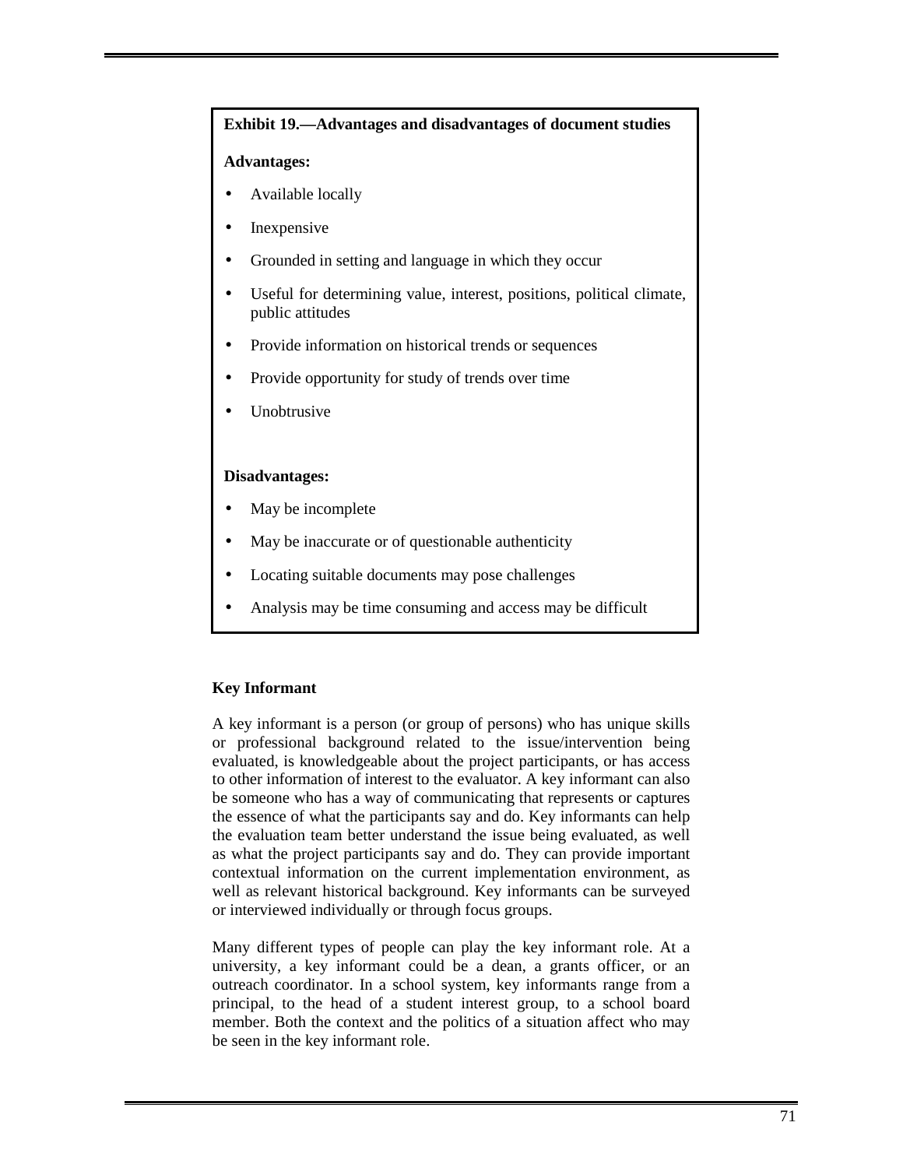# **Exhibit 19.—Advantages and disadvantages of document studies Advantages:**  • Available locally **Inexpensive** • Grounded in setting and language in which they occur Useful for determining value, interest, positions, political climate, public attitudes • Provide information on historical trends or sequences • Provide opportunity for study of trends over time **Unobtrusive Disadvantages:**  May be incomplete

- May be inaccurate or of questionable authenticity
- Locating suitable documents may pose challenges
- Analysis may be time consuming and access may be difficult

# **Key Informant**

A key informant is a person (or group of persons) who has unique skills or professional background related to the issue/intervention being evaluated, is knowledgeable about the project participants, or has access to other information of interest to the evaluator. A key informant can also be someone who has a way of communicating that represents or captures the essence of what the participants say and do. Key informants can help the evaluation team better understand the issue being evaluated, as well as what the project participants say and do. They can provide important contextual information on the current implementation environment, as well as relevant historical background. Key informants can be surveyed or interviewed individually or through focus groups.

Many different types of people can play the key informant role. At a university, a key informant could be a dean, a grants officer, or an outreach coordinator. In a school system, key informants range from a principal, to the head of a student interest group, to a school board member. Both the context and the politics of a situation affect who may be seen in the key informant role.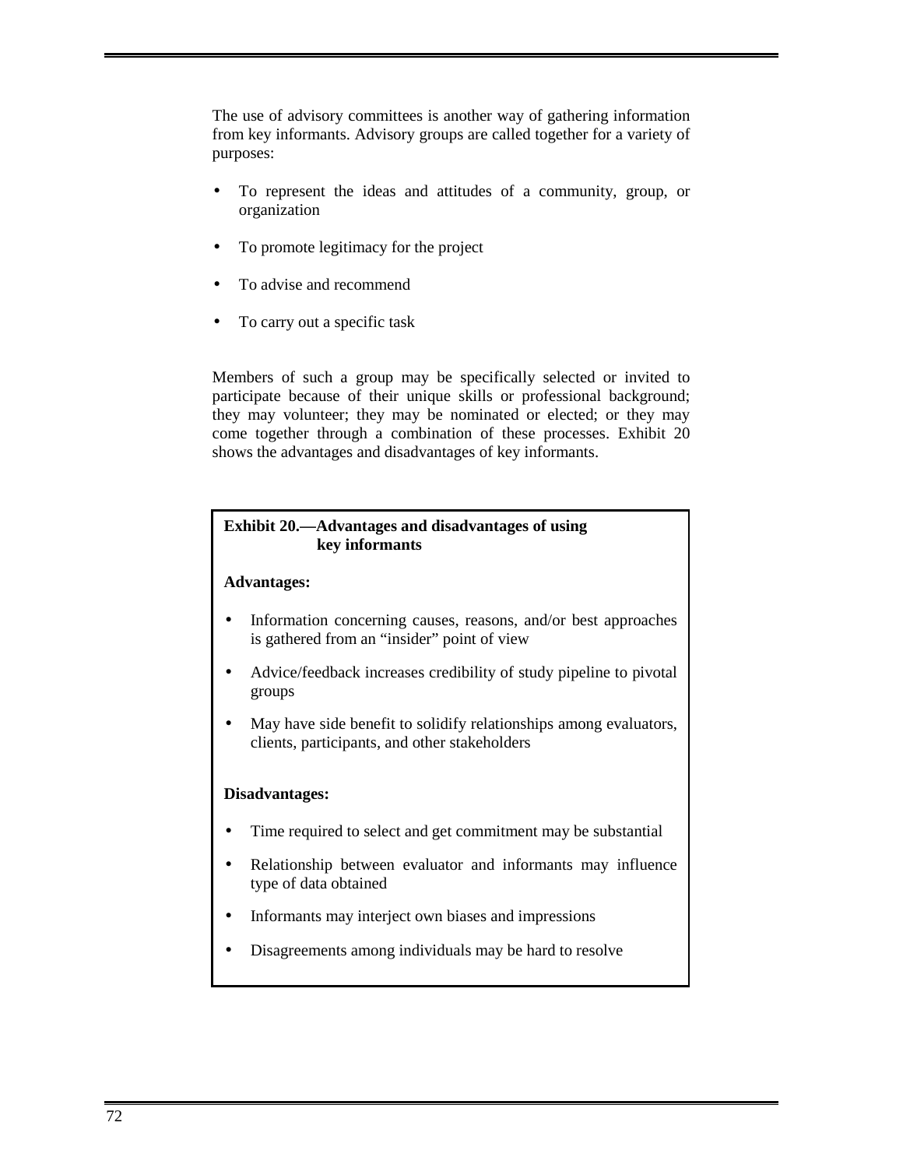The use of advisory committees is another way of gathering information from key informants. Advisory groups are called together for a variety of purposes:

- To represent the ideas and attitudes of a community, group, or organization
- To promote legitimacy for the project
- To advise and recommend
- To carry out a specific task

Members of such a group may be specifically selected or invited to participate because of their unique skills or professional background; they may volunteer; they may be nominated or elected; or they may come together through a combination of these processes. Exhibit 20 shows the advantages and disadvantages of key informants.

# **Exhibit 20.—Advantages and disadvantages of using key informants**

# **Advantages:**

- Information concerning causes, reasons, and/or best approaches is gathered from an "insider" point of view
- Advice/feedback increases credibility of study pipeline to pivotal groups
- May have side benefit to solidify relationships among evaluators, clients, participants, and other stakeholders

# **Disadvantages:**

- Time required to select and get commitment may be substantial
- Relationship between evaluator and informants may influence type of data obtained
- Informants may interject own biases and impressions
- Disagreements among individuals may be hard to resolve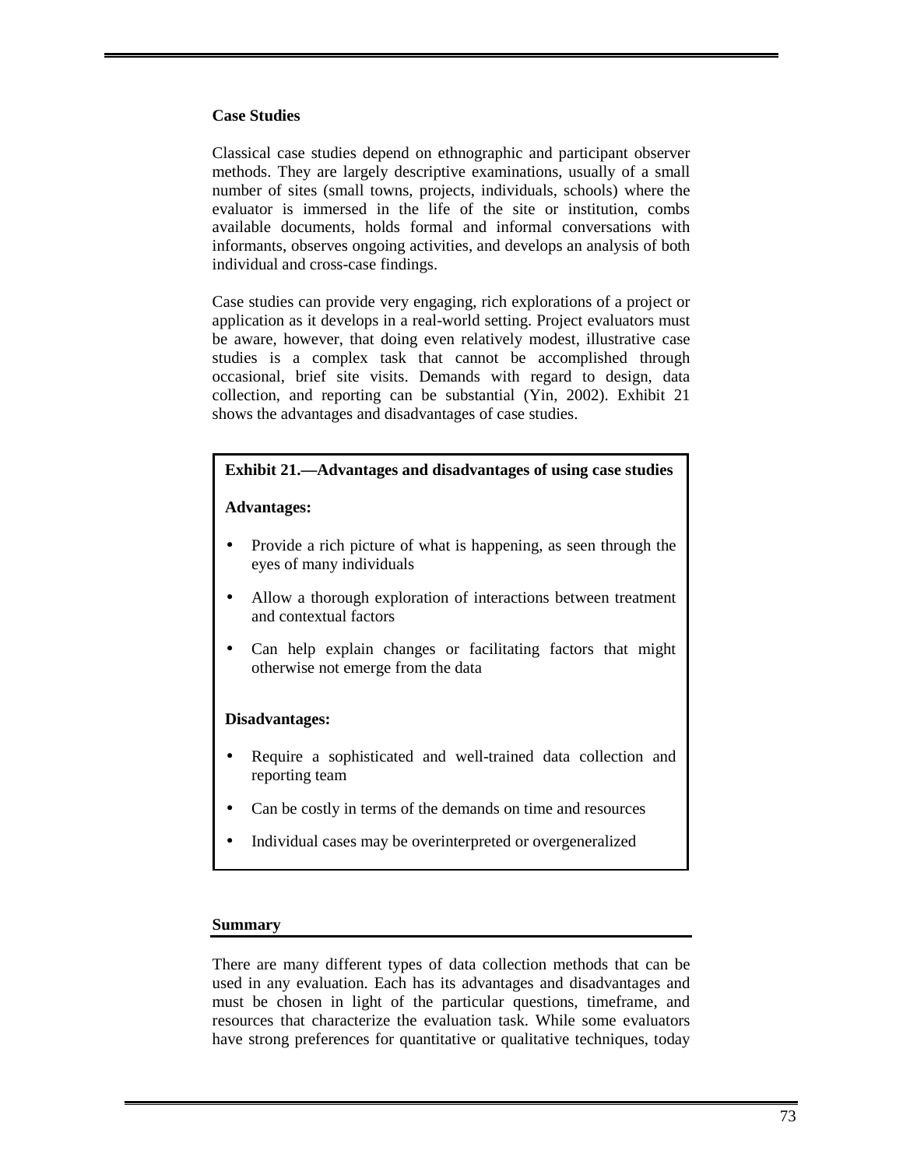#### **Case Studies**

Classical case studies depend on ethnographic and participant observer methods. They are largely descriptive examinations, usually of a small number of sites (small towns, projects, individuals, schools) where the evaluator is immersed in the life of the site or institution, combs available documents, holds formal and informal conversations with informants, observes ongoing activities, and develops an analysis of both individual and cross-case findings.

Case studies can provide very engaging, rich explorations of a project or application as it develops in a real-world setting. Project evaluators must be aware, however, that doing even relatively modest, illustrative case studies is a complex task that cannot be accomplished through occasional, brief site visits. Demands with regard to design, data collection, and reporting can be substantial (Yin, 2002). Exhibit 21 shows the advantages and disadvantages of case studies.

# **Exhibit 21.—Advantages and disadvantages of using case studies**

#### **Advantages:**

- Provide a rich picture of what is happening, as seen through the eyes of many individuals
- Allow a thorough exploration of interactions between treatment and contextual factors
- Can help explain changes or facilitating factors that might otherwise not emerge from the data

#### **Disadvantages:**

- Require a sophisticated and well-trained data collection and reporting team
- Can be costly in terms of the demands on time and resources
- Individual cases may be overinterpreted or overgeneralized

#### **Summary**

There are many different types of data collection methods that can be used in any evaluation. Each has its advantages and disadvantages and must be chosen in light of the particular questions, timeframe, and resources that characterize the evaluation task. While some evaluators have strong preferences for quantitative or qualitative techniques, today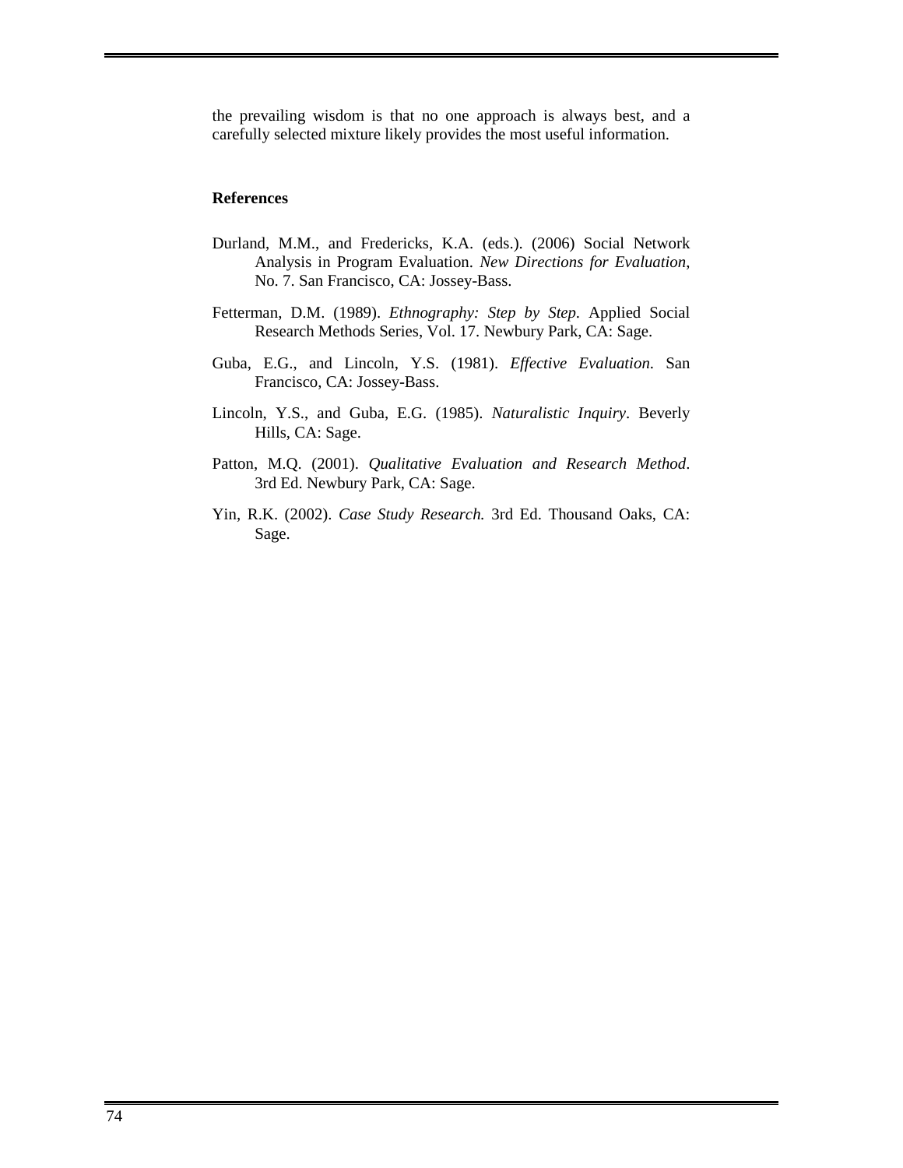the prevailing wisdom is that no one approach is always best, and a carefully selected mixture likely provides the most useful information.

#### **References**

- Durland, M.M., and Fredericks, K.A. (eds.). (2006) Social Network Analysis in Program Evaluation. *New Directions for Evaluation*, No. 7. San Francisco, CA: Jossey-Bass.
- Fetterman, D.M. (1989). *Ethnography: Step by Step*. Applied Social Research Methods Series, Vol. 17. Newbury Park, CA: Sage.
- Guba, E.G., and Lincoln, Y.S. (1981). *Effective Evaluation*. San Francisco, CA: Jossey-Bass.
- Lincoln, Y.S., and Guba, E.G. (1985). *Naturalistic Inquiry*. Beverly Hills, CA: Sage.
- Patton, M.Q. (2001). *Qualitative Evaluation and Research Method*. 3rd Ed. Newbury Park, CA: Sage.
- Yin, R.K. (2002). *Case Study Research.* 3rd Ed. Thousand Oaks, CA: Sage.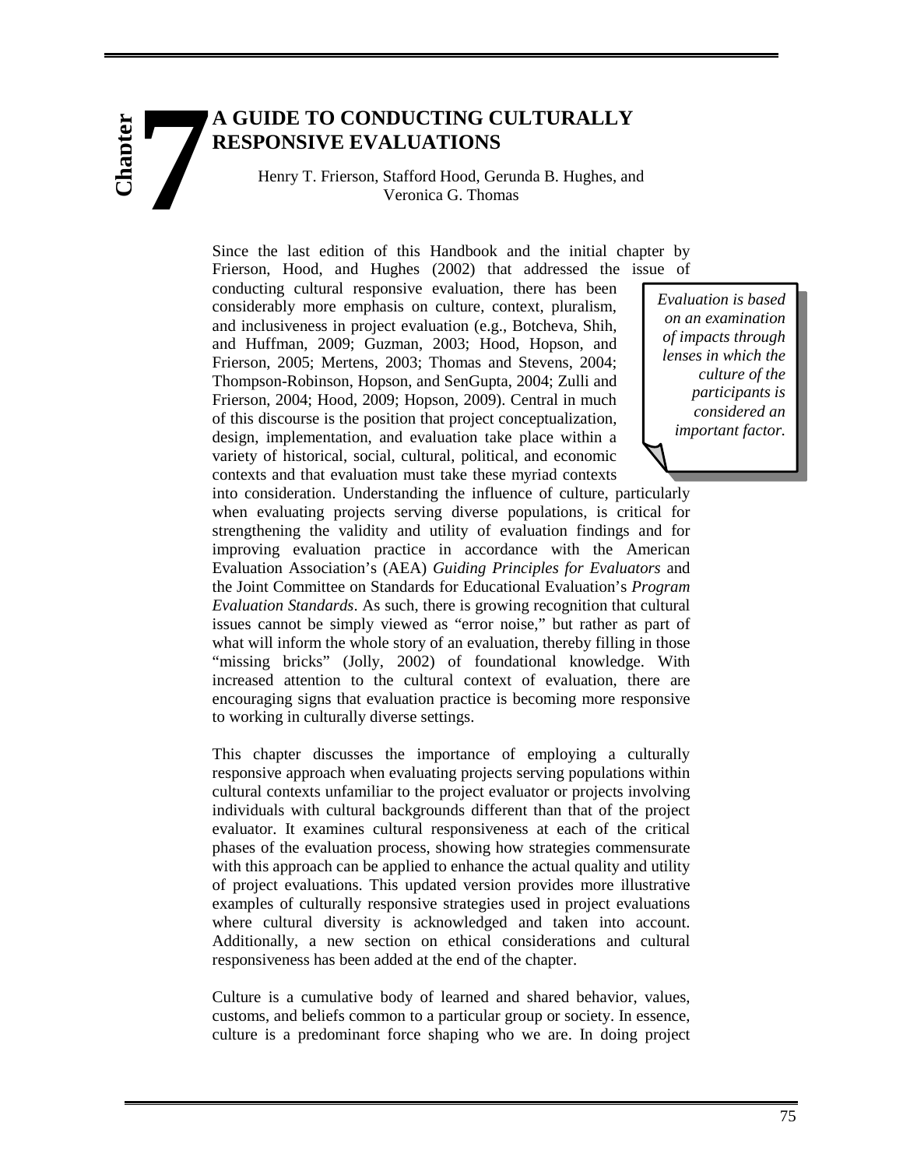# **A GUIDE TO CONDUCTING CULTURALLY RESPONSIVE EVALUATIONS 7**

**Chapter**

Henry T. Frierson, Stafford Hood, Gerunda B. Hughes, and Veronica G. Thomas

Since the last edition of this Handbook and the initial chapter by Frierson, Hood, and Hughes (2002) that addressed the issue of

conducting cultural responsive evaluation, there has been considerably more emphasis on culture, context, pluralism, and inclusiveness in project evaluation (e.g., Botcheva, Shih, and Huffman, 2009; Guzman, 2003; Hood, Hopson, and Frierson, 2005; Mertens, 2003; Thomas and Stevens, 2004; Thompson-Robinson, Hopson, and SenGupta, 2004; Zulli and Frierson, 2004; Hood, 2009; Hopson, 2009). Central in much of this discourse is the position that project conceptualization, design, implementation, and evaluation take place within a variety of historical, social, cultural, political, and economic contexts and that evaluation must take these myriad contexts

*Evaluation is based on an examination of impacts through lenses in which the culture of the participants is considered an important factor.* 

into consideration. Understanding the influence of culture, particularly when evaluating projects serving diverse populations, is critical for strengthening the validity and utility of evaluation findings and for improving evaluation practice in accordance with the American Evaluation Association's (AEA) *Guiding Principles for Evaluators* and the Joint Committee on Standards for Educational Evaluation's *Program Evaluation Standards*. As such, there is growing recognition that cultural issues cannot be simply viewed as "error noise," but rather as part of what will inform the whole story of an evaluation, thereby filling in those "missing bricks" (Jolly, 2002) of foundational knowledge. With increased attention to the cultural context of evaluation, there are encouraging signs that evaluation practice is becoming more responsive to working in culturally diverse settings.

This chapter discusses the importance of employing a culturally responsive approach when evaluating projects serving populations within cultural contexts unfamiliar to the project evaluator or projects involving individuals with cultural backgrounds different than that of the project evaluator. It examines cultural responsiveness at each of the critical phases of the evaluation process, showing how strategies commensurate with this approach can be applied to enhance the actual quality and utility of project evaluations. This updated version provides more illustrative examples of culturally responsive strategies used in project evaluations where cultural diversity is acknowledged and taken into account. Additionally, a new section on ethical considerations and cultural responsiveness has been added at the end of the chapter.

Culture is a cumulative body of learned and shared behavior, values, customs, and beliefs common to a particular group or society. In essence, culture is a predominant force shaping who we are. In doing project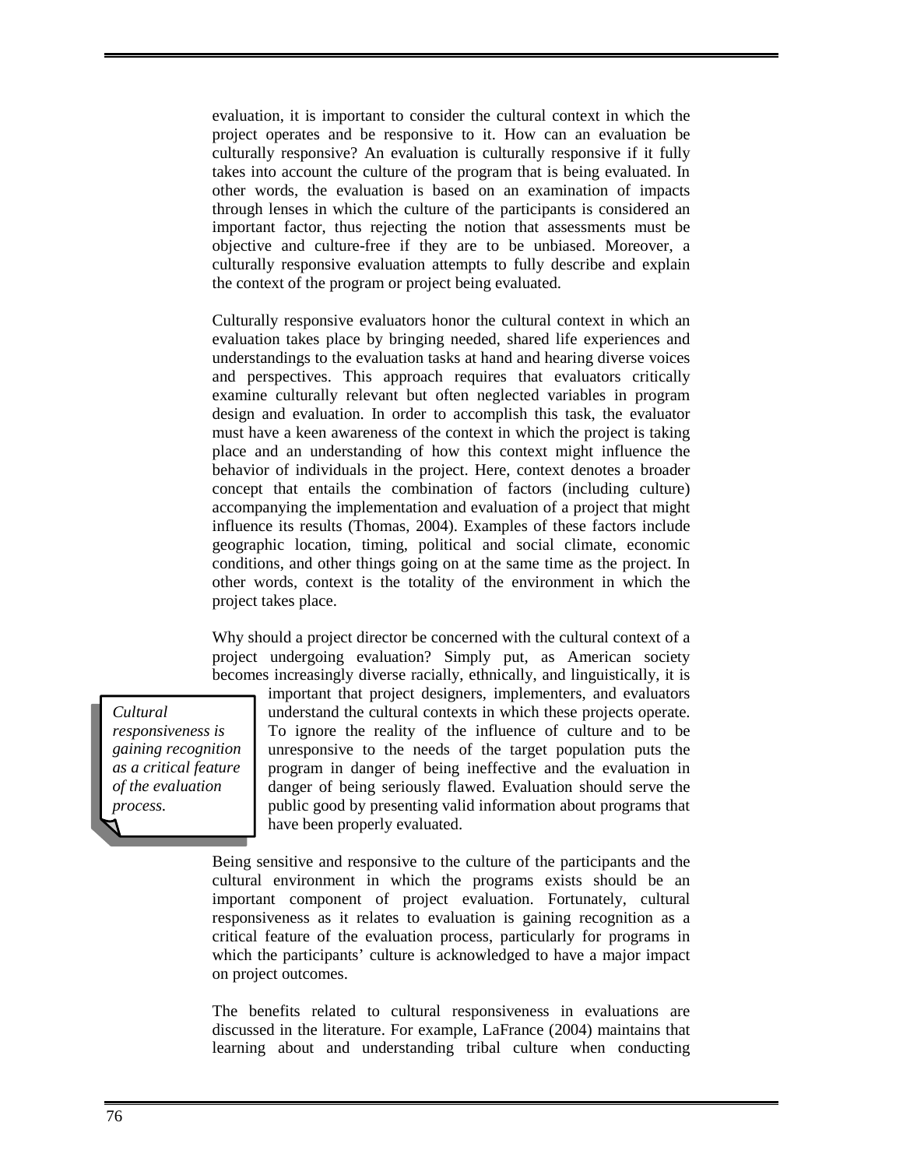evaluation, it is important to consider the cultural context in which the project operates and be responsive to it. How can an evaluation be culturally responsive? An evaluation is culturally responsive if it fully takes into account the culture of the program that is being evaluated. In other words, the evaluation is based on an examination of impacts through lenses in which the culture of the participants is considered an important factor, thus rejecting the notion that assessments must be objective and culture-free if they are to be unbiased. Moreover, a culturally responsive evaluation attempts to fully describe and explain the context of the program or project being evaluated.

Culturally responsive evaluators honor the cultural context in which an evaluation takes place by bringing needed, shared life experiences and understandings to the evaluation tasks at hand and hearing diverse voices and perspectives. This approach requires that evaluators critically examine culturally relevant but often neglected variables in program design and evaluation. In order to accomplish this task, the evaluator must have a keen awareness of the context in which the project is taking place and an understanding of how this context might influence the behavior of individuals in the project. Here, context denotes a broader concept that entails the combination of factors (including culture) accompanying the implementation and evaluation of a project that might influence its results (Thomas, 2004). Examples of these factors include geographic location, timing, political and social climate, economic conditions, and other things going on at the same time as the project. In other words, context is the totality of the environment in which the project takes place.

Why should a project director be concerned with the cultural context of a project undergoing evaluation? Simply put, as American society becomes increasingly diverse racially, ethnically, and linguistically, it is

*Cultural responsiveness is gaining recognition as a critical feature of the evaluation process.* 

important that project designers, implementers, and evaluators understand the cultural contexts in which these projects operate. To ignore the reality of the influence of culture and to be unresponsive to the needs of the target population puts the program in danger of being ineffective and the evaluation in danger of being seriously flawed. Evaluation should serve the public good by presenting valid information about programs that have been properly evaluated.

Being sensitive and responsive to the culture of the participants and the cultural environment in which the programs exists should be an important component of project evaluation. Fortunately, cultural responsiveness as it relates to evaluation is gaining recognition as a critical feature of the evaluation process, particularly for programs in which the participants' culture is acknowledged to have a major impact on project outcomes.

The benefits related to cultural responsiveness in evaluations are discussed in the literature. For example, LaFrance (2004) maintains that learning about and understanding tribal culture when conducting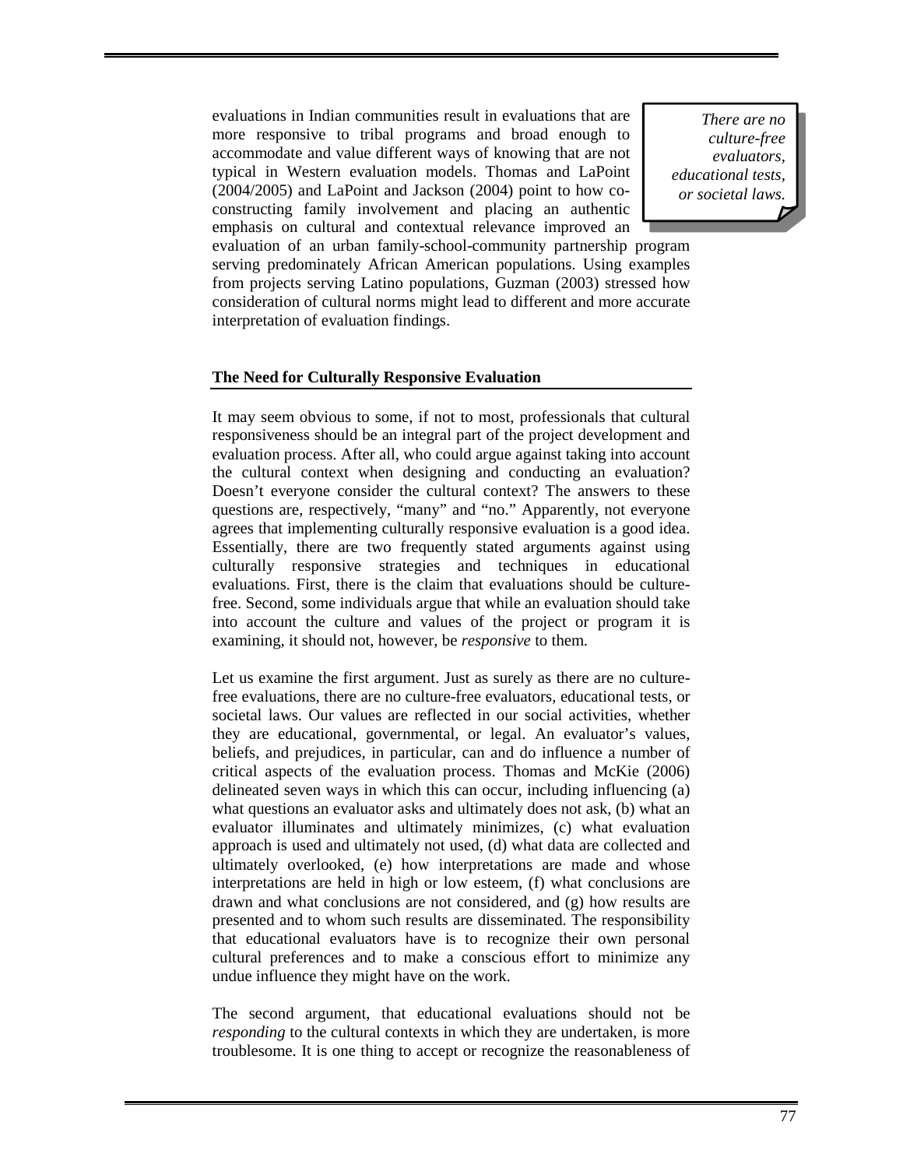evaluations in Indian communities result in evaluations that are more responsive to tribal programs and broad enough to accommodate and value different ways of knowing that are not typical in Western evaluation models. Thomas and LaPoint (2004/2005) and LaPoint and Jackson (2004) point to how coconstructing family involvement and placing an authentic emphasis on cultural and contextual relevance improved an

*There are no culture-free evaluators, educational tests, or societal laws.* 

evaluation of an urban family-school-community partnership program serving predominately African American populations. Using examples from projects serving Latino populations, Guzman (2003) stressed how consideration of cultural norms might lead to different and more accurate interpretation of evaluation findings.

#### **The Need for Culturally Responsive Evaluation**

It may seem obvious to some, if not to most, professionals that cultural responsiveness should be an integral part of the project development and evaluation process. After all, who could argue against taking into account the cultural context when designing and conducting an evaluation? Doesn't everyone consider the cultural context? The answers to these questions are, respectively, "many" and "no." Apparently, not everyone agrees that implementing culturally responsive evaluation is a good idea. Essentially, there are two frequently stated arguments against using culturally responsive strategies and techniques in educational evaluations. First, there is the claim that evaluations should be culturefree. Second, some individuals argue that while an evaluation should take into account the culture and values of the project or program it is examining, it should not, however, be *responsive* to them.

Let us examine the first argument. Just as surely as there are no culturefree evaluations, there are no culture-free evaluators, educational tests, or societal laws. Our values are reflected in our social activities, whether they are educational, governmental, or legal. An evaluator's values, beliefs, and prejudices, in particular, can and do influence a number of critical aspects of the evaluation process. Thomas and McKie (2006) delineated seven ways in which this can occur, including influencing (a) what questions an evaluator asks and ultimately does not ask, (b) what an evaluator illuminates and ultimately minimizes, (c) what evaluation approach is used and ultimately not used, (d) what data are collected and ultimately overlooked, (e) how interpretations are made and whose interpretations are held in high or low esteem, (f) what conclusions are drawn and what conclusions are not considered, and (g) how results are presented and to whom such results are disseminated. The responsibility that educational evaluators have is to recognize their own personal cultural preferences and to make a conscious effort to minimize any undue influence they might have on the work.

The second argument, that educational evaluations should not be *responding* to the cultural contexts in which they are undertaken, is more troublesome. It is one thing to accept or recognize the reasonableness of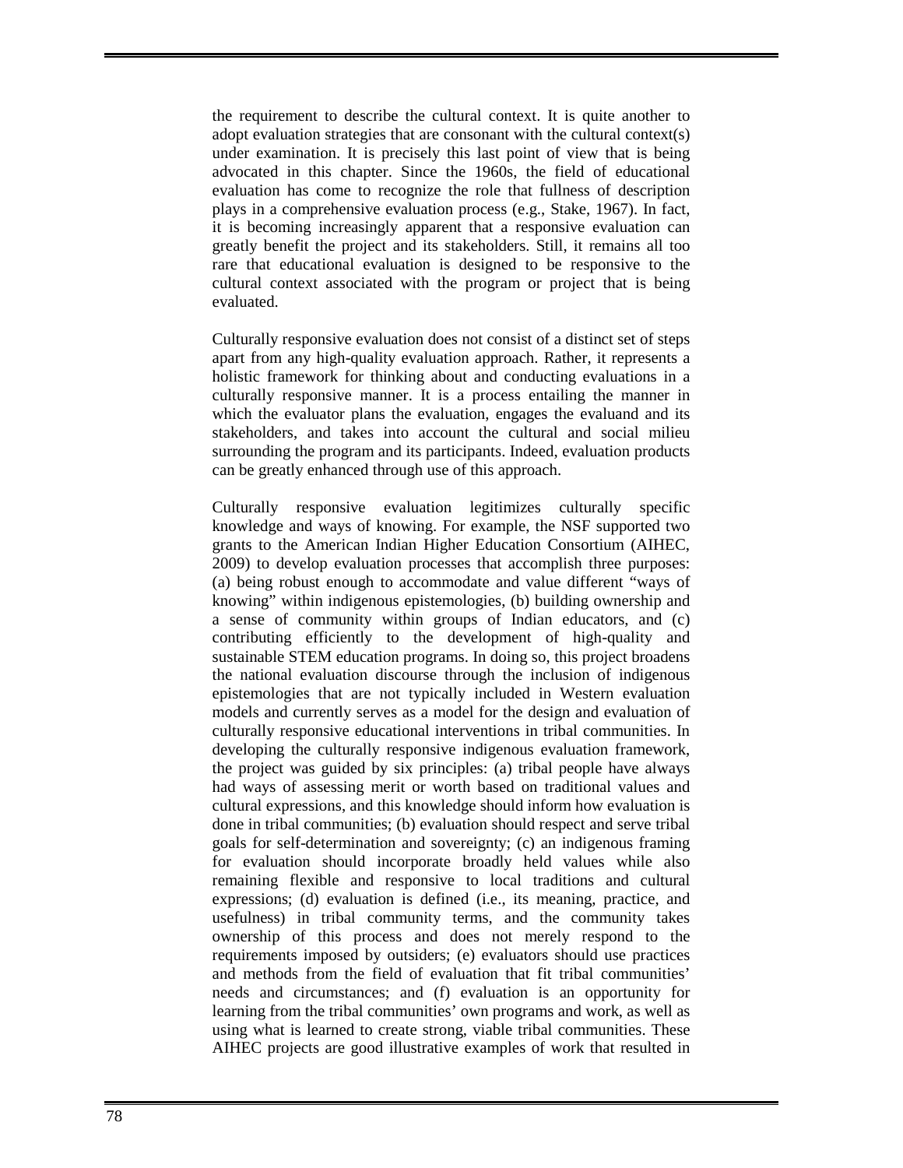the requirement to describe the cultural context. It is quite another to adopt evaluation strategies that are consonant with the cultural context(s) under examination. It is precisely this last point of view that is being advocated in this chapter. Since the 1960s, the field of educational evaluation has come to recognize the role that fullness of description plays in a comprehensive evaluation process (e.g., Stake, 1967). In fact, it is becoming increasingly apparent that a responsive evaluation can greatly benefit the project and its stakeholders. Still, it remains all too rare that educational evaluation is designed to be responsive to the cultural context associated with the program or project that is being evaluated.

Culturally responsive evaluation does not consist of a distinct set of steps apart from any high-quality evaluation approach. Rather, it represents a holistic framework for thinking about and conducting evaluations in a culturally responsive manner. It is a process entailing the manner in which the evaluator plans the evaluation, engages the evaluand and its stakeholders, and takes into account the cultural and social milieu surrounding the program and its participants. Indeed, evaluation products can be greatly enhanced through use of this approach.

Culturally responsive evaluation legitimizes culturally specific knowledge and ways of knowing. For example, the NSF supported two grants to the American Indian Higher Education Consortium (AIHEC, 2009) to develop evaluation processes that accomplish three purposes: (a) being robust enough to accommodate and value different "ways of knowing" within indigenous epistemologies, (b) building ownership and a sense of community within groups of Indian educators, and (c) contributing efficiently to the development of high-quality and sustainable STEM education programs. In doing so, this project broadens the national evaluation discourse through the inclusion of indigenous epistemologies that are not typically included in Western evaluation models and currently serves as a model for the design and evaluation of culturally responsive educational interventions in tribal communities. In developing the culturally responsive indigenous evaluation framework, the project was guided by six principles: (a) tribal people have always had ways of assessing merit or worth based on traditional values and cultural expressions, and this knowledge should inform how evaluation is done in tribal communities; (b) evaluation should respect and serve tribal goals for self-determination and sovereignty; (c) an indigenous framing for evaluation should incorporate broadly held values while also remaining flexible and responsive to local traditions and cultural expressions; (d) evaluation is defined (i.e., its meaning, practice, and usefulness) in tribal community terms, and the community takes ownership of this process and does not merely respond to the requirements imposed by outsiders; (e) evaluators should use practices and methods from the field of evaluation that fit tribal communities' needs and circumstances; and (f) evaluation is an opportunity for learning from the tribal communities' own programs and work, as well as using what is learned to create strong, viable tribal communities. These AIHEC projects are good illustrative examples of work that resulted in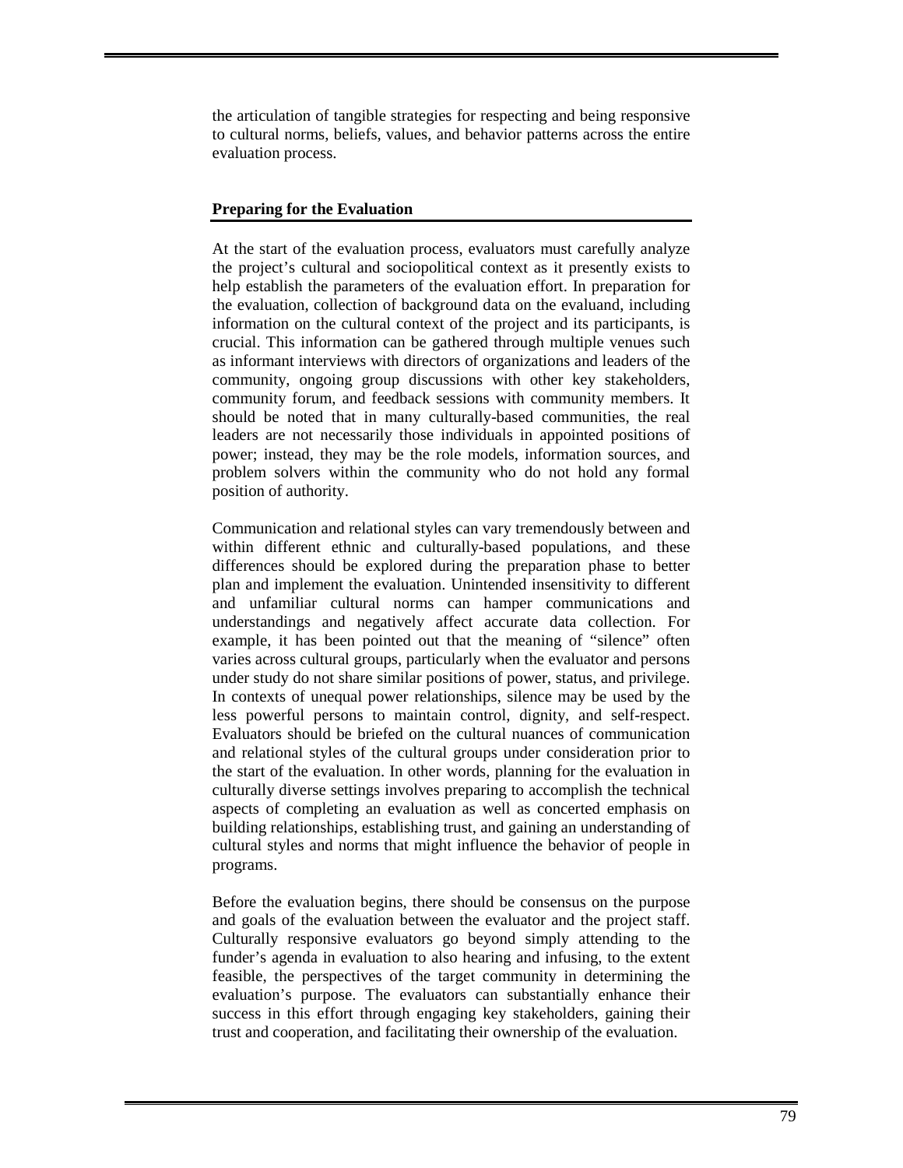the articulation of tangible strategies for respecting and being responsive to cultural norms, beliefs, values, and behavior patterns across the entire evaluation process.

#### **Preparing for the Evaluation**

At the start of the evaluation process, evaluators must carefully analyze the project's cultural and sociopolitical context as it presently exists to help establish the parameters of the evaluation effort. In preparation for the evaluation, collection of background data on the evaluand, including information on the cultural context of the project and its participants, is crucial. This information can be gathered through multiple venues such as informant interviews with directors of organizations and leaders of the community, ongoing group discussions with other key stakeholders, community forum, and feedback sessions with community members. It should be noted that in many culturally-based communities, the real leaders are not necessarily those individuals in appointed positions of power; instead, they may be the role models, information sources, and problem solvers within the community who do not hold any formal position of authority.

Communication and relational styles can vary tremendously between and within different ethnic and culturally-based populations, and these differences should be explored during the preparation phase to better plan and implement the evaluation. Unintended insensitivity to different and unfamiliar cultural norms can hamper communications and understandings and negatively affect accurate data collection. For example, it has been pointed out that the meaning of "silence" often varies across cultural groups, particularly when the evaluator and persons under study do not share similar positions of power, status, and privilege. In contexts of unequal power relationships, silence may be used by the less powerful persons to maintain control, dignity, and self-respect. Evaluators should be briefed on the cultural nuances of communication and relational styles of the cultural groups under consideration prior to the start of the evaluation. In other words, planning for the evaluation in culturally diverse settings involves preparing to accomplish the technical aspects of completing an evaluation as well as concerted emphasis on building relationships, establishing trust, and gaining an understanding of cultural styles and norms that might influence the behavior of people in programs.

Before the evaluation begins, there should be consensus on the purpose and goals of the evaluation between the evaluator and the project staff. Culturally responsive evaluators go beyond simply attending to the funder's agenda in evaluation to also hearing and infusing, to the extent feasible, the perspectives of the target community in determining the evaluation's purpose. The evaluators can substantially enhance their success in this effort through engaging key stakeholders, gaining their trust and cooperation, and facilitating their ownership of the evaluation.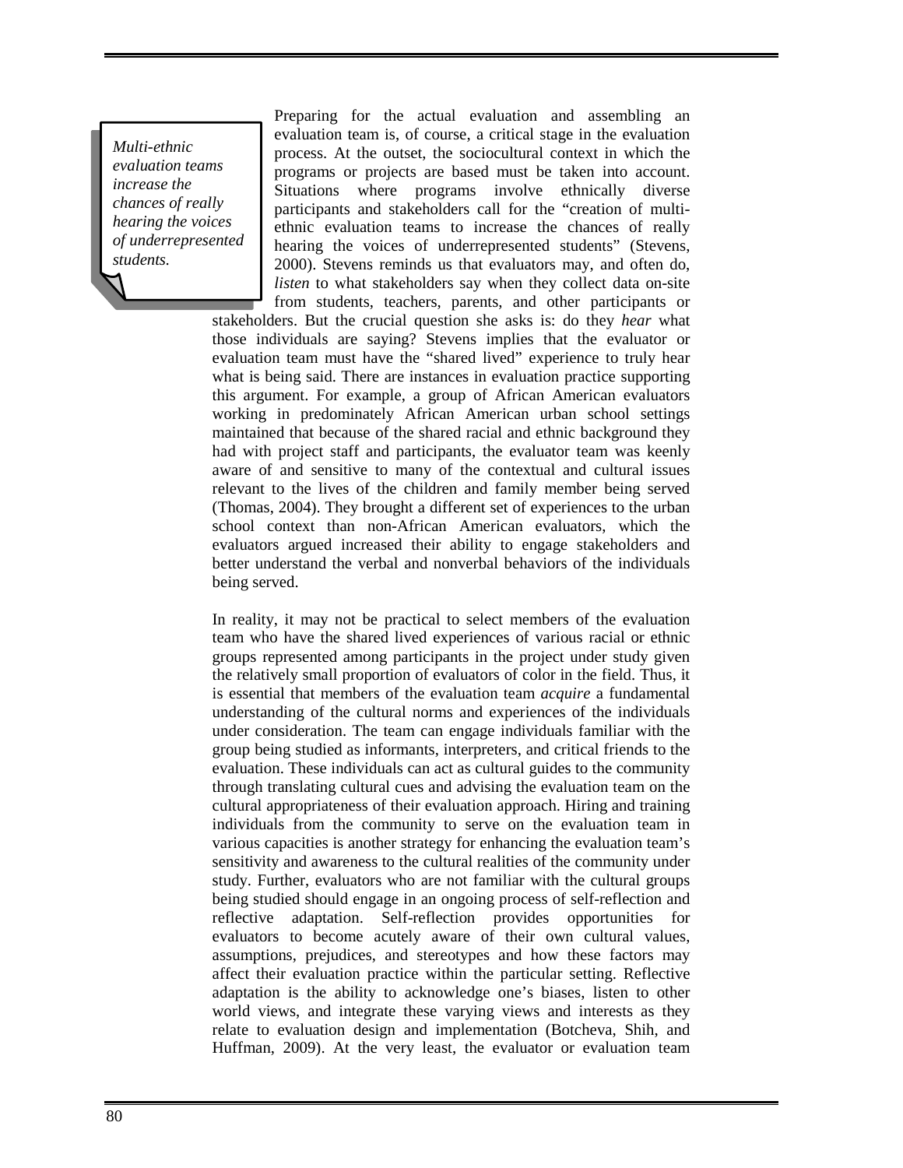*Multi-ethnic evaluation teams increase the chances of really hearing the voices of underrepresented students.* 

Preparing for the actual evaluation and assembling an evaluation team is, of course, a critical stage in the evaluation process. At the outset, the sociocultural context in which the programs or projects are based must be taken into account. Situations where programs involve ethnically diverse participants and stakeholders call for the "creation of multiethnic evaluation teams to increase the chances of really hearing the voices of underrepresented students" (Stevens, 2000). Stevens reminds us that evaluators may, and often do, *listen* to what stakeholders say when they collect data on-site from students, teachers, parents, and other participants or

stakeholders. But the crucial question she asks is: do they *hear* what those individuals are saying? Stevens implies that the evaluator or evaluation team must have the "shared lived" experience to truly hear what is being said. There are instances in evaluation practice supporting this argument. For example, a group of African American evaluators working in predominately African American urban school settings maintained that because of the shared racial and ethnic background they had with project staff and participants, the evaluator team was keenly aware of and sensitive to many of the contextual and cultural issues relevant to the lives of the children and family member being served (Thomas, 2004). They brought a different set of experiences to the urban school context than non-African American evaluators, which the evaluators argued increased their ability to engage stakeholders and better understand the verbal and nonverbal behaviors of the individuals being served.

In reality, it may not be practical to select members of the evaluation team who have the shared lived experiences of various racial or ethnic groups represented among participants in the project under study given the relatively small proportion of evaluators of color in the field. Thus, it is essential that members of the evaluation team *acquire* a fundamental understanding of the cultural norms and experiences of the individuals under consideration. The team can engage individuals familiar with the group being studied as informants, interpreters, and critical friends to the evaluation. These individuals can act as cultural guides to the community through translating cultural cues and advising the evaluation team on the cultural appropriateness of their evaluation approach. Hiring and training individuals from the community to serve on the evaluation team in various capacities is another strategy for enhancing the evaluation team's sensitivity and awareness to the cultural realities of the community under study. Further, evaluators who are not familiar with the cultural groups being studied should engage in an ongoing process of self-reflection and reflective adaptation. Self-reflection provides opportunities for evaluators to become acutely aware of their own cultural values, assumptions, prejudices, and stereotypes and how these factors may affect their evaluation practice within the particular setting. Reflective adaptation is the ability to acknowledge one's biases, listen to other world views, and integrate these varying views and interests as they relate to evaluation design and implementation (Botcheva, Shih, and Huffman, 2009). At the very least, the evaluator or evaluation team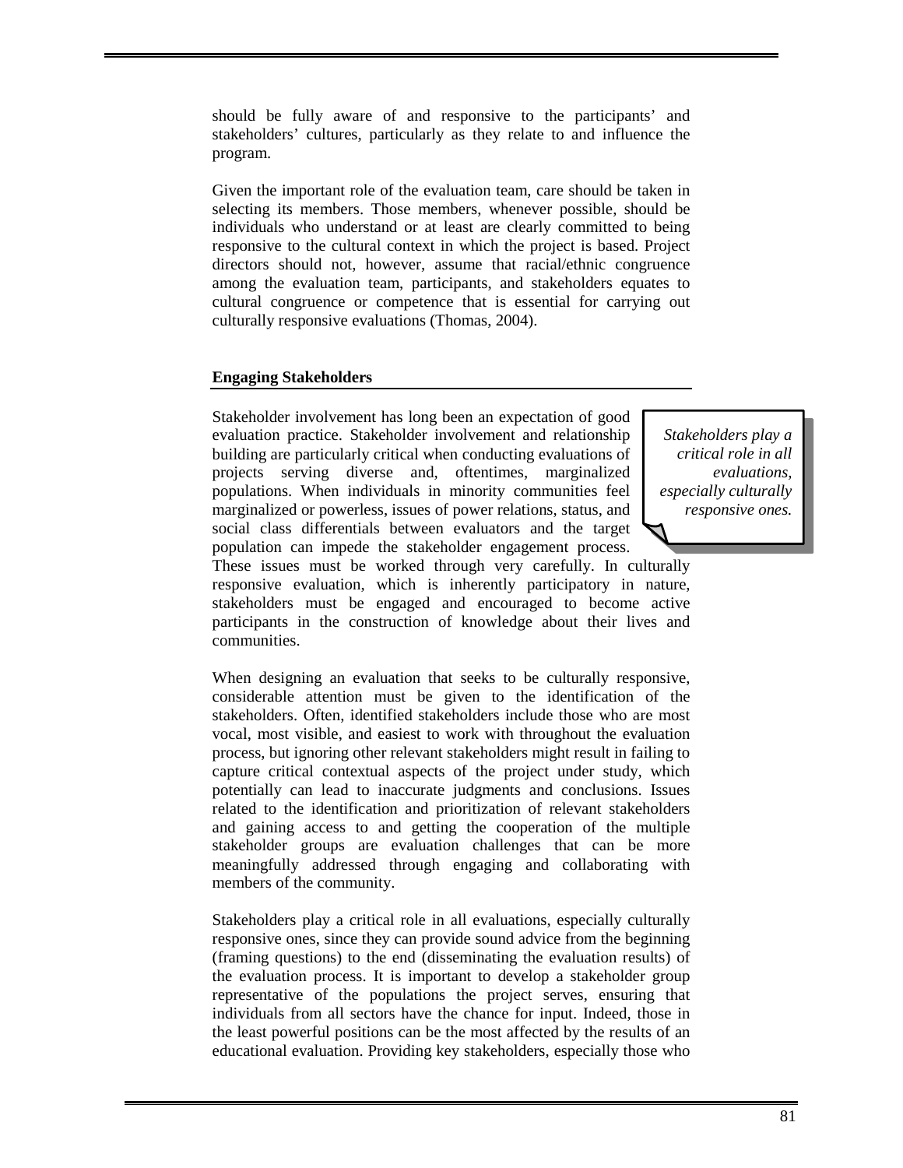should be fully aware of and responsive to the participants' and stakeholders' cultures, particularly as they relate to and influence the program.

Given the important role of the evaluation team, care should be taken in selecting its members. Those members, whenever possible, should be individuals who understand or at least are clearly committed to being responsive to the cultural context in which the project is based. Project directors should not, however, assume that racial/ethnic congruence among the evaluation team, participants, and stakeholders equates to cultural congruence or competence that is essential for carrying out culturally responsive evaluations (Thomas, 2004).

## **Engaging Stakeholders**

Stakeholder involvement has long been an expectation of good evaluation practice. Stakeholder involvement and relationship building are particularly critical when conducting evaluations of projects serving diverse and, oftentimes, marginalized populations. When individuals in minority communities feel marginalized or powerless, issues of power relations, status, and social class differentials between evaluators and the target population can impede the stakeholder engagement process.

*Stakeholders play a critical role in all evaluations, especially culturally responsive ones.* 

These issues must be worked through very carefully. In culturally responsive evaluation, which is inherently participatory in nature, stakeholders must be engaged and encouraged to become active participants in the construction of knowledge about their lives and communities.

When designing an evaluation that seeks to be culturally responsive, considerable attention must be given to the identification of the stakeholders. Often, identified stakeholders include those who are most vocal, most visible, and easiest to work with throughout the evaluation process, but ignoring other relevant stakeholders might result in failing to capture critical contextual aspects of the project under study, which potentially can lead to inaccurate judgments and conclusions. Issues related to the identification and prioritization of relevant stakeholders and gaining access to and getting the cooperation of the multiple stakeholder groups are evaluation challenges that can be more meaningfully addressed through engaging and collaborating with members of the community.

Stakeholders play a critical role in all evaluations, especially culturally responsive ones, since they can provide sound advice from the beginning (framing questions) to the end (disseminating the evaluation results) of the evaluation process. It is important to develop a stakeholder group representative of the populations the project serves, ensuring that individuals from all sectors have the chance for input. Indeed, those in the least powerful positions can be the most affected by the results of an educational evaluation. Providing key stakeholders, especially those who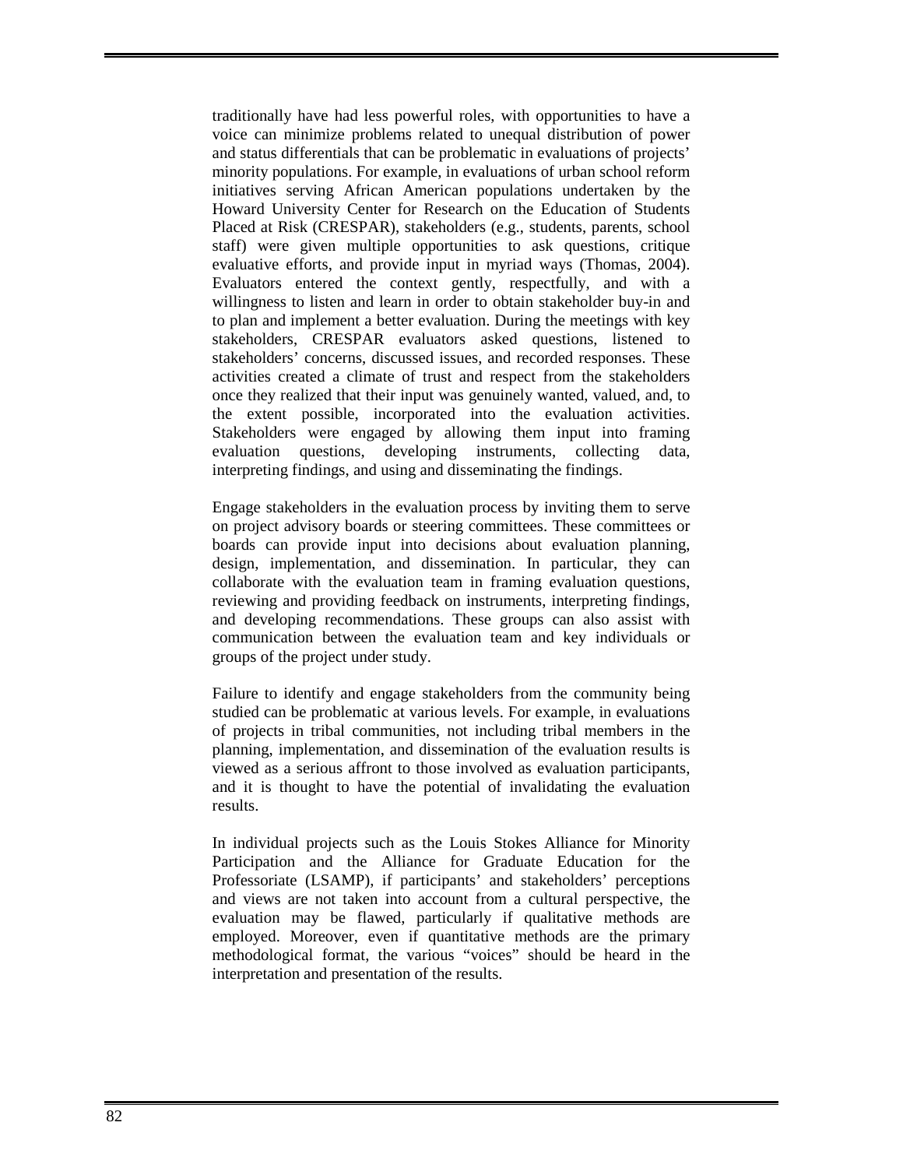traditionally have had less powerful roles, with opportunities to have a voice can minimize problems related to unequal distribution of power and status differentials that can be problematic in evaluations of projects' minority populations. For example, in evaluations of urban school reform initiatives serving African American populations undertaken by the Howard University Center for Research on the Education of Students Placed at Risk (CRESPAR), stakeholders (e.g., students, parents, school staff) were given multiple opportunities to ask questions, critique evaluative efforts, and provide input in myriad ways (Thomas, 2004). Evaluators entered the context gently, respectfully, and with a willingness to listen and learn in order to obtain stakeholder buy-in and to plan and implement a better evaluation. During the meetings with key stakeholders, CRESPAR evaluators asked questions, listened to stakeholders' concerns, discussed issues, and recorded responses. These activities created a climate of trust and respect from the stakeholders once they realized that their input was genuinely wanted, valued, and, to the extent possible, incorporated into the evaluation activities. Stakeholders were engaged by allowing them input into framing evaluation questions, developing instruments, collecting data, interpreting findings, and using and disseminating the findings.

Engage stakeholders in the evaluation process by inviting them to serve on project advisory boards or steering committees. These committees or boards can provide input into decisions about evaluation planning, design, implementation, and dissemination. In particular, they can collaborate with the evaluation team in framing evaluation questions, reviewing and providing feedback on instruments, interpreting findings, and developing recommendations. These groups can also assist with communication between the evaluation team and key individuals or groups of the project under study.

Failure to identify and engage stakeholders from the community being studied can be problematic at various levels. For example, in evaluations of projects in tribal communities, not including tribal members in the planning, implementation, and dissemination of the evaluation results is viewed as a serious affront to those involved as evaluation participants, and it is thought to have the potential of invalidating the evaluation results.

In individual projects such as the Louis Stokes Alliance for Minority Participation and the Alliance for Graduate Education for the Professoriate (LSAMP), if participants' and stakeholders' perceptions and views are not taken into account from a cultural perspective, the evaluation may be flawed, particularly if qualitative methods are employed. Moreover, even if quantitative methods are the primary methodological format, the various "voices" should be heard in the interpretation and presentation of the results.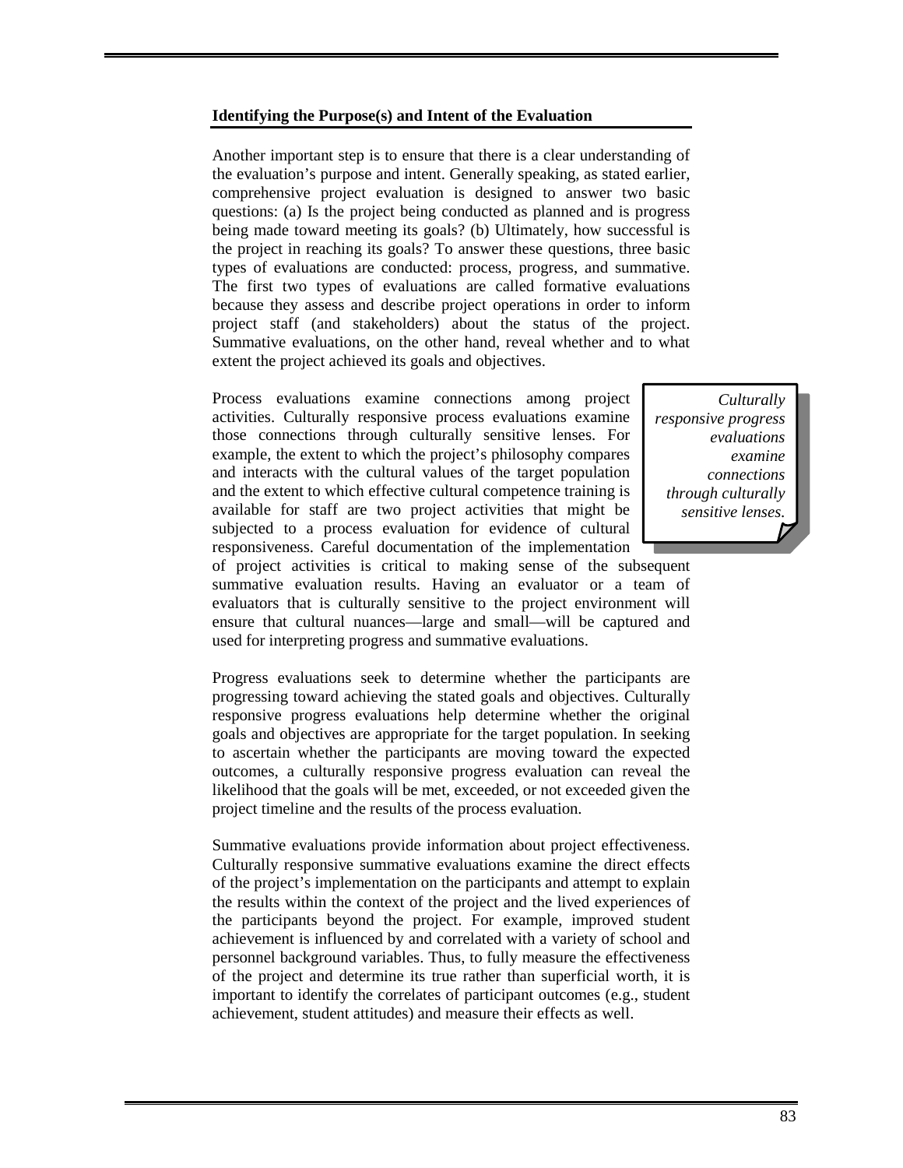#### **Identifying the Purpose(s) and Intent of the Evaluation**

Another important step is to ensure that there is a clear understanding of the evaluation's purpose and intent. Generally speaking, as stated earlier, comprehensive project evaluation is designed to answer two basic questions: (a) Is the project being conducted as planned and is progress being made toward meeting its goals? (b) Ultimately, how successful is the project in reaching its goals? To answer these questions, three basic types of evaluations are conducted: process, progress, and summative. The first two types of evaluations are called formative evaluations because they assess and describe project operations in order to inform project staff (and stakeholders) about the status of the project. Summative evaluations, on the other hand, reveal whether and to what extent the project achieved its goals and objectives.

Process evaluations examine connections among project activities. Culturally responsive process evaluations examine those connections through culturally sensitive lenses. For example, the extent to which the project's philosophy compares and interacts with the cultural values of the target population and the extent to which effective cultural competence training is available for staff are two project activities that might be subjected to a process evaluation for evidence of cultural responsiveness. Careful documentation of the implementation

*Culturally responsive progress evaluations examine connections through culturally sensitive lenses.* 

of project activities is critical to making sense of the subsequent summative evaluation results. Having an evaluator or a team of evaluators that is culturally sensitive to the project environment will ensure that cultural nuances—large and small—will be captured and used for interpreting progress and summative evaluations.

Progress evaluations seek to determine whether the participants are progressing toward achieving the stated goals and objectives. Culturally responsive progress evaluations help determine whether the original goals and objectives are appropriate for the target population. In seeking to ascertain whether the participants are moving toward the expected outcomes, a culturally responsive progress evaluation can reveal the likelihood that the goals will be met, exceeded, or not exceeded given the project timeline and the results of the process evaluation.

Summative evaluations provide information about project effectiveness. Culturally responsive summative evaluations examine the direct effects of the project's implementation on the participants and attempt to explain the results within the context of the project and the lived experiences of the participants beyond the project. For example, improved student achievement is influenced by and correlated with a variety of school and personnel background variables. Thus, to fully measure the effectiveness of the project and determine its true rather than superficial worth, it is important to identify the correlates of participant outcomes (e.g., student achievement, student attitudes) and measure their effects as well.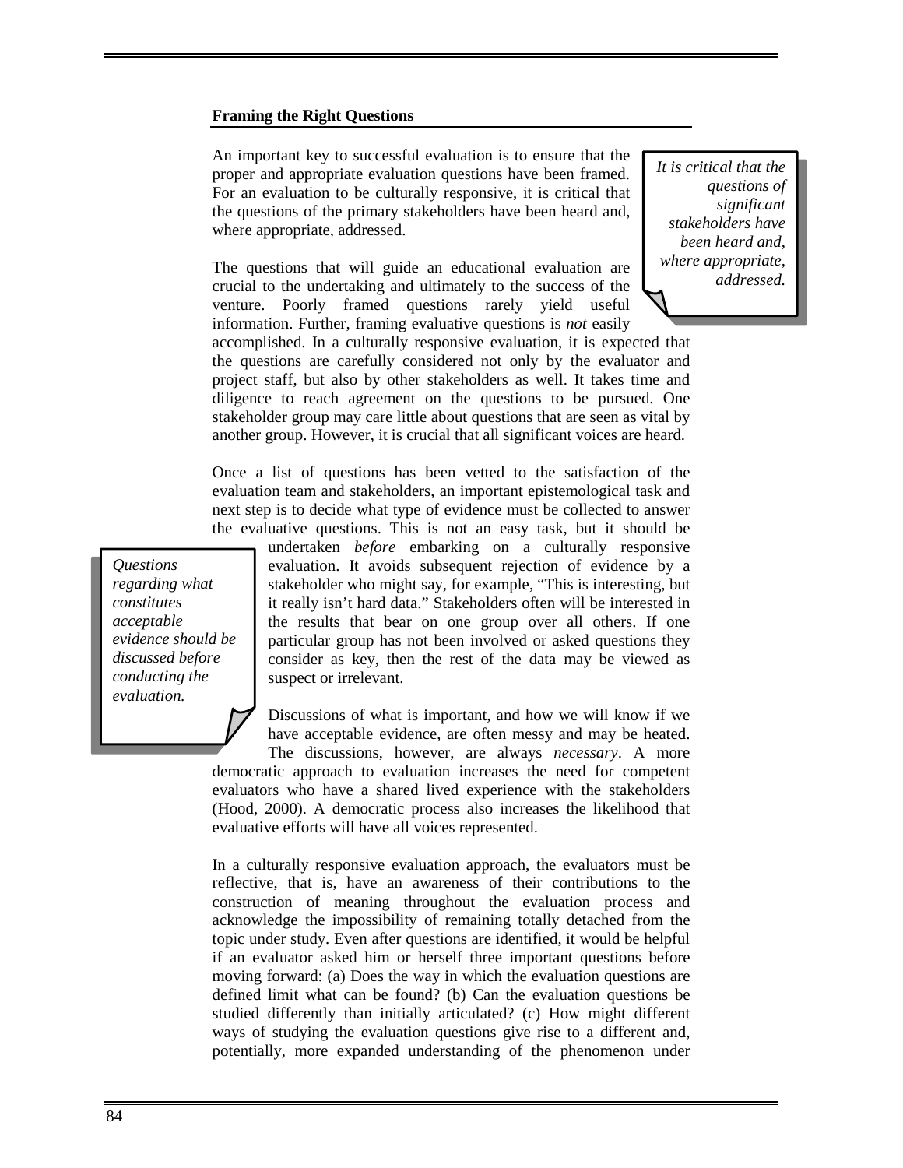#### **Framing the Right Questions**

An important key to successful evaluation is to ensure that the proper and appropriate evaluation questions have been framed. For an evaluation to be culturally responsive, it is critical that the questions of the primary stakeholders have been heard and, where appropriate, addressed.

The questions that will guide an educational evaluation are crucial to the undertaking and ultimately to the success of the venture. Poorly framed questions rarely yield useful information. Further, framing evaluative questions is *not* easily *It is critical that the questions of significant stakeholders have been heard and, where appropriate, addressed.* 

accomplished. In a culturally responsive evaluation, it is expected that the questions are carefully considered not only by the evaluator and project staff, but also by other stakeholders as well. It takes time and diligence to reach agreement on the questions to be pursued. One stakeholder group may care little about questions that are seen as vital by another group. However, it is crucial that all significant voices are heard.

Once a list of questions has been vetted to the satisfaction of the evaluation team and stakeholders, an important epistemological task and next step is to decide what type of evidence must be collected to answer the evaluative questions. This is not an easy task, but it should be

*Questions regarding what constitutes acceptable evidence should be discussed before conducting the evaluation.* 

undertaken *before* embarking on a culturally responsive evaluation. It avoids subsequent rejection of evidence by a stakeholder who might say, for example, "This is interesting, but it really isn't hard data." Stakeholders often will be interested in the results that bear on one group over all others. If one particular group has not been involved or asked questions they consider as key, then the rest of the data may be viewed as suspect or irrelevant.

Discussions of what is important, and how we will know if we have acceptable evidence, are often messy and may be heated. The discussions, however, are always *necessary*. A more

democratic approach to evaluation increases the need for competent evaluators who have a shared lived experience with the stakeholders (Hood, 2000). A democratic process also increases the likelihood that evaluative efforts will have all voices represented.

In a culturally responsive evaluation approach, the evaluators must be reflective, that is, have an awareness of their contributions to the construction of meaning throughout the evaluation process and acknowledge the impossibility of remaining totally detached from the topic under study. Even after questions are identified, it would be helpful if an evaluator asked him or herself three important questions before moving forward: (a) Does the way in which the evaluation questions are defined limit what can be found? (b) Can the evaluation questions be studied differently than initially articulated? (c) How might different ways of studying the evaluation questions give rise to a different and, potentially, more expanded understanding of the phenomenon under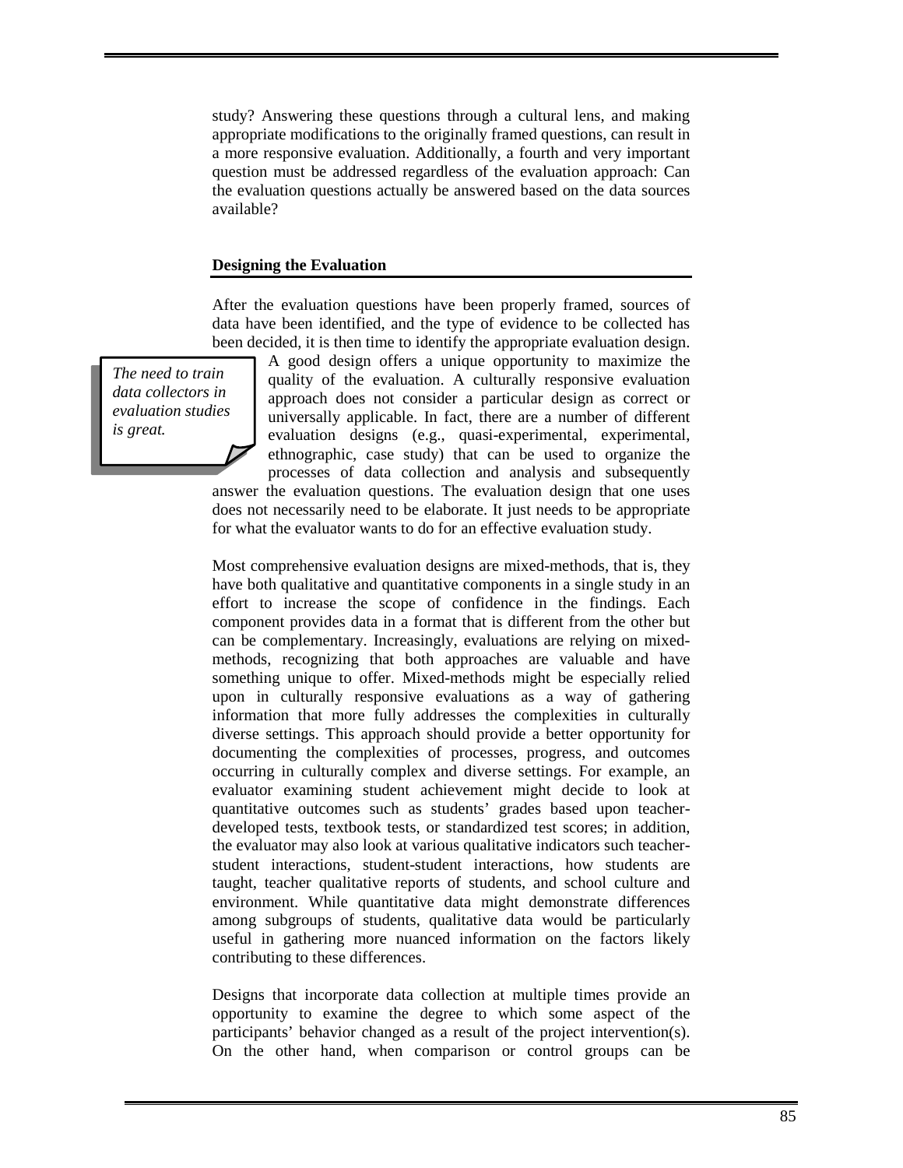study? Answering these questions through a cultural lens, and making appropriate modifications to the originally framed questions, can result in a more responsive evaluation. Additionally, a fourth and very important question must be addressed regardless of the evaluation approach: Can the evaluation questions actually be answered based on the data sources available?

#### **Designing the Evaluation**

After the evaluation questions have been properly framed, sources of data have been identified, and the type of evidence to be collected has been decided, it is then time to identify the appropriate evaluation design.

*The need to train data collectors in evaluation studies is great.* 

A good design offers a unique opportunity to maximize the quality of the evaluation. A culturally responsive evaluation approach does not consider a particular design as correct or universally applicable. In fact, there are a number of different evaluation designs (e.g., quasi-experimental, experimental, ethnographic, case study) that can be used to organize the processes of data collection and analysis and subsequently answer the evaluation questions. The evaluation design that one uses does not necessarily need to be elaborate. It just needs to be appropriate

for what the evaluator wants to do for an effective evaluation study.

Most comprehensive evaluation designs are mixed-methods, that is, they have both qualitative and quantitative components in a single study in an effort to increase the scope of confidence in the findings. Each component provides data in a format that is different from the other but can be complementary. Increasingly, evaluations are relying on mixedmethods, recognizing that both approaches are valuable and have something unique to offer. Mixed-methods might be especially relied upon in culturally responsive evaluations as a way of gathering information that more fully addresses the complexities in culturally diverse settings. This approach should provide a better opportunity for documenting the complexities of processes, progress, and outcomes occurring in culturally complex and diverse settings. For example, an evaluator examining student achievement might decide to look at quantitative outcomes such as students' grades based upon teacherdeveloped tests, textbook tests, or standardized test scores; in addition, the evaluator may also look at various qualitative indicators such teacherstudent interactions, student-student interactions, how students are taught, teacher qualitative reports of students, and school culture and environment. While quantitative data might demonstrate differences among subgroups of students, qualitative data would be particularly useful in gathering more nuanced information on the factors likely contributing to these differences.

Designs that incorporate data collection at multiple times provide an opportunity to examine the degree to which some aspect of the participants' behavior changed as a result of the project intervention(s). On the other hand, when comparison or control groups can be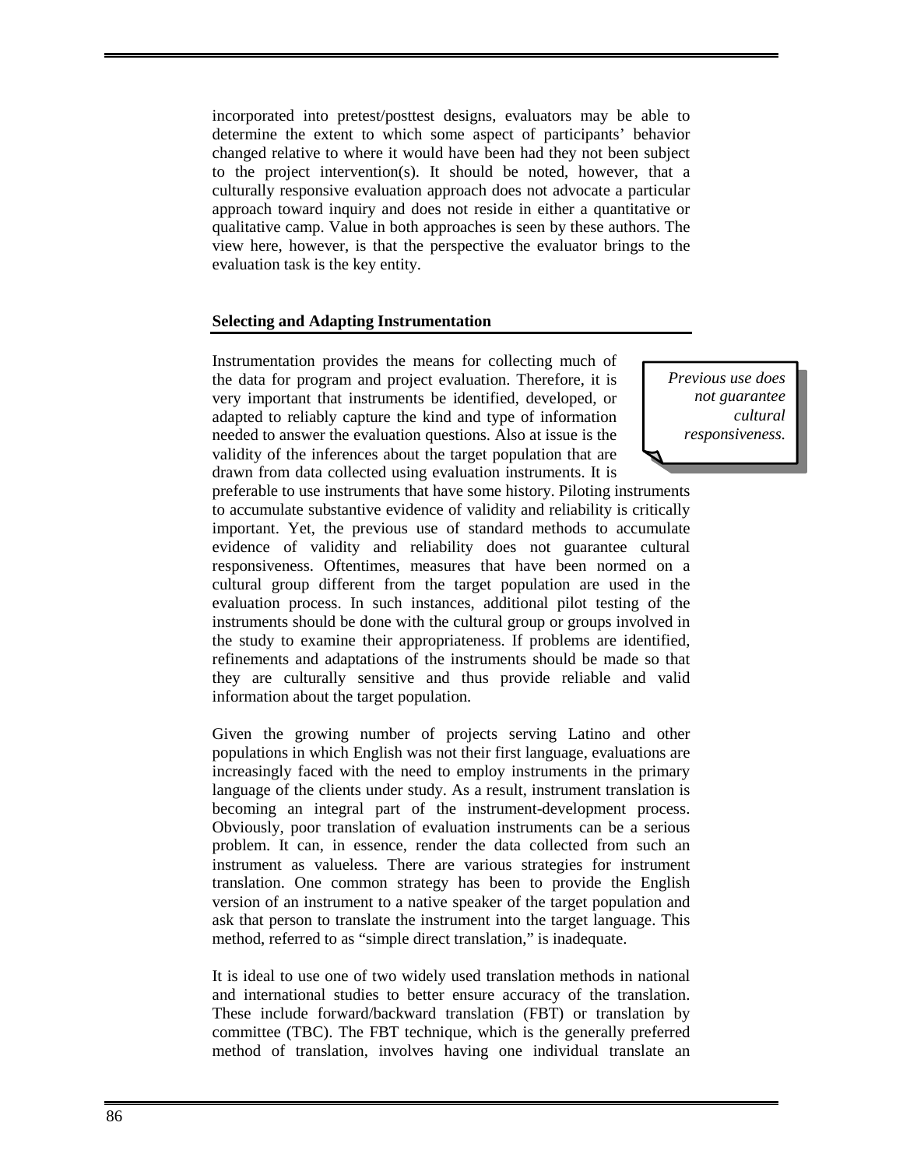incorporated into pretest/posttest designs, evaluators may be able to determine the extent to which some aspect of participants' behavior changed relative to where it would have been had they not been subject to the project intervention(s). It should be noted, however, that a culturally responsive evaluation approach does not advocate a particular approach toward inquiry and does not reside in either a quantitative or qualitative camp. Value in both approaches is seen by these authors. The view here, however, is that the perspective the evaluator brings to the evaluation task is the key entity.

#### **Selecting and Adapting Instrumentation**

Instrumentation provides the means for collecting much of the data for program and project evaluation. Therefore, it is very important that instruments be identified, developed, or adapted to reliably capture the kind and type of information needed to answer the evaluation questions. Also at issue is the validity of the inferences about the target population that are drawn from data collected using evaluation instruments. It is

*Previous use does not guarantee cultural responsiveness.* 

preferable to use instruments that have some history. Piloting instruments to accumulate substantive evidence of validity and reliability is critically important. Yet, the previous use of standard methods to accumulate evidence of validity and reliability does not guarantee cultural responsiveness. Oftentimes, measures that have been normed on a cultural group different from the target population are used in the evaluation process. In such instances, additional pilot testing of the instruments should be done with the cultural group or groups involved in the study to examine their appropriateness. If problems are identified, refinements and adaptations of the instruments should be made so that they are culturally sensitive and thus provide reliable and valid information about the target population.

Given the growing number of projects serving Latino and other populations in which English was not their first language, evaluations are increasingly faced with the need to employ instruments in the primary language of the clients under study. As a result, instrument translation is becoming an integral part of the instrument-development process. Obviously, poor translation of evaluation instruments can be a serious problem. It can, in essence, render the data collected from such an instrument as valueless. There are various strategies for instrument translation. One common strategy has been to provide the English version of an instrument to a native speaker of the target population and ask that person to translate the instrument into the target language. This method, referred to as "simple direct translation," is inadequate.

It is ideal to use one of two widely used translation methods in national and international studies to better ensure accuracy of the translation. These include forward/backward translation (FBT) or translation by committee (TBC). The FBT technique, which is the generally preferred method of translation, involves having one individual translate an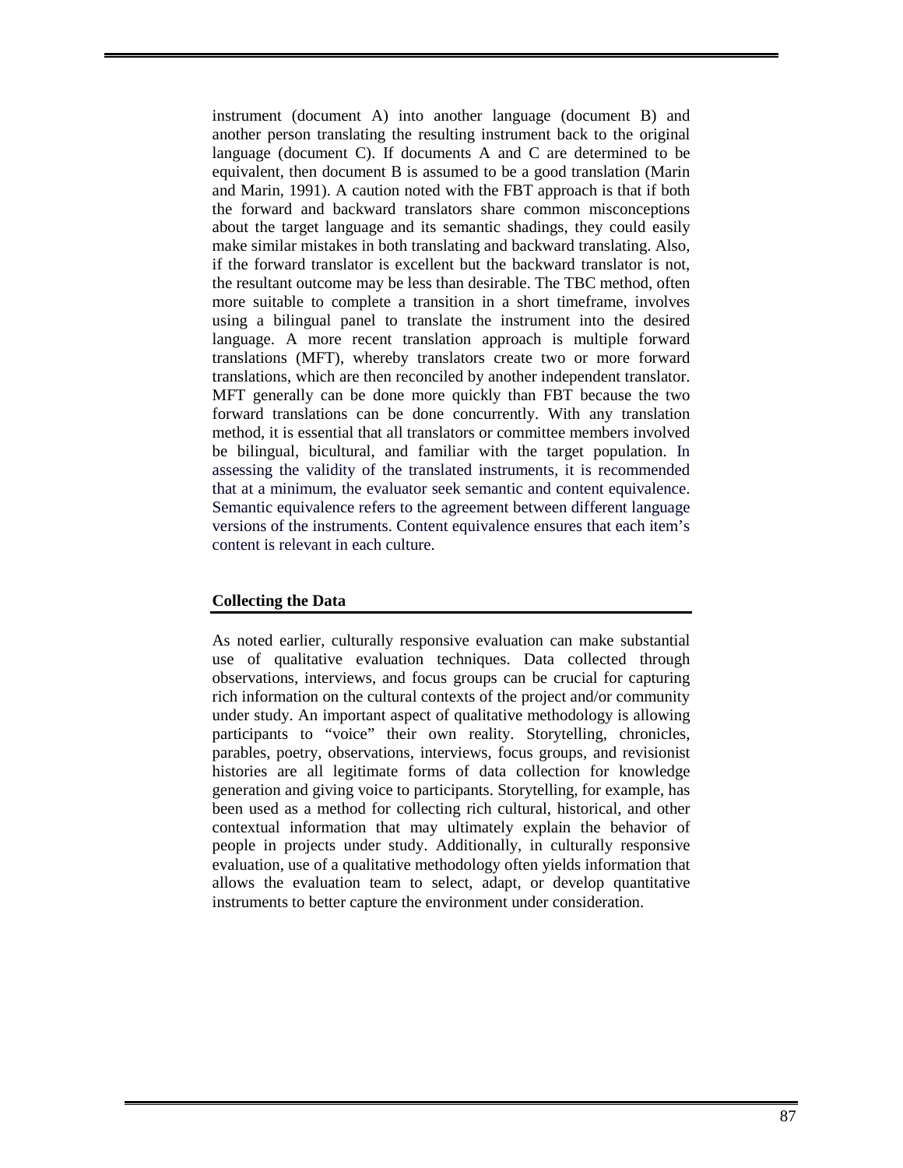instrument (document A) into another language (document B) and another person translating the resulting instrument back to the original language (document C). If documents A and C are determined to be equivalent, then document B is assumed to be a good translation (Marin and Marin, 1991). A caution noted with the FBT approach is that if both the forward and backward translators share common misconceptions about the target language and its semantic shadings, they could easily make similar mistakes in both translating and backward translating. Also, if the forward translator is excellent but the backward translator is not, the resultant outcome may be less than desirable. The TBC method, often more suitable to complete a transition in a short timeframe, involves using a bilingual panel to translate the instrument into the desired language. A more recent translation approach is multiple forward translations (MFT), whereby translators create two or more forward translations, which are then reconciled by another independent translator. MFT generally can be done more quickly than FBT because the two forward translations can be done concurrently. With any translation method, it is essential that all translators or committee members involved be bilingual, bicultural, and familiar with the target population. In assessing the validity of the translated instruments, it is recommended that at a minimum, the evaluator seek semantic and content equivalence. Semantic equivalence refers to the agreement between different language versions of the instruments. Content equivalence ensures that each item's content is relevant in each culture.

# **Collecting the Data**

As noted earlier, culturally responsive evaluation can make substantial use of qualitative evaluation techniques. Data collected through observations, interviews, and focus groups can be crucial for capturing rich information on the cultural contexts of the project and/or community under study. An important aspect of qualitative methodology is allowing participants to "voice" their own reality. Storytelling, chronicles, parables, poetry, observations, interviews, focus groups, and revisionist histories are all legitimate forms of data collection for knowledge generation and giving voice to participants. Storytelling, for example, has been used as a method for collecting rich cultural, historical, and other contextual information that may ultimately explain the behavior of people in projects under study. Additionally, in culturally responsive evaluation, use of a qualitative methodology often yields information that allows the evaluation team to select, adapt, or develop quantitative instruments to better capture the environment under consideration.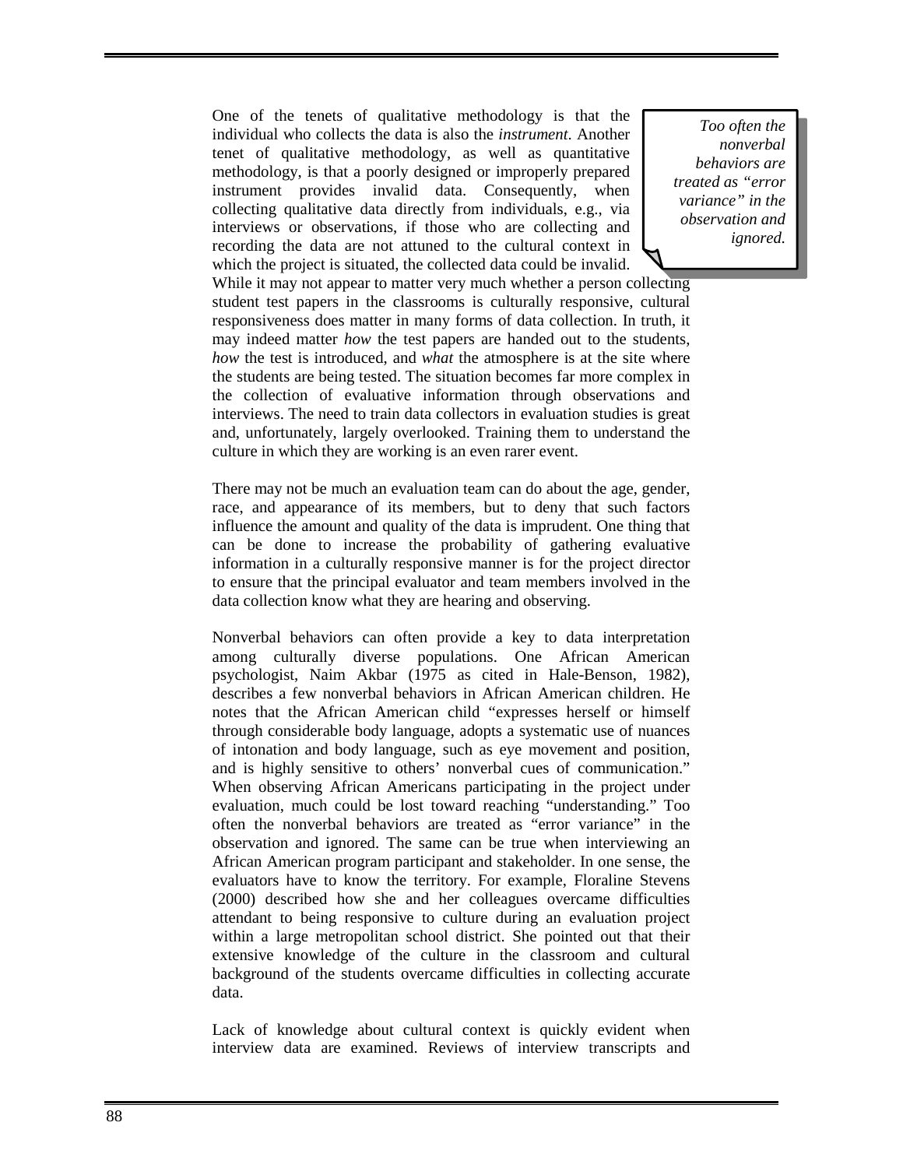One of the tenets of qualitative methodology is that the individual who collects the data is also the *instrument*. Another tenet of qualitative methodology, as well as quantitative methodology, is that a poorly designed or improperly prepared instrument provides invalid data. Consequently, when collecting qualitative data directly from individuals, e.g., via interviews or observations, if those who are collecting and recording the data are not attuned to the cultural context in which the project is situated, the collected data could be invalid.

*Too often the nonverbal behaviors are treated as "error variance" in the observation and ignored.* 

While it may not appear to matter very much whether a person collecting student test papers in the classrooms is culturally responsive, cultural responsiveness does matter in many forms of data collection. In truth, it may indeed matter *how* the test papers are handed out to the students, *how* the test is introduced, and *what* the atmosphere is at the site where the students are being tested. The situation becomes far more complex in the collection of evaluative information through observations and interviews. The need to train data collectors in evaluation studies is great and, unfortunately, largely overlooked. Training them to understand the culture in which they are working is an even rarer event.

There may not be much an evaluation team can do about the age, gender, race, and appearance of its members, but to deny that such factors influence the amount and quality of the data is imprudent. One thing that can be done to increase the probability of gathering evaluative information in a culturally responsive manner is for the project director to ensure that the principal evaluator and team members involved in the data collection know what they are hearing and observing.

Nonverbal behaviors can often provide a key to data interpretation among culturally diverse populations. One African American psychologist, Naim Akbar (1975 as cited in Hale-Benson, 1982), describes a few nonverbal behaviors in African American children. He notes that the African American child "expresses herself or himself through considerable body language, adopts a systematic use of nuances of intonation and body language, such as eye movement and position, and is highly sensitive to others' nonverbal cues of communication." When observing African Americans participating in the project under evaluation, much could be lost toward reaching "understanding." Too often the nonverbal behaviors are treated as "error variance" in the observation and ignored. The same can be true when interviewing an African American program participant and stakeholder. In one sense, the evaluators have to know the territory. For example, Floraline Stevens (2000) described how she and her colleagues overcame difficulties attendant to being responsive to culture during an evaluation project within a large metropolitan school district. She pointed out that their extensive knowledge of the culture in the classroom and cultural background of the students overcame difficulties in collecting accurate data.

Lack of knowledge about cultural context is quickly evident when interview data are examined. Reviews of interview transcripts and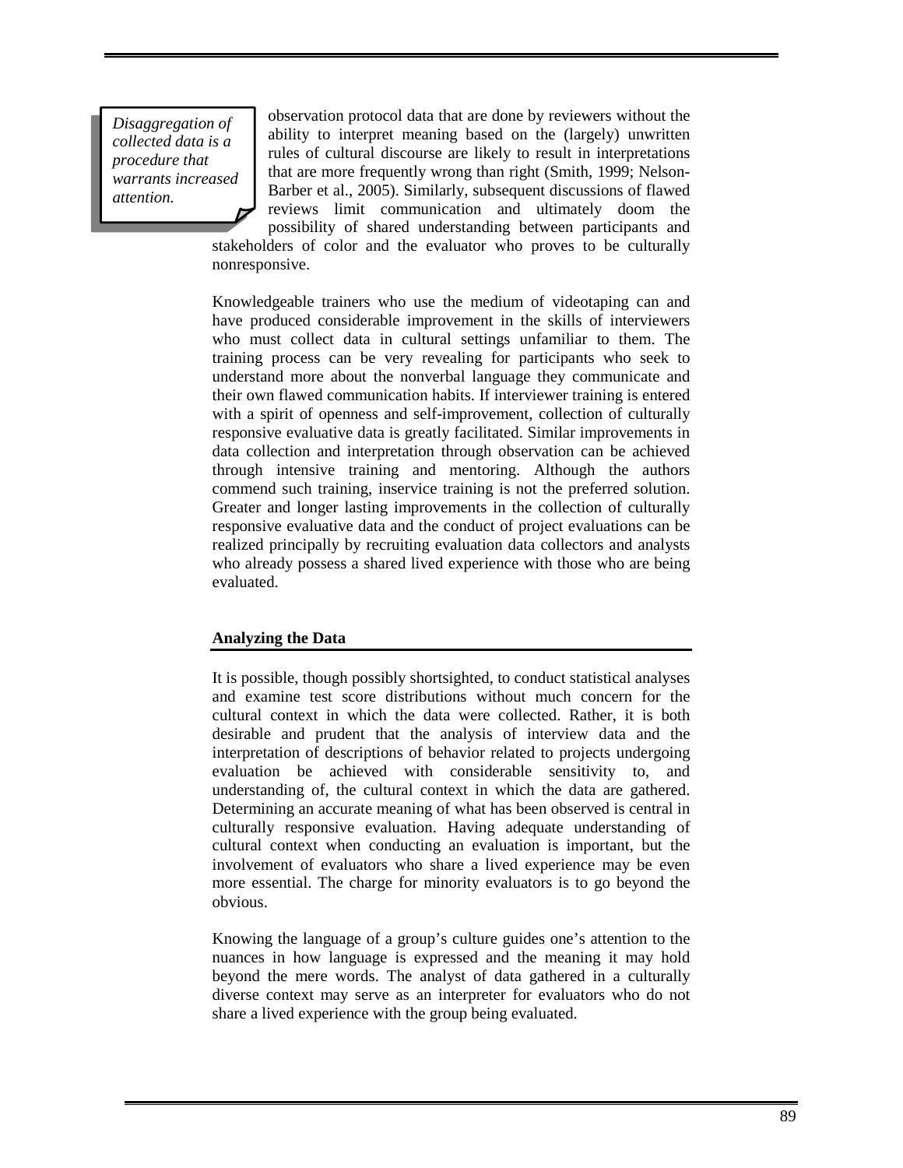*Disaggregation of collected data is a procedure that warrants increased attention.*

observation protocol data that are done by reviewers without the ability to interpret meaning based on the (largely) unwritten rules of cultural discourse are likely to result in interpretations that are more frequently wrong than right (Smith, 1999; Nelson-Barber et al., 2005). Similarly, subsequent discussions of flawed reviews limit communication and ultimately doom the

possibility of shared understanding between participants and stakeholders of color and the evaluator who proves to be culturally nonresponsive.

Knowledgeable trainers who use the medium of videotaping can and have produced considerable improvement in the skills of interviewers who must collect data in cultural settings unfamiliar to them. The training process can be very revealing for participants who seek to understand more about the nonverbal language they communicate and their own flawed communication habits. If interviewer training is entered with a spirit of openness and self-improvement, collection of culturally responsive evaluative data is greatly facilitated. Similar improvements in data collection and interpretation through observation can be achieved through intensive training and mentoring. Although the authors commend such training, inservice training is not the preferred solution. Greater and longer lasting improvements in the collection of culturally responsive evaluative data and the conduct of project evaluations can be realized principally by recruiting evaluation data collectors and analysts who already possess a shared lived experience with those who are being evaluated.

#### **Analyzing the Data**

It is possible, though possibly shortsighted, to conduct statistical analyses and examine test score distributions without much concern for the cultural context in which the data were collected. Rather, it is both desirable and prudent that the analysis of interview data and the interpretation of descriptions of behavior related to projects undergoing evaluation be achieved with considerable sensitivity to, and understanding of, the cultural context in which the data are gathered. Determining an accurate meaning of what has been observed is central in culturally responsive evaluation. Having adequate understanding of cultural context when conducting an evaluation is important, but the involvement of evaluators who share a lived experience may be even more essential. The charge for minority evaluators is to go beyond the obvious.

Knowing the language of a group's culture guides one's attention to the nuances in how language is expressed and the meaning it may hold beyond the mere words. The analyst of data gathered in a culturally diverse context may serve as an interpreter for evaluators who do not share a lived experience with the group being evaluated.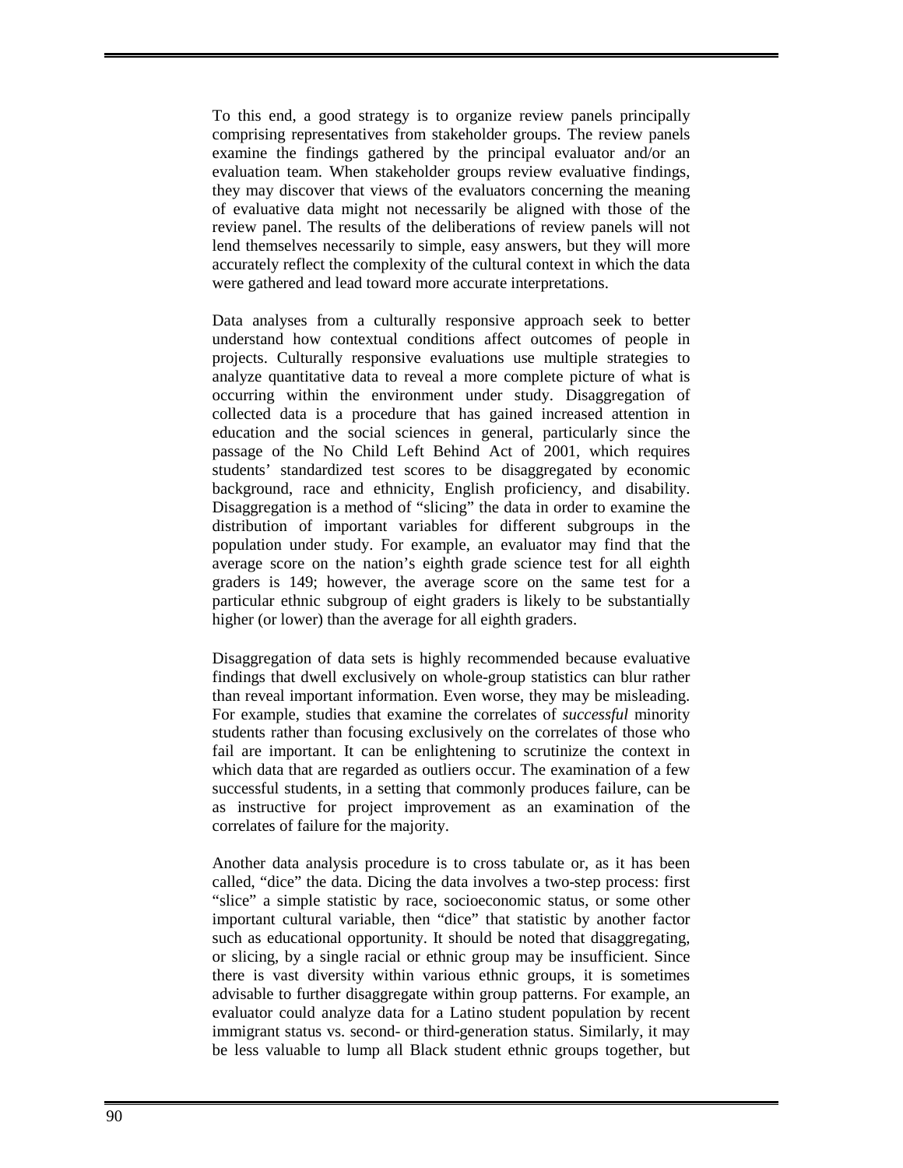To this end, a good strategy is to organize review panels principally comprising representatives from stakeholder groups. The review panels examine the findings gathered by the principal evaluator and/or an evaluation team. When stakeholder groups review evaluative findings, they may discover that views of the evaluators concerning the meaning of evaluative data might not necessarily be aligned with those of the review panel. The results of the deliberations of review panels will not lend themselves necessarily to simple, easy answers, but they will more accurately reflect the complexity of the cultural context in which the data were gathered and lead toward more accurate interpretations.

Data analyses from a culturally responsive approach seek to better understand how contextual conditions affect outcomes of people in projects. Culturally responsive evaluations use multiple strategies to analyze quantitative data to reveal a more complete picture of what is occurring within the environment under study. Disaggregation of collected data is a procedure that has gained increased attention in education and the social sciences in general, particularly since the passage of the No Child Left Behind Act of 2001, which requires students' standardized test scores to be disaggregated by economic background, race and ethnicity, English proficiency, and disability. Disaggregation is a method of "slicing" the data in order to examine the distribution of important variables for different subgroups in the population under study. For example, an evaluator may find that the average score on the nation's eighth grade science test for all eighth graders is 149; however, the average score on the same test for a particular ethnic subgroup of eight graders is likely to be substantially higher (or lower) than the average for all eighth graders.

Disaggregation of data sets is highly recommended because evaluative findings that dwell exclusively on whole-group statistics can blur rather than reveal important information. Even worse, they may be misleading. For example, studies that examine the correlates of *successful* minority students rather than focusing exclusively on the correlates of those who fail are important. It can be enlightening to scrutinize the context in which data that are regarded as outliers occur. The examination of a few successful students, in a setting that commonly produces failure, can be as instructive for project improvement as an examination of the correlates of failure for the majority.

Another data analysis procedure is to cross tabulate or, as it has been called, "dice" the data. Dicing the data involves a two-step process: first "slice" a simple statistic by race, socioeconomic status, or some other important cultural variable, then "dice" that statistic by another factor such as educational opportunity. It should be noted that disaggregating, or slicing, by a single racial or ethnic group may be insufficient. Since there is vast diversity within various ethnic groups, it is sometimes advisable to further disaggregate within group patterns. For example, an evaluator could analyze data for a Latino student population by recent immigrant status vs. second- or third-generation status. Similarly, it may be less valuable to lump all Black student ethnic groups together, but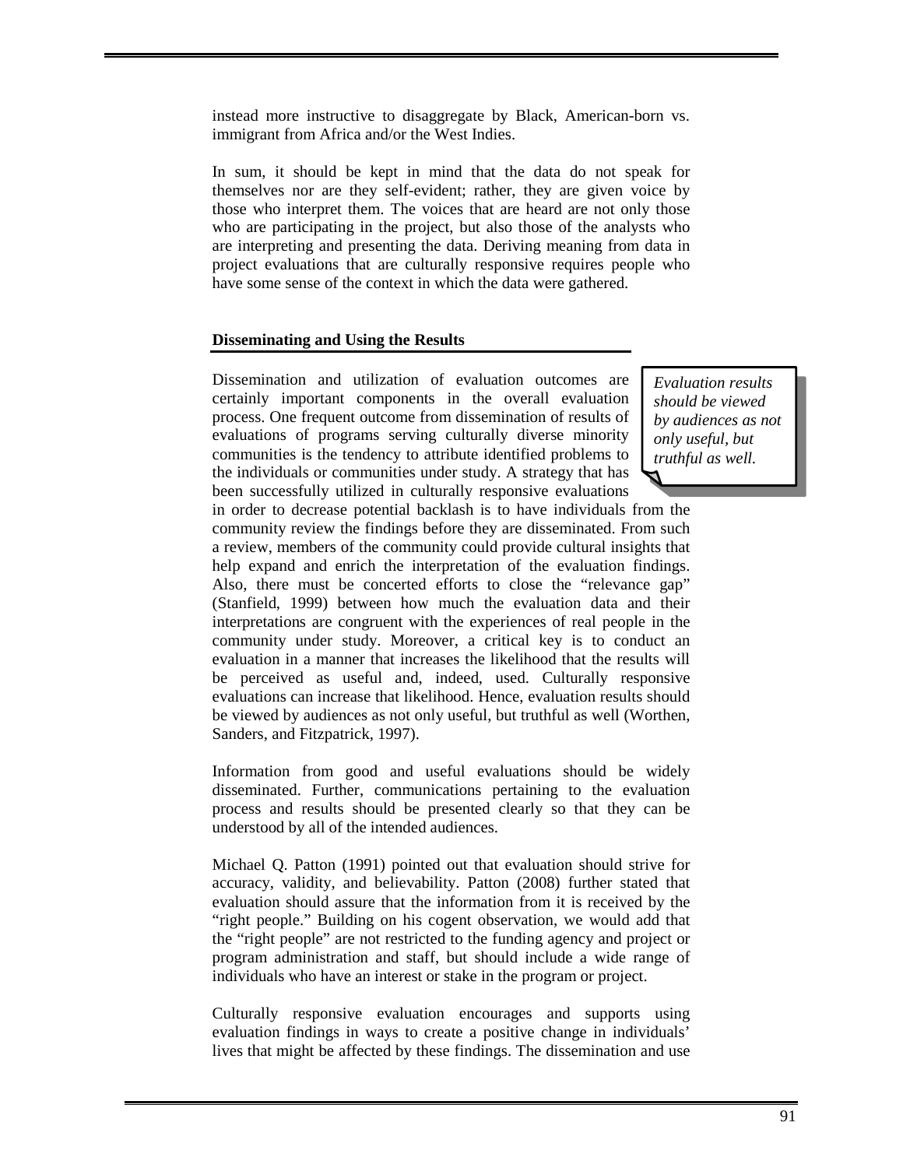instead more instructive to disaggregate by Black, American-born vs. immigrant from Africa and/or the West Indies.

In sum, it should be kept in mind that the data do not speak for themselves nor are they self-evident; rather, they are given voice by those who interpret them. The voices that are heard are not only those who are participating in the project, but also those of the analysts who are interpreting and presenting the data. Deriving meaning from data in project evaluations that are culturally responsive requires people who have some sense of the context in which the data were gathered.

#### **Disseminating and Using the Results**

Dissemination and utilization of evaluation outcomes are certainly important components in the overall evaluation process. One frequent outcome from dissemination of results of evaluations of programs serving culturally diverse minority communities is the tendency to attribute identified problems to the individuals or communities under study. A strategy that has been successfully utilized in culturally responsive evaluations

*Evaluation results should be viewed by audiences as not only useful, but truthful as well.* 

in order to decrease potential backlash is to have individuals from the community review the findings before they are disseminated. From such a review, members of the community could provide cultural insights that help expand and enrich the interpretation of the evaluation findings. Also, there must be concerted efforts to close the "relevance gap" (Stanfield, 1999) between how much the evaluation data and their interpretations are congruent with the experiences of real people in the community under study. Moreover, a critical key is to conduct an evaluation in a manner that increases the likelihood that the results will be perceived as useful and, indeed, used. Culturally responsive evaluations can increase that likelihood. Hence, evaluation results should be viewed by audiences as not only useful, but truthful as well (Worthen, Sanders, and Fitzpatrick, 1997).

Information from good and useful evaluations should be widely disseminated. Further, communications pertaining to the evaluation process and results should be presented clearly so that they can be understood by all of the intended audiences.

Michael Q. Patton (1991) pointed out that evaluation should strive for accuracy, validity, and believability. Patton (2008) further stated that evaluation should assure that the information from it is received by the "right people." Building on his cogent observation, we would add that the "right people" are not restricted to the funding agency and project or program administration and staff, but should include a wide range of individuals who have an interest or stake in the program or project.

Culturally responsive evaluation encourages and supports using evaluation findings in ways to create a positive change in individuals' lives that might be affected by these findings. The dissemination and use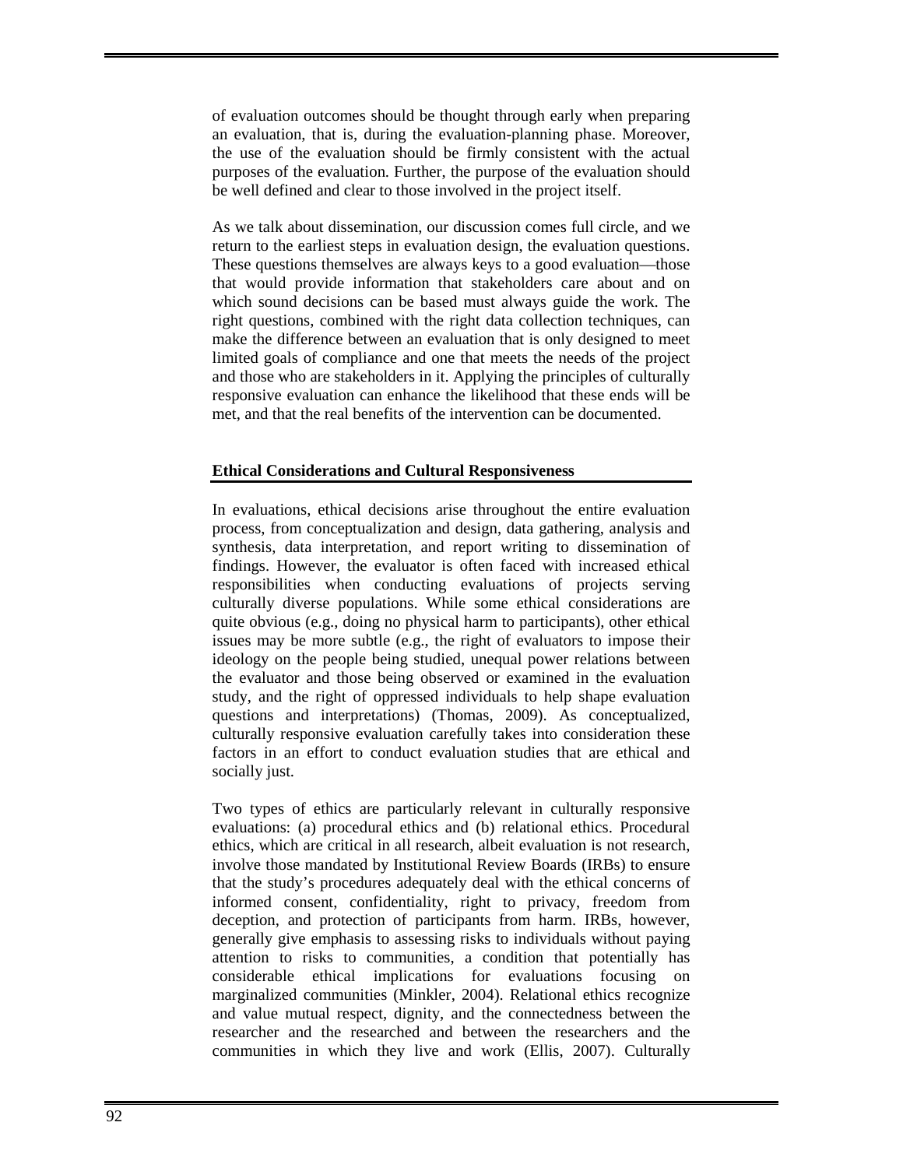of evaluation outcomes should be thought through early when preparing an evaluation, that is, during the evaluation-planning phase. Moreover, the use of the evaluation should be firmly consistent with the actual purposes of the evaluation. Further, the purpose of the evaluation should be well defined and clear to those involved in the project itself.

As we talk about dissemination, our discussion comes full circle, and we return to the earliest steps in evaluation design, the evaluation questions. These questions themselves are always keys to a good evaluation—those that would provide information that stakeholders care about and on which sound decisions can be based must always guide the work. The right questions, combined with the right data collection techniques, can make the difference between an evaluation that is only designed to meet limited goals of compliance and one that meets the needs of the project and those who are stakeholders in it. Applying the principles of culturally responsive evaluation can enhance the likelihood that these ends will be met, and that the real benefits of the intervention can be documented.

#### **Ethical Considerations and Cultural Responsiveness**

In evaluations, ethical decisions arise throughout the entire evaluation process, from conceptualization and design, data gathering, analysis and synthesis, data interpretation, and report writing to dissemination of findings. However, the evaluator is often faced with increased ethical responsibilities when conducting evaluations of projects serving culturally diverse populations. While some ethical considerations are quite obvious (e.g., doing no physical harm to participants), other ethical issues may be more subtle (e.g., the right of evaluators to impose their ideology on the people being studied, unequal power relations between the evaluator and those being observed or examined in the evaluation study, and the right of oppressed individuals to help shape evaluation questions and interpretations) (Thomas, 2009). As conceptualized, culturally responsive evaluation carefully takes into consideration these factors in an effort to conduct evaluation studies that are ethical and socially just.

Two types of ethics are particularly relevant in culturally responsive evaluations: (a) procedural ethics and (b) relational ethics. Procedural ethics, which are critical in all research, albeit evaluation is not research, involve those mandated by Institutional Review Boards (IRBs) to ensure that the study's procedures adequately deal with the ethical concerns of informed consent, confidentiality, right to privacy, freedom from deception, and protection of participants from harm. IRBs, however, generally give emphasis to assessing risks to individuals without paying attention to risks to communities, a condition that potentially has considerable ethical implications for evaluations focusing on marginalized communities (Minkler, 2004). Relational ethics recognize and value mutual respect, dignity, and the connectedness between the researcher and the researched and between the researchers and the communities in which they live and work (Ellis, 2007). Culturally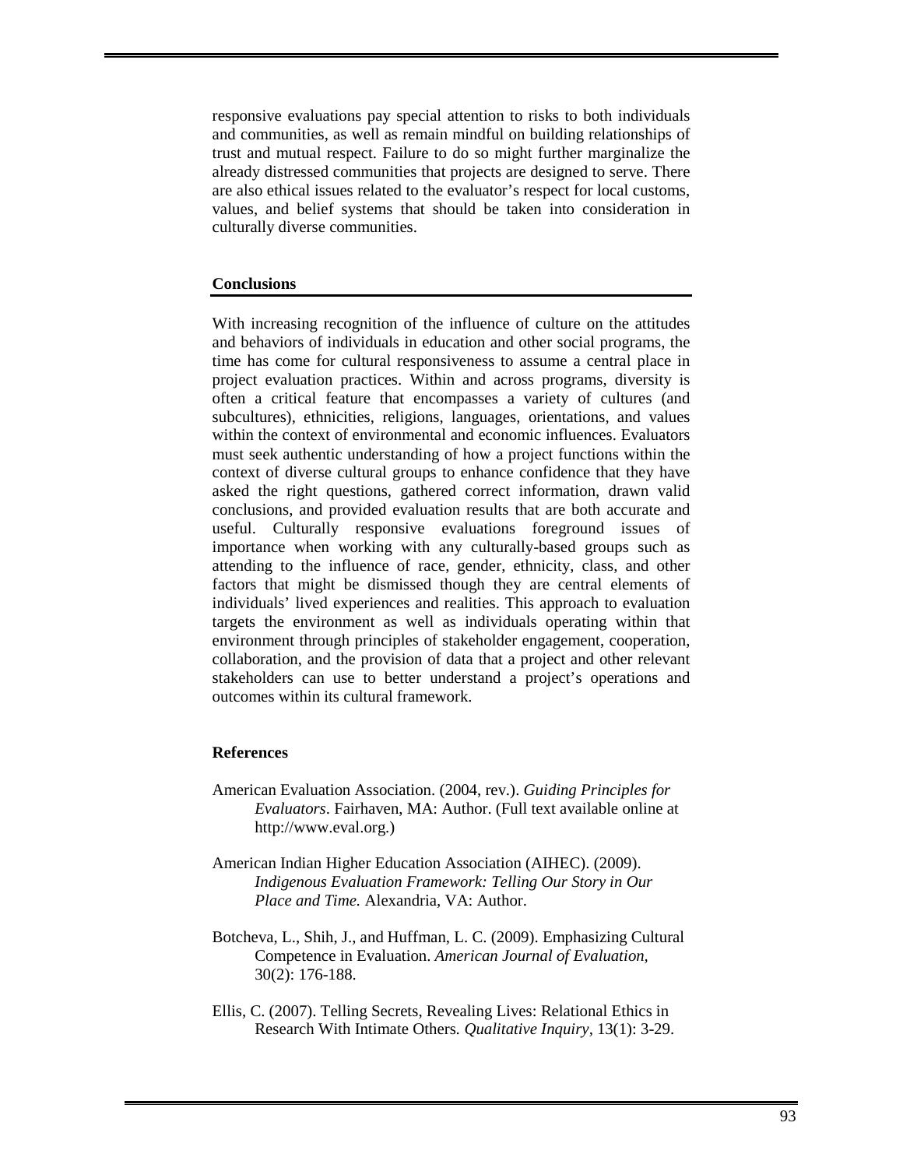responsive evaluations pay special attention to risks to both individuals and communities, as well as remain mindful on building relationships of trust and mutual respect. Failure to do so might further marginalize the already distressed communities that projects are designed to serve. There are also ethical issues related to the evaluator's respect for local customs, values, and belief systems that should be taken into consideration in culturally diverse communities.

#### **Conclusions**

With increasing recognition of the influence of culture on the attitudes and behaviors of individuals in education and other social programs, the time has come for cultural responsiveness to assume a central place in project evaluation practices. Within and across programs, diversity is often a critical feature that encompasses a variety of cultures (and subcultures), ethnicities, religions, languages, orientations, and values within the context of environmental and economic influences. Evaluators must seek authentic understanding of how a project functions within the context of diverse cultural groups to enhance confidence that they have asked the right questions, gathered correct information, drawn valid conclusions, and provided evaluation results that are both accurate and useful. Culturally responsive evaluations foreground issues of importance when working with any culturally-based groups such as attending to the influence of race, gender, ethnicity, class, and other factors that might be dismissed though they are central elements of individuals' lived experiences and realities. This approach to evaluation targets the environment as well as individuals operating within that environment through principles of stakeholder engagement, cooperation, collaboration, and the provision of data that a project and other relevant stakeholders can use to better understand a project's operations and outcomes within its cultural framework.

#### **References**

- American Evaluation Association. (2004, rev.). *Guiding Principles for Evaluators*. Fairhaven, MA: Author. (Full text available online at http://www.eval.org.)
- American Indian Higher Education Association (AIHEC). (2009). *Indigenous Evaluation Framework: Telling Our Story in Our Place and Time.* Alexandria, VA: Author.
- Botcheva, L., Shih, J., and Huffman, L. C. (2009). Emphasizing Cultural Competence in Evaluation. *American Journal of Evaluation,* 30(2): 176-188.
- Ellis, C. (2007). Telling Secrets, Revealing Lives: Relational Ethics in Research With Intimate Others*. Qualitative Inquiry,* 13(1): 3-29.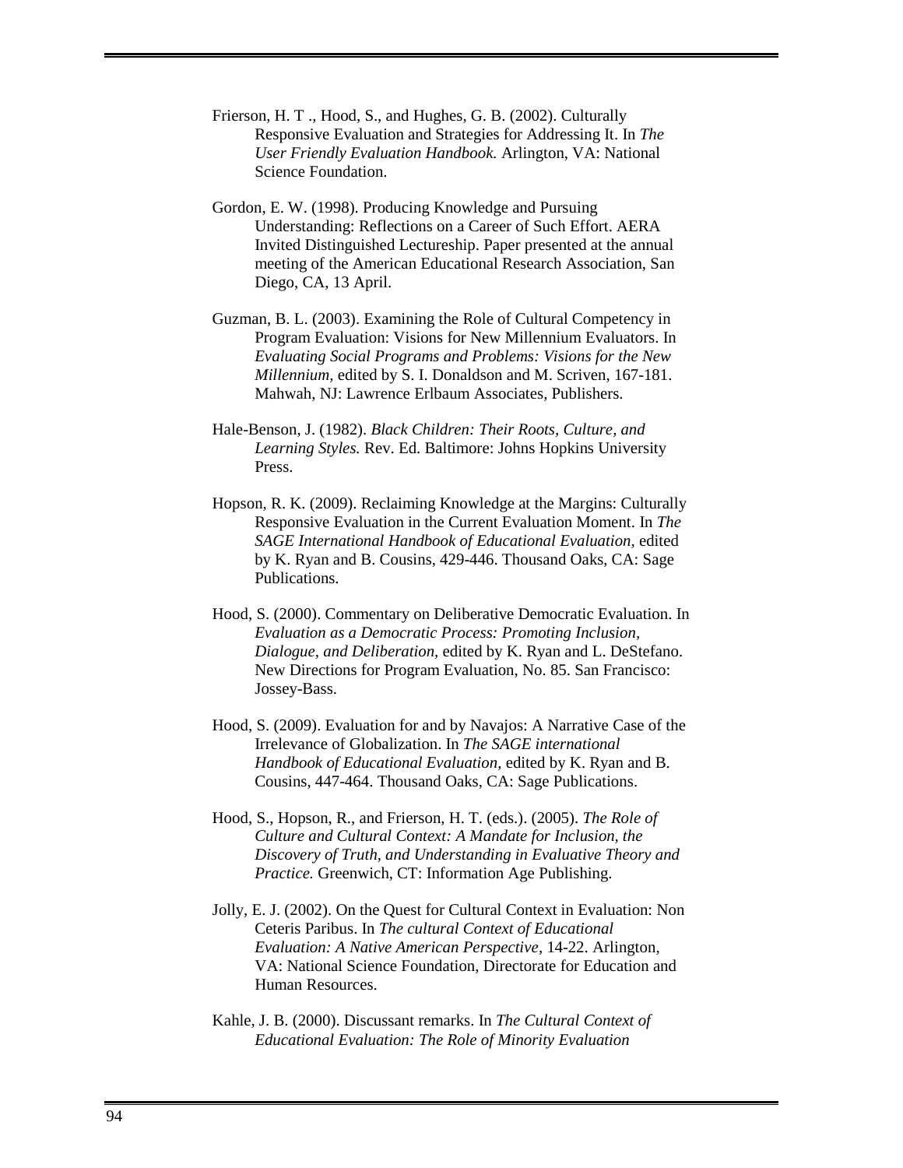- Frierson, H. T ., Hood, S., and Hughes, G. B. (2002). Culturally Responsive Evaluation and Strategies for Addressing It. In *The User Friendly Evaluation Handbook.* Arlington, VA: National Science Foundation.
- Gordon, E. W. (1998). Producing Knowledge and Pursuing Understanding: Reflections on a Career of Such Effort. AERA Invited Distinguished Lectureship. Paper presented at the annual meeting of the American Educational Research Association, San Diego, CA, 13 April.
- Guzman, B. L. (2003). Examining the Role of Cultural Competency in Program Evaluation: Visions for New Millennium Evaluators. In *Evaluating Social Programs and Problems: Visions for the New Millennium,* edited by S. I. Donaldson and M. Scriven, 167-181. Mahwah, NJ: Lawrence Erlbaum Associates, Publishers.
- Hale-Benson, J. (1982). *Black Children: Their Roots, Culture, and Learning Styles.* Rev. Ed. Baltimore: Johns Hopkins University Press.
- Hopson, R. K. (2009). Reclaiming Knowledge at the Margins: Culturally Responsive Evaluation in the Current Evaluation Moment. In *The SAGE International Handbook of Educational Evaluation,* edited by K. Ryan and B. Cousins, 429-446. Thousand Oaks, CA: Sage Publications.
- Hood, S. (2000). Commentary on Deliberative Democratic Evaluation. In *Evaluation as a Democratic Process: Promoting Inclusion, Dialogue, and Deliberation,* edited by K. Ryan and L. DeStefano. New Directions for Program Evaluation, No. 85. San Francisco: Jossey-Bass.
- Hood, S. (2009). Evaluation for and by Navajos: A Narrative Case of the Irrelevance of Globalization. In *The SAGE international Handbook of Educational Evaluation,* edited by K. Ryan and B. Cousins, 447-464. Thousand Oaks, CA: Sage Publications.
- Hood, S., Hopson, R., and Frierson, H. T. (eds.). (2005). *The Role of Culture and Cultural Context: A Mandate for Inclusion, the Discovery of Truth, and Understanding in Evaluative Theory and Practice.* Greenwich, CT: Information Age Publishing.
- Jolly, E. J. (2002). On the Quest for Cultural Context in Evaluation: Non Ceteris Paribus. In *The cultural Context of Educational Evaluation: A Native American Perspective,* 14-22. Arlington, VA: National Science Foundation, Directorate for Education and Human Resources.
- Kahle, J. B. (2000). Discussant remarks. In *The Cultural Context of Educational Evaluation: The Role of Minority Evaluation*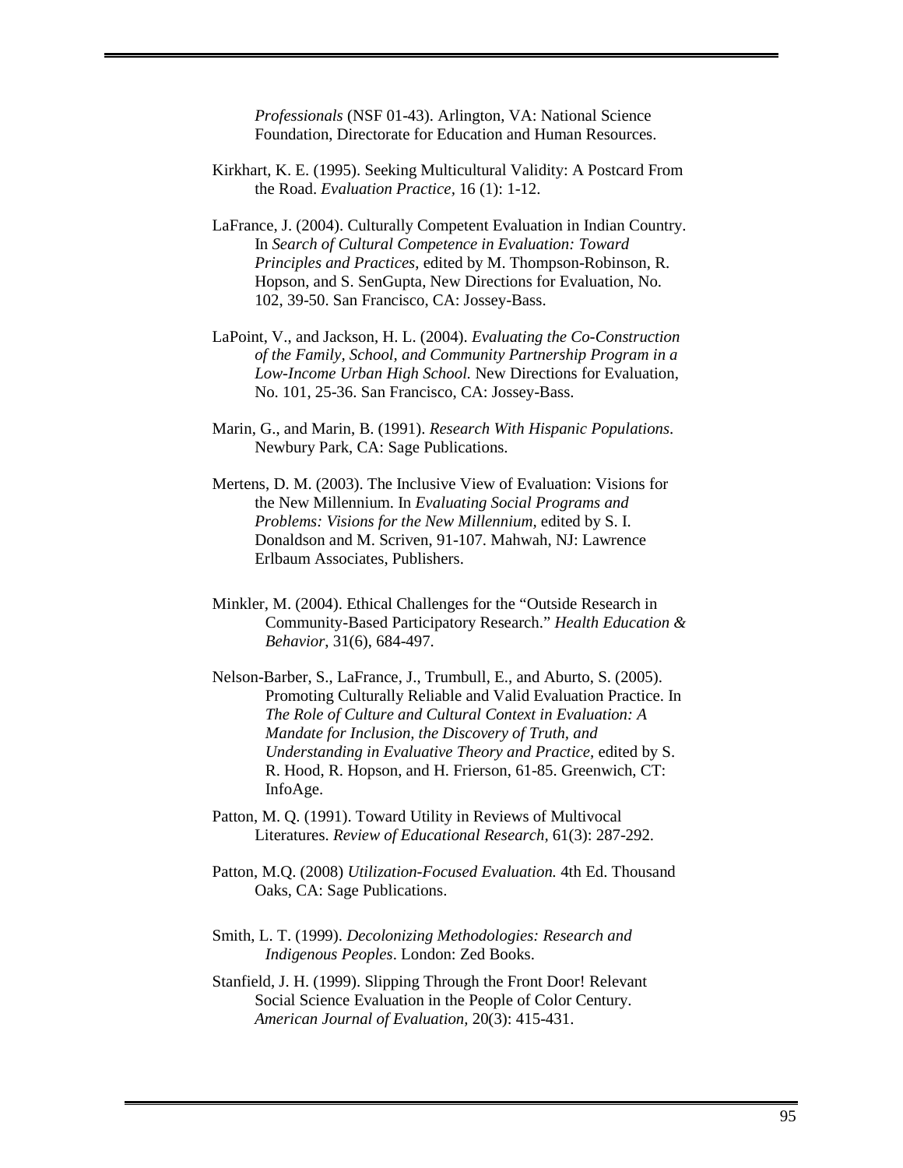*Professionals* (NSF 01-43). Arlington, VA: National Science Foundation, Directorate for Education and Human Resources.

- Kirkhart, K. E. (1995). Seeking Multicultural Validity: A Postcard From the Road. *Evaluation Practice,* 16 (1): 1-12.
- LaFrance, J. (2004). Culturally Competent Evaluation in Indian Country. In *Search of Cultural Competence in Evaluation: Toward Principles and Practices*, edited by M. Thompson-Robinson, R. Hopson, and S. SenGupta, New Directions for Evaluation, No. 102, 39-50. San Francisco, CA: Jossey-Bass.
- LaPoint, V., and Jackson, H. L. (2004). *Evaluating the Co-Construction of the Family, School, and Community Partnership Program in a Low-Income Urban High School.* New Directions for Evaluation, No. 101, 25-36. San Francisco, CA: Jossey-Bass.
- Marin, G., and Marin, B. (1991). *Research With Hispanic Populations*. Newbury Park, CA: Sage Publications.
- Mertens, D. M. (2003). The Inclusive View of Evaluation: Visions for the New Millennium. In *Evaluating Social Programs and Problems: Visions for the New Millennium,* edited by S. I. Donaldson and M. Scriven, 91-107. Mahwah, NJ: Lawrence Erlbaum Associates, Publishers.
- Minkler, M. (2004). Ethical Challenges for the "Outside Research in Community-Based Participatory Research." *Health Education & Behavior*, 31(6), 684-497.
- Nelson-Barber, S., LaFrance, J., Trumbull, E., and Aburto, S. (2005). Promoting Culturally Reliable and Valid Evaluation Practice. In *The Role of Culture and Cultural Context in Evaluation: A Mandate for Inclusion, the Discovery of Truth, and Understanding in Evaluative Theory and Practice,* edited by S. R. Hood, R. Hopson, and H. Frierson, 61-85. Greenwich, CT: InfoAge.
- Patton, M. Q. (1991). Toward Utility in Reviews of Multivocal Literatures. *Review of Educational Research,* 61(3): 287-292.
- Patton, M.Q. (2008) *Utilization-Focused Evaluation.* 4th Ed. Thousand Oaks, CA: Sage Publications.
- Smith, L. T. (1999). *Decolonizing Methodologies: Research and Indigenous Peoples*. London: Zed Books.
- Stanfield, J. H. (1999). Slipping Through the Front Door! Relevant Social Science Evaluation in the People of Color Century. *American Journal of Evaluation,* 20(3): 415-431.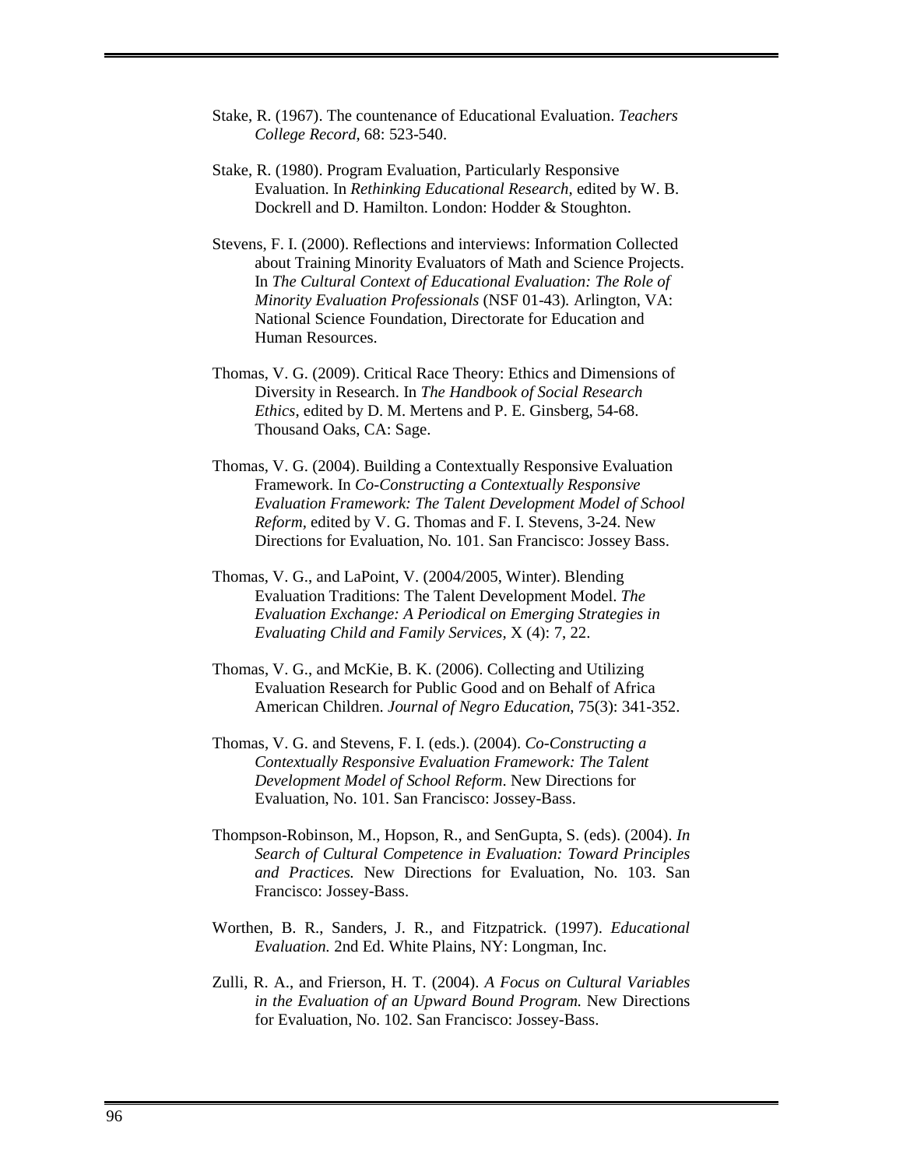- Stake, R. (1967). The countenance of Educational Evaluation. *Teachers College Record,* 68: 523-540.
- Stake, R. (1980). Program Evaluation, Particularly Responsive Evaluation. In *Rethinking Educational Research,* edited by W. B. Dockrell and D. Hamilton. London: Hodder & Stoughton.
- Stevens, F. I. (2000). Reflections and interviews: Information Collected about Training Minority Evaluators of Math and Science Projects. In *The Cultural Context of Educational Evaluation: The Role of Minority Evaluation Professionals* (NSF 01-43)*.* Arlington, VA: National Science Foundation, Directorate for Education and Human Resources.
- Thomas, V. G. (2009). Critical Race Theory: Ethics and Dimensions of Diversity in Research. In *The Handbook of Social Research Ethics*, edited by D. M. Mertens and P. E. Ginsberg, 54-68. Thousand Oaks, CA: Sage.
- Thomas, V. G. (2004). Building a Contextually Responsive Evaluation Framework. In *Co-Constructing a Contextually Responsive Evaluation Framework: The Talent Development Model of School Reform,* edited by V. G. Thomas and F. I. Stevens, 3-24. New Directions for Evaluation, No. 101. San Francisco: Jossey Bass.
- Thomas, V. G., and LaPoint, V. (2004/2005, Winter). Blending Evaluation Traditions: The Talent Development Model. *The Evaluation Exchange: A Periodical on Emerging Strategies in Evaluating Child and Family Services,* X (4): 7, 22.
- Thomas, V. G., and McKie, B. K. (2006). Collecting and Utilizing Evaluation Research for Public Good and on Behalf of Africa American Children. *Journal of Negro Education*, 75(3): 341-352.
- Thomas, V. G. and Stevens, F. I. (eds.). (2004). *Co-Constructing a Contextually Responsive Evaluation Framework: The Talent Development Model of School Reform*. New Directions for Evaluation, No. 101. San Francisco: Jossey-Bass.
- Thompson-Robinson, M., Hopson, R., and SenGupta, S. (eds). (2004). *In Search of Cultural Competence in Evaluation: Toward Principles and Practices.* New Directions for Evaluation, No. 103. San Francisco: Jossey-Bass.
- Worthen, B. R., Sanders, J. R., and Fitzpatrick. (1997). *Educational Evaluation.* 2nd Ed. White Plains, NY: Longman, Inc.
- Zulli, R. A., and Frierson, H. T. (2004). *A Focus on Cultural Variables in the Evaluation of an Upward Bound Program.* New Directions for Evaluation, No. 102. San Francisco: Jossey-Bass.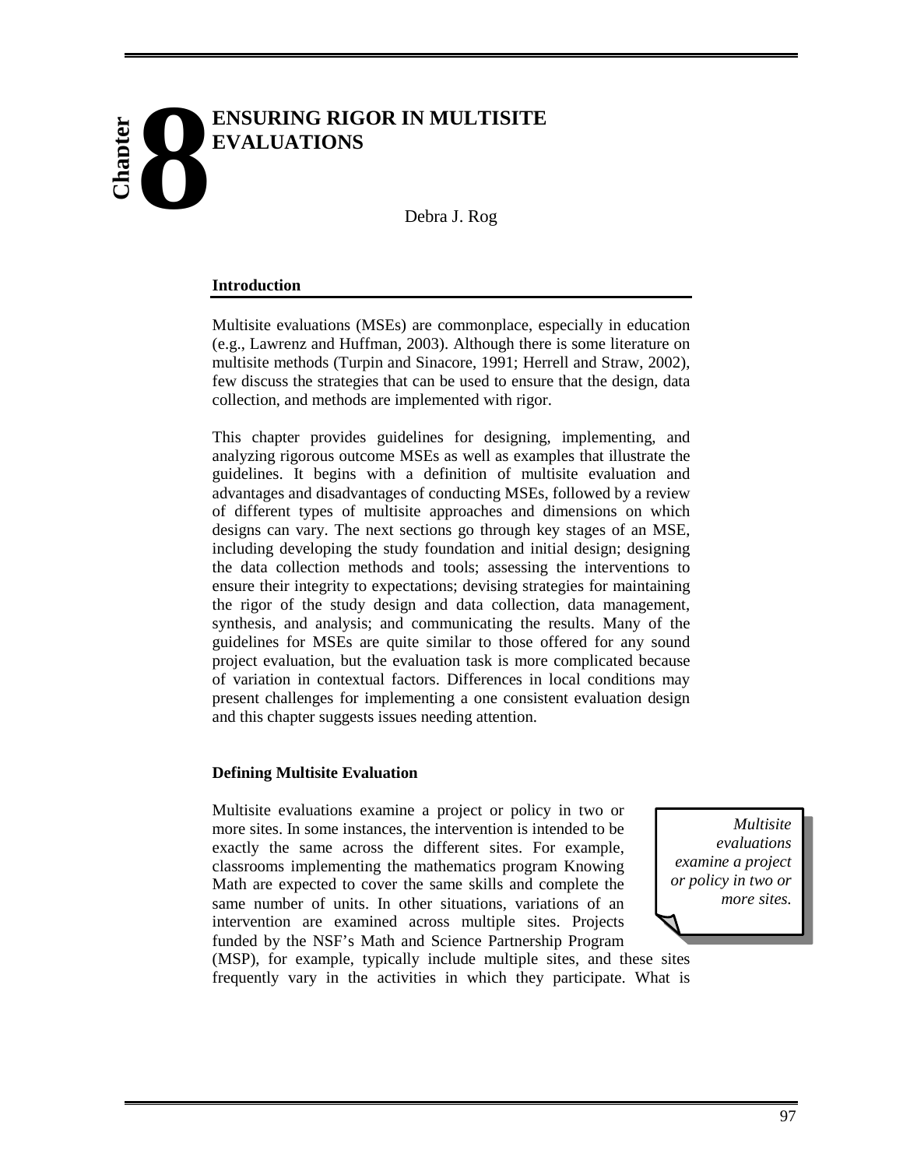# **ENSURING RIGOR IN MULTISITE EVALUATIONS 8 Chapter**

Debra J. Rog

#### **Introduction**

Multisite evaluations (MSEs) are commonplace, especially in education (e.g., Lawrenz and Huffman, 2003). Although there is some literature on multisite methods (Turpin and Sinacore, 1991; Herrell and Straw, 2002), few discuss the strategies that can be used to ensure that the design, data collection, and methods are implemented with rigor.

This chapter provides guidelines for designing, implementing, and analyzing rigorous outcome MSEs as well as examples that illustrate the guidelines. It begins with a definition of multisite evaluation and advantages and disadvantages of conducting MSEs, followed by a review of different types of multisite approaches and dimensions on which designs can vary. The next sections go through key stages of an MSE, including developing the study foundation and initial design; designing the data collection methods and tools; assessing the interventions to ensure their integrity to expectations; devising strategies for maintaining the rigor of the study design and data collection, data management, synthesis, and analysis; and communicating the results. Many of the guidelines for MSEs are quite similar to those offered for any sound project evaluation, but the evaluation task is more complicated because of variation in contextual factors. Differences in local conditions may present challenges for implementing a one consistent evaluation design and this chapter suggests issues needing attention.

#### **Defining Multisite Evaluation**

Multisite evaluations examine a project or policy in two or more sites. In some instances, the intervention is intended to be exactly the same across the different sites. For example, classrooms implementing the mathematics program Knowing Math are expected to cover the same skills and complete the same number of units. In other situations, variations of an intervention are examined across multiple sites. Projects funded by the NSF's Math and Science Partnership Program

*Multisite evaluations examine a project or policy in two or more sites.* 

(MSP), for example, typically include multiple sites, and these sites frequently vary in the activities in which they participate. What is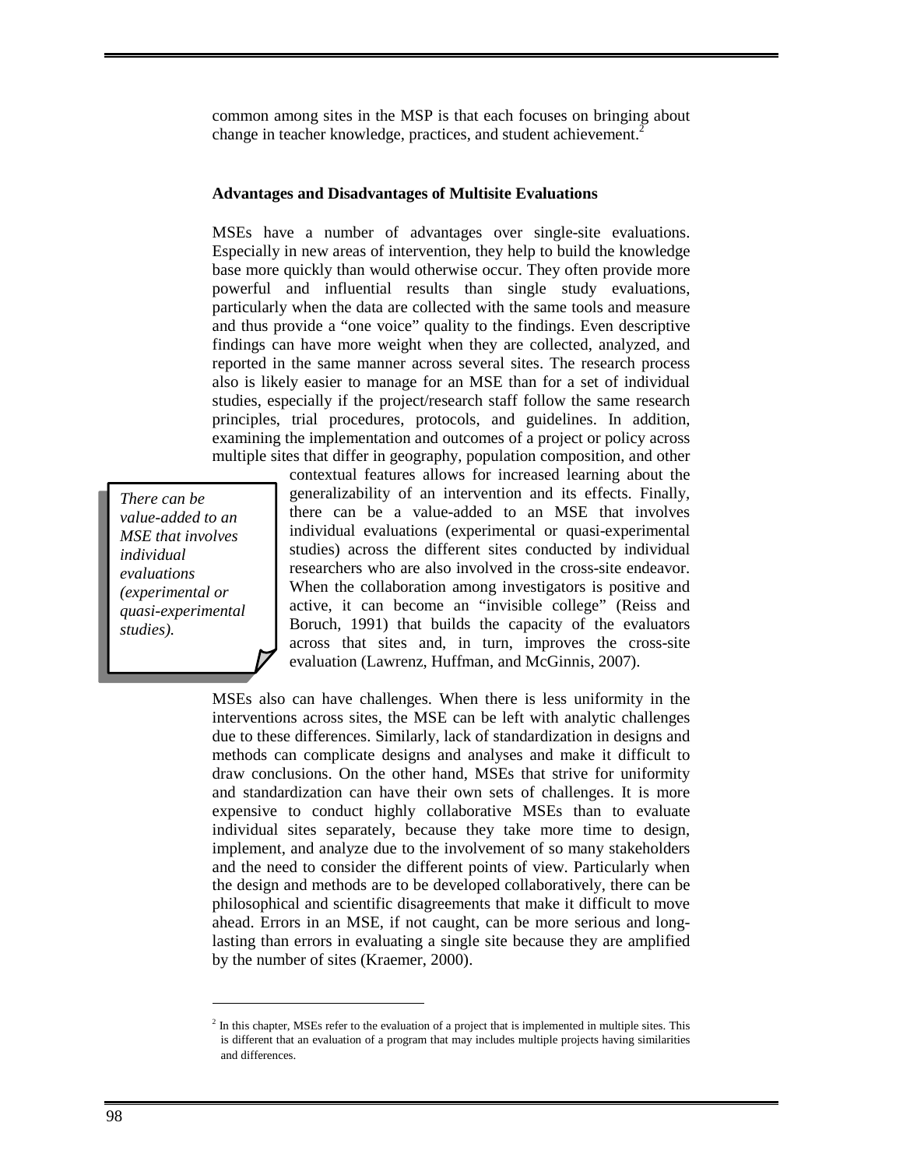common among sites in the MSP is that each focuses on bringing about change in teacher knowledge, practices, and student achievement.<sup>2</sup>

#### **Advantages and Disadvantages of Multisite Evaluations**

MSEs have a number of advantages over single-site evaluations. Especially in new areas of intervention, they help to build the knowledge base more quickly than would otherwise occur. They often provide more powerful and influential results than single study evaluations, particularly when the data are collected with the same tools and measure and thus provide a "one voice" quality to the findings. Even descriptive findings can have more weight when they are collected, analyzed, and reported in the same manner across several sites. The research process also is likely easier to manage for an MSE than for a set of individual studies, especially if the project/research staff follow the same research principles, trial procedures, protocols, and guidelines. In addition, examining the implementation and outcomes of a project or policy across multiple sites that differ in geography, population composition, and other

*There can be value-added to an MSE that involves individual evaluations (experimental or quasi-experimental studies).* 

-

contextual features allows for increased learning about the generalizability of an intervention and its effects. Finally, there can be a value-added to an MSE that involves individual evaluations (experimental or quasi-experimental studies) across the different sites conducted by individual researchers who are also involved in the cross-site endeavor. When the collaboration among investigators is positive and active, it can become an "invisible college" (Reiss and Boruch, 1991) that builds the capacity of the evaluators across that sites and, in turn, improves the cross-site evaluation (Lawrenz, Huffman, and McGinnis, 2007).

MSEs also can have challenges. When there is less uniformity in the interventions across sites, the MSE can be left with analytic challenges due to these differences. Similarly, lack of standardization in designs and methods can complicate designs and analyses and make it difficult to draw conclusions. On the other hand, MSEs that strive for uniformity and standardization can have their own sets of challenges. It is more expensive to conduct highly collaborative MSEs than to evaluate individual sites separately, because they take more time to design, implement, and analyze due to the involvement of so many stakeholders and the need to consider the different points of view. Particularly when the design and methods are to be developed collaboratively, there can be philosophical and scientific disagreements that make it difficult to move ahead. Errors in an MSE, if not caught, can be more serious and longlasting than errors in evaluating a single site because they are amplified by the number of sites (Kraemer, 2000).

 $2$  In this chapter, MSEs refer to the evaluation of a project that is implemented in multiple sites. This is different that an evaluation of a program that may includes multiple projects having similarities and differences.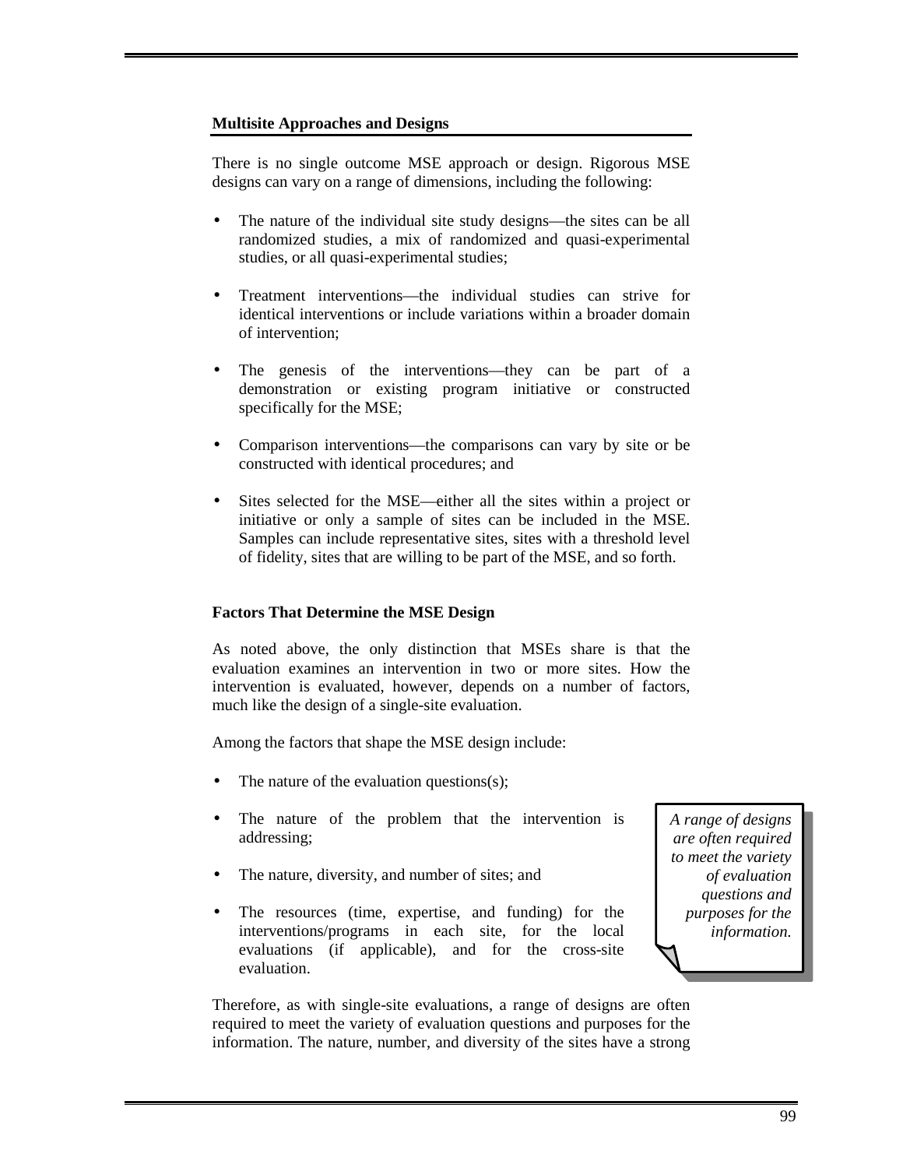# **Multisite Approaches and Designs**

There is no single outcome MSE approach or design. Rigorous MSE designs can vary on a range of dimensions, including the following:

- The nature of the individual site study designs—the sites can be all randomized studies, a mix of randomized and quasi-experimental studies, or all quasi-experimental studies;
- Treatment interventions—the individual studies can strive for identical interventions or include variations within a broader domain of intervention;
- The genesis of the interventions—they can be part of a demonstration or existing program initiative or constructed specifically for the MSE;
- Comparison interventions—the comparisons can vary by site or be constructed with identical procedures; and
- Sites selected for the MSE—either all the sites within a project or initiative or only a sample of sites can be included in the MSE. Samples can include representative sites, sites with a threshold level of fidelity, sites that are willing to be part of the MSE, and so forth.

# **Factors That Determine the MSE Design**

As noted above, the only distinction that MSEs share is that the evaluation examines an intervention in two or more sites. How the intervention is evaluated, however, depends on a number of factors, much like the design of a single-site evaluation.

Among the factors that shape the MSE design include:

- The nature of the evaluation questions $(s)$ ;
- The nature of the problem that the intervention is addressing;
- The nature, diversity, and number of sites; and
- The resources (time, expertise, and funding) for the interventions/programs in each site, for the local evaluations (if applicable), and for the cross-site evaluation.

*A range of designs are often required to meet the variety of evaluation questions and purposes for the information.* 

Therefore, as with single-site evaluations, a range of designs are often required to meet the variety of evaluation questions and purposes for the information. The nature, number, and diversity of the sites have a strong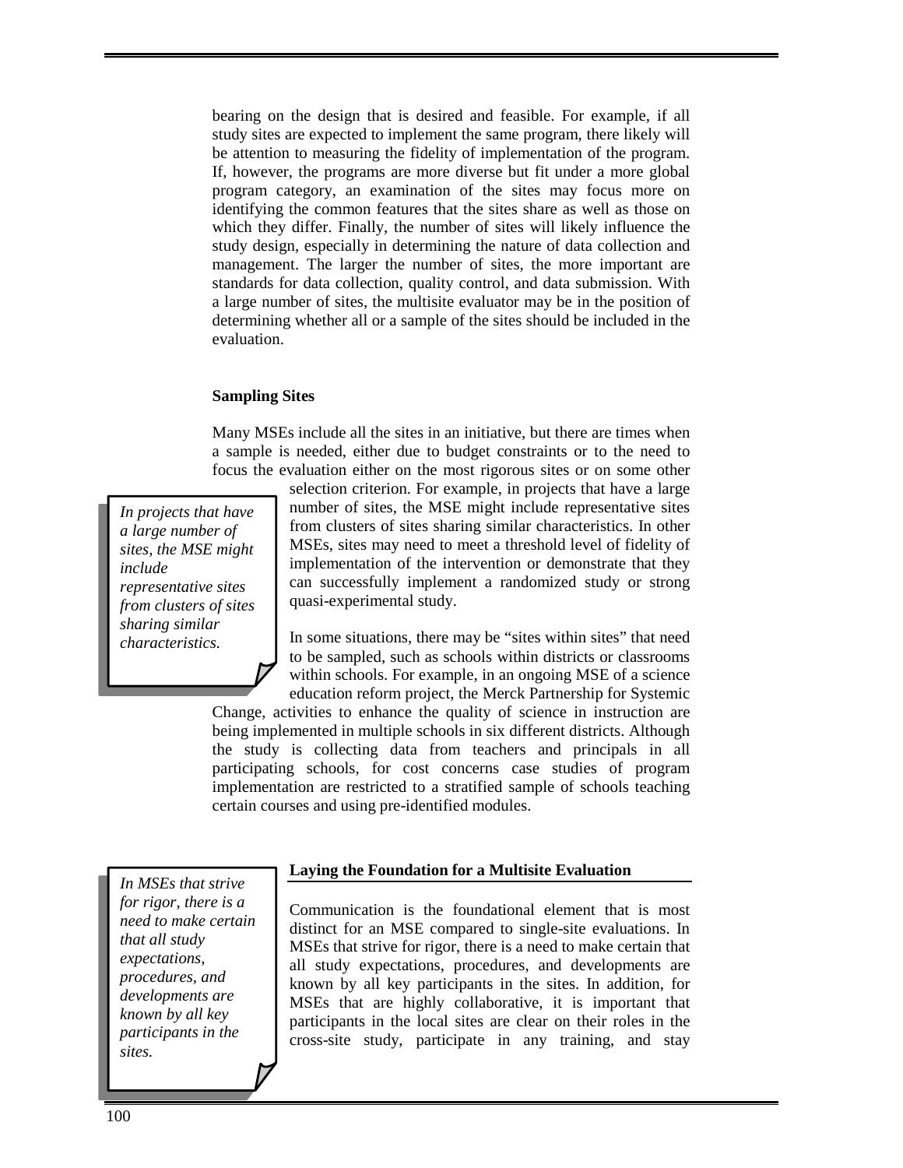bearing on the design that is desired and feasible. For example, if all study sites are expected to implement the same program, there likely will be attention to measuring the fidelity of implementation of the program. If, however, the programs are more diverse but fit under a more global program category, an examination of the sites may focus more on identifying the common features that the sites share as well as those on which they differ. Finally, the number of sites will likely influence the study design, especially in determining the nature of data collection and management. The larger the number of sites, the more important are standards for data collection, quality control, and data submission. With a large number of sites, the multisite evaluator may be in the position of determining whether all or a sample of the sites should be included in the evaluation.

#### **Sampling Sites**

Many MSEs include all the sites in an initiative, but there are times when a sample is needed, either due to budget constraints or to the need to focus the evaluation either on the most rigorous sites or on some other

*In projects that have a large number of sites, the MSE might include representative sites from clusters of sites sharing similar characteristics.* 

selection criterion. For example, in projects that have a large number of sites, the MSE might include representative sites from clusters of sites sharing similar characteristics. In other MSEs, sites may need to meet a threshold level of fidelity of implementation of the intervention or demonstrate that they can successfully implement a randomized study or strong quasi-experimental study.

In some situations, there may be "sites within sites" that need to be sampled, such as schools within districts or classrooms within schools. For example, in an ongoing MSE of a science education reform project, the Merck Partnership for Systemic

Change, activities to enhance the quality of science in instruction are being implemented in multiple schools in six different districts. Although the study is collecting data from teachers and principals in all participating schools, for cost concerns case studies of program implementation are restricted to a stratified sample of schools teaching certain courses and using pre-identified modules.

#### **Laying the Foundation for a Multisite Evaluation**

*In MSEs that strive for rigor, there is a need to make certain that all study expectations, procedures, and developments are known by all key participants in the sites.* 

Communication is the foundational element that is most distinct for an MSE compared to single-site evaluations. In MSEs that strive for rigor, there is a need to make certain that all study expectations, procedures, and developments are known by all key participants in the sites. In addition, for MSEs that are highly collaborative, it is important that participants in the local sites are clear on their roles in the cross-site study, participate in any training, and stay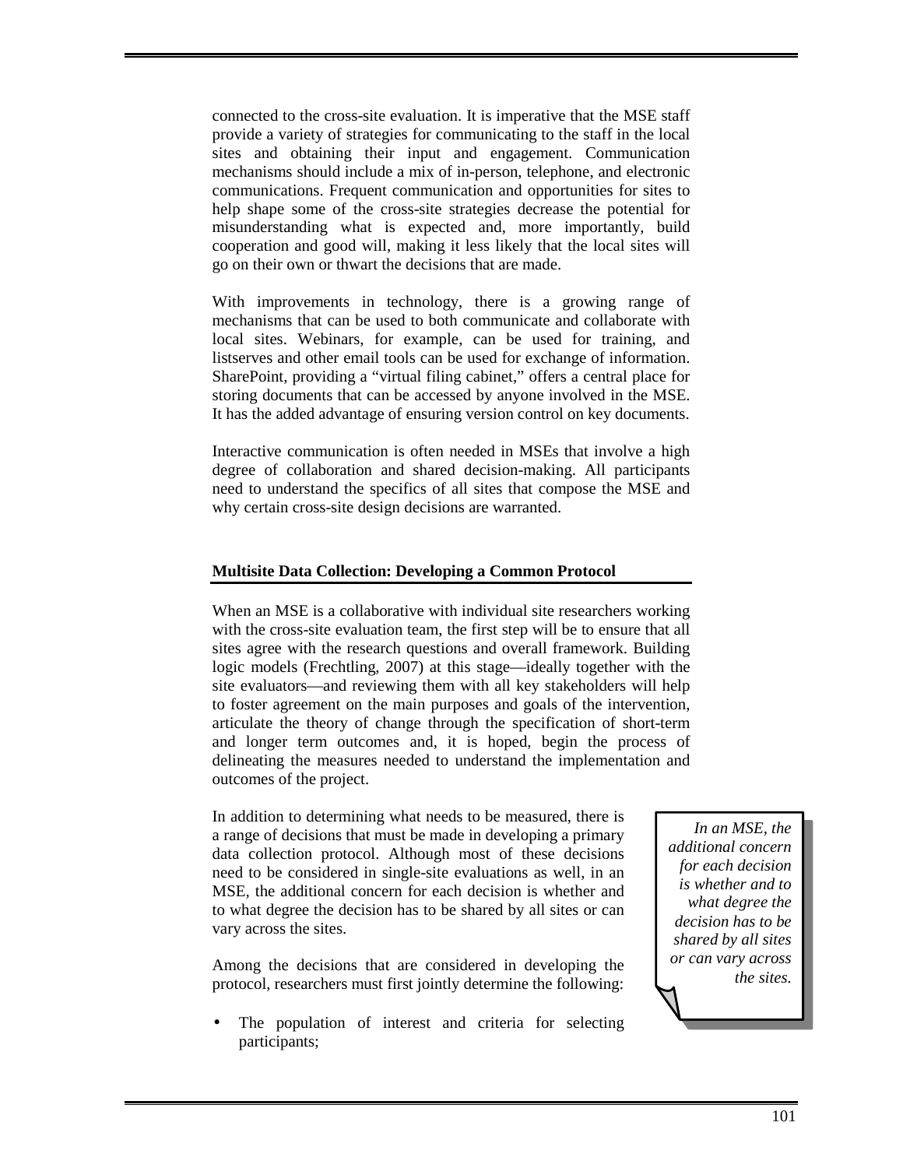connected to the cross-site evaluation. It is imperative that the MSE staff provide a variety of strategies for communicating to the staff in the local sites and obtaining their input and engagement. Communication mechanisms should include a mix of in-person, telephone, and electronic communications. Frequent communication and opportunities for sites to help shape some of the cross-site strategies decrease the potential for misunderstanding what is expected and, more importantly, build cooperation and good will, making it less likely that the local sites will go on their own or thwart the decisions that are made.

With improvements in technology, there is a growing range of mechanisms that can be used to both communicate and collaborate with local sites. Webinars, for example, can be used for training, and listserves and other email tools can be used for exchange of information. SharePoint, providing a "virtual filing cabinet," offers a central place for storing documents that can be accessed by anyone involved in the MSE. It has the added advantage of ensuring version control on key documents.

Interactive communication is often needed in MSEs that involve a high degree of collaboration and shared decision-making. All participants need to understand the specifics of all sites that compose the MSE and why certain cross-site design decisions are warranted.

# **Multisite Data Collection: Developing a Common Protocol**

When an MSE is a collaborative with individual site researchers working with the cross-site evaluation team, the first step will be to ensure that all sites agree with the research questions and overall framework. Building logic models (Frechtling, 2007) at this stage—ideally together with the site evaluators—and reviewing them with all key stakeholders will help to foster agreement on the main purposes and goals of the intervention, articulate the theory of change through the specification of short-term and longer term outcomes and, it is hoped, begin the process of delineating the measures needed to understand the implementation and outcomes of the project.

In addition to determining what needs to be measured, there is a range of decisions that must be made in developing a primary data collection protocol. Although most of these decisions need to be considered in single-site evaluations as well, in an MSE, the additional concern for each decision is whether and to what degree the decision has to be shared by all sites or can vary across the sites.

Among the decisions that are considered in developing the protocol, researchers must first jointly determine the following:

The population of interest and criteria for selecting participants;

*In an MSE, the additional concern for each decision is whether and to what degree the decision has to be shared by all sites or can vary across the sites.*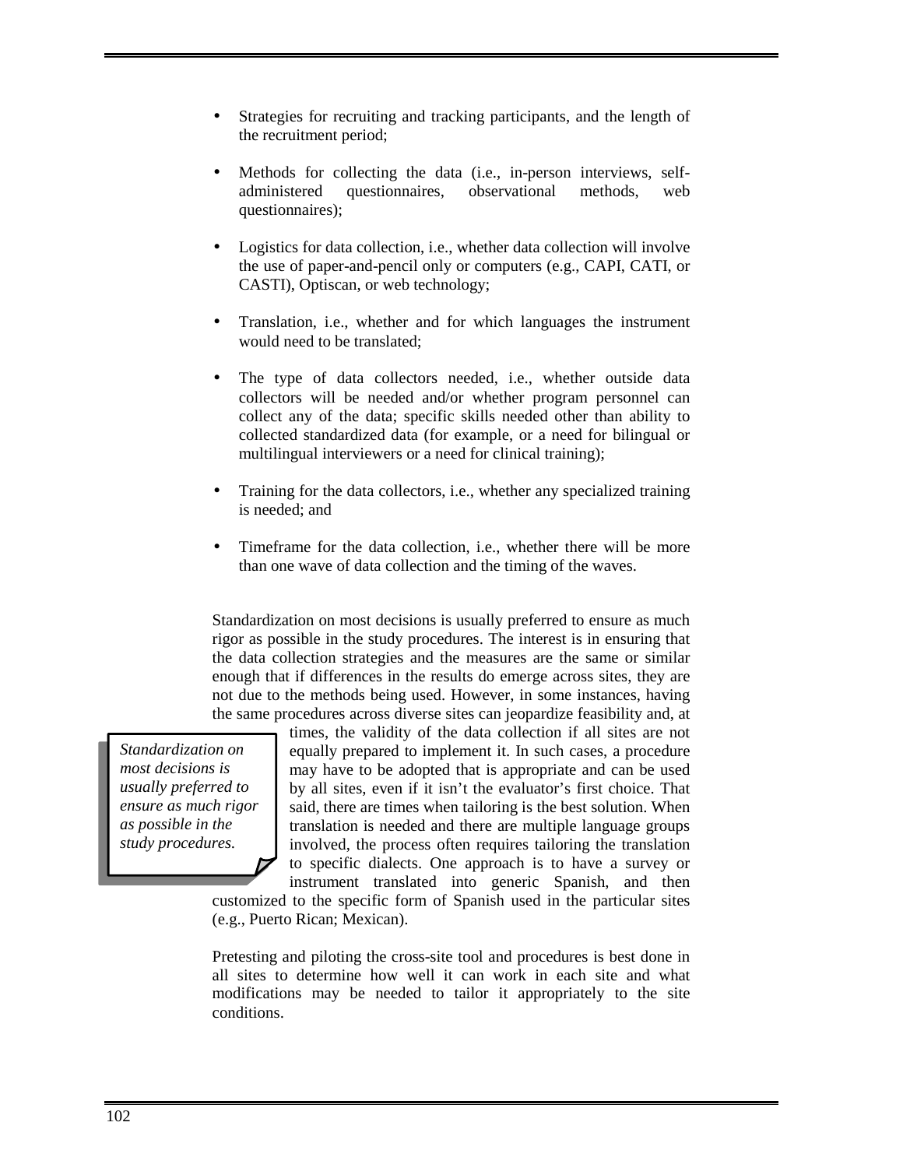- Strategies for recruiting and tracking participants, and the length of the recruitment period;
- Methods for collecting the data (i.e., in-person interviews, selfadministered questionnaires, observational methods, web questionnaires);
- Logistics for data collection, i.e., whether data collection will involve the use of paper-and-pencil only or computers (e.g., CAPI, CATI, or CASTI), Optiscan, or web technology;
- Translation, i.e., whether and for which languages the instrument would need to be translated;
- The type of data collectors needed, i.e., whether outside data collectors will be needed and/or whether program personnel can collect any of the data; specific skills needed other than ability to collected standardized data (for example, or a need for bilingual or multilingual interviewers or a need for clinical training);
- Training for the data collectors, i.e., whether any specialized training is needed; and
- Timeframe for the data collection, i.e., whether there will be more than one wave of data collection and the timing of the waves.

Standardization on most decisions is usually preferred to ensure as much rigor as possible in the study procedures. The interest is in ensuring that the data collection strategies and the measures are the same or similar enough that if differences in the results do emerge across sites, they are not due to the methods being used. However, in some instances, having the same procedures across diverse sites can jeopardize feasibility and, at

*Standardization on most decisions is usually preferred to ensure as much rigor as possible in the study procedures.* 

times, the validity of the data collection if all sites are not equally prepared to implement it. In such cases, a procedure may have to be adopted that is appropriate and can be used by all sites, even if it isn't the evaluator's first choice. That said, there are times when tailoring is the best solution. When translation is needed and there are multiple language groups involved, the process often requires tailoring the translation to specific dialects. One approach is to have a survey or

instrument translated into generic Spanish, and then customized to the specific form of Spanish used in the particular sites (e.g., Puerto Rican; Mexican).

Pretesting and piloting the cross-site tool and procedures is best done in all sites to determine how well it can work in each site and what modifications may be needed to tailor it appropriately to the site conditions.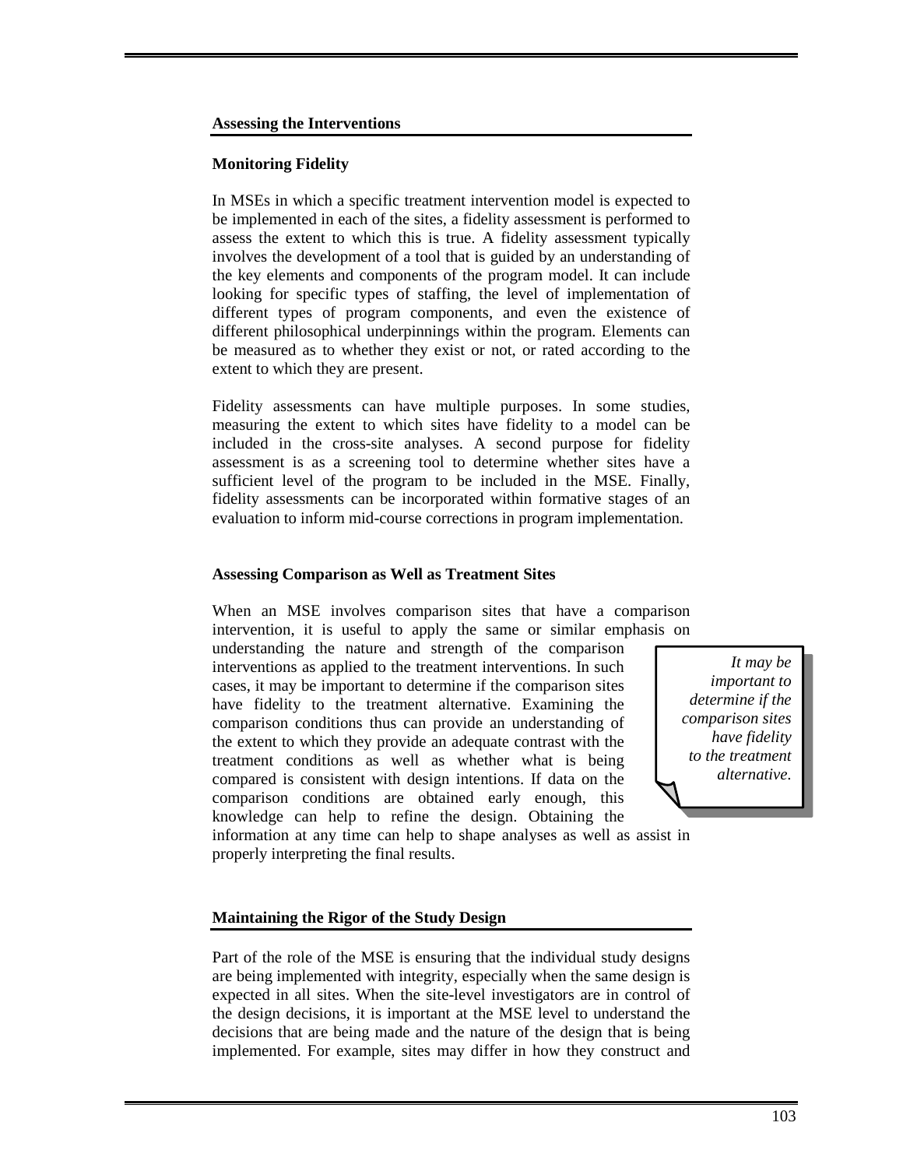## **Assessing the Interventions**

## **Monitoring Fidelity**

In MSEs in which a specific treatment intervention model is expected to be implemented in each of the sites, a fidelity assessment is performed to assess the extent to which this is true. A fidelity assessment typically involves the development of a tool that is guided by an understanding of the key elements and components of the program model. It can include looking for specific types of staffing, the level of implementation of different types of program components, and even the existence of different philosophical underpinnings within the program. Elements can be measured as to whether they exist or not, or rated according to the extent to which they are present.

Fidelity assessments can have multiple purposes. In some studies, measuring the extent to which sites have fidelity to a model can be included in the cross-site analyses. A second purpose for fidelity assessment is as a screening tool to determine whether sites have a sufficient level of the program to be included in the MSE. Finally, fidelity assessments can be incorporated within formative stages of an evaluation to inform mid-course corrections in program implementation.

## **Assessing Comparison as Well as Treatment Sites**

When an MSE involves comparison sites that have a comparison intervention, it is useful to apply the same or similar emphasis on

understanding the nature and strength of the comparison interventions as applied to the treatment interventions. In such cases, it may be important to determine if the comparison sites have fidelity to the treatment alternative. Examining the comparison conditions thus can provide an understanding of the extent to which they provide an adequate contrast with the treatment conditions as well as whether what is being compared is consistent with design intentions. If data on the comparison conditions are obtained early enough, this knowledge can help to refine the design. Obtaining the

*It may be important to determine if the comparison sites have fidelity to the treatment alternative.*

information at any time can help to shape analyses as well as assist in properly interpreting the final results.

# **Maintaining the Rigor of the Study Design**

Part of the role of the MSE is ensuring that the individual study designs are being implemented with integrity, especially when the same design is expected in all sites. When the site-level investigators are in control of the design decisions, it is important at the MSE level to understand the decisions that are being made and the nature of the design that is being implemented. For example, sites may differ in how they construct and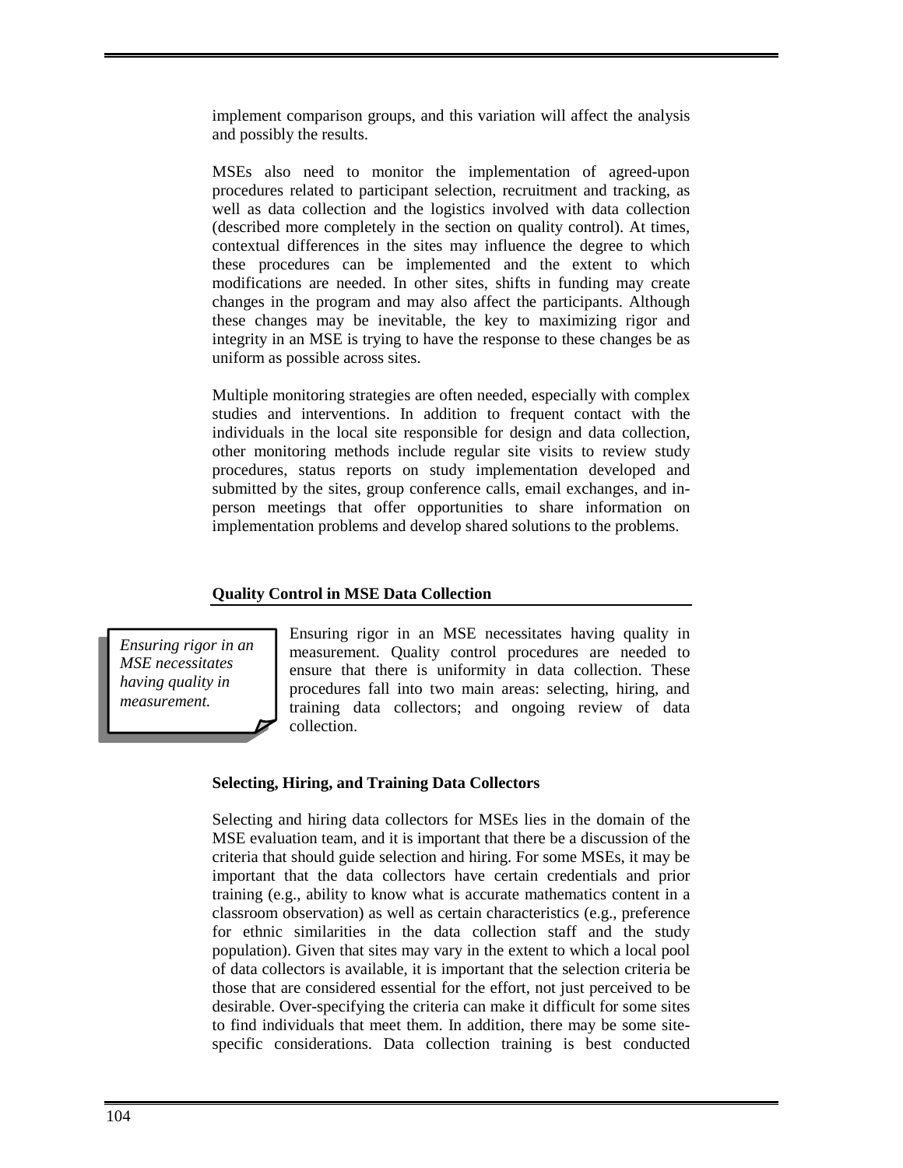implement comparison groups, and this variation will affect the analysis and possibly the results.

MSEs also need to monitor the implementation of agreed-upon procedures related to participant selection, recruitment and tracking, as well as data collection and the logistics involved with data collection (described more completely in the section on quality control). At times, contextual differences in the sites may influence the degree to which these procedures can be implemented and the extent to which modifications are needed. In other sites, shifts in funding may create changes in the program and may also affect the participants. Although these changes may be inevitable, the key to maximizing rigor and integrity in an MSE is trying to have the response to these changes be as uniform as possible across sites.

Multiple monitoring strategies are often needed, especially with complex studies and interventions. In addition to frequent contact with the individuals in the local site responsible for design and data collection, other monitoring methods include regular site visits to review study procedures, status reports on study implementation developed and submitted by the sites, group conference calls, email exchanges, and inperson meetings that offer opportunities to share information on implementation problems and develop shared solutions to the problems.

# **Quality Control in MSE Data Collection**

*Ensuring rigor in an MSE necessitates having quality in measurement.* 

Ensuring rigor in an MSE necessitates having quality in measurement. Quality control procedures are needed to ensure that there is uniformity in data collection. These procedures fall into two main areas: selecting, hiring, and training data collectors; and ongoing review of data collection.

# **Selecting, Hiring, and Training Data Collectors**

Selecting and hiring data collectors for MSEs lies in the domain of the MSE evaluation team, and it is important that there be a discussion of the criteria that should guide selection and hiring. For some MSEs, it may be important that the data collectors have certain credentials and prior training (e.g., ability to know what is accurate mathematics content in a classroom observation) as well as certain characteristics (e.g., preference for ethnic similarities in the data collection staff and the study population). Given that sites may vary in the extent to which a local pool of data collectors is available, it is important that the selection criteria be those that are considered essential for the effort, not just perceived to be desirable. Over-specifying the criteria can make it difficult for some sites to find individuals that meet them. In addition, there may be some sitespecific considerations. Data collection training is best conducted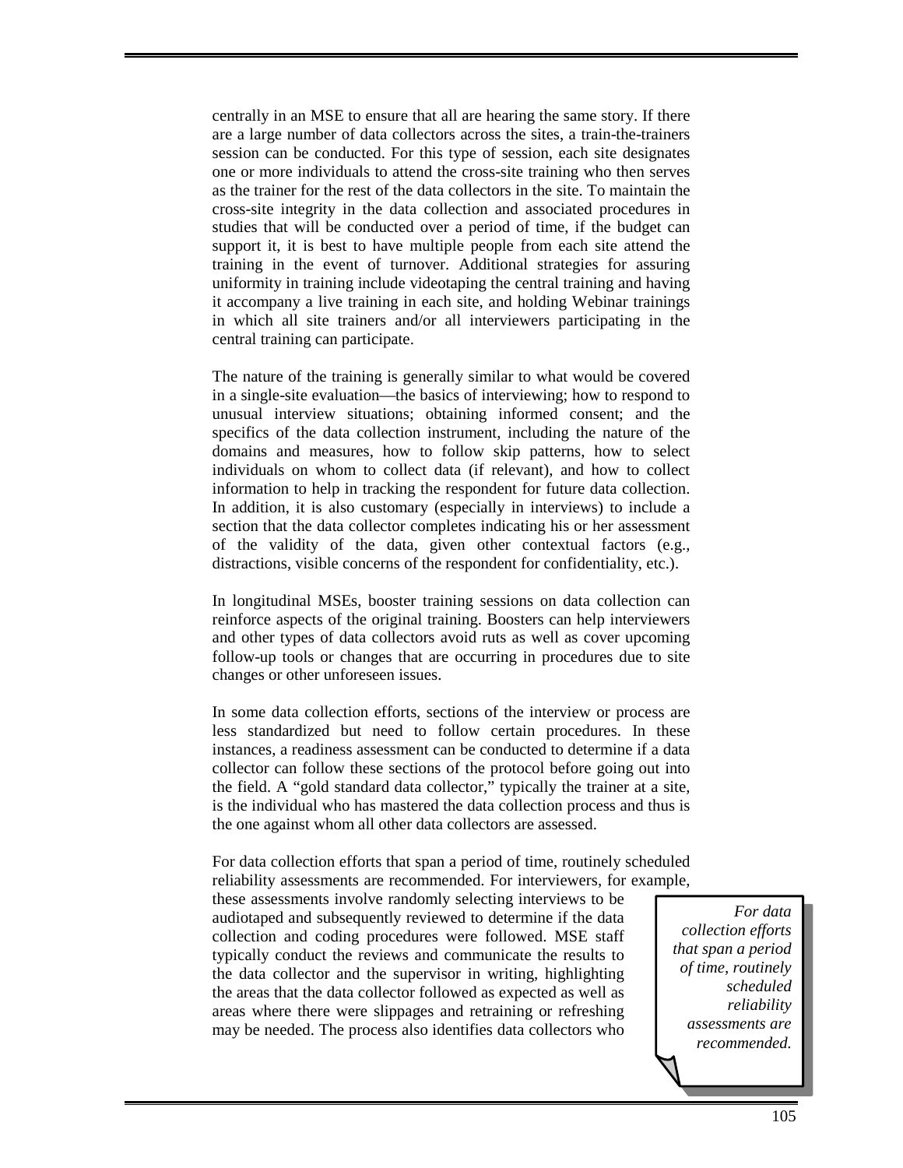centrally in an MSE to ensure that all are hearing the same story. If there are a large number of data collectors across the sites, a train-the-trainers session can be conducted. For this type of session, each site designates one or more individuals to attend the cross-site training who then serves as the trainer for the rest of the data collectors in the site. To maintain the cross-site integrity in the data collection and associated procedures in studies that will be conducted over a period of time, if the budget can support it, it is best to have multiple people from each site attend the training in the event of turnover. Additional strategies for assuring uniformity in training include videotaping the central training and having it accompany a live training in each site, and holding Webinar trainings in which all site trainers and/or all interviewers participating in the central training can participate.

The nature of the training is generally similar to what would be covered in a single-site evaluation—the basics of interviewing; how to respond to unusual interview situations; obtaining informed consent; and the specifics of the data collection instrument, including the nature of the domains and measures, how to follow skip patterns, how to select individuals on whom to collect data (if relevant), and how to collect information to help in tracking the respondent for future data collection. In addition, it is also customary (especially in interviews) to include a section that the data collector completes indicating his or her assessment of the validity of the data, given other contextual factors (e.g., distractions, visible concerns of the respondent for confidentiality, etc.).

In longitudinal MSEs, booster training sessions on data collection can reinforce aspects of the original training. Boosters can help interviewers and other types of data collectors avoid ruts as well as cover upcoming follow-up tools or changes that are occurring in procedures due to site changes or other unforeseen issues.

In some data collection efforts, sections of the interview or process are less standardized but need to follow certain procedures. In these instances, a readiness assessment can be conducted to determine if a data collector can follow these sections of the protocol before going out into the field. A "gold standard data collector," typically the trainer at a site, is the individual who has mastered the data collection process and thus is the one against whom all other data collectors are assessed.

For data collection efforts that span a period of time, routinely scheduled reliability assessments are recommended. For interviewers, for example,

these assessments involve randomly selecting interviews to be audiotaped and subsequently reviewed to determine if the data collection and coding procedures were followed. MSE staff typically conduct the reviews and communicate the results to the data collector and the supervisor in writing, highlighting the areas that the data collector followed as expected as well as areas where there were slippages and retraining or refreshing may be needed. The process also identifies data collectors who

*For data collection efforts that span a period of time, routinely scheduled reliability assessments are recommended.*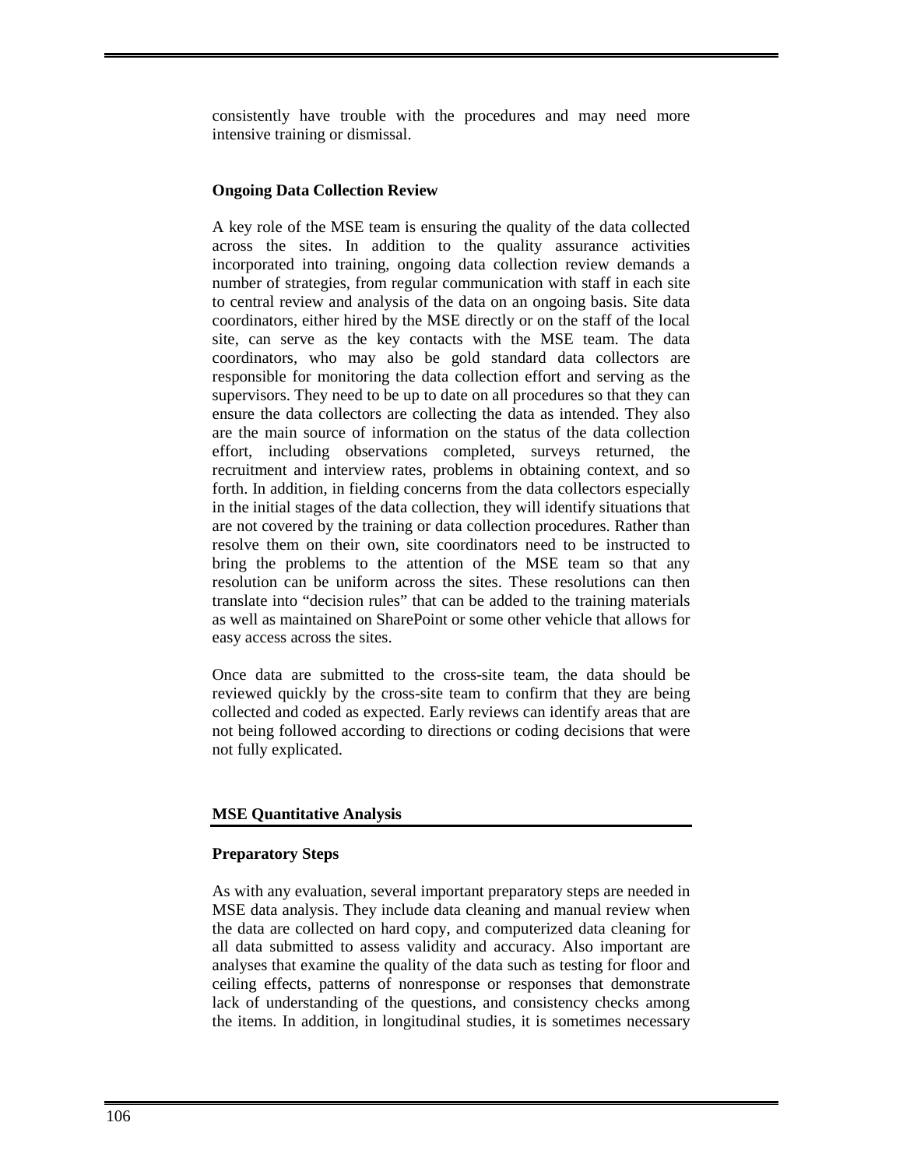consistently have trouble with the procedures and may need more intensive training or dismissal.

# **Ongoing Data Collection Review**

A key role of the MSE team is ensuring the quality of the data collected across the sites. In addition to the quality assurance activities incorporated into training, ongoing data collection review demands a number of strategies, from regular communication with staff in each site to central review and analysis of the data on an ongoing basis. Site data coordinators, either hired by the MSE directly or on the staff of the local site, can serve as the key contacts with the MSE team. The data coordinators, who may also be gold standard data collectors are responsible for monitoring the data collection effort and serving as the supervisors. They need to be up to date on all procedures so that they can ensure the data collectors are collecting the data as intended. They also are the main source of information on the status of the data collection effort, including observations completed, surveys returned, the recruitment and interview rates, problems in obtaining context, and so forth. In addition, in fielding concerns from the data collectors especially in the initial stages of the data collection, they will identify situations that are not covered by the training or data collection procedures. Rather than resolve them on their own, site coordinators need to be instructed to bring the problems to the attention of the MSE team so that any resolution can be uniform across the sites. These resolutions can then translate into "decision rules" that can be added to the training materials as well as maintained on SharePoint or some other vehicle that allows for easy access across the sites.

Once data are submitted to the cross-site team, the data should be reviewed quickly by the cross-site team to confirm that they are being collected and coded as expected. Early reviews can identify areas that are not being followed according to directions or coding decisions that were not fully explicated.

# **MSE Quantitative Analysis**

# **Preparatory Steps**

As with any evaluation, several important preparatory steps are needed in MSE data analysis. They include data cleaning and manual review when the data are collected on hard copy, and computerized data cleaning for all data submitted to assess validity and accuracy. Also important are analyses that examine the quality of the data such as testing for floor and ceiling effects, patterns of nonresponse or responses that demonstrate lack of understanding of the questions, and consistency checks among the items. In addition, in longitudinal studies, it is sometimes necessary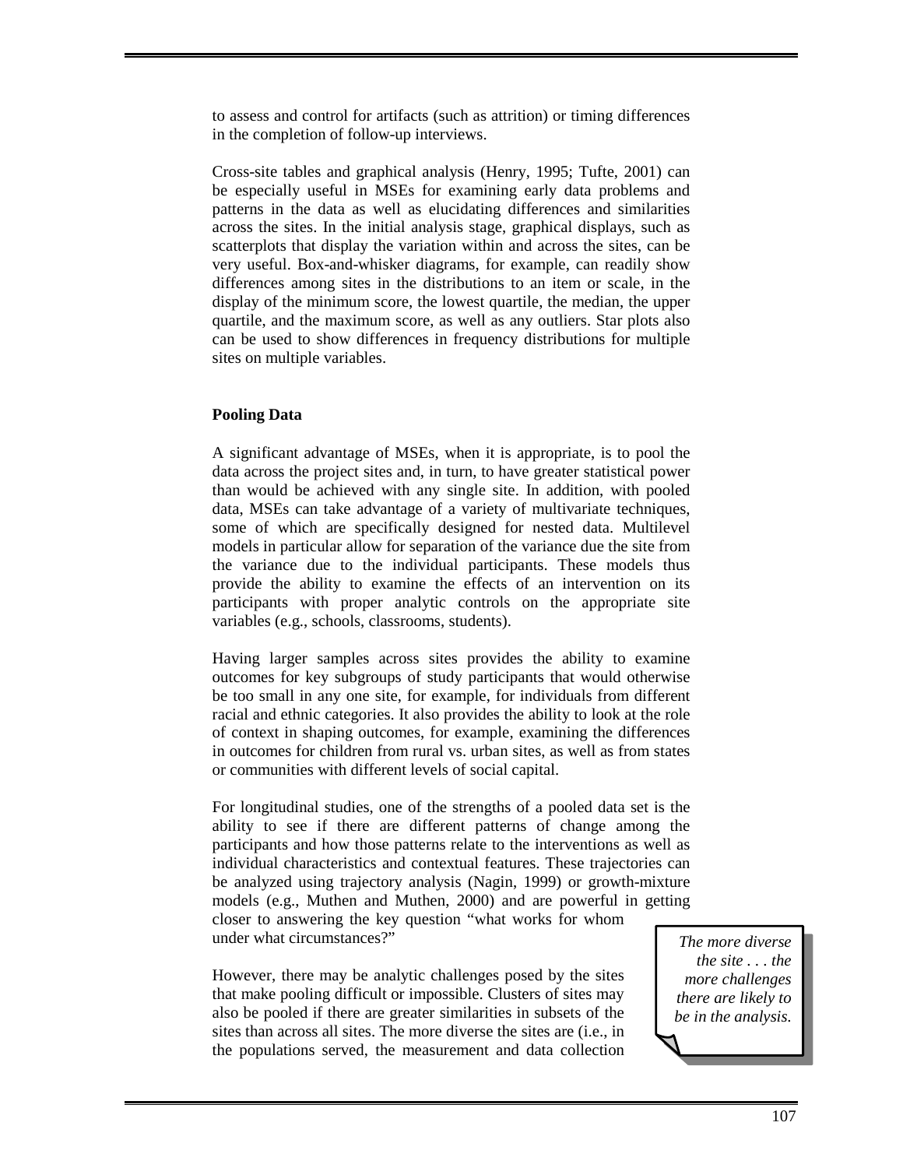to assess and control for artifacts (such as attrition) or timing differences in the completion of follow-up interviews.

Cross-site tables and graphical analysis (Henry, 1995; Tufte, 2001) can be especially useful in MSEs for examining early data problems and patterns in the data as well as elucidating differences and similarities across the sites. In the initial analysis stage, graphical displays, such as scatterplots that display the variation within and across the sites, can be very useful. Box-and-whisker diagrams, for example, can readily show differences among sites in the distributions to an item or scale, in the display of the minimum score, the lowest quartile, the median, the upper quartile, and the maximum score, as well as any outliers. Star plots also can be used to show differences in frequency distributions for multiple sites on multiple variables.

# **Pooling Data**

A significant advantage of MSEs, when it is appropriate, is to pool the data across the project sites and, in turn, to have greater statistical power than would be achieved with any single site. In addition, with pooled data, MSEs can take advantage of a variety of multivariate techniques, some of which are specifically designed for nested data. Multilevel models in particular allow for separation of the variance due the site from the variance due to the individual participants. These models thus provide the ability to examine the effects of an intervention on its participants with proper analytic controls on the appropriate site variables (e.g., schools, classrooms, students).

Having larger samples across sites provides the ability to examine outcomes for key subgroups of study participants that would otherwise be too small in any one site, for example, for individuals from different racial and ethnic categories. It also provides the ability to look at the role of context in shaping outcomes, for example, examining the differences in outcomes for children from rural vs. urban sites, as well as from states or communities with different levels of social capital.

For longitudinal studies, one of the strengths of a pooled data set is the ability to see if there are different patterns of change among the participants and how those patterns relate to the interventions as well as individual characteristics and contextual features. These trajectories can be analyzed using trajectory analysis (Nagin, 1999) or growth-mixture models (e.g., Muthen and Muthen, 2000) and are powerful in getting closer to answering the key question "what works for whom under what circumstances?"

However, there may be analytic challenges posed by the sites that make pooling difficult or impossible. Clusters of sites may also be pooled if there are greater similarities in subsets of the sites than across all sites. The more diverse the sites are (i.e., in the populations served, the measurement and data collection

*The more diverse the site . . . the more challenges there are likely to be in the analysis.*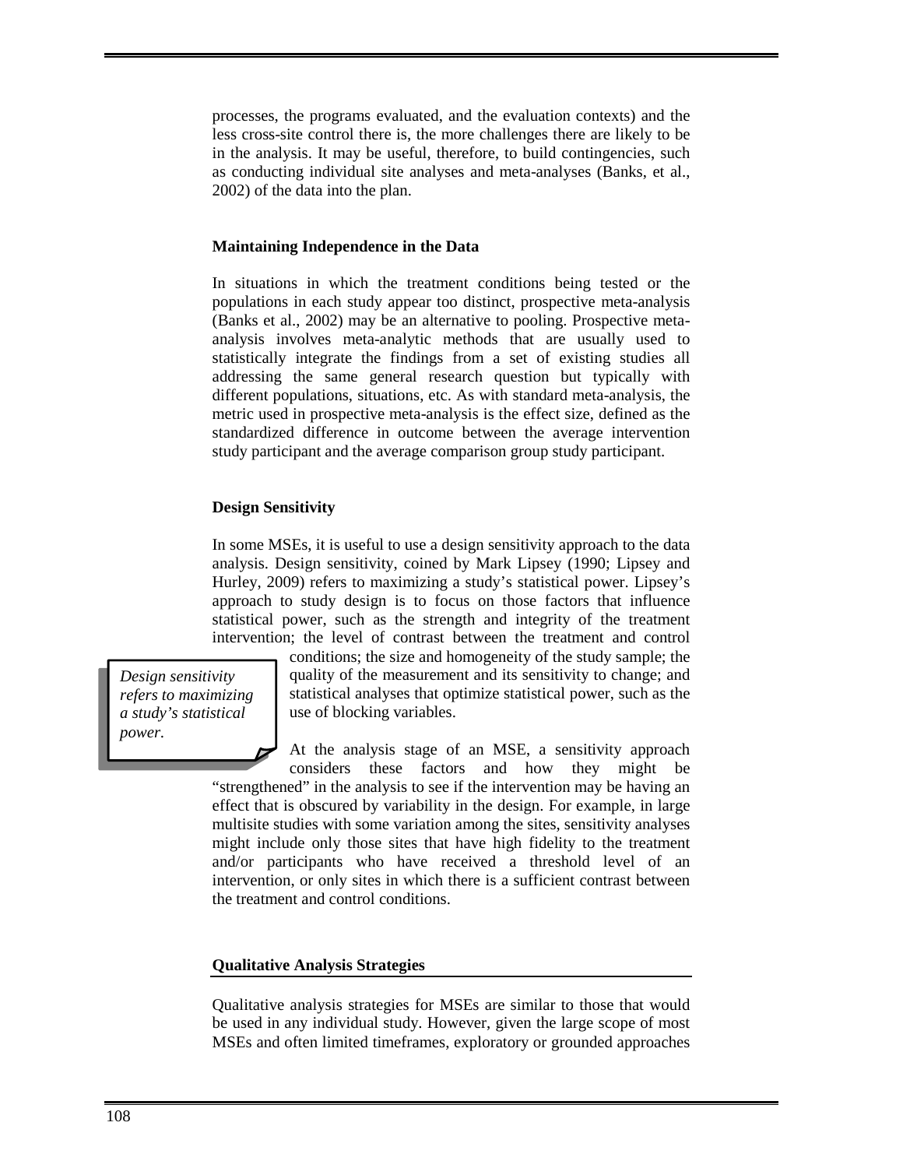processes, the programs evaluated, and the evaluation contexts) and the less cross-site control there is, the more challenges there are likely to be in the analysis. It may be useful, therefore, to build contingencies, such as conducting individual site analyses and meta-analyses (Banks, et al., 2002) of the data into the plan.

#### **Maintaining Independence in the Data**

In situations in which the treatment conditions being tested or the populations in each study appear too distinct, prospective meta-analysis (Banks et al., 2002) may be an alternative to pooling. Prospective metaanalysis involves meta-analytic methods that are usually used to statistically integrate the findings from a set of existing studies all addressing the same general research question but typically with different populations, situations, etc. As with standard meta-analysis, the metric used in prospective meta-analysis is the effect size, defined as the standardized difference in outcome between the average intervention study participant and the average comparison group study participant.

#### **Design Sensitivity**

In some MSEs, it is useful to use a design sensitivity approach to the data analysis. Design sensitivity, coined by Mark Lipsey (1990; Lipsey and Hurley, 2009) refers to maximizing a study's statistical power. Lipsey's approach to study design is to focus on those factors that influence statistical power, such as the strength and integrity of the treatment intervention; the level of contrast between the treatment and control

*Design sensitivity refers to maximizing a study's statistical power.* 

conditions; the size and homogeneity of the study sample; the quality of the measurement and its sensitivity to change; and statistical analyses that optimize statistical power, such as the use of blocking variables.

At the analysis stage of an MSE, a sensitivity approach considers these factors and how they might be

"strengthened" in the analysis to see if the intervention may be having an effect that is obscured by variability in the design. For example, in large multisite studies with some variation among the sites, sensitivity analyses might include only those sites that have high fidelity to the treatment and/or participants who have received a threshold level of an intervention, or only sites in which there is a sufficient contrast between the treatment and control conditions.

### **Qualitative Analysis Strategies**

Qualitative analysis strategies for MSEs are similar to those that would be used in any individual study. However, given the large scope of most MSEs and often limited timeframes, exploratory or grounded approaches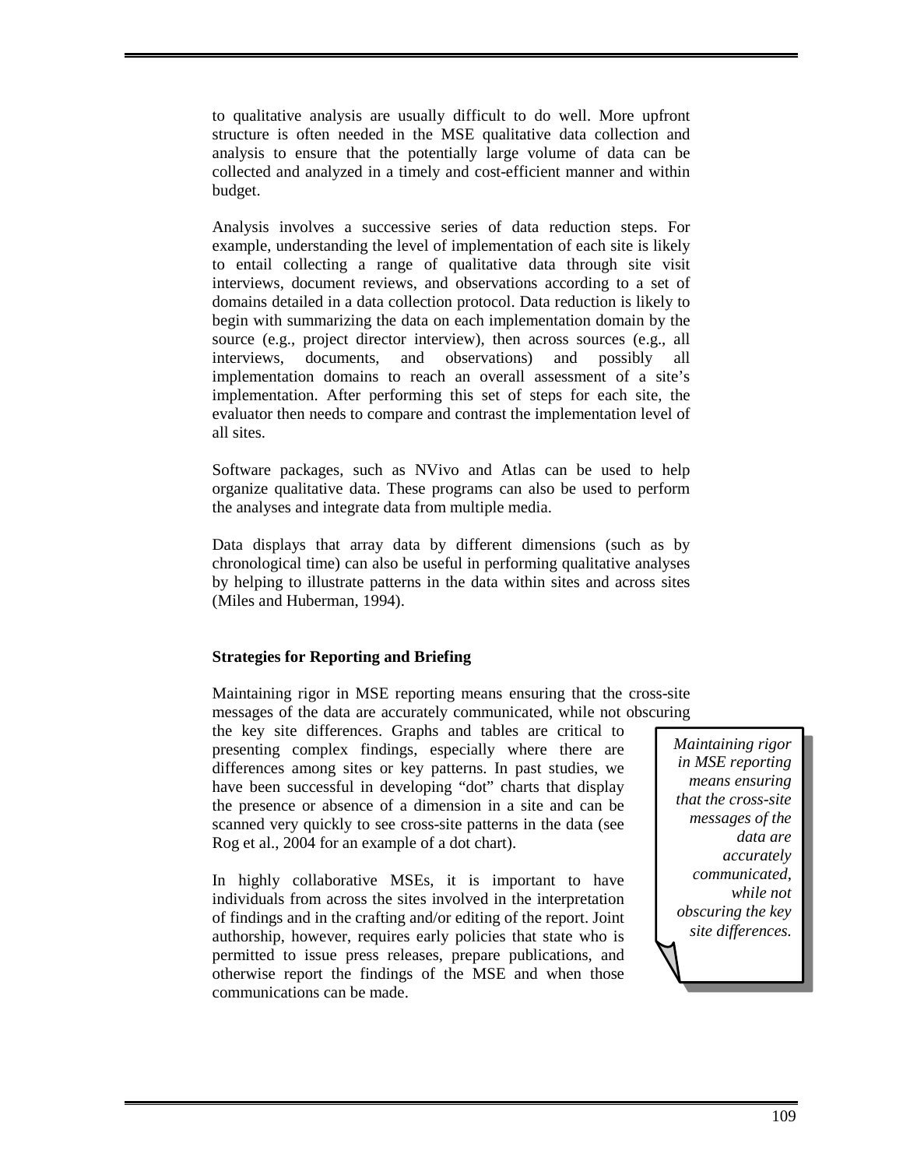to qualitative analysis are usually difficult to do well. More upfront structure is often needed in the MSE qualitative data collection and analysis to ensure that the potentially large volume of data can be collected and analyzed in a timely and cost-efficient manner and within budget.

Analysis involves a successive series of data reduction steps. For example, understanding the level of implementation of each site is likely to entail collecting a range of qualitative data through site visit interviews, document reviews, and observations according to a set of domains detailed in a data collection protocol. Data reduction is likely to begin with summarizing the data on each implementation domain by the source (e.g., project director interview), then across sources (e.g., all interviews, documents, and observations) and possibly all implementation domains to reach an overall assessment of a site's implementation. After performing this set of steps for each site, the evaluator then needs to compare and contrast the implementation level of all sites.

Software packages, such as NVivo and Atlas can be used to help organize qualitative data. These programs can also be used to perform the analyses and integrate data from multiple media.

Data displays that array data by different dimensions (such as by chronological time) can also be useful in performing qualitative analyses by helping to illustrate patterns in the data within sites and across sites (Miles and Huberman, 1994).

# **Strategies for Reporting and Briefing**

Maintaining rigor in MSE reporting means ensuring that the cross-site messages of the data are accurately communicated, while not obscuring

the key site differences. Graphs and tables are critical to presenting complex findings, especially where there are differences among sites or key patterns. In past studies, we have been successful in developing "dot" charts that display the presence or absence of a dimension in a site and can be scanned very quickly to see cross-site patterns in the data (see Rog et al., 2004 for an example of a dot chart).

In highly collaborative MSEs, it is important to have individuals from across the sites involved in the interpretation of findings and in the crafting and/or editing of the report. Joint authorship, however, requires early policies that state who is permitted to issue press releases, prepare publications, and otherwise report the findings of the MSE and when those communications can be made.

*Maintaining rigor in MSE reporting means ensuring that the cross-site messages of the data are accurately communicated, while not obscuring the key site differences.*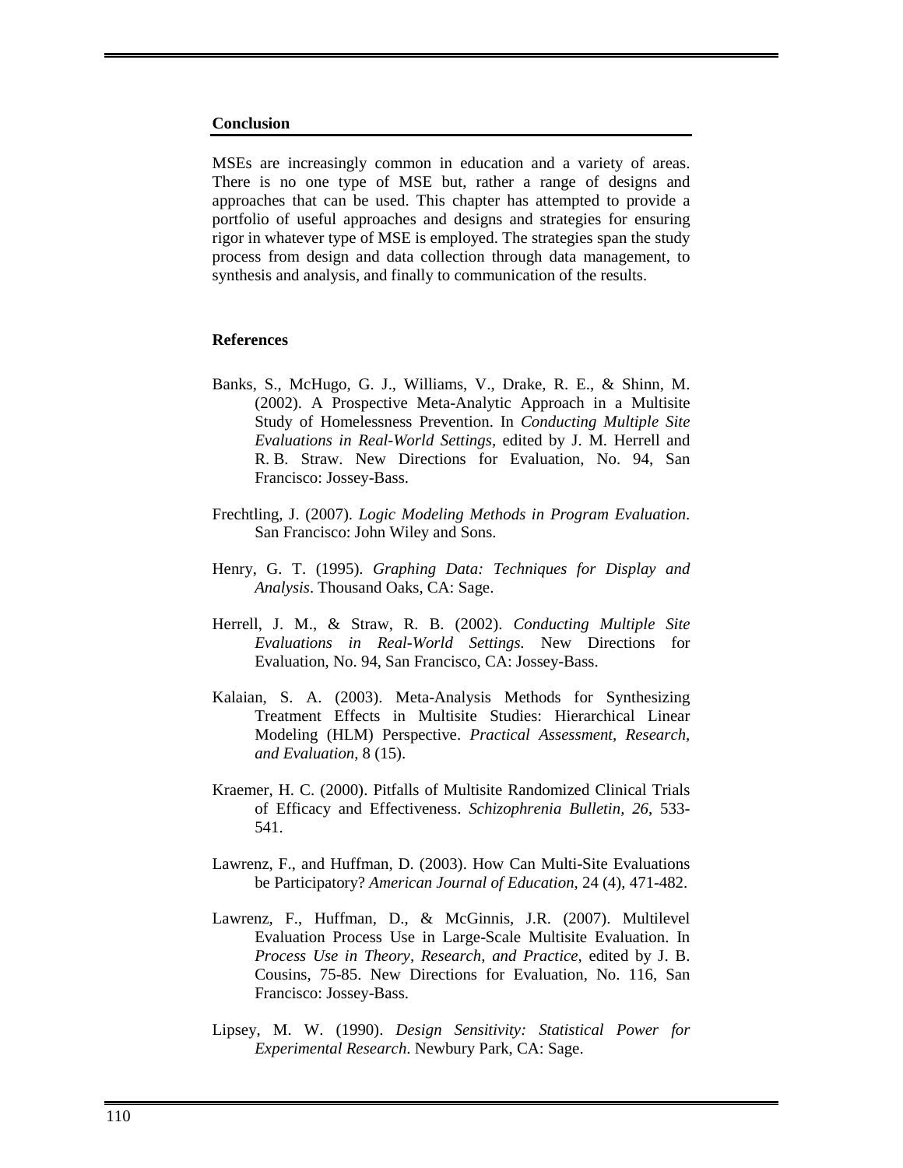#### **Conclusion**

MSEs are increasingly common in education and a variety of areas. There is no one type of MSE but, rather a range of designs and approaches that can be used. This chapter has attempted to provide a portfolio of useful approaches and designs and strategies for ensuring rigor in whatever type of MSE is employed. The strategies span the study process from design and data collection through data management, to synthesis and analysis, and finally to communication of the results.

## **References**

- Banks, S., McHugo, G. J., Williams, V., Drake, R. E., & Shinn, M. (2002). A Prospective Meta-Analytic Approach in a Multisite Study of Homelessness Prevention. In *Conducting Multiple Site Evaluations in Real-World Settings,* edited by J. M. Herrell and R. B. Straw. New Directions for Evaluation, No. 94, San Francisco: Jossey-Bass.
- Frechtling, J. (2007). *Logic Modeling Methods in Program Evaluation*. San Francisco: John Wiley and Sons.
- Henry, G. T. (1995). *Graphing Data: Techniques for Display and Analysis*. Thousand Oaks, CA: Sage.
- Herrell, J. M., & Straw, R. B. (2002). *Conducting Multiple Site Evaluations in Real-World Settings.* New Directions for Evaluation, No. 94, San Francisco, CA: Jossey-Bass.
- Kalaian, S. A. (2003). Meta-Analysis Methods for Synthesizing Treatment Effects in Multisite Studies: Hierarchical Linear Modeling (HLM) Perspective. *Practical Assessment, Research, and Evaluation*, 8 (15).
- Kraemer, H. C. (2000). Pitfalls of Multisite Randomized Clinical Trials of Efficacy and Effectiveness. *Schizophrenia Bulletin, 26*, 533- 541.
- Lawrenz, F., and Huffman, D. (2003). How Can Multi-Site Evaluations be Participatory? *American Journal of Education*, 24 (4), 471-482.
- Lawrenz, F., Huffman, D., & McGinnis, J.R. (2007). Multilevel Evaluation Process Use in Large-Scale Multisite Evaluation. In *Process Use in Theory, Research, and Practice*, edited by J. B. Cousins, 75-85. New Directions for Evaluation, No. 116, San Francisco: Jossey-Bass.
- Lipsey, M. W. (1990). *Design Sensitivity: Statistical Power for Experimental Research*. Newbury Park, CA: Sage.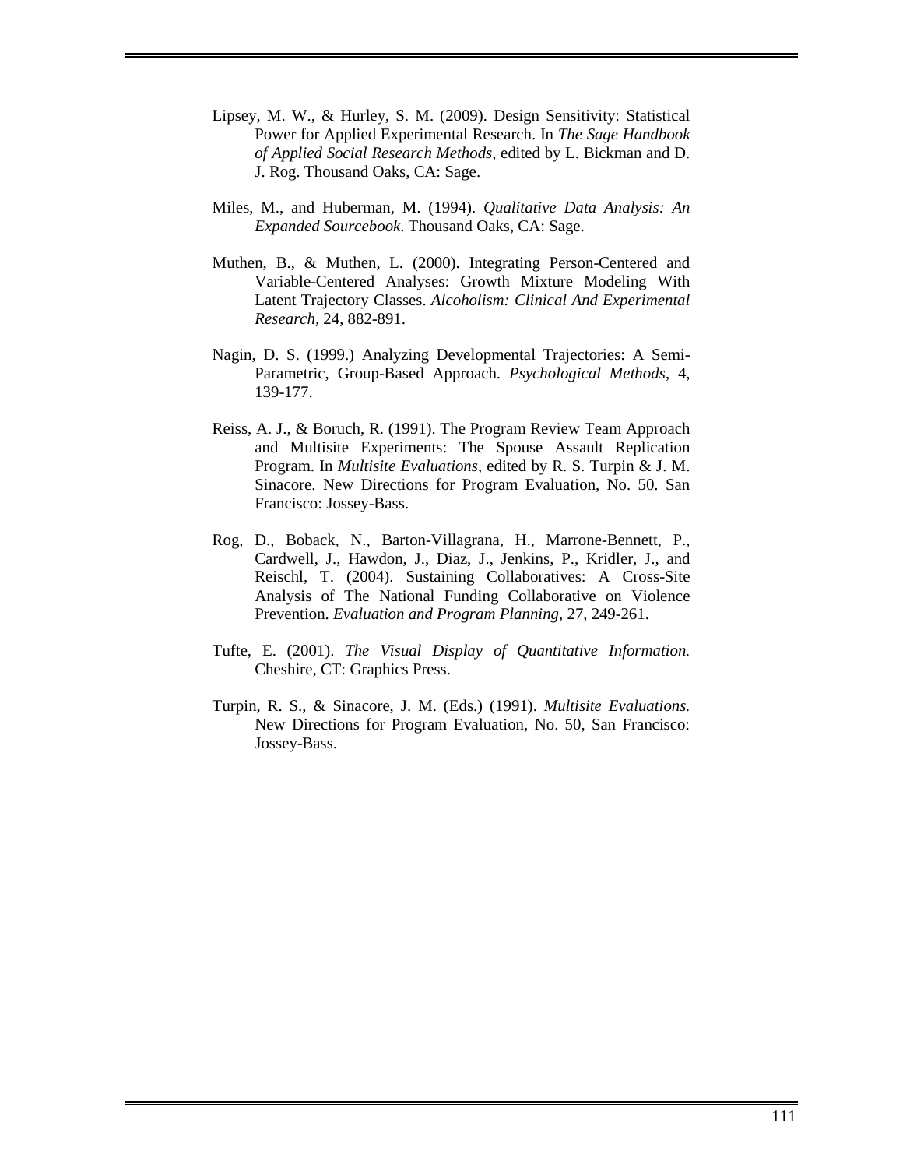- Lipsey, M. W., & Hurley, S. M. (2009). Design Sensitivity: Statistical Power for Applied Experimental Research. In *The Sage Handbook of Applied Social Research Methods*, edited by L. Bickman and D. J. Rog. Thousand Oaks, CA: Sage.
- Miles, M., and Huberman, M. (1994). *Qualitative Data Analysis: An Expanded Sourcebook*. Thousand Oaks, CA: Sage.
- Muthen, B., & Muthen, L. (2000). Integrating Person-Centered and Variable-Centered Analyses: Growth Mixture Modeling With Latent Trajectory Classes. *Alcoholism: Clinical And Experimental Research,* 24, 882-891.
- Nagin, D. S. (1999.) Analyzing Developmental Trajectories: A Semi-Parametric, Group-Based Approach. *Psychological Methods*, 4, 139-177.
- Reiss, A. J., & Boruch, R. (1991). The Program Review Team Approach and Multisite Experiments: The Spouse Assault Replication Program. In *Multisite Evaluations*, edited by R. S. Turpin & J. M. Sinacore. New Directions for Program Evaluation, No. 50. San Francisco: Jossey-Bass.
- Rog, D., Boback, N., Barton-Villagrana, H., Marrone-Bennett, P., Cardwell, J., Hawdon, J., Diaz, J., Jenkins, P., Kridler, J., and Reischl, T. (2004). Sustaining Collaboratives: A Cross-Site Analysis of The National Funding Collaborative on Violence Prevention. *Evaluation and Program Planning*, 27, 249-261.
- Tufte, E. (2001). *The Visual Display of Quantitative Information.* Cheshire, CT: Graphics Press.
- Turpin, R. S., & Sinacore, J. M. (Eds.) (1991). *Multisite Evaluations.*  New Directions for Program Evaluation, No. 50, San Francisco: Jossey-Bass.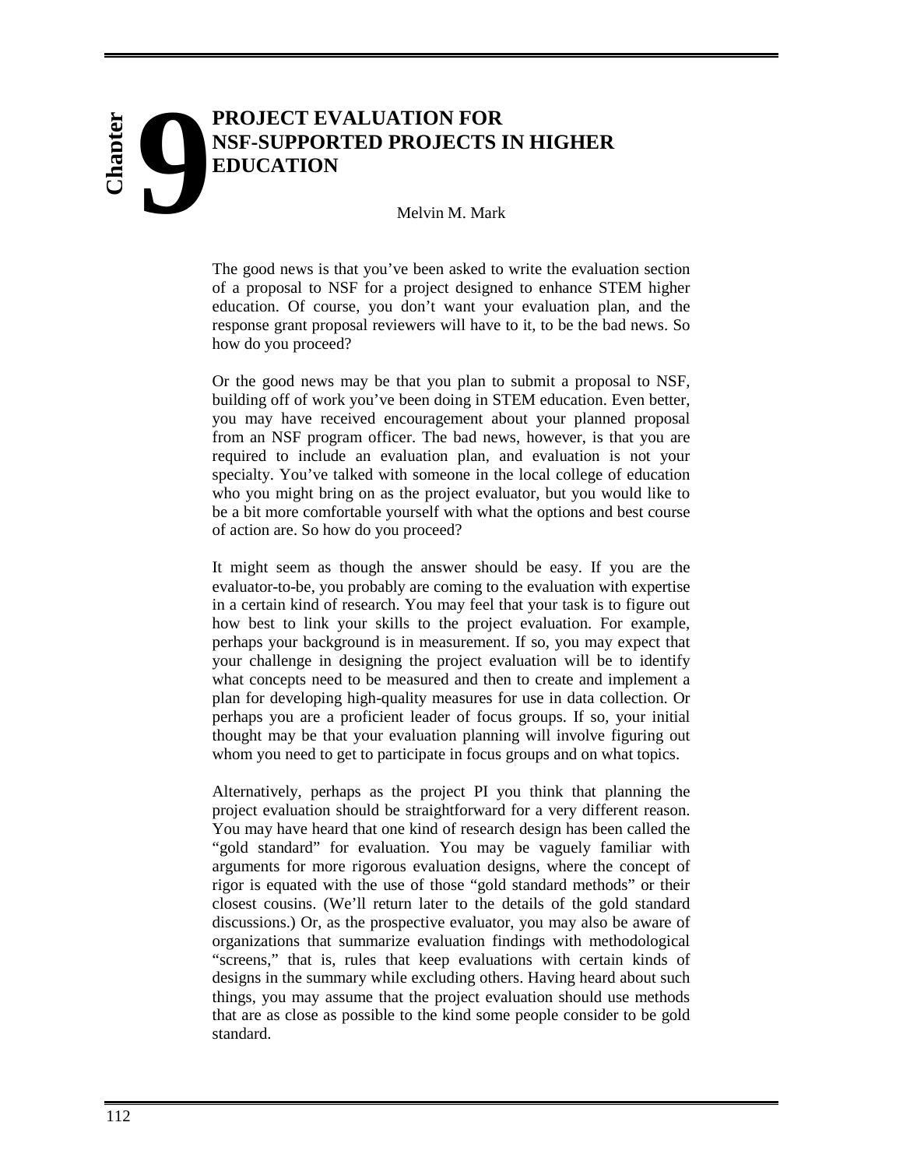# **PROJECT EVALUATION FOR NSF-SUPPORTED PROJECTS IN HIGHER EDUCATION 9**

# Melvin M. Mark

The good news is that you've been asked to write the evaluation section of a proposal to NSF for a project designed to enhance STEM higher education. Of course, you don't want your evaluation plan, and the response grant proposal reviewers will have to it, to be the bad news. So how do you proceed?

Or the good news may be that you plan to submit a proposal to NSF, building off of work you've been doing in STEM education. Even better, you may have received encouragement about your planned proposal from an NSF program officer. The bad news, however, is that you are required to include an evaluation plan, and evaluation is not your specialty. You've talked with someone in the local college of education who you might bring on as the project evaluator, but you would like to be a bit more comfortable yourself with what the options and best course of action are. So how do you proceed?

It might seem as though the answer should be easy. If you are the evaluator-to-be, you probably are coming to the evaluation with expertise in a certain kind of research. You may feel that your task is to figure out how best to link your skills to the project evaluation. For example, perhaps your background is in measurement. If so, you may expect that your challenge in designing the project evaluation will be to identify what concepts need to be measured and then to create and implement a plan for developing high-quality measures for use in data collection. Or perhaps you are a proficient leader of focus groups. If so, your initial thought may be that your evaluation planning will involve figuring out whom you need to get to participate in focus groups and on what topics.

Alternatively, perhaps as the project PI you think that planning the project evaluation should be straightforward for a very different reason. You may have heard that one kind of research design has been called the "gold standard" for evaluation. You may be vaguely familiar with arguments for more rigorous evaluation designs, where the concept of rigor is equated with the use of those "gold standard methods" or their closest cousins. (We'll return later to the details of the gold standard discussions.) Or, as the prospective evaluator, you may also be aware of organizations that summarize evaluation findings with methodological "screens," that is, rules that keep evaluations with certain kinds of designs in the summary while excluding others. Having heard about such things, you may assume that the project evaluation should use methods that are as close as possible to the kind some people consider to be gold standard.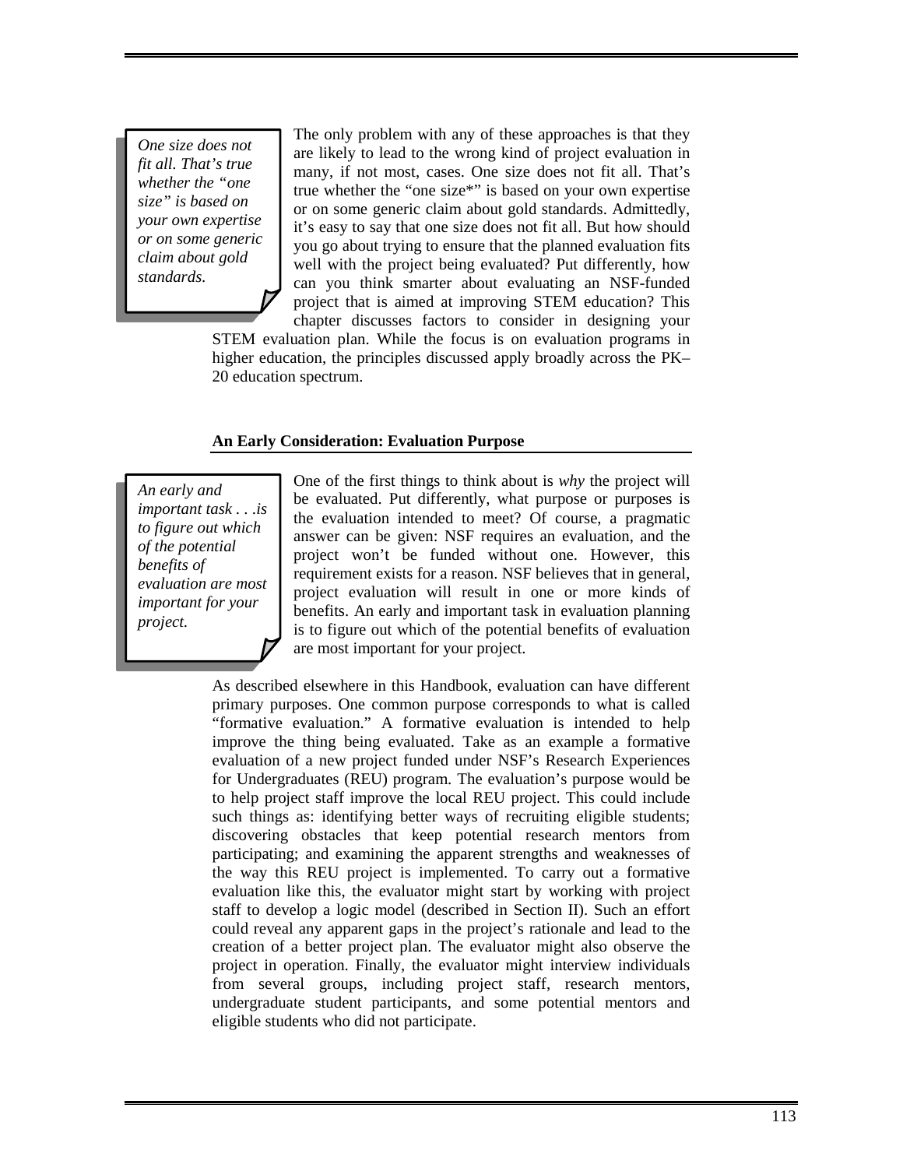*One size does not fit all. That's true whether the "one size" is based on your own expertise or on some generic claim about gold standards.* 

The only problem with any of these approaches is that they are likely to lead to the wrong kind of project evaluation in many, if not most, cases. One size does not fit all. That's true whether the "one size\*" is based on your own expertise or on some generic claim about gold standards. Admittedly, it's easy to say that one size does not fit all. But how should you go about trying to ensure that the planned evaluation fits well with the project being evaluated? Put differently, how can you think smarter about evaluating an NSF-funded project that is aimed at improving STEM education? This chapter discusses factors to consider in designing your

STEM evaluation plan. While the focus is on evaluation programs in higher education, the principles discussed apply broadly across the PK– 20 education spectrum.

## **An Early Consideration: Evaluation Purpose**

*An early and important task . . .is to figure out which of the potential benefits of evaluation are most important for your project.* 

One of the first things to think about is *why* the project will be evaluated. Put differently, what purpose or purposes is the evaluation intended to meet? Of course, a pragmatic answer can be given: NSF requires an evaluation, and the project won't be funded without one. However, this requirement exists for a reason. NSF believes that in general, project evaluation will result in one or more kinds of benefits. An early and important task in evaluation planning is to figure out which of the potential benefits of evaluation are most important for your project.

As described elsewhere in this Handbook, evaluation can have different primary purposes. One common purpose corresponds to what is called "formative evaluation." A formative evaluation is intended to help improve the thing being evaluated. Take as an example a formative evaluation of a new project funded under NSF's Research Experiences for Undergraduates (REU) program. The evaluation's purpose would be to help project staff improve the local REU project. This could include such things as: identifying better ways of recruiting eligible students; discovering obstacles that keep potential research mentors from participating; and examining the apparent strengths and weaknesses of the way this REU project is implemented. To carry out a formative evaluation like this, the evaluator might start by working with project staff to develop a logic model (described in Section II). Such an effort could reveal any apparent gaps in the project's rationale and lead to the creation of a better project plan. The evaluator might also observe the project in operation. Finally, the evaluator might interview individuals from several groups, including project staff, research mentors, undergraduate student participants, and some potential mentors and eligible students who did not participate.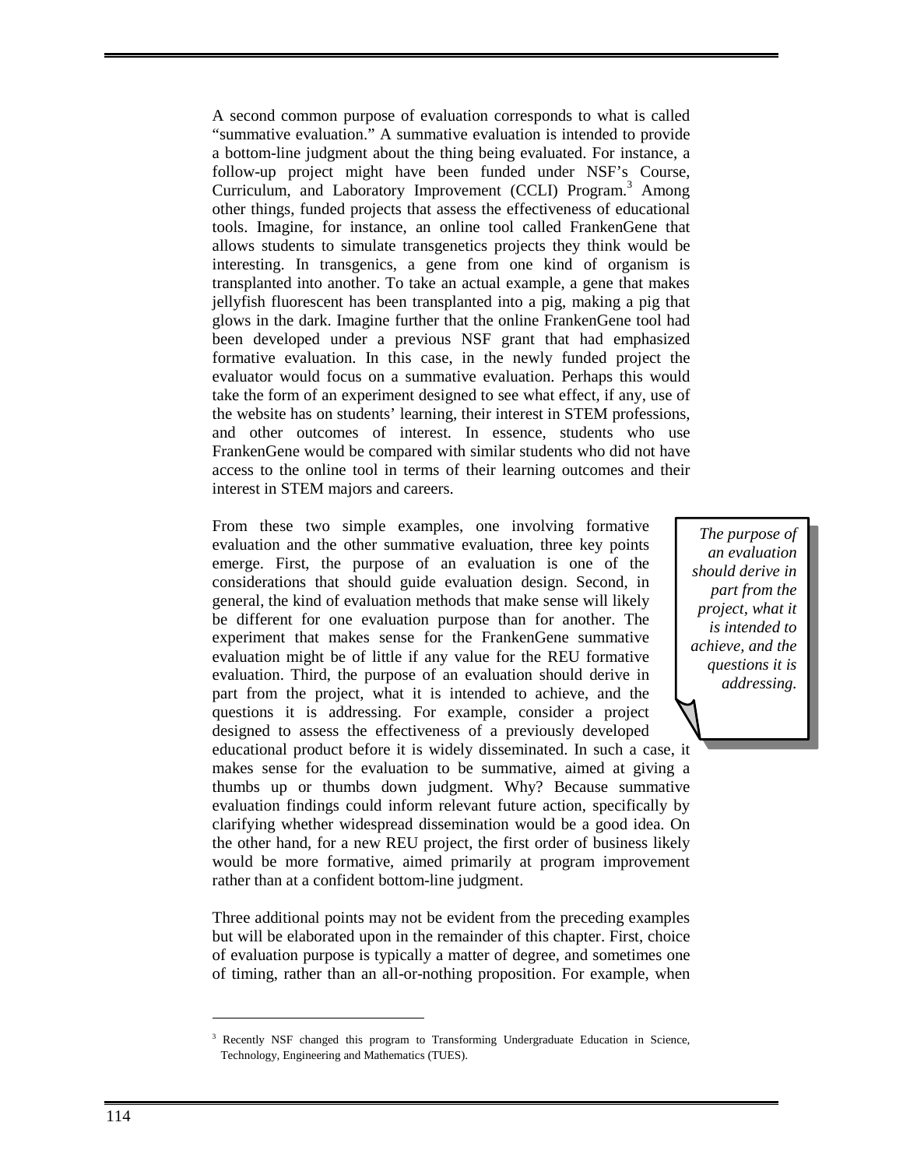A second common purpose of evaluation corresponds to what is called "summative evaluation." A summative evaluation is intended to provide a bottom-line judgment about the thing being evaluated. For instance, a follow-up project might have been funded under NSF's Course, Curriculum, and Laboratory Improvement (CCLI) Program.<sup>3</sup> Among other things, funded projects that assess the effectiveness of educational tools. Imagine, for instance, an online tool called FrankenGene that allows students to simulate transgenetics projects they think would be interesting. In transgenics, a gene from one kind of organism is transplanted into another. To take an actual example, a gene that makes jellyfish fluorescent has been transplanted into a pig, making a pig that glows in the dark. Imagine further that the online FrankenGene tool had been developed under a previous NSF grant that had emphasized formative evaluation. In this case, in the newly funded project the evaluator would focus on a summative evaluation. Perhaps this would take the form of an experiment designed to see what effect, if any, use of the website has on students' learning, their interest in STEM professions, and other outcomes of interest. In essence, students who use FrankenGene would be compared with similar students who did not have access to the online tool in terms of their learning outcomes and their interest in STEM majors and careers.

From these two simple examples, one involving formative evaluation and the other summative evaluation, three key points emerge. First, the purpose of an evaluation is one of the considerations that should guide evaluation design. Second, in general, the kind of evaluation methods that make sense will likely be different for one evaluation purpose than for another. The experiment that makes sense for the FrankenGene summative evaluation might be of little if any value for the REU formative evaluation. Third, the purpose of an evaluation should derive in part from the project, what it is intended to achieve, and the questions it is addressing. For example, consider a project designed to assess the effectiveness of a previously developed educational product before it is widely disseminated. In such a case, it makes sense for the evaluation to be summative, aimed at giving a thumbs up or thumbs down judgment. Why? Because summative evaluation findings could inform relevant future action, specifically by clarifying whether widespread dissemination would be a good idea. On the other hand, for a new REU project, the first order of business likely would be more formative, aimed primarily at program improvement rather than at a confident bottom-line judgment.

*The purpose of an evaluation should derive in part from the project, what it is intended to achieve, and the questions it is addressing.* 

Three additional points may not be evident from the preceding examples but will be elaborated upon in the remainder of this chapter. First, choice of evaluation purpose is typically a matter of degree, and sometimes one of timing, rather than an all-or-nothing proposition. For example, when

-

<sup>3</sup> Recently NSF changed this program to Transforming Undergraduate Education in Science, Technology, Engineering and Mathematics (TUES).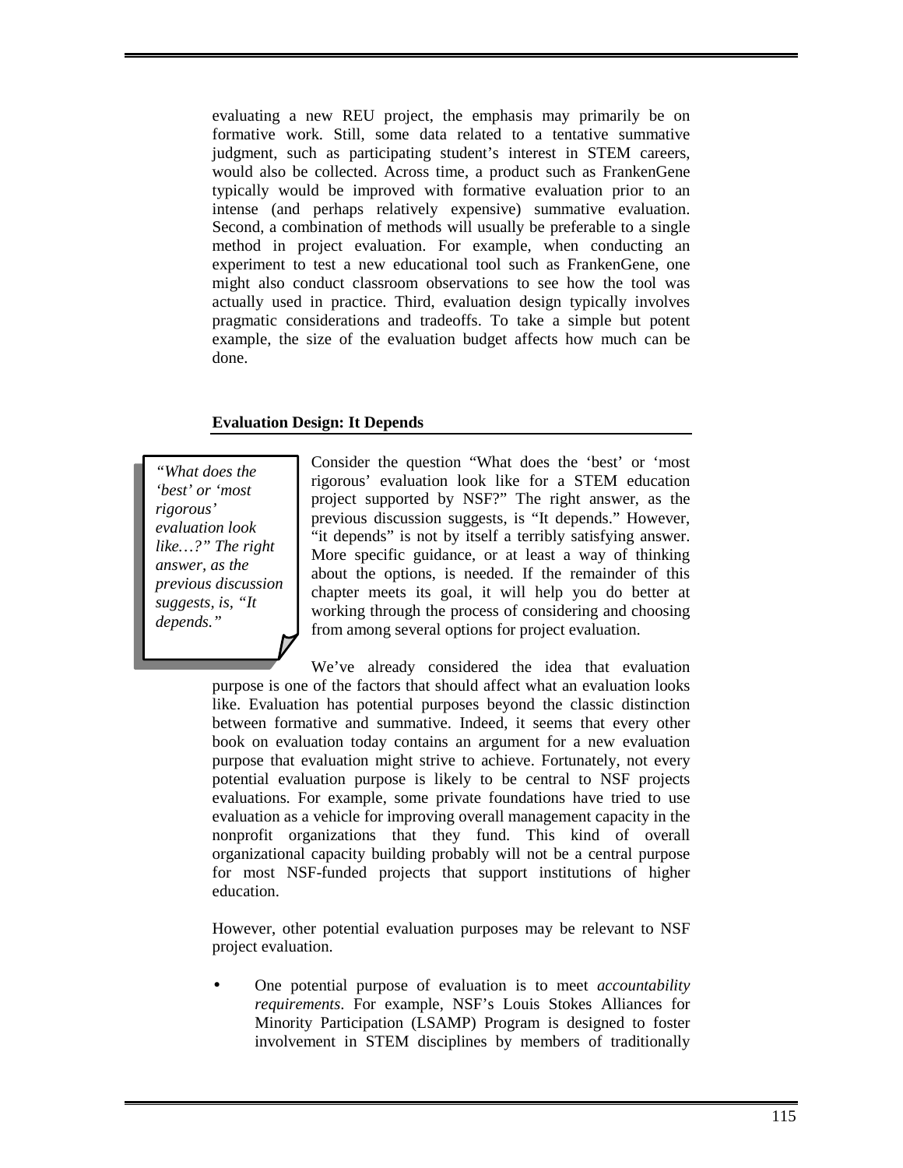evaluating a new REU project, the emphasis may primarily be on formative work. Still, some data related to a tentative summative judgment, such as participating student's interest in STEM careers, would also be collected. Across time, a product such as FrankenGene typically would be improved with formative evaluation prior to an intense (and perhaps relatively expensive) summative evaluation. Second, a combination of methods will usually be preferable to a single method in project evaluation. For example, when conducting an experiment to test a new educational tool such as FrankenGene, one might also conduct classroom observations to see how the tool was actually used in practice. Third, evaluation design typically involves pragmatic considerations and tradeoffs. To take a simple but potent example, the size of the evaluation budget affects how much can be done.

# **Evaluation Design: It Depends**

*"What does the 'best' or 'most rigorous' evaluation look like…?" The right answer, as the previous discussion suggests, is, "It depends."* 

Consider the question "What does the 'best' or 'most rigorous' evaluation look like for a STEM education project supported by NSF?" The right answer, as the previous discussion suggests, is "It depends." However, "it depends" is not by itself a terribly satisfying answer. More specific guidance, or at least a way of thinking about the options, is needed. If the remainder of this chapter meets its goal, it will help you do better at working through the process of considering and choosing from among several options for project evaluation.

We've already considered the idea that evaluation purpose is one of the factors that should affect what an evaluation looks like. Evaluation has potential purposes beyond the classic distinction between formative and summative. Indeed, it seems that every other book on evaluation today contains an argument for a new evaluation purpose that evaluation might strive to achieve. Fortunately, not every potential evaluation purpose is likely to be central to NSF projects evaluations. For example, some private foundations have tried to use evaluation as a vehicle for improving overall management capacity in the nonprofit organizations that they fund. This kind of overall organizational capacity building probably will not be a central purpose for most NSF-funded projects that support institutions of higher education.

However, other potential evaluation purposes may be relevant to NSF project evaluation.

• One potential purpose of evaluation is to meet *accountability requirements*. For example, NSF's Louis Stokes Alliances for Minority Participation (LSAMP) Program is designed to foster involvement in STEM disciplines by members of traditionally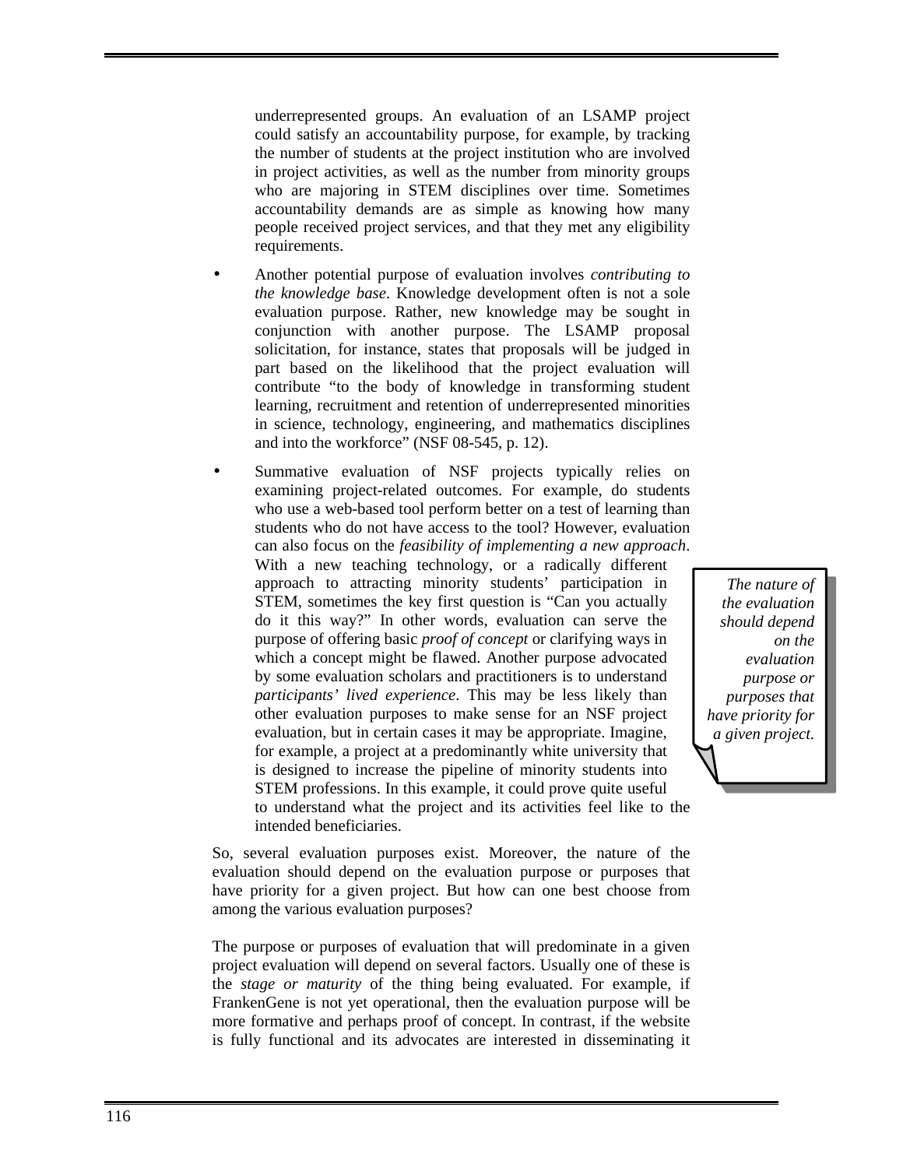underrepresented groups. An evaluation of an LSAMP project could satisfy an accountability purpose, for example, by tracking the number of students at the project institution who are involved in project activities, as well as the number from minority groups who are majoring in STEM disciplines over time. Sometimes accountability demands are as simple as knowing how many people received project services, and that they met any eligibility requirements.

- Another potential purpose of evaluation involves *contributing to the knowledge base*. Knowledge development often is not a sole evaluation purpose. Rather, new knowledge may be sought in conjunction with another purpose. The LSAMP proposal solicitation, for instance, states that proposals will be judged in part based on the likelihood that the project evaluation will contribute "to the body of knowledge in transforming student learning, recruitment and retention of underrepresented minorities in science, technology, engineering, and mathematics disciplines and into the workforce" (NSF 08-545, p. 12).
- Summative evaluation of NSF projects typically relies on examining project-related outcomes. For example, do students who use a web-based tool perform better on a test of learning than students who do not have access to the tool? However, evaluation can also focus on the *feasibility of implementing a new approach*. With a new teaching technology, or a radically different approach to attracting minority students' participation in STEM, sometimes the key first question is "Can you actually do it this way?" In other words, evaluation can serve the purpose of offering basic *proof of concept* or clarifying ways in

which a concept might be flawed. Another purpose advocated by some evaluation scholars and practitioners is to understand *participants' lived experience*. This may be less likely than other evaluation purposes to make sense for an NSF project evaluation, but in certain cases it may be appropriate. Imagine, for example, a project at a predominantly white university that is designed to increase the pipeline of minority students into STEM professions. In this example, it could prove quite useful to understand what the project and its activities feel like to the intended beneficiaries.

*the evaluation should depend on the evaluation purpose or purposes that have priority for a given project.* 

*The nature of* 

So, several evaluation purposes exist. Moreover, the nature of the evaluation should depend on the evaluation purpose or purposes that have priority for a given project. But how can one best choose from among the various evaluation purposes?

The purpose or purposes of evaluation that will predominate in a given project evaluation will depend on several factors. Usually one of these is the *stage or maturity* of the thing being evaluated. For example, if FrankenGene is not yet operational, then the evaluation purpose will be more formative and perhaps proof of concept. In contrast, if the website is fully functional and its advocates are interested in disseminating it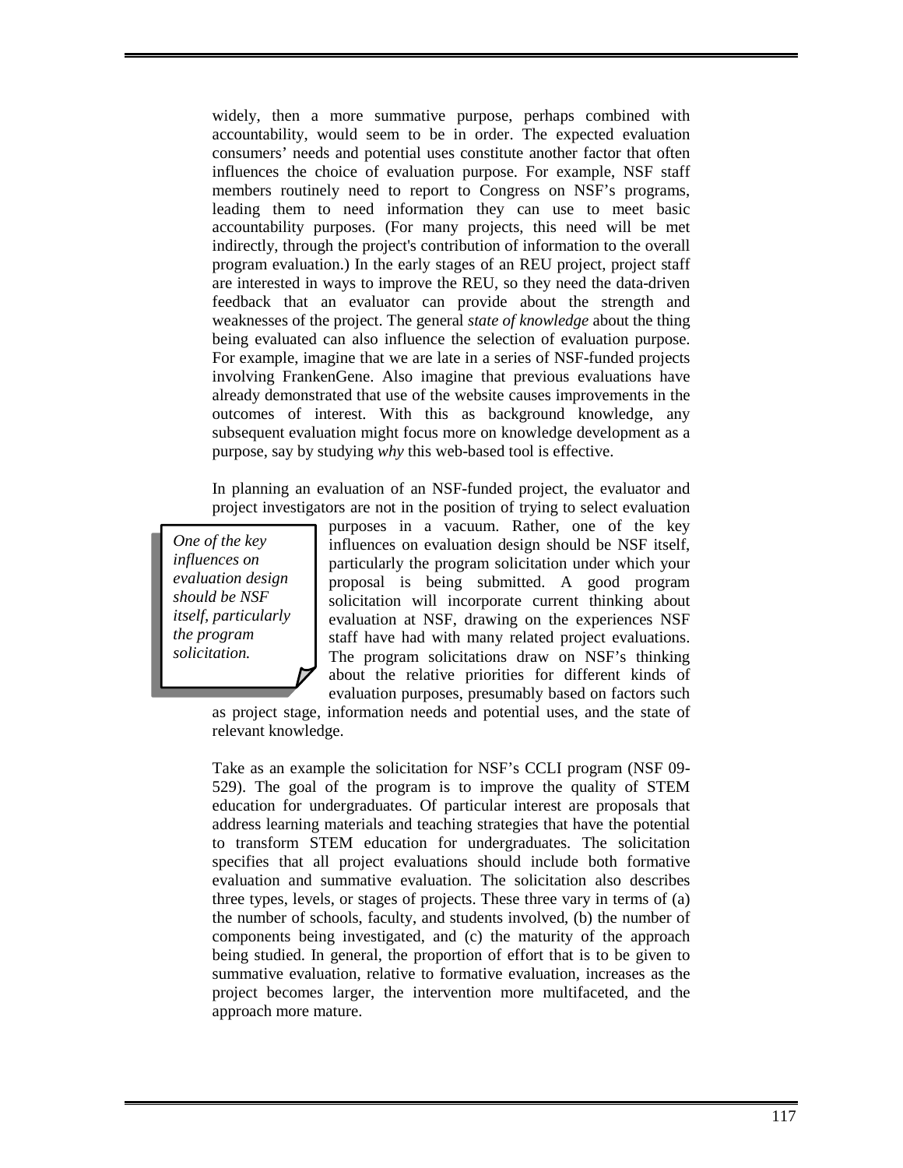widely, then a more summative purpose, perhaps combined with accountability, would seem to be in order. The expected evaluation consumers' needs and potential uses constitute another factor that often influences the choice of evaluation purpose. For example, NSF staff members routinely need to report to Congress on NSF's programs, leading them to need information they can use to meet basic accountability purposes. (For many projects, this need will be met indirectly, through the project's contribution of information to the overall program evaluation.) In the early stages of an REU project, project staff are interested in ways to improve the REU, so they need the data-driven feedback that an evaluator can provide about the strength and weaknesses of the project. The general *state of knowledge* about the thing being evaluated can also influence the selection of evaluation purpose. For example, imagine that we are late in a series of NSF-funded projects involving FrankenGene. Also imagine that previous evaluations have already demonstrated that use of the website causes improvements in the outcomes of interest. With this as background knowledge, any subsequent evaluation might focus more on knowledge development as a purpose, say by studying *why* this web-based tool is effective.

In planning an evaluation of an NSF-funded project, the evaluator and project investigators are not in the position of trying to select evaluation

*One of the key influences on evaluation design should be NSF itself, particularly the program solicitation.* 

purposes in a vacuum. Rather, one of the key influences on evaluation design should be NSF itself, particularly the program solicitation under which your proposal is being submitted. A good program solicitation will incorporate current thinking about evaluation at NSF, drawing on the experiences NSF staff have had with many related project evaluations. The program solicitations draw on NSF's thinking about the relative priorities for different kinds of evaluation purposes, presumably based on factors such

as project stage, information needs and potential uses, and the state of relevant knowledge.

Take as an example the solicitation for NSF's CCLI program (NSF 09- 529). The goal of the program is to improve the quality of STEM education for undergraduates. Of particular interest are proposals that address learning materials and teaching strategies that have the potential to transform STEM education for undergraduates. The solicitation specifies that all project evaluations should include both formative evaluation and summative evaluation. The solicitation also describes three types, levels, or stages of projects. These three vary in terms of (a) the number of schools, faculty, and students involved, (b) the number of components being investigated, and (c) the maturity of the approach being studied. In general, the proportion of effort that is to be given to summative evaluation, relative to formative evaluation, increases as the project becomes larger, the intervention more multifaceted, and the approach more mature.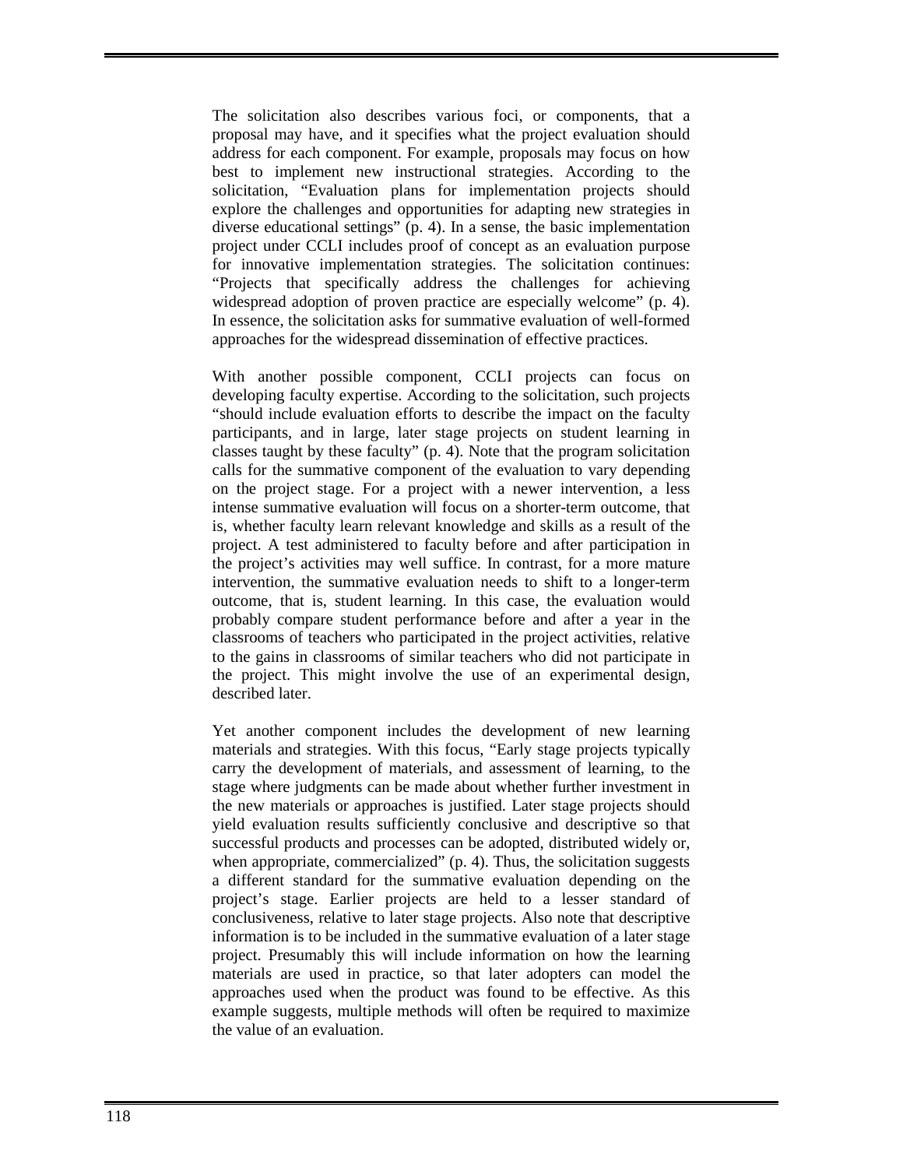The solicitation also describes various foci, or components, that a proposal may have, and it specifies what the project evaluation should address for each component. For example, proposals may focus on how best to implement new instructional strategies. According to the solicitation, "Evaluation plans for implementation projects should explore the challenges and opportunities for adapting new strategies in diverse educational settings" (p. 4). In a sense, the basic implementation project under CCLI includes proof of concept as an evaluation purpose for innovative implementation strategies. The solicitation continues: "Projects that specifically address the challenges for achieving widespread adoption of proven practice are especially welcome" (p. 4). In essence, the solicitation asks for summative evaluation of well-formed approaches for the widespread dissemination of effective practices.

With another possible component, CCLI projects can focus on developing faculty expertise. According to the solicitation, such projects "should include evaluation efforts to describe the impact on the faculty participants, and in large, later stage projects on student learning in classes taught by these faculty" (p. 4). Note that the program solicitation calls for the summative component of the evaluation to vary depending on the project stage. For a project with a newer intervention, a less intense summative evaluation will focus on a shorter-term outcome, that is, whether faculty learn relevant knowledge and skills as a result of the project. A test administered to faculty before and after participation in the project's activities may well suffice. In contrast, for a more mature intervention, the summative evaluation needs to shift to a longer-term outcome, that is, student learning. In this case, the evaluation would probably compare student performance before and after a year in the classrooms of teachers who participated in the project activities, relative to the gains in classrooms of similar teachers who did not participate in the project. This might involve the use of an experimental design, described later.

Yet another component includes the development of new learning materials and strategies. With this focus, "Early stage projects typically carry the development of materials, and assessment of learning, to the stage where judgments can be made about whether further investment in the new materials or approaches is justified. Later stage projects should yield evaluation results sufficiently conclusive and descriptive so that successful products and processes can be adopted, distributed widely or, when appropriate, commercialized" (p. 4). Thus, the solicitation suggests a different standard for the summative evaluation depending on the project's stage. Earlier projects are held to a lesser standard of conclusiveness, relative to later stage projects. Also note that descriptive information is to be included in the summative evaluation of a later stage project. Presumably this will include information on how the learning materials are used in practice, so that later adopters can model the approaches used when the product was found to be effective. As this example suggests, multiple methods will often be required to maximize the value of an evaluation.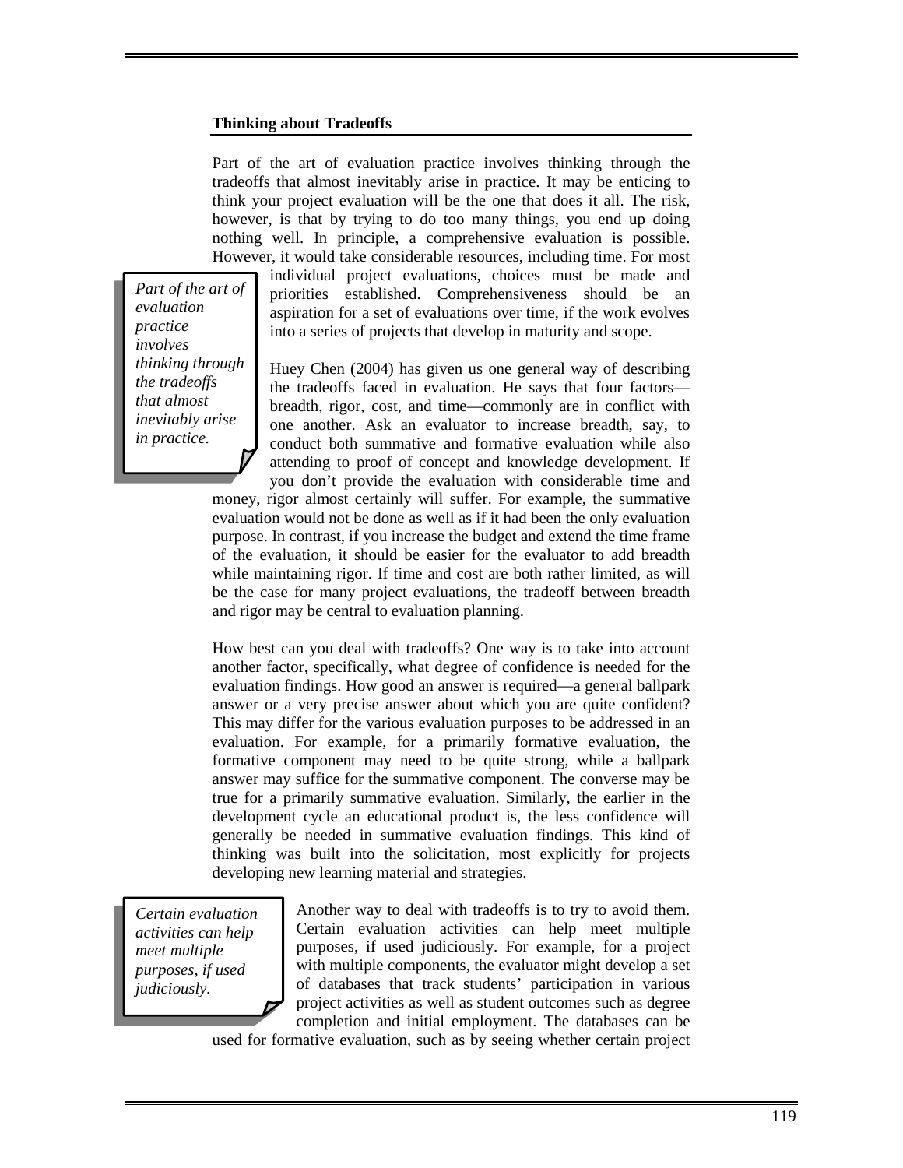## **Thinking about Tradeoffs**

Part of the art of evaluation practice involves thinking through the tradeoffs that almost inevitably arise in practice. It may be enticing to think your project evaluation will be the one that does it all. The risk, however, is that by trying to do too many things, you end up doing nothing well. In principle, a comprehensive evaluation is possible. However, it would take considerable resources, including time. For most

*Part of the art of evaluation practice involves thinking through the tradeoffs that almost inevitably arise in practice.* 

individual project evaluations, choices must be made and priorities established. Comprehensiveness should be an aspiration for a set of evaluations over time, if the work evolves into a series of projects that develop in maturity and scope.

Huey Chen (2004) has given us one general way of describing the tradeoffs faced in evaluation. He says that four factors breadth, rigor, cost, and time—commonly are in conflict with one another. Ask an evaluator to increase breadth, say, to conduct both summative and formative evaluation while also attending to proof of concept and knowledge development. If you don't provide the evaluation with considerable time and

money, rigor almost certainly will suffer. For example, the summative evaluation would not be done as well as if it had been the only evaluation purpose. In contrast, if you increase the budget and extend the time frame of the evaluation, it should be easier for the evaluator to add breadth while maintaining rigor. If time and cost are both rather limited, as will be the case for many project evaluations, the tradeoff between breadth and rigor may be central to evaluation planning.

How best can you deal with tradeoffs? One way is to take into account another factor, specifically, what degree of confidence is needed for the evaluation findings. How good an answer is required—a general ballpark answer or a very precise answer about which you are quite confident? This may differ for the various evaluation purposes to be addressed in an evaluation. For example, for a primarily formative evaluation, the formative component may need to be quite strong, while a ballpark answer may suffice for the summative component. The converse may be true for a primarily summative evaluation. Similarly, the earlier in the development cycle an educational product is, the less confidence will generally be needed in summative evaluation findings. This kind of thinking was built into the solicitation, most explicitly for projects developing new learning material and strategies.

*Certain evaluation activities can help meet multiple purposes, if used judiciously.* 

Another way to deal with tradeoffs is to try to avoid them. Certain evaluation activities can help meet multiple purposes, if used judiciously. For example, for a project with multiple components, the evaluator might develop a set of databases that track students' participation in various project activities as well as student outcomes such as degree completion and initial employment. The databases can be

used for formative evaluation, such as by seeing whether certain project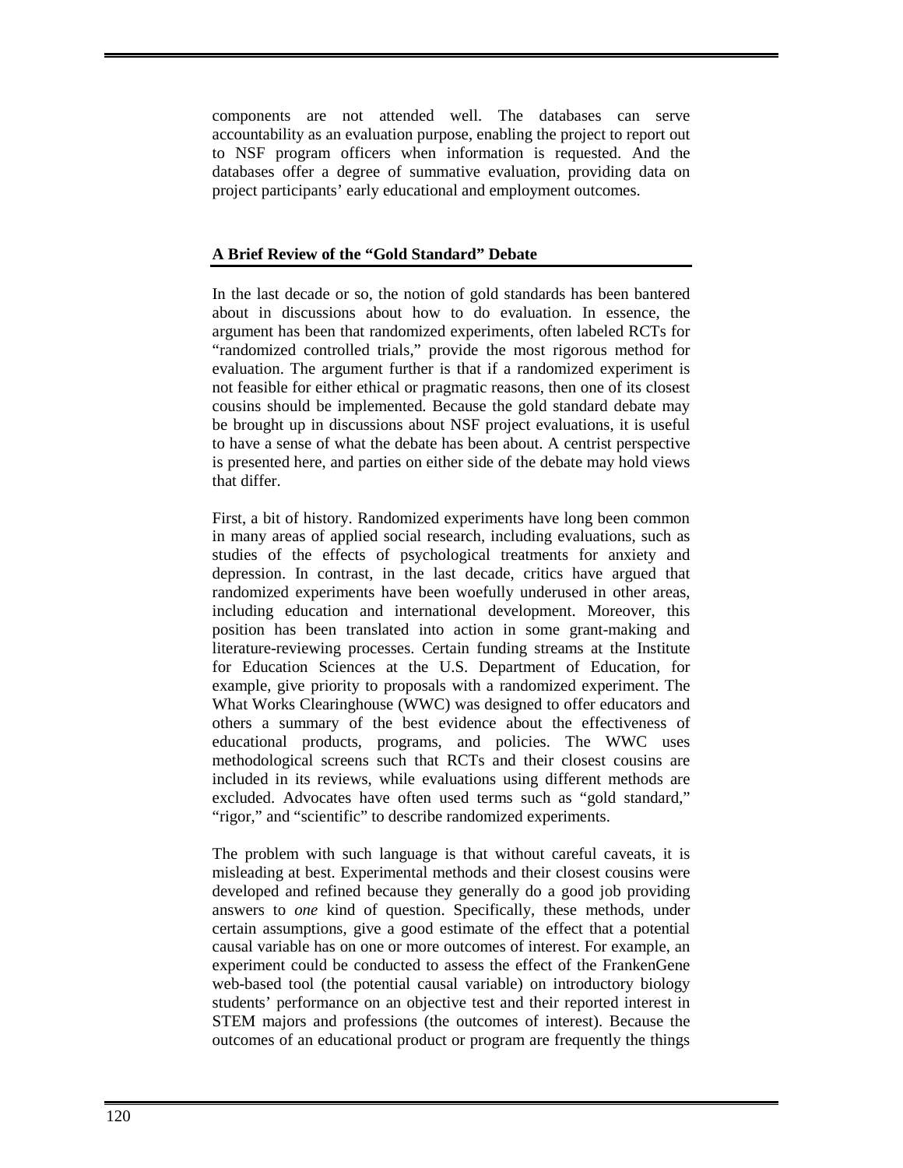components are not attended well. The databases can serve accountability as an evaluation purpose, enabling the project to report out to NSF program officers when information is requested. And the databases offer a degree of summative evaluation, providing data on project participants' early educational and employment outcomes.

# **A Brief Review of the "Gold Standard" Debate**

In the last decade or so, the notion of gold standards has been bantered about in discussions about how to do evaluation. In essence, the argument has been that randomized experiments, often labeled RCTs for "randomized controlled trials," provide the most rigorous method for evaluation. The argument further is that if a randomized experiment is not feasible for either ethical or pragmatic reasons, then one of its closest cousins should be implemented. Because the gold standard debate may be brought up in discussions about NSF project evaluations, it is useful to have a sense of what the debate has been about. A centrist perspective is presented here, and parties on either side of the debate may hold views that differ.

First, a bit of history. Randomized experiments have long been common in many areas of applied social research, including evaluations, such as studies of the effects of psychological treatments for anxiety and depression. In contrast, in the last decade, critics have argued that randomized experiments have been woefully underused in other areas, including education and international development. Moreover, this position has been translated into action in some grant-making and literature-reviewing processes. Certain funding streams at the Institute for Education Sciences at the U.S. Department of Education, for example, give priority to proposals with a randomized experiment. The What Works Clearinghouse (WWC) was designed to offer educators and others a summary of the best evidence about the effectiveness of educational products, programs, and policies. The WWC uses methodological screens such that RCTs and their closest cousins are included in its reviews, while evaluations using different methods are excluded. Advocates have often used terms such as "gold standard," "rigor," and "scientific" to describe randomized experiments.

The problem with such language is that without careful caveats, it is misleading at best. Experimental methods and their closest cousins were developed and refined because they generally do a good job providing answers to *one* kind of question. Specifically, these methods, under certain assumptions, give a good estimate of the effect that a potential causal variable has on one or more outcomes of interest. For example, an experiment could be conducted to assess the effect of the FrankenGene web-based tool (the potential causal variable) on introductory biology students' performance on an objective test and their reported interest in STEM majors and professions (the outcomes of interest). Because the outcomes of an educational product or program are frequently the things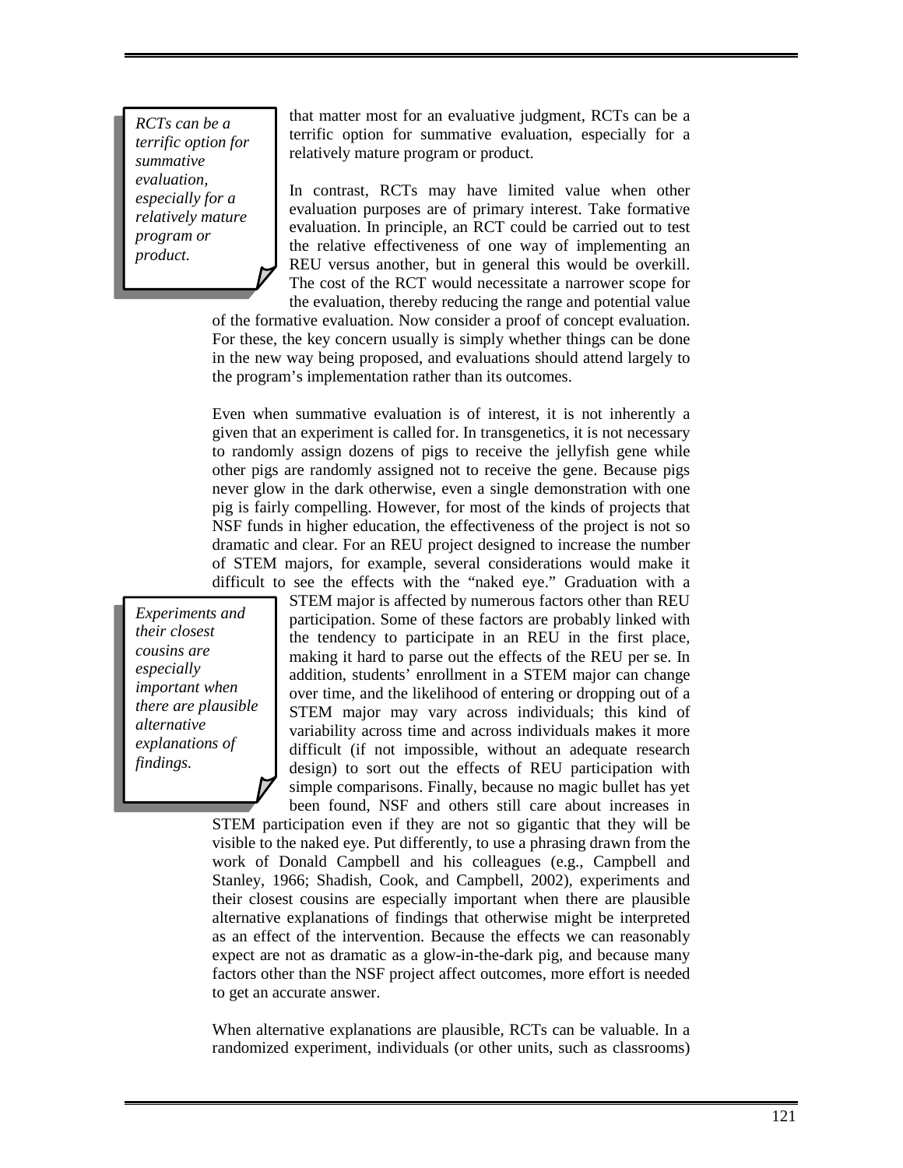*RCTs can be a terrific option for summative evaluation, especially for a relatively mature program or product.* 

that matter most for an evaluative judgment, RCTs can be a terrific option for summative evaluation, especially for a relatively mature program or product.

In contrast, RCTs may have limited value when other evaluation purposes are of primary interest. Take formative evaluation. In principle, an RCT could be carried out to test the relative effectiveness of one way of implementing an REU versus another, but in general this would be overkill. The cost of the RCT would necessitate a narrower scope for the evaluation, thereby reducing the range and potential value

of the formative evaluation. Now consider a proof of concept evaluation. For these, the key concern usually is simply whether things can be done in the new way being proposed, and evaluations should attend largely to the program's implementation rather than its outcomes.

Even when summative evaluation is of interest, it is not inherently a given that an experiment is called for. In transgenetics, it is not necessary to randomly assign dozens of pigs to receive the jellyfish gene while other pigs are randomly assigned not to receive the gene. Because pigs never glow in the dark otherwise, even a single demonstration with one pig is fairly compelling. However, for most of the kinds of projects that NSF funds in higher education, the effectiveness of the project is not so dramatic and clear. For an REU project designed to increase the number of STEM majors, for example, several considerations would make it difficult to see the effects with the "naked eye." Graduation with a

*Experiments and their closest cousins are especially important when there are plausible alternative explanations of findings.* 

STEM major is affected by numerous factors other than REU participation. Some of these factors are probably linked with the tendency to participate in an REU in the first place, making it hard to parse out the effects of the REU per se. In addition, students' enrollment in a STEM major can change over time, and the likelihood of entering or dropping out of a STEM major may vary across individuals; this kind of variability across time and across individuals makes it more difficult (if not impossible, without an adequate research design) to sort out the effects of REU participation with simple comparisons. Finally, because no magic bullet has yet been found, NSF and others still care about increases in

STEM participation even if they are not so gigantic that they will be visible to the naked eye. Put differently, to use a phrasing drawn from the work of Donald Campbell and his colleagues (e.g., Campbell and Stanley, 1966; Shadish, Cook, and Campbell, 2002), experiments and their closest cousins are especially important when there are plausible alternative explanations of findings that otherwise might be interpreted as an effect of the intervention. Because the effects we can reasonably expect are not as dramatic as a glow-in-the-dark pig, and because many factors other than the NSF project affect outcomes, more effort is needed to get an accurate answer.

When alternative explanations are plausible, RCTs can be valuable. In a randomized experiment, individuals (or other units, such as classrooms)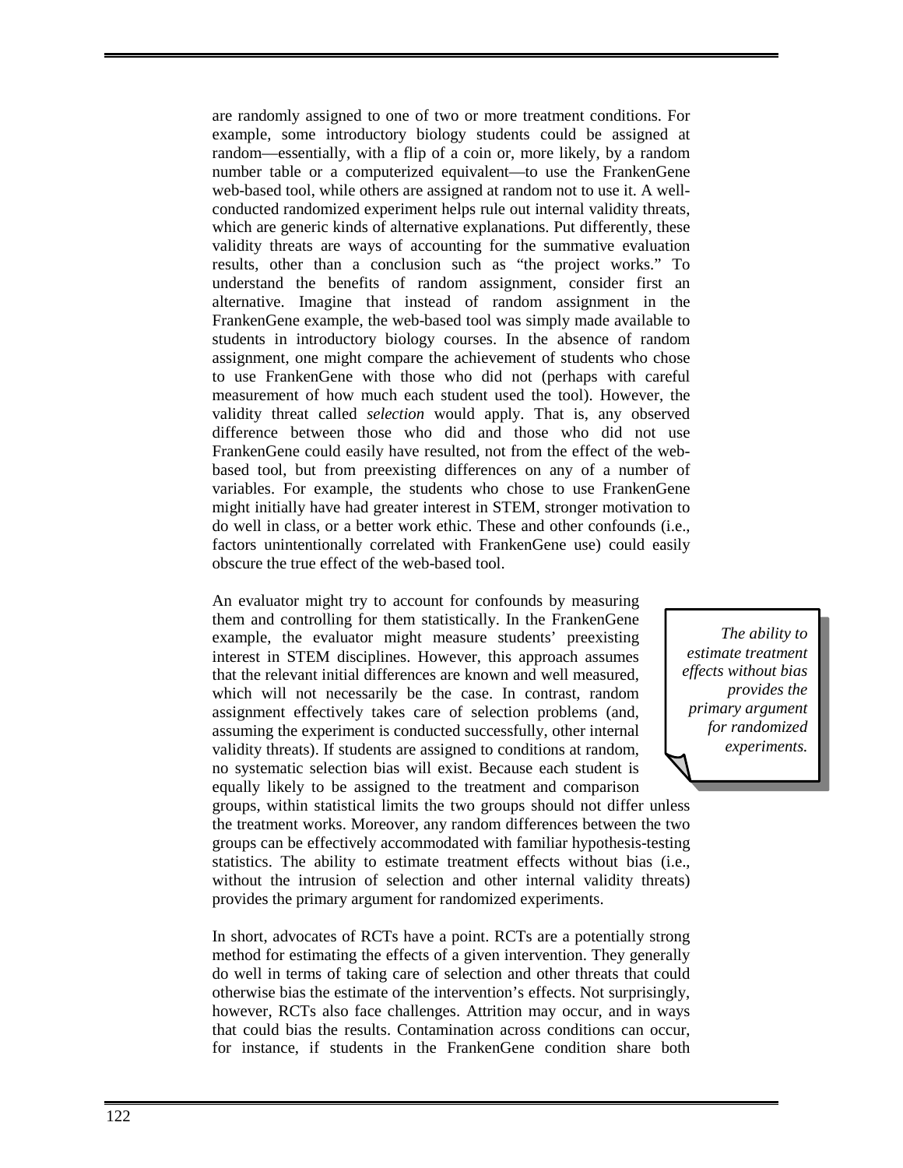are randomly assigned to one of two or more treatment conditions. For example, some introductory biology students could be assigned at random—essentially, with a flip of a coin or, more likely, by a random number table or a computerized equivalent—to use the FrankenGene web-based tool, while others are assigned at random not to use it. A wellconducted randomized experiment helps rule out internal validity threats, which are generic kinds of alternative explanations. Put differently, these validity threats are ways of accounting for the summative evaluation results, other than a conclusion such as "the project works." To understand the benefits of random assignment, consider first an alternative. Imagine that instead of random assignment in the FrankenGene example, the web-based tool was simply made available to students in introductory biology courses. In the absence of random assignment, one might compare the achievement of students who chose to use FrankenGene with those who did not (perhaps with careful measurement of how much each student used the tool). However, the validity threat called *selection* would apply. That is, any observed difference between those who did and those who did not use FrankenGene could easily have resulted, not from the effect of the webbased tool, but from preexisting differences on any of a number of variables. For example, the students who chose to use FrankenGene might initially have had greater interest in STEM, stronger motivation to do well in class, or a better work ethic. These and other confounds (i.e., factors unintentionally correlated with FrankenGene use) could easily obscure the true effect of the web-based tool.

An evaluator might try to account for confounds by measuring them and controlling for them statistically. In the FrankenGene example, the evaluator might measure students' preexisting interest in STEM disciplines. However, this approach assumes that the relevant initial differences are known and well measured, which will not necessarily be the case. In contrast, random assignment effectively takes care of selection problems (and, assuming the experiment is conducted successfully, other internal validity threats). If students are assigned to conditions at random, no systematic selection bias will exist. Because each student is equally likely to be assigned to the treatment and comparison

groups, within statistical limits the two groups should not differ unless the treatment works. Moreover, any random differences between the two groups can be effectively accommodated with familiar hypothesis-testing statistics. The ability to estimate treatment effects without bias (i.e., without the intrusion of selection and other internal validity threats) provides the primary argument for randomized experiments.

In short, advocates of RCTs have a point. RCTs are a potentially strong method for estimating the effects of a given intervention. They generally do well in terms of taking care of selection and other threats that could otherwise bias the estimate of the intervention's effects. Not surprisingly, however, RCTs also face challenges. Attrition may occur, and in ways that could bias the results. Contamination across conditions can occur, for instance, if students in the FrankenGene condition share both

*The ability to estimate treatment effects without bias provides the primary argument for randomized experiments.*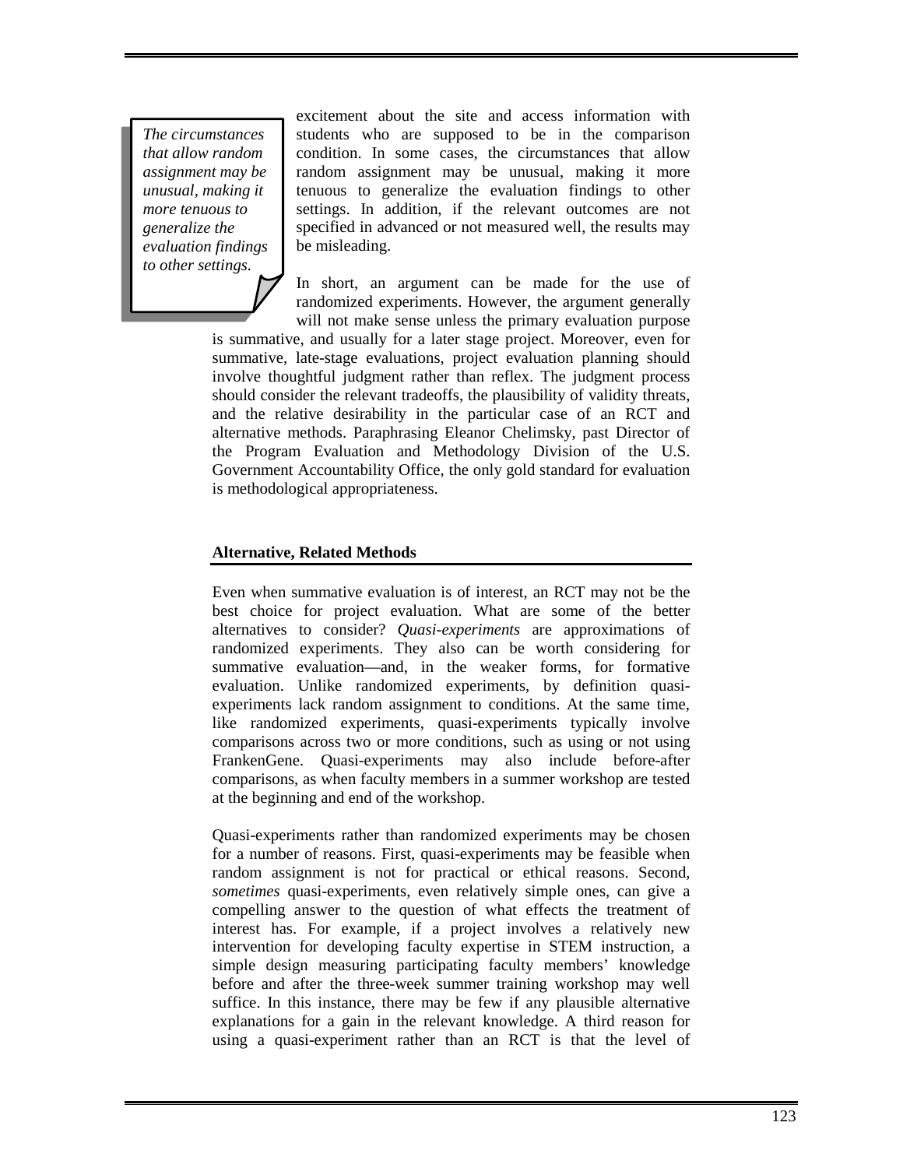*The circumstances that allow random assignment may be unusual, making it more tenuous to generalize the evaluation findings to other settings.* 

excitement about the site and access information with students who are supposed to be in the comparison condition. In some cases, the circumstances that allow random assignment may be unusual, making it more tenuous to generalize the evaluation findings to other settings. In addition, if the relevant outcomes are not specified in advanced or not measured well, the results may be misleading.

In short, an argument can be made for the use of randomized experiments. However, the argument generally will not make sense unless the primary evaluation purpose

is summative, and usually for a later stage project. Moreover, even for summative, late-stage evaluations, project evaluation planning should involve thoughtful judgment rather than reflex. The judgment process should consider the relevant tradeoffs, the plausibility of validity threats, and the relative desirability in the particular case of an RCT and alternative methods. Paraphrasing Eleanor Chelimsky, past Director of the Program Evaluation and Methodology Division of the U.S. Government Accountability Office, the only gold standard for evaluation is methodological appropriateness.

# **Alternative, Related Methods**

Even when summative evaluation is of interest, an RCT may not be the best choice for project evaluation. What are some of the better alternatives to consider? *Quasi-experiments* are approximations of randomized experiments. They also can be worth considering for summative evaluation—and, in the weaker forms, for formative evaluation. Unlike randomized experiments, by definition quasiexperiments lack random assignment to conditions. At the same time, like randomized experiments, quasi-experiments typically involve comparisons across two or more conditions, such as using or not using FrankenGene. Quasi-experiments may also include before-after comparisons, as when faculty members in a summer workshop are tested at the beginning and end of the workshop.

Quasi-experiments rather than randomized experiments may be chosen for a number of reasons. First, quasi-experiments may be feasible when random assignment is not for practical or ethical reasons. Second, *sometimes* quasi-experiments, even relatively simple ones, can give a compelling answer to the question of what effects the treatment of interest has. For example, if a project involves a relatively new intervention for developing faculty expertise in STEM instruction, a simple design measuring participating faculty members' knowledge before and after the three-week summer training workshop may well suffice. In this instance, there may be few if any plausible alternative explanations for a gain in the relevant knowledge. A third reason for using a quasi-experiment rather than an RCT is that the level of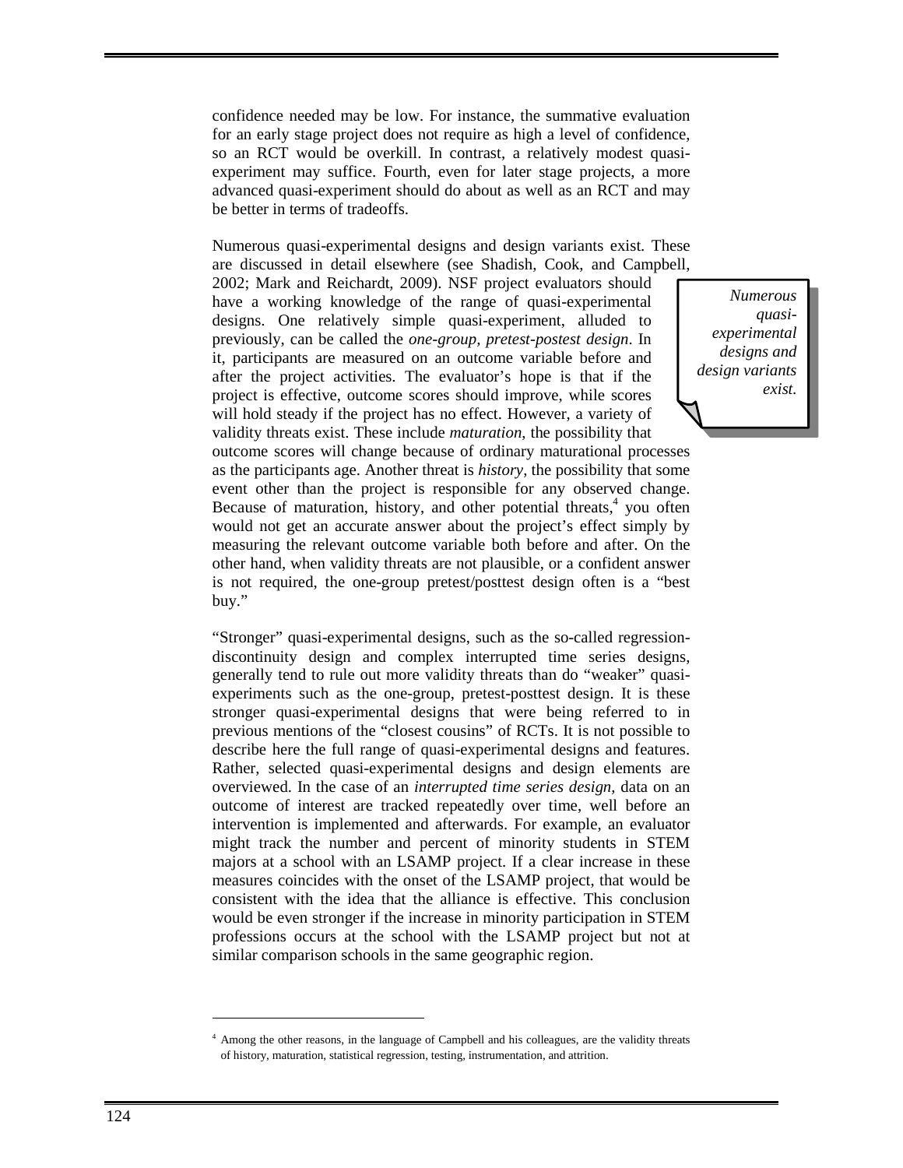confidence needed may be low. For instance, the summative evaluation for an early stage project does not require as high a level of confidence, so an RCT would be overkill. In contrast, a relatively modest quasiexperiment may suffice. Fourth, even for later stage projects, a more advanced quasi-experiment should do about as well as an RCT and may be better in terms of tradeoffs.

Numerous quasi-experimental designs and design variants exist. These are discussed in detail elsewhere (see Shadish, Cook, and Campbell,

2002; Mark and Reichardt, 2009). NSF project evaluators should have a working knowledge of the range of quasi-experimental designs. One relatively simple quasi-experiment, alluded to previously, can be called the *one-group, pretest-postest design*. In it, participants are measured on an outcome variable before and after the project activities. The evaluator's hope is that if the project is effective, outcome scores should improve, while scores will hold steady if the project has no effect. However, a variety of validity threats exist. These include *maturation*, the possibility that

outcome scores will change because of ordinary maturational processes as the participants age. Another threat is *history*, the possibility that some event other than the project is responsible for any observed change. Because of maturation, history, and other potential threats,<sup>4</sup> you often would not get an accurate answer about the project's effect simply by measuring the relevant outcome variable both before and after. On the other hand, when validity threats are not plausible, or a confident answer is not required, the one-group pretest/posttest design often is a "best buy."

"Stronger" quasi-experimental designs, such as the so-called regressiondiscontinuity design and complex interrupted time series designs, generally tend to rule out more validity threats than do "weaker" quasiexperiments such as the one-group, pretest-posttest design. It is these stronger quasi-experimental designs that were being referred to in previous mentions of the "closest cousins" of RCTs. It is not possible to describe here the full range of quasi-experimental designs and features. Rather, selected quasi-experimental designs and design elements are overviewed. In the case of an *interrupted time series design*, data on an outcome of interest are tracked repeatedly over time, well before an intervention is implemented and afterwards. For example, an evaluator might track the number and percent of minority students in STEM majors at a school with an LSAMP project. If a clear increase in these measures coincides with the onset of the LSAMP project, that would be consistent with the idea that the alliance is effective. This conclusion would be even stronger if the increase in minority participation in STEM professions occurs at the school with the LSAMP project but not at similar comparison schools in the same geographic region.

*Numerous quasiexperimental designs and design variants exist.* 

-

<sup>4</sup> Among the other reasons, in the language of Campbell and his colleagues, are the validity threats of history, maturation, statistical regression, testing, instrumentation, and attrition.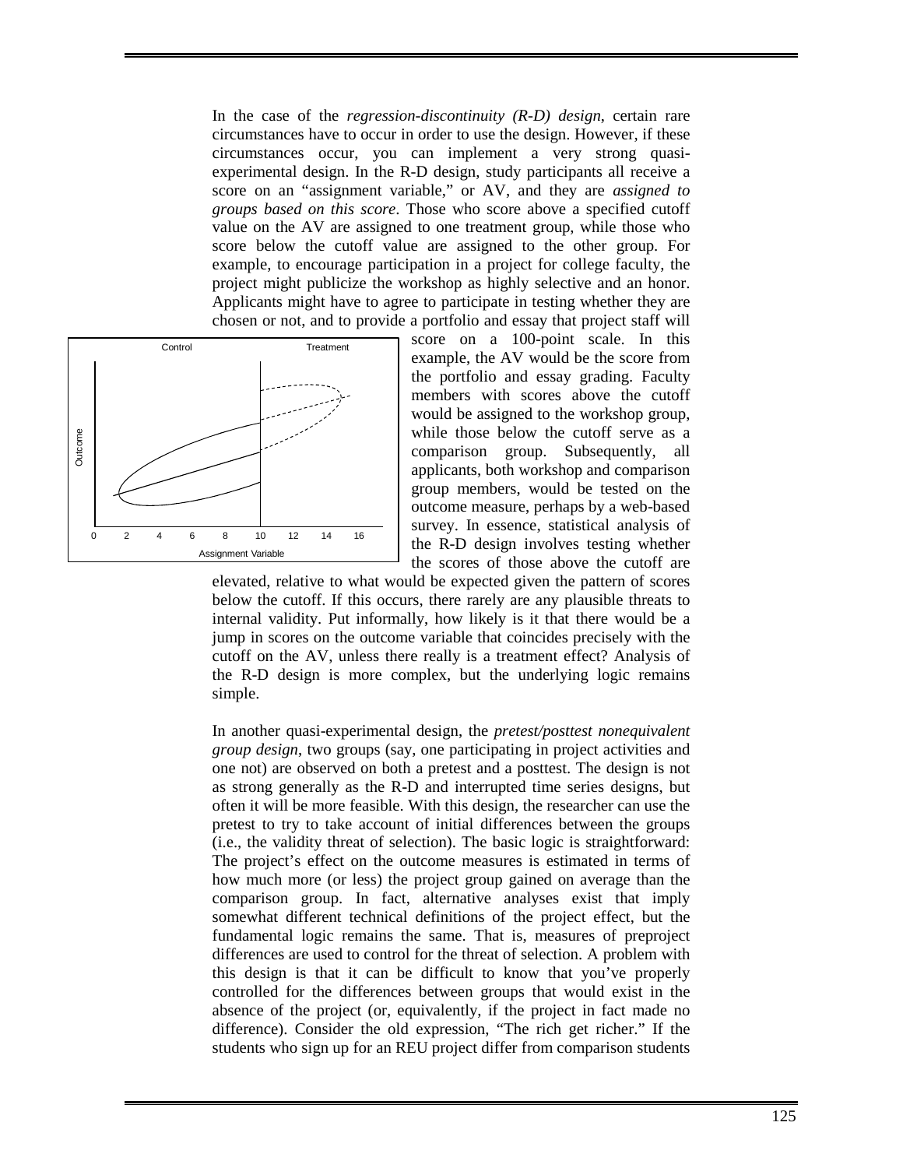In the case of the *regression-discontinuity (R-D) design*, certain rare circumstances have to occur in order to use the design. However, if these circumstances occur, you can implement a very strong quasiexperimental design. In the R-D design, study participants all receive a score on an "assignment variable," or AV, and they are *assigned to groups based on this score*. Those who score above a specified cutoff value on the AV are assigned to one treatment group, while those who score below the cutoff value are assigned to the other group. For example, to encourage participation in a project for college faculty, the project might publicize the workshop as highly selective and an honor. Applicants might have to agree to participate in testing whether they are chosen or not, and to provide a portfolio and essay that project staff will



score on a 100-point scale. In this example, the AV would be the score from the portfolio and essay grading. Faculty members with scores above the cutoff would be assigned to the workshop group, while those below the cutoff serve as a comparison group. Subsequently, all applicants, both workshop and comparison group members, would be tested on the outcome measure, perhaps by a web-based survey. In essence, statistical analysis of the R-D design involves testing whether the scores of those above the cutoff are

elevated, relative to what would be expected given the pattern of scores below the cutoff. If this occurs, there rarely are any plausible threats to internal validity. Put informally, how likely is it that there would be a jump in scores on the outcome variable that coincides precisely with the cutoff on the AV, unless there really is a treatment effect? Analysis of the R-D design is more complex, but the underlying logic remains simple.

In another quasi-experimental design, the *pretest/posttest nonequivalent group design*, two groups (say, one participating in project activities and one not) are observed on both a pretest and a posttest. The design is not as strong generally as the R-D and interrupted time series designs, but often it will be more feasible. With this design, the researcher can use the pretest to try to take account of initial differences between the groups (i.e., the validity threat of selection). The basic logic is straightforward: The project's effect on the outcome measures is estimated in terms of how much more (or less) the project group gained on average than the comparison group. In fact, alternative analyses exist that imply somewhat different technical definitions of the project effect, but the fundamental logic remains the same. That is, measures of preproject differences are used to control for the threat of selection. A problem with this design is that it can be difficult to know that you've properly controlled for the differences between groups that would exist in the absence of the project (or, equivalently, if the project in fact made no difference). Consider the old expression, "The rich get richer." If the students who sign up for an REU project differ from comparison students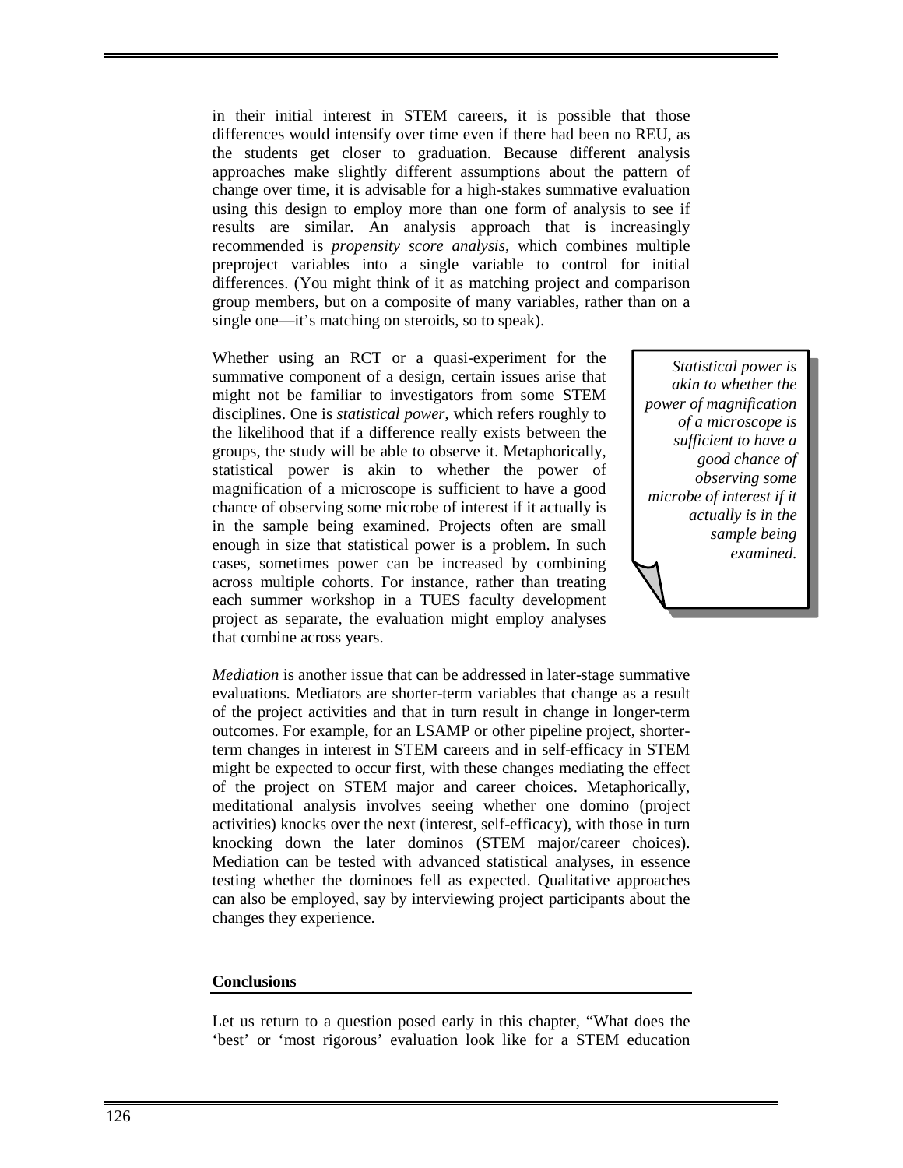in their initial interest in STEM careers, it is possible that those differences would intensify over time even if there had been no REU, as the students get closer to graduation. Because different analysis approaches make slightly different assumptions about the pattern of change over time, it is advisable for a high-stakes summative evaluation using this design to employ more than one form of analysis to see if results are similar. An analysis approach that is increasingly recommended is *propensity score analysis*, which combines multiple preproject variables into a single variable to control for initial differences. (You might think of it as matching project and comparison group members, but on a composite of many variables, rather than on a single one—it's matching on steroids, so to speak).

Whether using an RCT or a quasi-experiment for the summative component of a design, certain issues arise that might not be familiar to investigators from some STEM disciplines. One is *statistical power*, which refers roughly to the likelihood that if a difference really exists between the groups, the study will be able to observe it. Metaphorically, statistical power is akin to whether the power of magnification of a microscope is sufficient to have a good chance of observing some microbe of interest if it actually is in the sample being examined. Projects often are small enough in size that statistical power is a problem. In such cases, sometimes power can be increased by combining across multiple cohorts. For instance, rather than treating each summer workshop in a TUES faculty development project as separate, the evaluation might employ analyses that combine across years.

*Statistical power is akin to whether the power of magnification of a microscope is sufficient to have a good chance of observing some microbe of interest if it actually is in the sample being examined.* 

*Mediation* is another issue that can be addressed in later-stage summative evaluations. Mediators are shorter-term variables that change as a result of the project activities and that in turn result in change in longer-term outcomes. For example, for an LSAMP or other pipeline project, shorterterm changes in interest in STEM careers and in self-efficacy in STEM might be expected to occur first, with these changes mediating the effect of the project on STEM major and career choices. Metaphorically, meditational analysis involves seeing whether one domino (project activities) knocks over the next (interest, self-efficacy), with those in turn knocking down the later dominos (STEM major/career choices). Mediation can be tested with advanced statistical analyses, in essence testing whether the dominoes fell as expected. Qualitative approaches can also be employed, say by interviewing project participants about the changes they experience.

#### **Conclusions**

Let us return to a question posed early in this chapter, "What does the 'best' or 'most rigorous' evaluation look like for a STEM education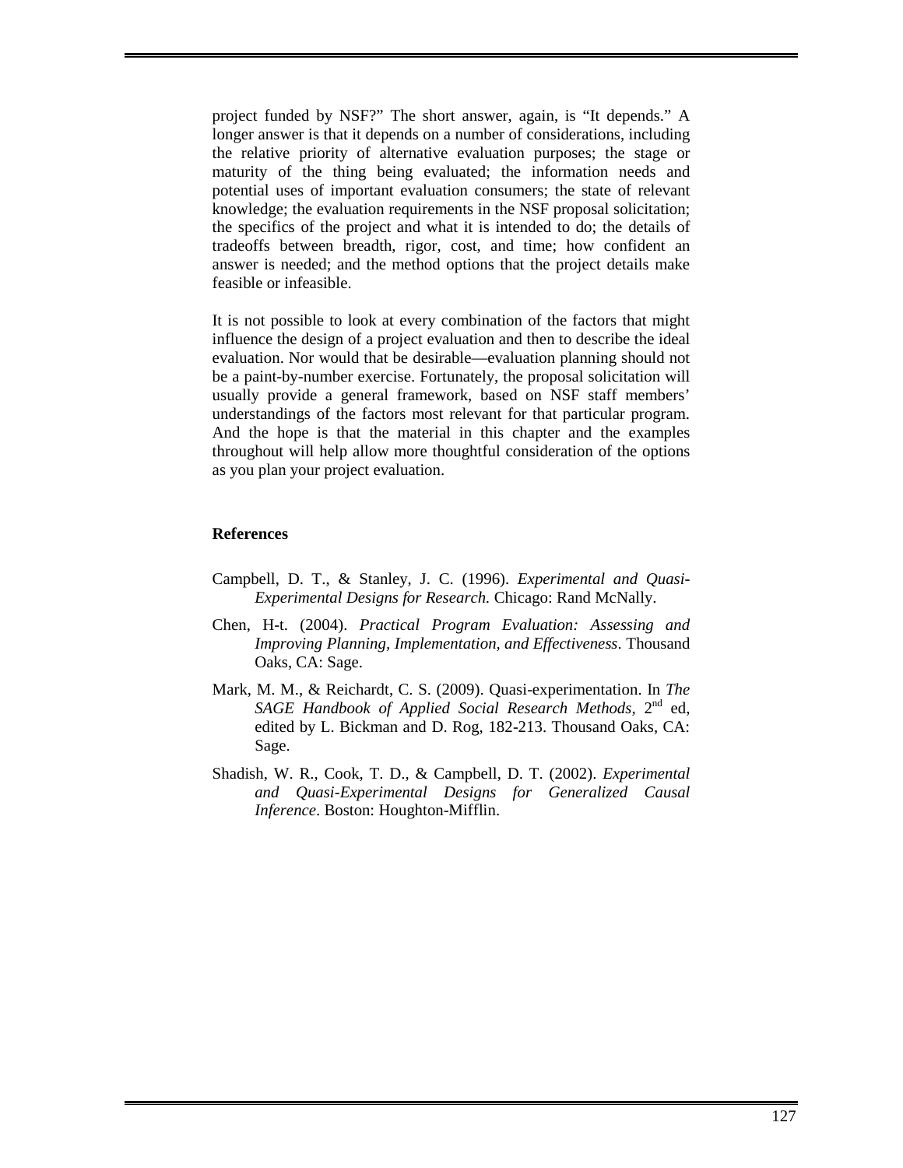project funded by NSF?" The short answer, again, is "It depends." A longer answer is that it depends on a number of considerations, including the relative priority of alternative evaluation purposes; the stage or maturity of the thing being evaluated; the information needs and potential uses of important evaluation consumers; the state of relevant knowledge; the evaluation requirements in the NSF proposal solicitation; the specifics of the project and what it is intended to do; the details of tradeoffs between breadth, rigor, cost, and time; how confident an answer is needed; and the method options that the project details make feasible or infeasible.

It is not possible to look at every combination of the factors that might influence the design of a project evaluation and then to describe the ideal evaluation. Nor would that be desirable—evaluation planning should not be a paint-by-number exercise. Fortunately, the proposal solicitation will usually provide a general framework, based on NSF staff members' understandings of the factors most relevant for that particular program. And the hope is that the material in this chapter and the examples throughout will help allow more thoughtful consideration of the options as you plan your project evaluation.

# **References**

- Campbell, D. T., & Stanley, J. C. (1996). *Experimental and Quasi-Experimental Designs for Research.* Chicago: Rand McNally.
- Chen, H-t. (2004). *Practical Program Evaluation: Assessing and Improving Planning, Implementation, and Effectiveness*. Thousand Oaks, CA: Sage.
- Mark, M. M., & Reichardt, C. S. (2009). Quasi-experimentation. In *The*  SAGE Handbook of Applied Social Research Methods, 2<sup>nd</sup> ed, edited by L. Bickman and D. Rog, 182-213. Thousand Oaks, CA: Sage.
- Shadish, W. R., Cook, T. D., & Campbell, D. T. (2002). *Experimental and Quasi-Experimental Designs for Generalized Causal Inference*. Boston: Houghton-Mifflin.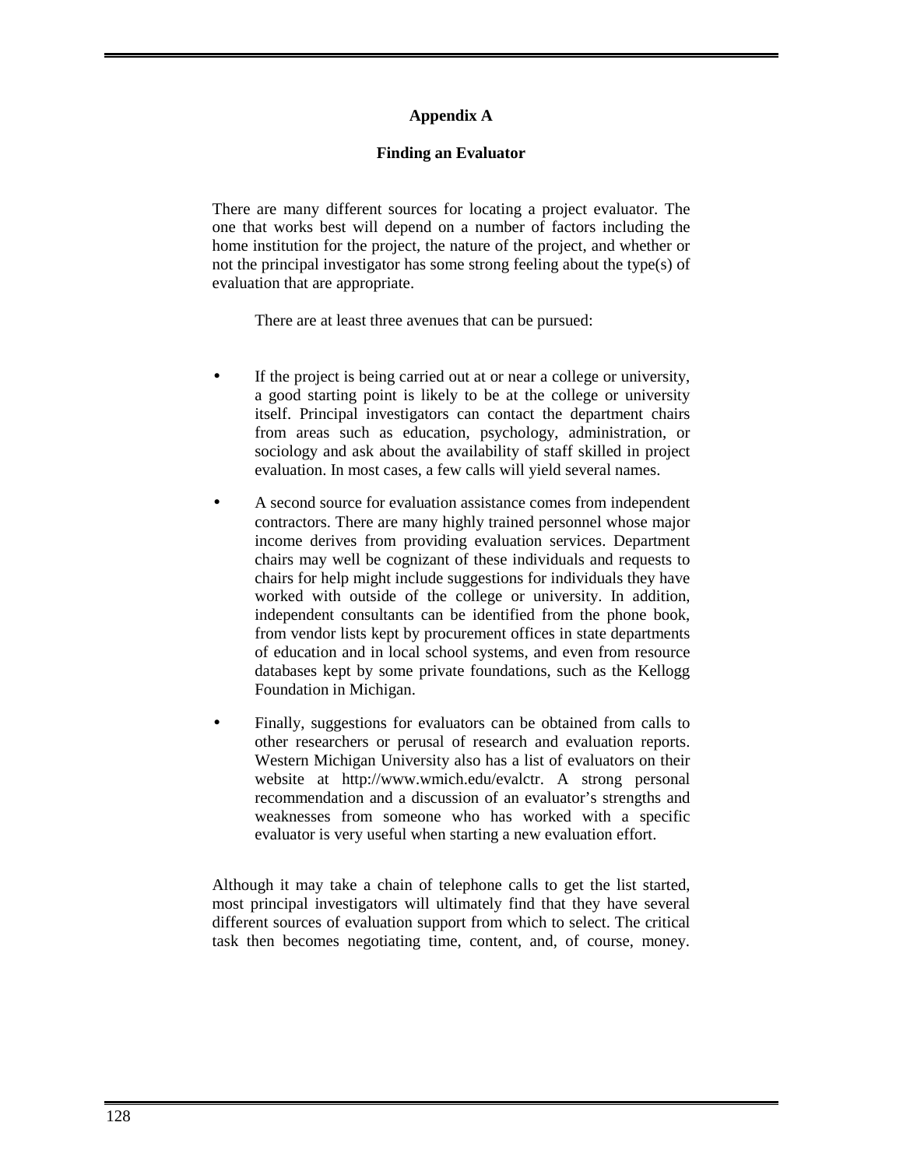# **Appendix A**

## **Finding an Evaluator**

There are many different sources for locating a project evaluator. The one that works best will depend on a number of factors including the home institution for the project, the nature of the project, and whether or not the principal investigator has some strong feeling about the type(s) of evaluation that are appropriate.

There are at least three avenues that can be pursued:

- If the project is being carried out at or near a college or university, a good starting point is likely to be at the college or university itself. Principal investigators can contact the department chairs from areas such as education, psychology, administration, or sociology and ask about the availability of staff skilled in project evaluation. In most cases, a few calls will yield several names.
- A second source for evaluation assistance comes from independent contractors. There are many highly trained personnel whose major income derives from providing evaluation services. Department chairs may well be cognizant of these individuals and requests to chairs for help might include suggestions for individuals they have worked with outside of the college or university. In addition, independent consultants can be identified from the phone book, from vendor lists kept by procurement offices in state departments of education and in local school systems, and even from resource databases kept by some private foundations, such as the Kellogg Foundation in Michigan.
- Finally, suggestions for evaluators can be obtained from calls to other researchers or perusal of research and evaluation reports. Western Michigan University also has a list of evaluators on their website at http://www.wmich.edu/evalctr. A strong personal recommendation and a discussion of an evaluator's strengths and weaknesses from someone who has worked with a specific evaluator is very useful when starting a new evaluation effort.

Although it may take a chain of telephone calls to get the list started, most principal investigators will ultimately find that they have several different sources of evaluation support from which to select. The critical task then becomes negotiating time, content, and, of course, money.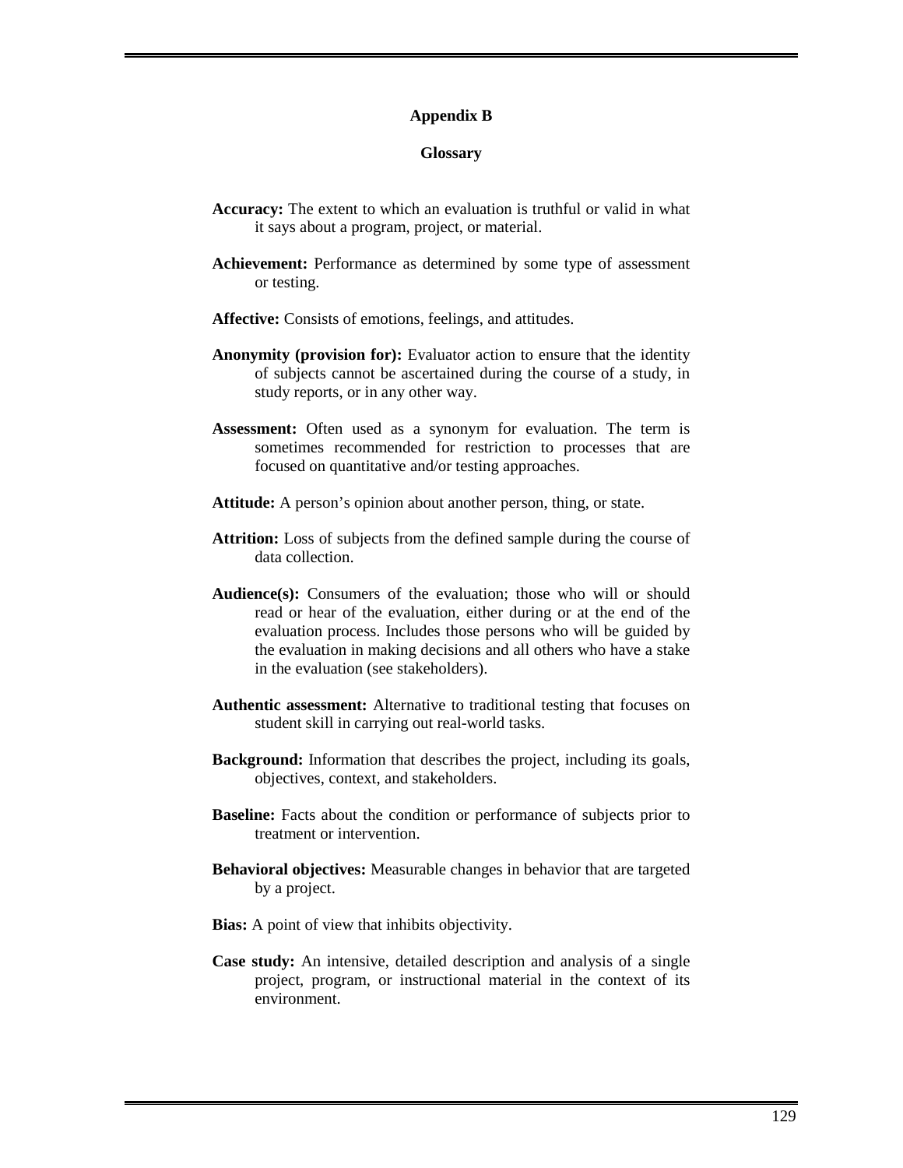#### **Appendix B**

### **Glossary**

- **Accuracy:** The extent to which an evaluation is truthful or valid in what it says about a program, project, or material.
- **Achievement:** Performance as determined by some type of assessment or testing.
- **Affective:** Consists of emotions, feelings, and attitudes.
- **Anonymity (provision for):** Evaluator action to ensure that the identity of subjects cannot be ascertained during the course of a study, in study reports, or in any other way.
- **Assessment:** Often used as a synonym for evaluation. The term is sometimes recommended for restriction to processes that are focused on quantitative and/or testing approaches.
- **Attitude:** A person's opinion about another person, thing, or state.
- **Attrition:** Loss of subjects from the defined sample during the course of data collection.
- **Audience(s):** Consumers of the evaluation; those who will or should read or hear of the evaluation, either during or at the end of the evaluation process. Includes those persons who will be guided by the evaluation in making decisions and all others who have a stake in the evaluation (see stakeholders).
- **Authentic assessment:** Alternative to traditional testing that focuses on student skill in carrying out real-world tasks.
- **Background:** Information that describes the project, including its goals, objectives, context, and stakeholders.
- **Baseline:** Facts about the condition or performance of subjects prior to treatment or intervention.
- **Behavioral objectives:** Measurable changes in behavior that are targeted by a project.
- **Bias:** A point of view that inhibits objectivity.
- **Case study:** An intensive, detailed description and analysis of a single project, program, or instructional material in the context of its environment.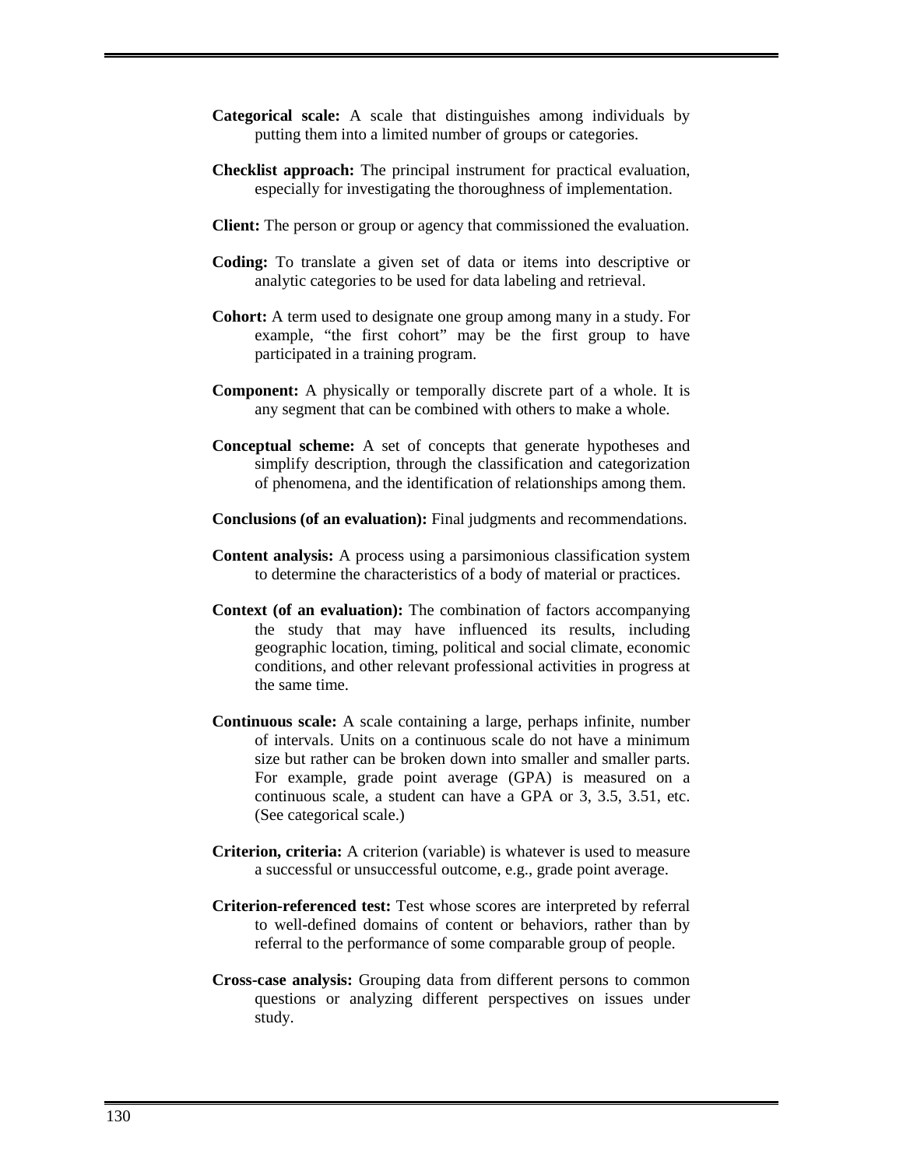- **Categorical scale:** A scale that distinguishes among individuals by putting them into a limited number of groups or categories.
- **Checklist approach:** The principal instrument for practical evaluation, especially for investigating the thoroughness of implementation.
- **Client:** The person or group or agency that commissioned the evaluation.
- **Coding:** To translate a given set of data or items into descriptive or analytic categories to be used for data labeling and retrieval.
- **Cohort:** A term used to designate one group among many in a study. For example, "the first cohort" may be the first group to have participated in a training program.
- **Component:** A physically or temporally discrete part of a whole. It is any segment that can be combined with others to make a whole.
- **Conceptual scheme:** A set of concepts that generate hypotheses and simplify description, through the classification and categorization of phenomena, and the identification of relationships among them.
- **Conclusions (of an evaluation):** Final judgments and recommendations.
- **Content analysis:** A process using a parsimonious classification system to determine the characteristics of a body of material or practices.
- **Context (of an evaluation):** The combination of factors accompanying the study that may have influenced its results, including geographic location, timing, political and social climate, economic conditions, and other relevant professional activities in progress at the same time.
- **Continuous scale:** A scale containing a large, perhaps infinite, number of intervals. Units on a continuous scale do not have a minimum size but rather can be broken down into smaller and smaller parts. For example, grade point average (GPA) is measured on a continuous scale, a student can have a GPA or 3, 3.5, 3.51, etc. (See categorical scale.)
- **Criterion, criteria:** A criterion (variable) is whatever is used to measure a successful or unsuccessful outcome, e.g., grade point average.
- **Criterion-referenced test:** Test whose scores are interpreted by referral to well-defined domains of content or behaviors, rather than by referral to the performance of some comparable group of people.
- **Cross-case analysis:** Grouping data from different persons to common questions or analyzing different perspectives on issues under study.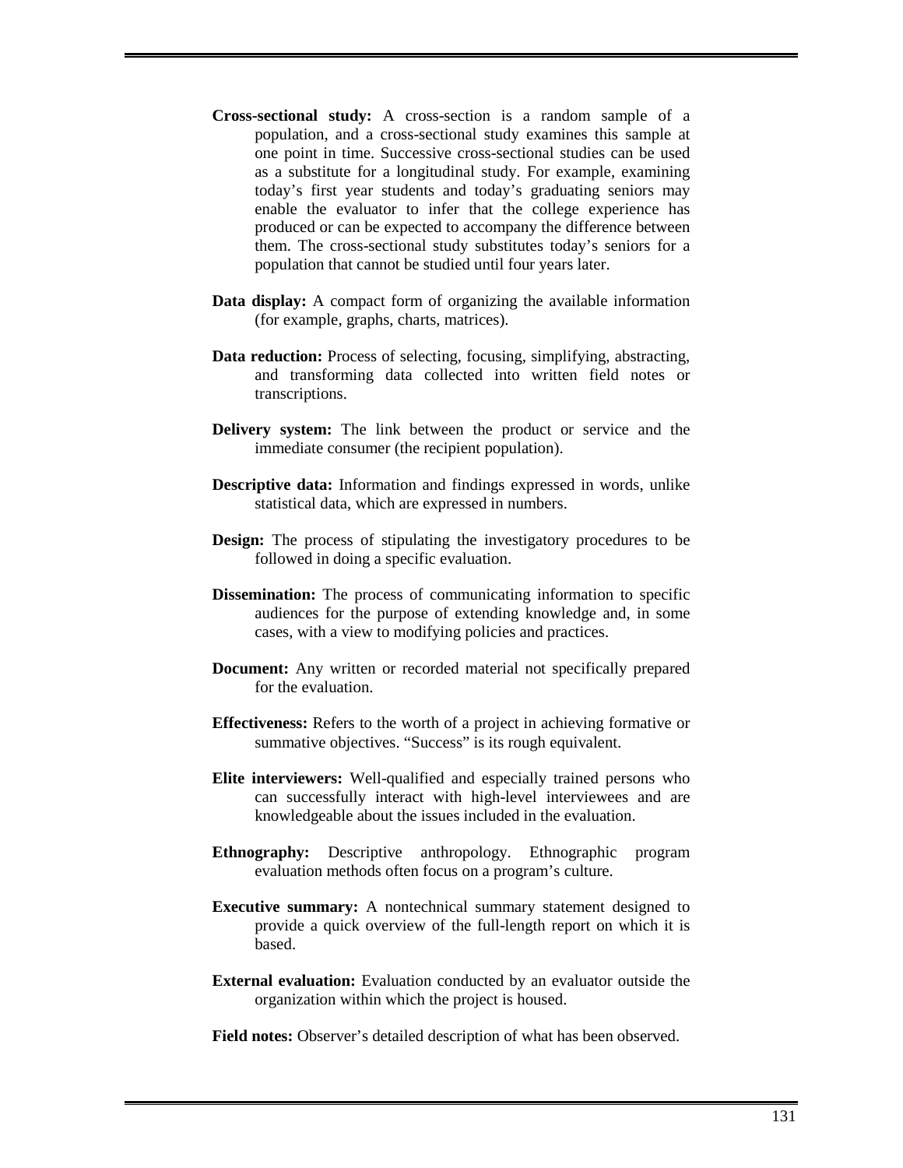- **Cross-sectional study:** A cross-section is a random sample of a population, and a cross-sectional study examines this sample at one point in time. Successive cross-sectional studies can be used as a substitute for a longitudinal study. For example, examining today's first year students and today's graduating seniors may enable the evaluator to infer that the college experience has produced or can be expected to accompany the difference between them. The cross-sectional study substitutes today's seniors for a population that cannot be studied until four years later.
- **Data display:** A compact form of organizing the available information (for example, graphs, charts, matrices).
- **Data reduction:** Process of selecting, focusing, simplifying, abstracting, and transforming data collected into written field notes or transcriptions.
- **Delivery system:** The link between the product or service and the immediate consumer (the recipient population).
- **Descriptive data:** Information and findings expressed in words, unlike statistical data, which are expressed in numbers.
- **Design:** The process of stipulating the investigatory procedures to be followed in doing a specific evaluation.
- **Dissemination:** The process of communicating information to specific audiences for the purpose of extending knowledge and, in some cases, with a view to modifying policies and practices.
- **Document:** Any written or recorded material not specifically prepared for the evaluation.
- **Effectiveness:** Refers to the worth of a project in achieving formative or summative objectives. "Success" is its rough equivalent.
- **Elite interviewers:** Well-qualified and especially trained persons who can successfully interact with high-level interviewees and are knowledgeable about the issues included in the evaluation.
- **Ethnography:** Descriptive anthropology. Ethnographic program evaluation methods often focus on a program's culture.
- **Executive summary:** A nontechnical summary statement designed to provide a quick overview of the full-length report on which it is based.
- **External evaluation:** Evaluation conducted by an evaluator outside the organization within which the project is housed.

**Field notes:** Observer's detailed description of what has been observed.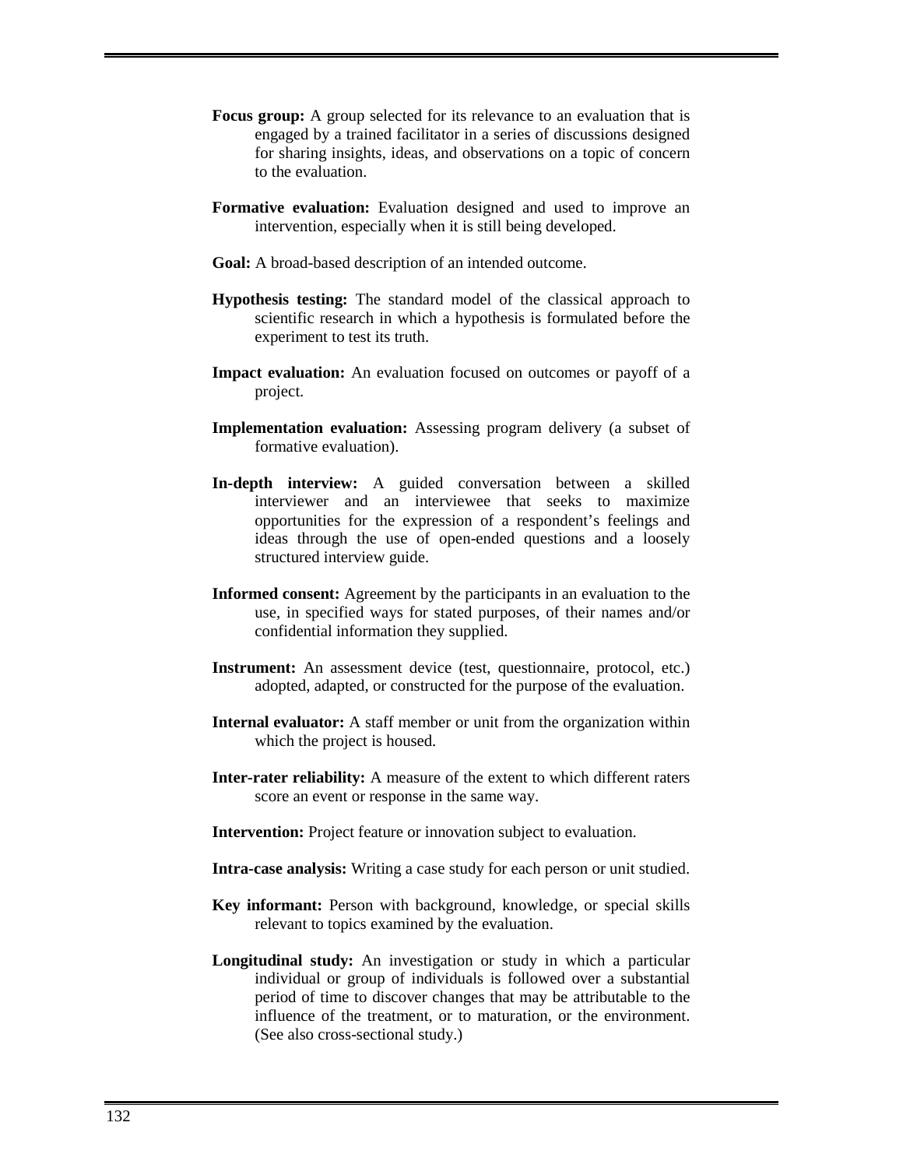- **Focus group:** A group selected for its relevance to an evaluation that is engaged by a trained facilitator in a series of discussions designed for sharing insights, ideas, and observations on a topic of concern to the evaluation.
- **Formative evaluation:** Evaluation designed and used to improve an intervention, especially when it is still being developed.
- **Goal:** A broad-based description of an intended outcome.
- **Hypothesis testing:** The standard model of the classical approach to scientific research in which a hypothesis is formulated before the experiment to test its truth.
- **Impact evaluation:** An evaluation focused on outcomes or payoff of a project.
- **Implementation evaluation:** Assessing program delivery (a subset of formative evaluation).
- **In-depth interview:** A guided conversation between a skilled interviewer and an interviewee that seeks to maximize opportunities for the expression of a respondent's feelings and ideas through the use of open-ended questions and a loosely structured interview guide.
- **Informed consent:** Agreement by the participants in an evaluation to the use, in specified ways for stated purposes, of their names and/or confidential information they supplied.
- **Instrument:** An assessment device (test, questionnaire, protocol, etc.) adopted, adapted, or constructed for the purpose of the evaluation.
- **Internal evaluator:** A staff member or unit from the organization within which the project is housed.
- **Inter-rater reliability:** A measure of the extent to which different raters score an event or response in the same way.
- **Intervention:** Project feature or innovation subject to evaluation.
- **Intra-case analysis:** Writing a case study for each person or unit studied.
- **Key informant:** Person with background, knowledge, or special skills relevant to topics examined by the evaluation.
- **Longitudinal study:** An investigation or study in which a particular individual or group of individuals is followed over a substantial period of time to discover changes that may be attributable to the influence of the treatment, or to maturation, or the environment. (See also cross-sectional study.)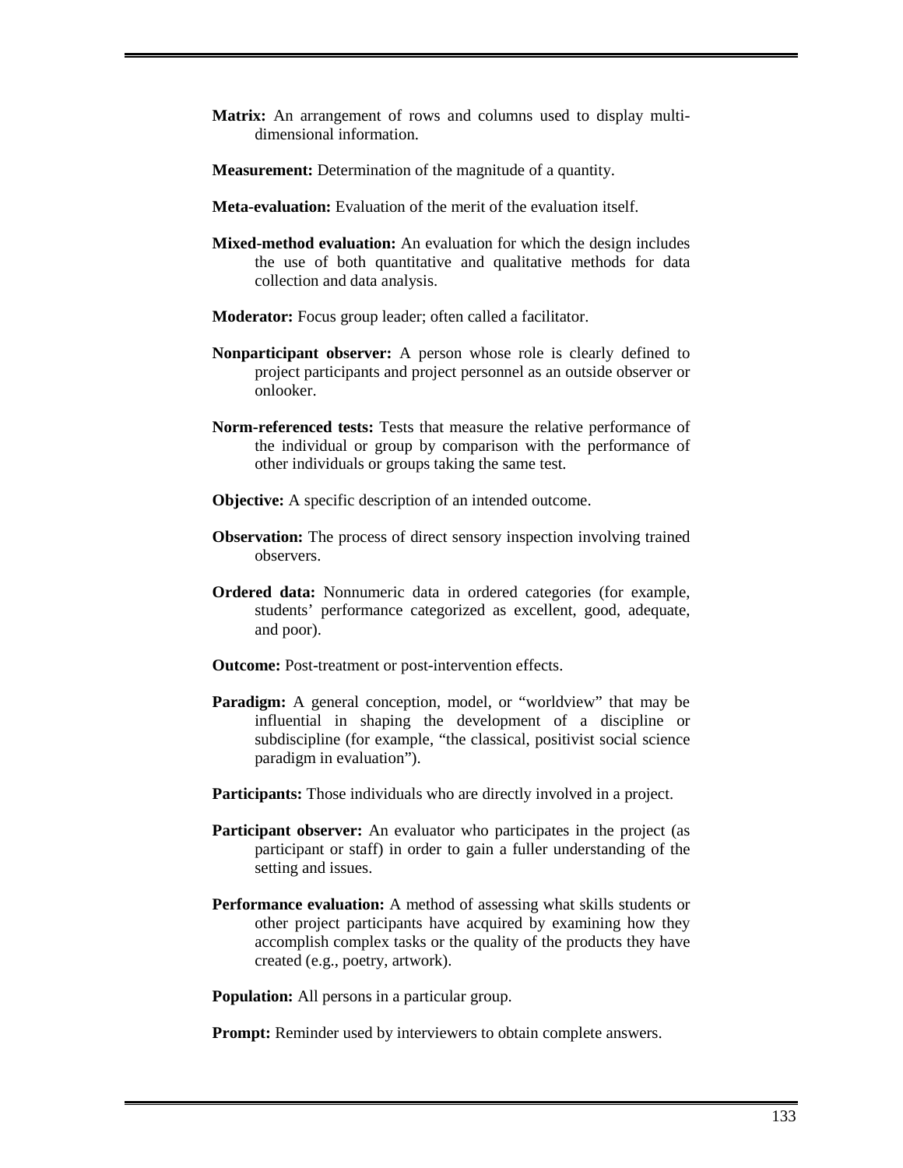- **Matrix:** An arrangement of rows and columns used to display multidimensional information.
- **Measurement:** Determination of the magnitude of a quantity.
- **Meta-evaluation:** Evaluation of the merit of the evaluation itself.
- **Mixed-method evaluation:** An evaluation for which the design includes the use of both quantitative and qualitative methods for data collection and data analysis.
- **Moderator:** Focus group leader; often called a facilitator.
- **Nonparticipant observer:** A person whose role is clearly defined to project participants and project personnel as an outside observer or onlooker.
- **Norm-referenced tests:** Tests that measure the relative performance of the individual or group by comparison with the performance of other individuals or groups taking the same test.
- **Objective:** A specific description of an intended outcome.
- **Observation:** The process of direct sensory inspection involving trained observers.
- **Ordered data:** Nonnumeric data in ordered categories (for example, students' performance categorized as excellent, good, adequate, and poor).
- **Outcome:** Post-treatment or post-intervention effects.
- **Paradigm:** A general conception, model, or "worldview" that may be influential in shaping the development of a discipline or subdiscipline (for example, "the classical, positivist social science paradigm in evaluation").
- Participants: Those individuals who are directly involved in a project.
- **Participant observer:** An evaluator who participates in the project (as participant or staff) in order to gain a fuller understanding of the setting and issues.
- **Performance evaluation:** A method of assessing what skills students or other project participants have acquired by examining how they accomplish complex tasks or the quality of the products they have created (e.g., poetry, artwork).

**Population:** All persons in a particular group.

**Prompt:** Reminder used by interviewers to obtain complete answers.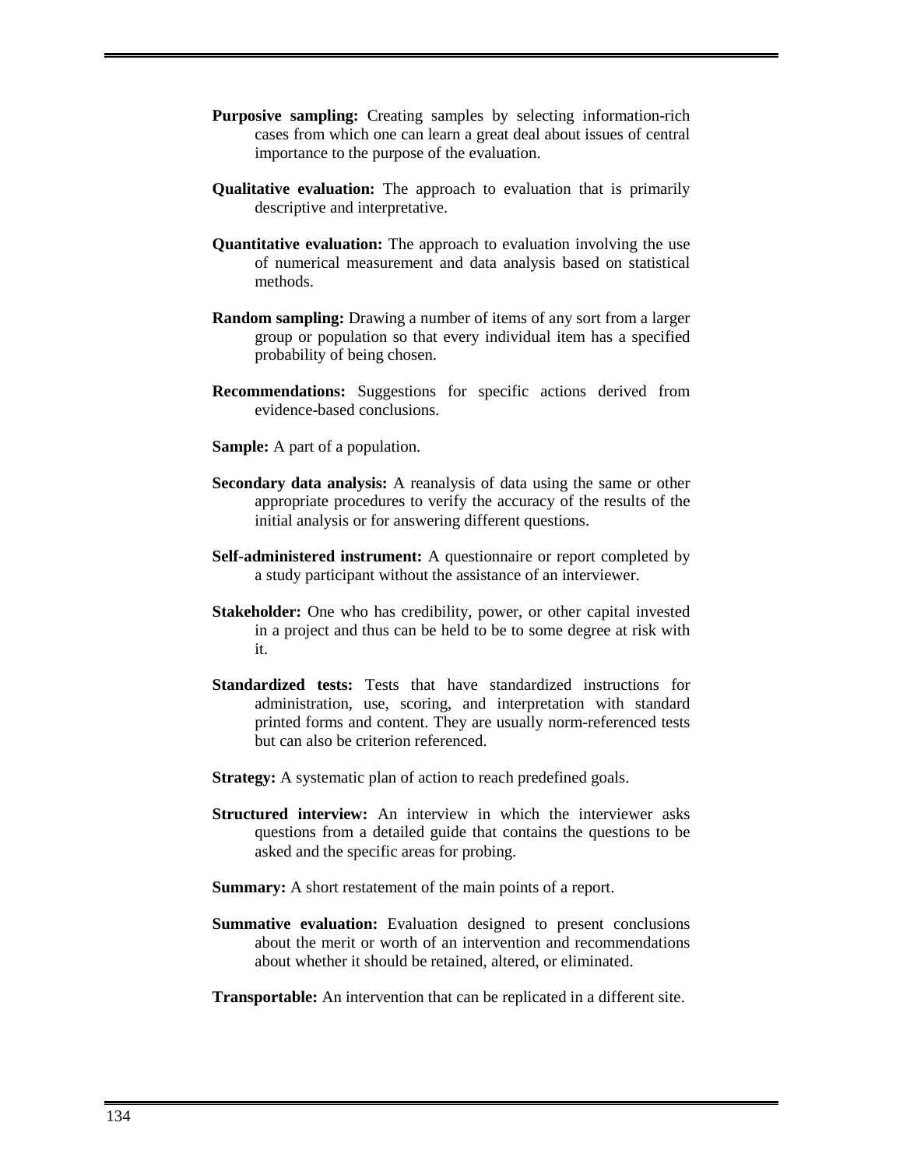- **Purposive sampling:** Creating samples by selecting information-rich cases from which one can learn a great deal about issues of central importance to the purpose of the evaluation.
- **Qualitative evaluation:** The approach to evaluation that is primarily descriptive and interpretative.
- **Quantitative evaluation:** The approach to evaluation involving the use of numerical measurement and data analysis based on statistical methods.
- **Random sampling:** Drawing a number of items of any sort from a larger group or population so that every individual item has a specified probability of being chosen.
- **Recommendations:** Suggestions for specific actions derived from evidence-based conclusions.
- **Sample:** A part of a population.
- **Secondary data analysis:** A reanalysis of data using the same or other appropriate procedures to verify the accuracy of the results of the initial analysis or for answering different questions.
- **Self-administered instrument:** A questionnaire or report completed by a study participant without the assistance of an interviewer.
- **Stakeholder:** One who has credibility, power, or other capital invested in a project and thus can be held to be to some degree at risk with it.
- **Standardized tests:** Tests that have standardized instructions for administration, use, scoring, and interpretation with standard printed forms and content. They are usually norm-referenced tests but can also be criterion referenced.
- **Strategy:** A systematic plan of action to reach predefined goals.
- **Structured interview:** An interview in which the interviewer asks questions from a detailed guide that contains the questions to be asked and the specific areas for probing.
- **Summary:** A short restatement of the main points of a report.
- **Summative evaluation:** Evaluation designed to present conclusions about the merit or worth of an intervention and recommendations about whether it should be retained, altered, or eliminated.
- **Transportable:** An intervention that can be replicated in a different site.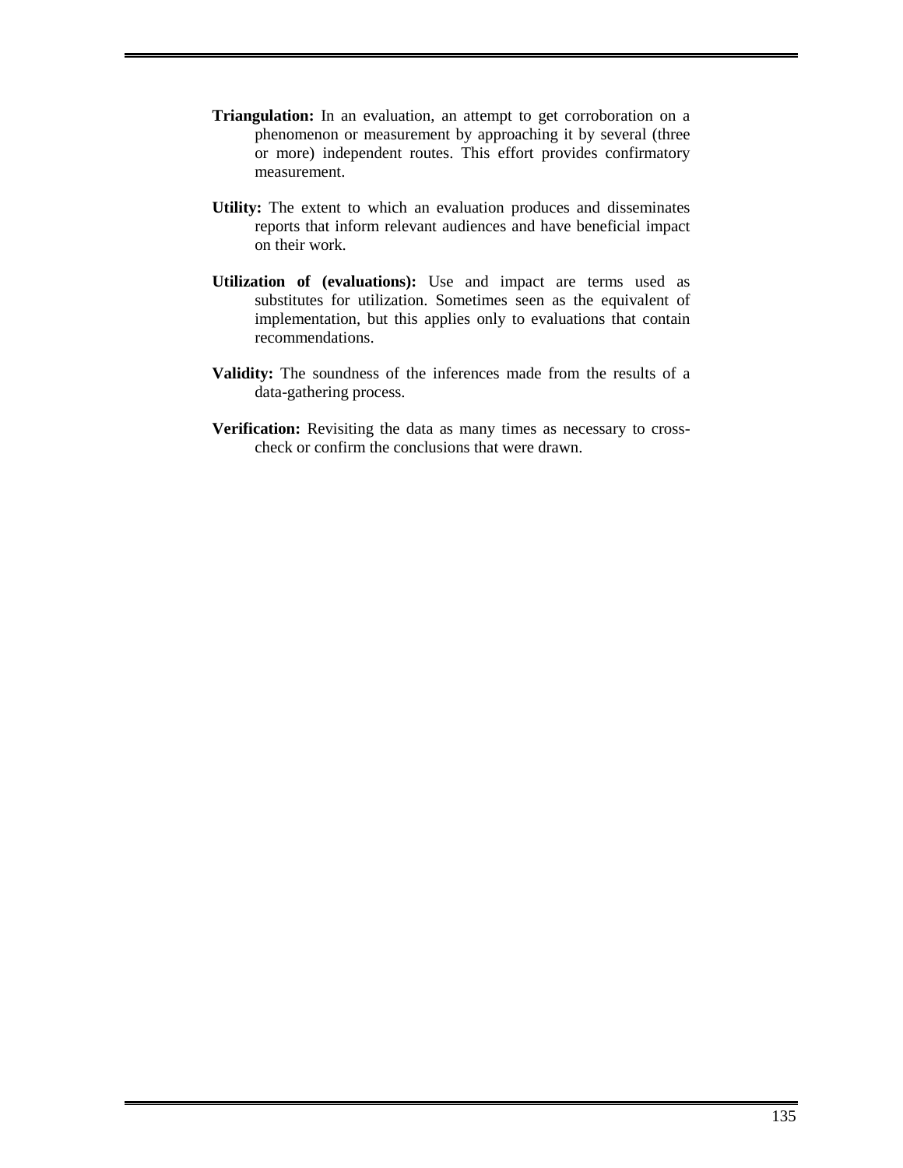- **Triangulation:** In an evaluation, an attempt to get corroboration on a phenomenon or measurement by approaching it by several (three or more) independent routes. This effort provides confirmatory measurement.
- **Utility:** The extent to which an evaluation produces and disseminates reports that inform relevant audiences and have beneficial impact on their work.
- **Utilization of (evaluations):** Use and impact are terms used as substitutes for utilization. Sometimes seen as the equivalent of implementation, but this applies only to evaluations that contain recommendations.
- **Validity:** The soundness of the inferences made from the results of a data-gathering process.
- **Verification:** Revisiting the data as many times as necessary to crosscheck or confirm the conclusions that were drawn.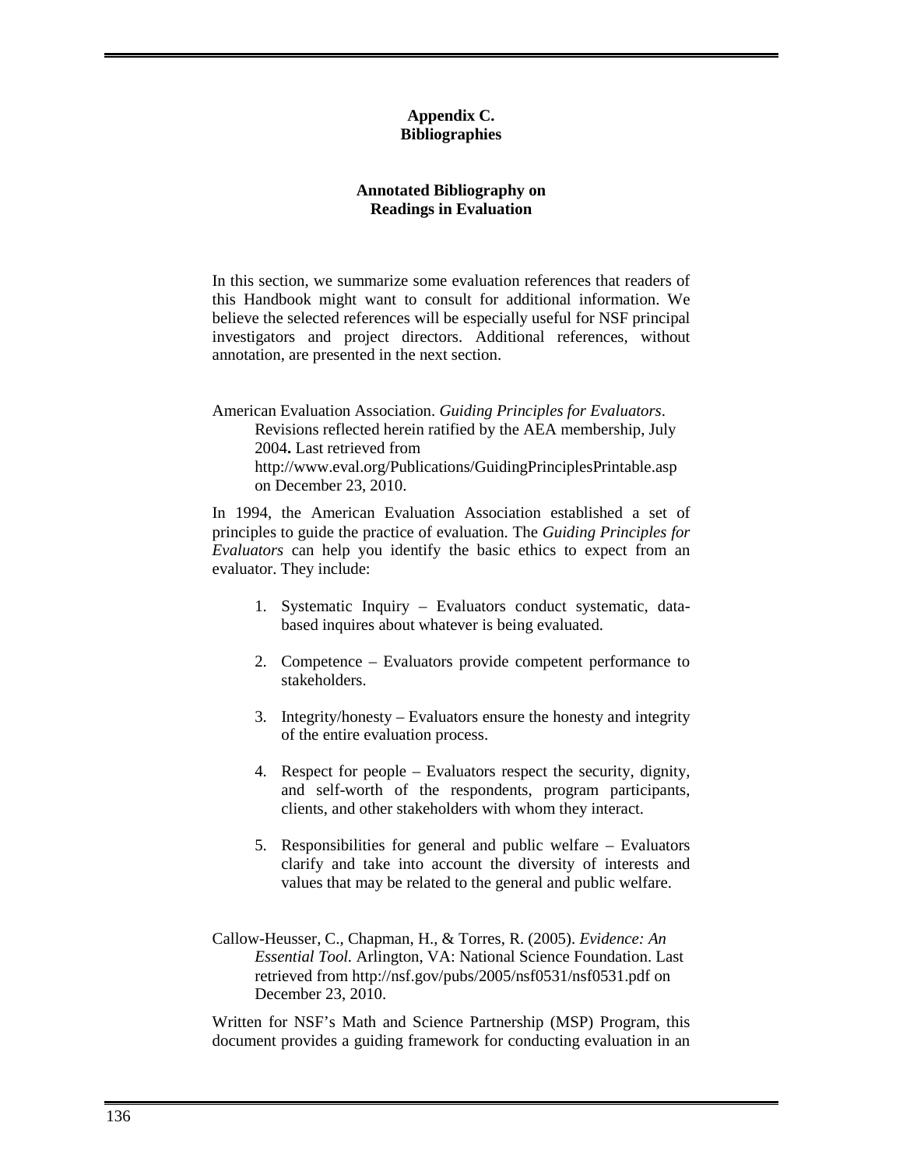### **Appendix C. Bibliographies**

### **Annotated Bibliography on Readings in Evaluation**

In this section, we summarize some evaluation references that readers of this Handbook might want to consult for additional information. We believe the selected references will be especially useful for NSF principal investigators and project directors. Additional references, without annotation, are presented in the next section.

American Evaluation Association. *Guiding Principles for Evaluators*. Revisions reflected herein ratified by the AEA membership, July 2004**.** Last retrieved from http://www.eval.org/Publications/GuidingPrinciplesPrintable.asp on December 23, 2010.

In 1994, the American Evaluation Association established a set of principles to guide the practice of evaluation. The *Guiding Principles for Evaluators* can help you identify the basic ethics to expect from an evaluator. They include:

- 1. Systematic Inquiry Evaluators conduct systematic, databased inquires about whatever is being evaluated.
- 2. Competence Evaluators provide competent performance to stakeholders.
- 3. Integrity/honesty Evaluators ensure the honesty and integrity of the entire evaluation process.
- 4. Respect for people Evaluators respect the security, dignity, and self-worth of the respondents, program participants, clients, and other stakeholders with whom they interact.
- 5. Responsibilities for general and public welfare Evaluators clarify and take into account the diversity of interests and values that may be related to the general and public welfare.
- Callow-Heusser, C., Chapman, H., & Torres, R. (2005). *Evidence: An Essential Tool.* Arlington, VA: National Science Foundation. Last retrieved from http://nsf.gov/pubs/2005/nsf0531/nsf0531.pdf on December 23, 2010.

Written for NSF's Math and Science Partnership (MSP) Program, this document provides a guiding framework for conducting evaluation in an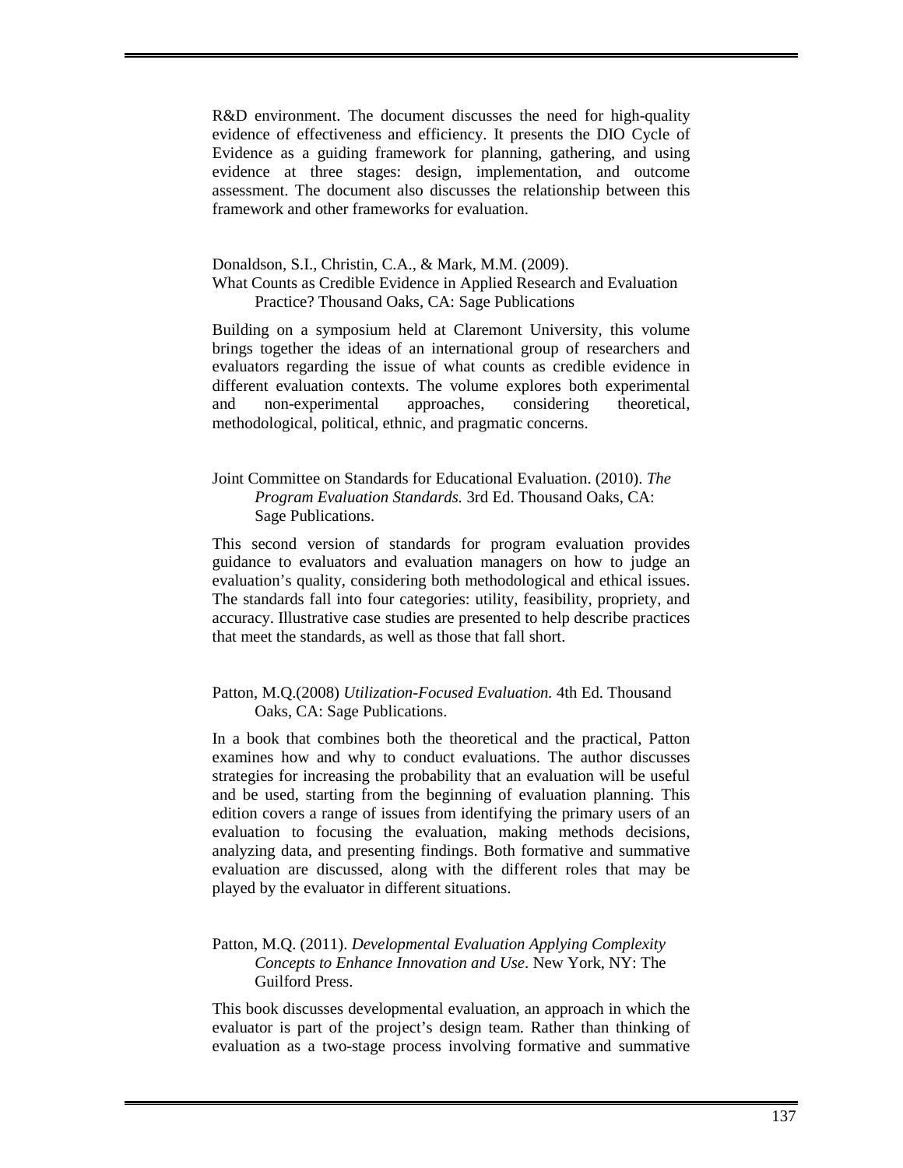R&D environment. The document discusses the need for high-quality evidence of effectiveness and efficiency. It presents the DIO Cycle of Evidence as a guiding framework for planning, gathering, and using evidence at three stages: design, implementation, and outcome assessment. The document also discusses the relationship between this framework and other frameworks for evaluation.

# Donaldson, S.I., Christin, C.A., & Mark, M.M. (2009).

### What Counts as Credible Evidence in Applied Research and Evaluation Practice? Thousand Oaks, CA: Sage Publications

Building on a symposium held at Claremont University, this volume brings together the ideas of an international group of researchers and evaluators regarding the issue of what counts as credible evidence in different evaluation contexts. The volume explores both experimental and non-experimental approaches, considering theoretical, methodological, political, ethnic, and pragmatic concerns.

# Joint Committee on Standards for Educational Evaluation. (2010). *The Program Evaluation Standards.* 3rd Ed. Thousand Oaks, CA: Sage Publications.

This second version of standards for program evaluation provides guidance to evaluators and evaluation managers on how to judge an evaluation's quality, considering both methodological and ethical issues. The standards fall into four categories: utility, feasibility, propriety, and accuracy. Illustrative case studies are presented to help describe practices that meet the standards, as well as those that fall short.

# Patton, M.Q.(2008) *Utilization-Focused Evaluation.* 4th Ed. Thousand Oaks, CA: Sage Publications.

In a book that combines both the theoretical and the practical, Patton examines how and why to conduct evaluations. The author discusses strategies for increasing the probability that an evaluation will be useful and be used, starting from the beginning of evaluation planning. This edition covers a range of issues from identifying the primary users of an evaluation to focusing the evaluation, making methods decisions, analyzing data, and presenting findings. Both formative and summative evaluation are discussed, along with the different roles that may be played by the evaluator in different situations.

### Patton, M.Q. (2011). *Developmental Evaluation Applying Complexity Concepts to Enhance Innovation and Use*. New York, NY: The Guilford Press.

This book discusses developmental evaluation, an approach in which the evaluator is part of the project's design team. Rather than thinking of evaluation as a two-stage process involving formative and summative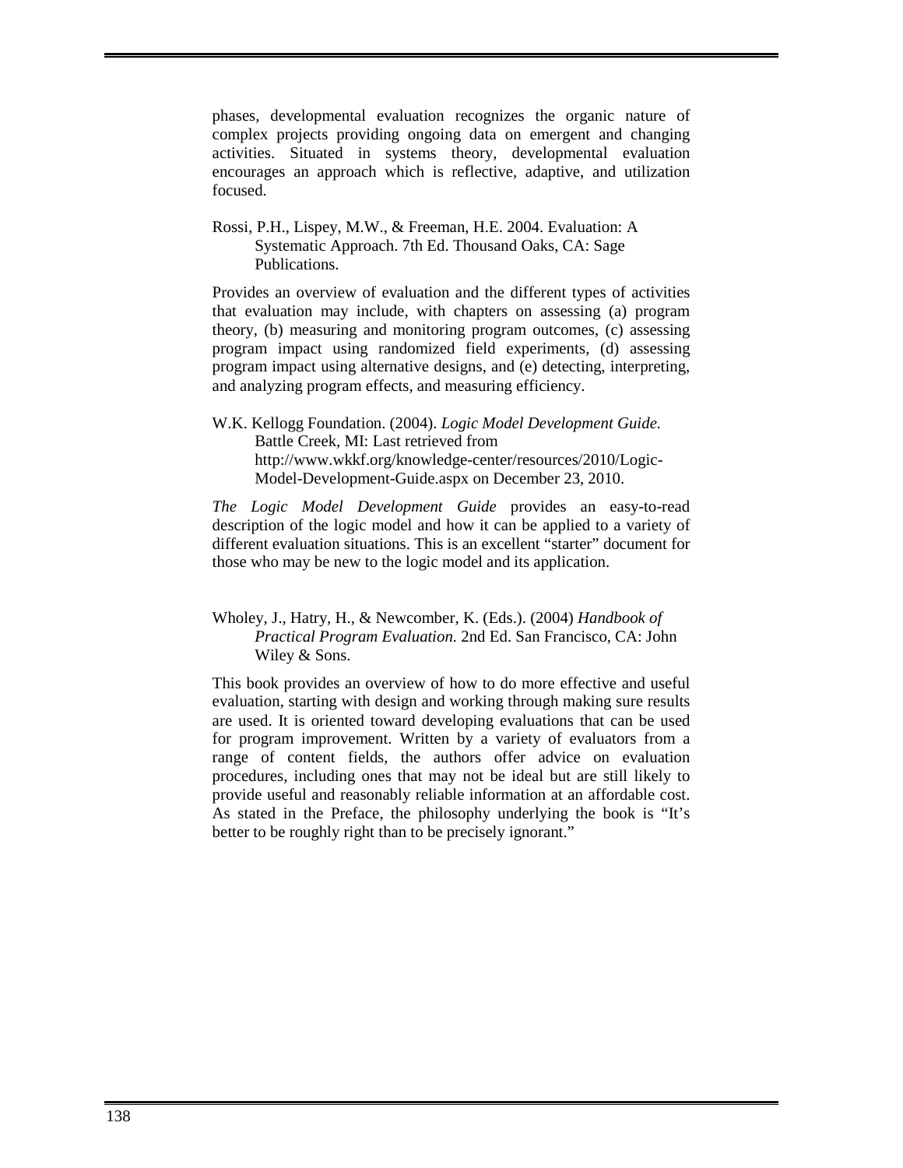phases, developmental evaluation recognizes the organic nature of complex projects providing ongoing data on emergent and changing activities. Situated in systems theory, developmental evaluation encourages an approach which is reflective, adaptive, and utilization focused.

Rossi, P.H., Lispey, M.W., & Freeman, H.E. 2004. Evaluation: A Systematic Approach. 7th Ed. Thousand Oaks, CA: Sage Publications.

Provides an overview of evaluation and the different types of activities that evaluation may include, with chapters on assessing (a) program theory, (b) measuring and monitoring program outcomes, (c) assessing program impact using randomized field experiments, (d) assessing program impact using alternative designs, and (e) detecting, interpreting, and analyzing program effects, and measuring efficiency.

W.K. Kellogg Foundation. (2004). *Logic Model Development Guide.*  Battle Creek, MI: Last retrieved from http://www.wkkf.org/knowledge-center/resources/2010/Logic-Model-Development-Guide.aspx on December 23, 2010.

*The Logic Model Development Guide* provides an easy-to-read description of the logic model and how it can be applied to a variety of different evaluation situations. This is an excellent "starter" document for those who may be new to the logic model and its application.

# Wholey, J., Hatry, H., & Newcomber, K. (Eds.). (2004) *Handbook of Practical Program Evaluation.* 2nd Ed. San Francisco, CA: John Wiley & Sons.

This book provides an overview of how to do more effective and useful evaluation, starting with design and working through making sure results are used. It is oriented toward developing evaluations that can be used for program improvement. Written by a variety of evaluators from a range of content fields, the authors offer advice on evaluation procedures, including ones that may not be ideal but are still likely to provide useful and reasonably reliable information at an affordable cost. As stated in the Preface, the philosophy underlying the book is "It's better to be roughly right than to be precisely ignorant."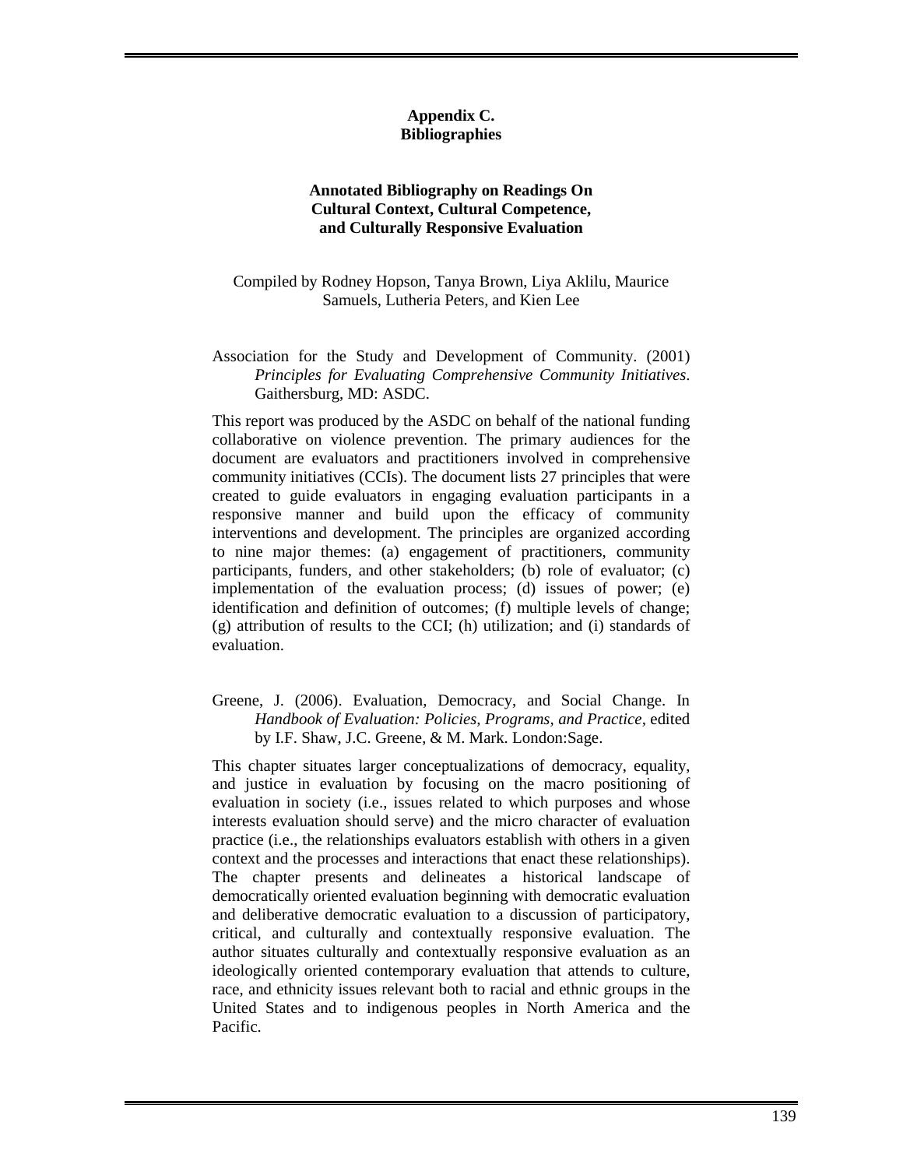#### **Appendix C. Bibliographies**

# **Annotated Bibliography on Readings On Cultural Context, Cultural Competence, and Culturally Responsive Evaluation**

Compiled by Rodney Hopson, Tanya Brown, Liya Aklilu, Maurice Samuels, Lutheria Peters, and Kien Lee

### Association for the Study and Development of Community. (2001) *Principles for Evaluating Comprehensive Community Initiatives*. Gaithersburg, MD: ASDC.

This report was produced by the ASDC on behalf of the national funding collaborative on violence prevention. The primary audiences for the document are evaluators and practitioners involved in comprehensive community initiatives (CCIs). The document lists 27 principles that were created to guide evaluators in engaging evaluation participants in a responsive manner and build upon the efficacy of community interventions and development. The principles are organized according to nine major themes: (a) engagement of practitioners, community participants, funders, and other stakeholders; (b) role of evaluator; (c) implementation of the evaluation process; (d) issues of power; (e) identification and definition of outcomes; (f) multiple levels of change; (g) attribution of results to the CCI; (h) utilization; and (i) standards of evaluation.

# Greene, J. (2006). Evaluation, Democracy, and Social Change. In *Handbook of Evaluation: Policies, Programs, and Practice,* edited by I.F. Shaw, J.C. Greene, & M. Mark. London:Sage.

This chapter situates larger conceptualizations of democracy, equality, and justice in evaluation by focusing on the macro positioning of evaluation in society (i.e., issues related to which purposes and whose interests evaluation should serve) and the micro character of evaluation practice (i.e., the relationships evaluators establish with others in a given context and the processes and interactions that enact these relationships). The chapter presents and delineates a historical landscape of democratically oriented evaluation beginning with democratic evaluation and deliberative democratic evaluation to a discussion of participatory, critical, and culturally and contextually responsive evaluation. The author situates culturally and contextually responsive evaluation as an ideologically oriented contemporary evaluation that attends to culture, race, and ethnicity issues relevant both to racial and ethnic groups in the United States and to indigenous peoples in North America and the Pacific.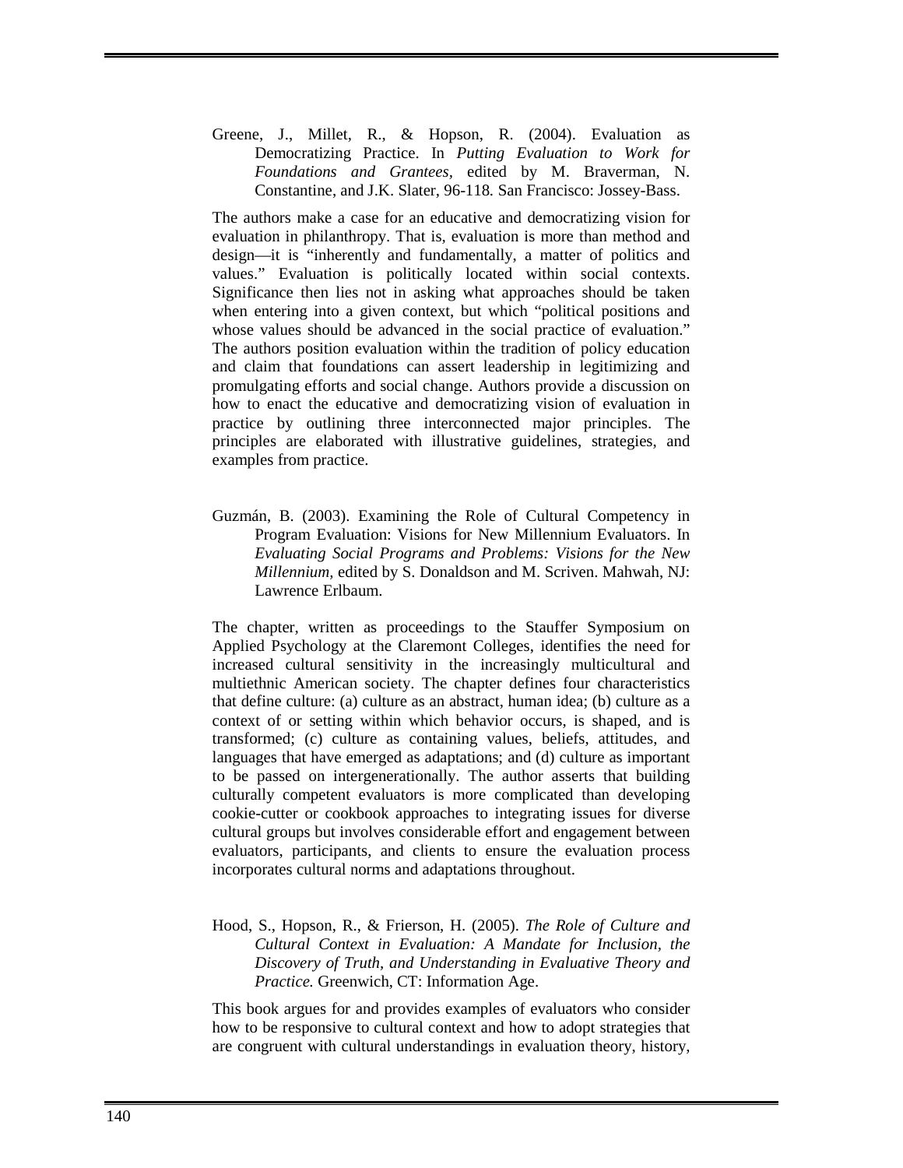Greene, J., Millet, R., & Hopson, R. (2004). Evaluation as Democratizing Practice. In *Putting Evaluation to Work for Foundations and Grantees,* edited by M. Braverman, N. Constantine, and J.K. Slater, 96-118*.* San Francisco: Jossey-Bass.

The authors make a case for an educative and democratizing vision for evaluation in philanthropy. That is, evaluation is more than method and design—it is "inherently and fundamentally, a matter of politics and values." Evaluation is politically located within social contexts. Significance then lies not in asking what approaches should be taken when entering into a given context, but which "political positions and whose values should be advanced in the social practice of evaluation." The authors position evaluation within the tradition of policy education and claim that foundations can assert leadership in legitimizing and promulgating efforts and social change. Authors provide a discussion on how to enact the educative and democratizing vision of evaluation in practice by outlining three interconnected major principles. The principles are elaborated with illustrative guidelines, strategies, and examples from practice.

Guzmán, B. (2003). Examining the Role of Cultural Competency in Program Evaluation: Visions for New Millennium Evaluators. In *Evaluating Social Programs and Problems: Visions for the New Millennium,* edited by S. Donaldson and M. Scriven. Mahwah, NJ: Lawrence Erlbaum.

The chapter, written as proceedings to the Stauffer Symposium on Applied Psychology at the Claremont Colleges, identifies the need for increased cultural sensitivity in the increasingly multicultural and multiethnic American society. The chapter defines four characteristics that define culture: (a) culture as an abstract, human idea; (b) culture as a context of or setting within which behavior occurs, is shaped, and is transformed; (c) culture as containing values, beliefs, attitudes, and languages that have emerged as adaptations; and (d) culture as important to be passed on intergenerationally. The author asserts that building culturally competent evaluators is more complicated than developing cookie-cutter or cookbook approaches to integrating issues for diverse cultural groups but involves considerable effort and engagement between evaluators, participants, and clients to ensure the evaluation process incorporates cultural norms and adaptations throughout.

Hood, S., Hopson, R., & Frierson, H. (2005). *The Role of Culture and Cultural Context in Evaluation: A Mandate for Inclusion, the Discovery of Truth, and Understanding in Evaluative Theory and Practice.* Greenwich, CT: Information Age.

This book argues for and provides examples of evaluators who consider how to be responsive to cultural context and how to adopt strategies that are congruent with cultural understandings in evaluation theory, history,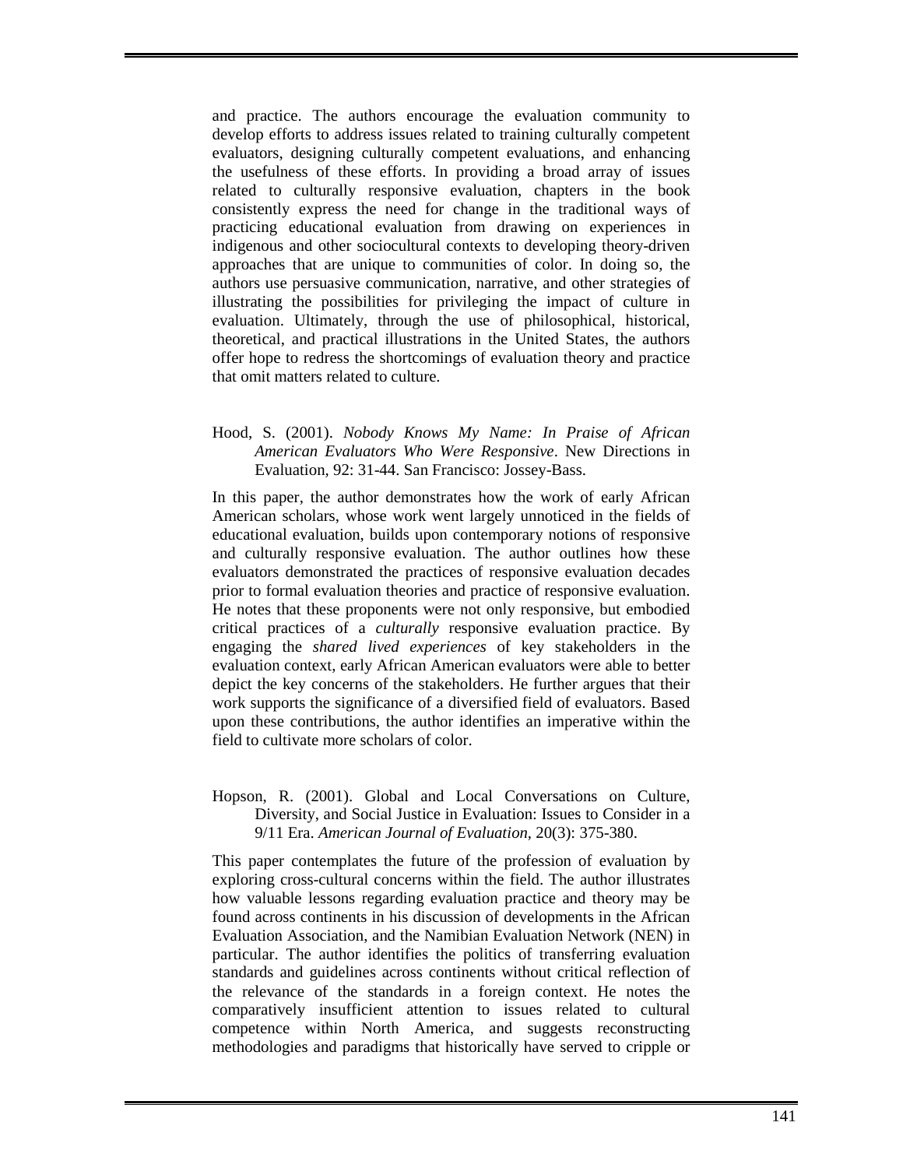and practice. The authors encourage the evaluation community to develop efforts to address issues related to training culturally competent evaluators, designing culturally competent evaluations, and enhancing the usefulness of these efforts. In providing a broad array of issues related to culturally responsive evaluation, chapters in the book consistently express the need for change in the traditional ways of practicing educational evaluation from drawing on experiences in indigenous and other sociocultural contexts to developing theory-driven approaches that are unique to communities of color. In doing so, the authors use persuasive communication, narrative, and other strategies of illustrating the possibilities for privileging the impact of culture in evaluation. Ultimately, through the use of philosophical, historical, theoretical, and practical illustrations in the United States, the authors offer hope to redress the shortcomings of evaluation theory and practice that omit matters related to culture.

### Hood, S. (2001). *Nobody Knows My Name: In Praise of African American Evaluators Who Were Responsive*. New Directions in Evaluation*,* 92: 31-44. San Francisco: Jossey-Bass.

In this paper, the author demonstrates how the work of early African American scholars, whose work went largely unnoticed in the fields of educational evaluation, builds upon contemporary notions of responsive and culturally responsive evaluation. The author outlines how these evaluators demonstrated the practices of responsive evaluation decades prior to formal evaluation theories and practice of responsive evaluation. He notes that these proponents were not only responsive, but embodied critical practices of a *culturally* responsive evaluation practice. By engaging the *shared lived experiences* of key stakeholders in the evaluation context, early African American evaluators were able to better depict the key concerns of the stakeholders. He further argues that their work supports the significance of a diversified field of evaluators. Based upon these contributions, the author identifies an imperative within the field to cultivate more scholars of color.

Hopson, R. (2001). Global and Local Conversations on Culture, Diversity, and Social Justice in Evaluation: Issues to Consider in a 9/11 Era. *American Journal of Evaluation,* 20(3): 375-380.

This paper contemplates the future of the profession of evaluation by exploring cross-cultural concerns within the field. The author illustrates how valuable lessons regarding evaluation practice and theory may be found across continents in his discussion of developments in the African Evaluation Association, and the Namibian Evaluation Network (NEN) in particular. The author identifies the politics of transferring evaluation standards and guidelines across continents without critical reflection of the relevance of the standards in a foreign context. He notes the comparatively insufficient attention to issues related to cultural competence within North America, and suggests reconstructing methodologies and paradigms that historically have served to cripple or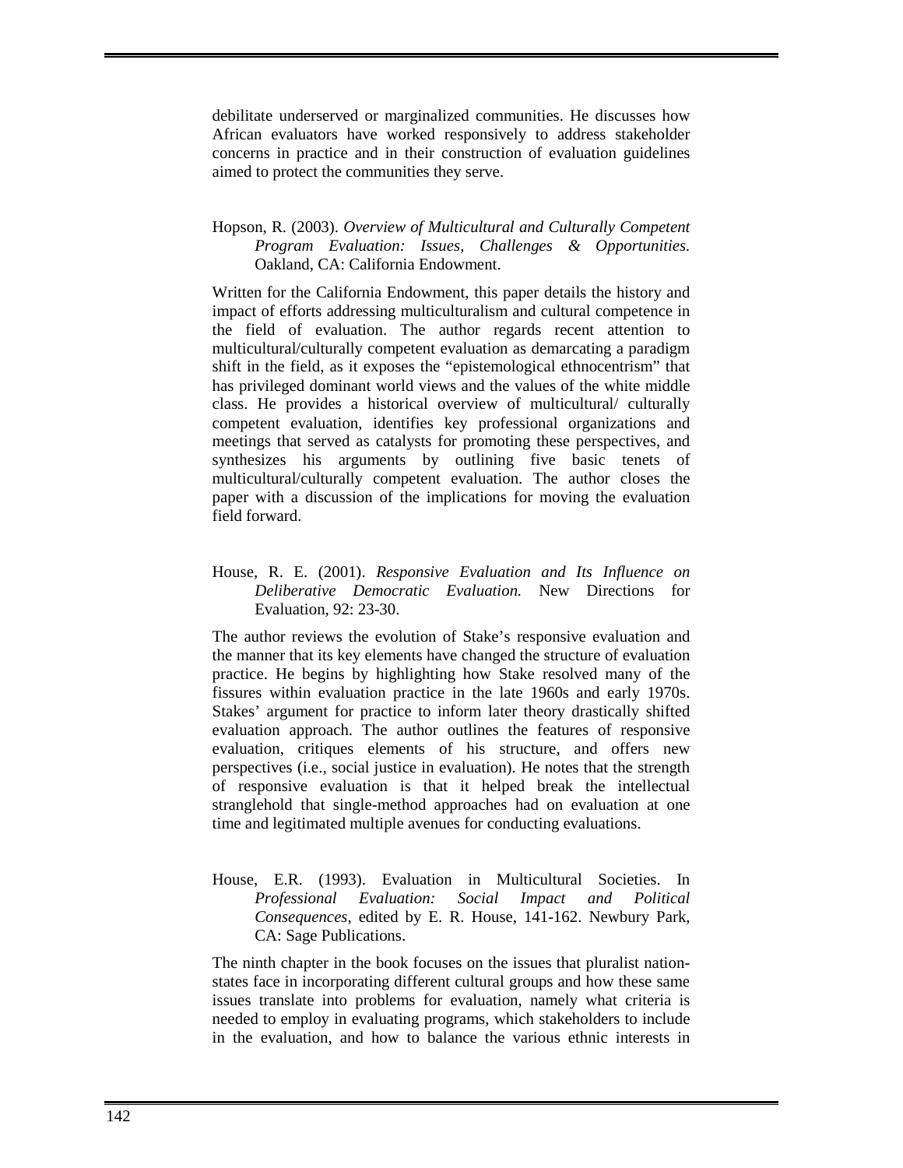debilitate underserved or marginalized communities. He discusses how African evaluators have worked responsively to address stakeholder concerns in practice and in their construction of evaluation guidelines aimed to protect the communities they serve.

### Hopson, R. (2003). *Overview of Multicultural and Culturally Competent Program Evaluation: Issues, Challenges & Opportunities.* Oakland, CA: California Endowment.

Written for the California Endowment, this paper details the history and impact of efforts addressing multiculturalism and cultural competence in the field of evaluation. The author regards recent attention to multicultural/culturally competent evaluation as demarcating a paradigm shift in the field, as it exposes the "epistemological ethnocentrism" that has privileged dominant world views and the values of the white middle class. He provides a historical overview of multicultural/ culturally competent evaluation, identifies key professional organizations and meetings that served as catalysts for promoting these perspectives, and synthesizes his arguments by outlining five basic tenets of multicultural/culturally competent evaluation. The author closes the paper with a discussion of the implications for moving the evaluation field forward.

### House, R. E. (2001). *Responsive Evaluation and Its Influence on Deliberative Democratic Evaluation.* New Directions for Evaluation*,* 92: 23-30.

The author reviews the evolution of Stake's responsive evaluation and the manner that its key elements have changed the structure of evaluation practice. He begins by highlighting how Stake resolved many of the fissures within evaluation practice in the late 1960s and early 1970s. Stakes' argument for practice to inform later theory drastically shifted evaluation approach. The author outlines the features of responsive evaluation, critiques elements of his structure, and offers new perspectives (i.e., social justice in evaluation). He notes that the strength of responsive evaluation is that it helped break the intellectual stranglehold that single-method approaches had on evaluation at one time and legitimated multiple avenues for conducting evaluations.

House, E.R. (1993). Evaluation in Multicultural Societies. In *Professional Evaluation: Social Impact and Political Consequences*, edited by E. R. House, 141-162. Newbury Park, CA: Sage Publications.

The ninth chapter in the book focuses on the issues that pluralist nationstates face in incorporating different cultural groups and how these same issues translate into problems for evaluation, namely what criteria is needed to employ in evaluating programs, which stakeholders to include in the evaluation, and how to balance the various ethnic interests in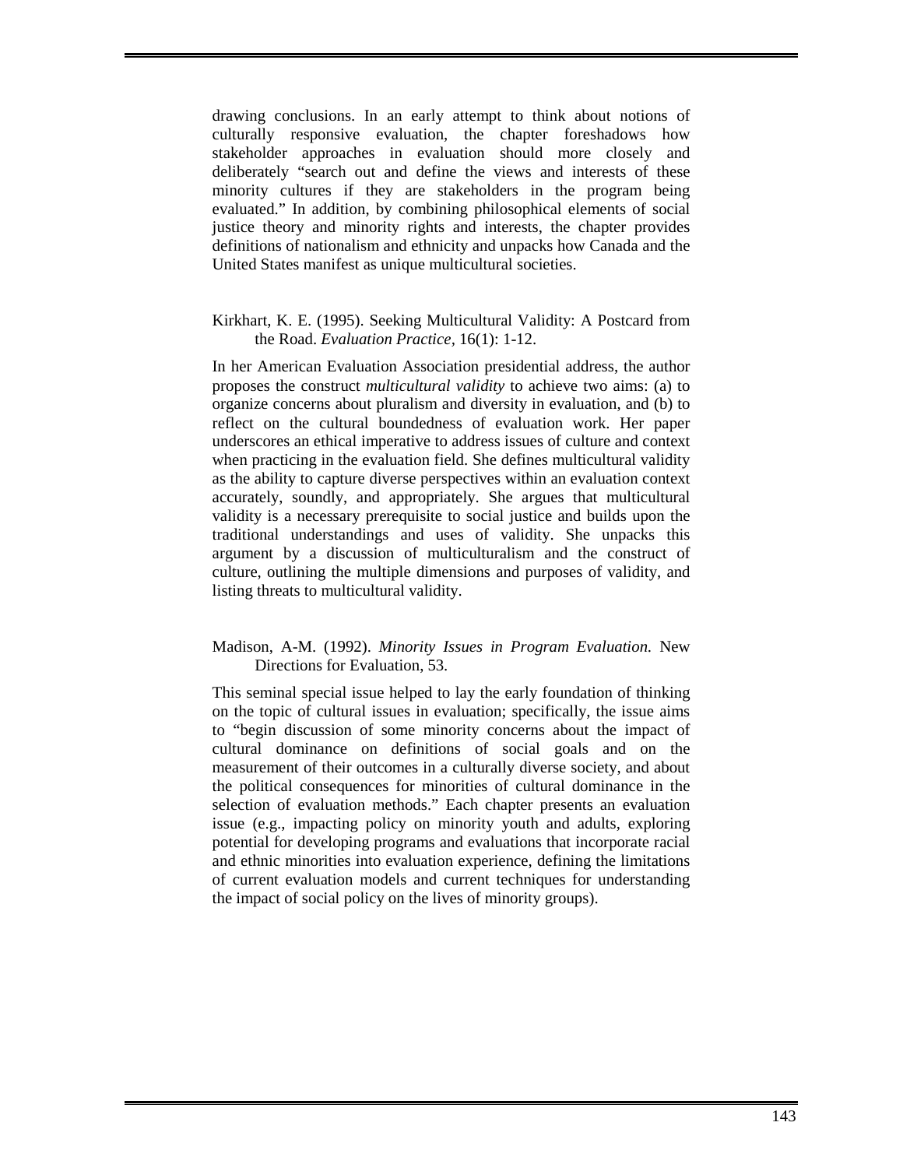drawing conclusions. In an early attempt to think about notions of culturally responsive evaluation, the chapter foreshadows how stakeholder approaches in evaluation should more closely and deliberately "search out and define the views and interests of these minority cultures if they are stakeholders in the program being evaluated." In addition, by combining philosophical elements of social justice theory and minority rights and interests, the chapter provides definitions of nationalism and ethnicity and unpacks how Canada and the United States manifest as unique multicultural societies.

### Kirkhart, K. E. (1995). Seeking Multicultural Validity: A Postcard from the Road. *Evaluation Practice,* 16(1): 1-12.

In her American Evaluation Association presidential address, the author proposes the construct *multicultural validity* to achieve two aims: (a) to organize concerns about pluralism and diversity in evaluation, and (b) to reflect on the cultural boundedness of evaluation work. Her paper underscores an ethical imperative to address issues of culture and context when practicing in the evaluation field. She defines multicultural validity as the ability to capture diverse perspectives within an evaluation context accurately, soundly, and appropriately. She argues that multicultural validity is a necessary prerequisite to social justice and builds upon the traditional understandings and uses of validity. She unpacks this argument by a discussion of multiculturalism and the construct of culture, outlining the multiple dimensions and purposes of validity, and listing threats to multicultural validity.

# Madison, A-M. (1992). *Minority Issues in Program Evaluation.* New Directions for Evaluation, 53.

This seminal special issue helped to lay the early foundation of thinking on the topic of cultural issues in evaluation; specifically, the issue aims to "begin discussion of some minority concerns about the impact of cultural dominance on definitions of social goals and on the measurement of their outcomes in a culturally diverse society, and about the political consequences for minorities of cultural dominance in the selection of evaluation methods." Each chapter presents an evaluation issue (e.g., impacting policy on minority youth and adults, exploring potential for developing programs and evaluations that incorporate racial and ethnic minorities into evaluation experience, defining the limitations of current evaluation models and current techniques for understanding the impact of social policy on the lives of minority groups).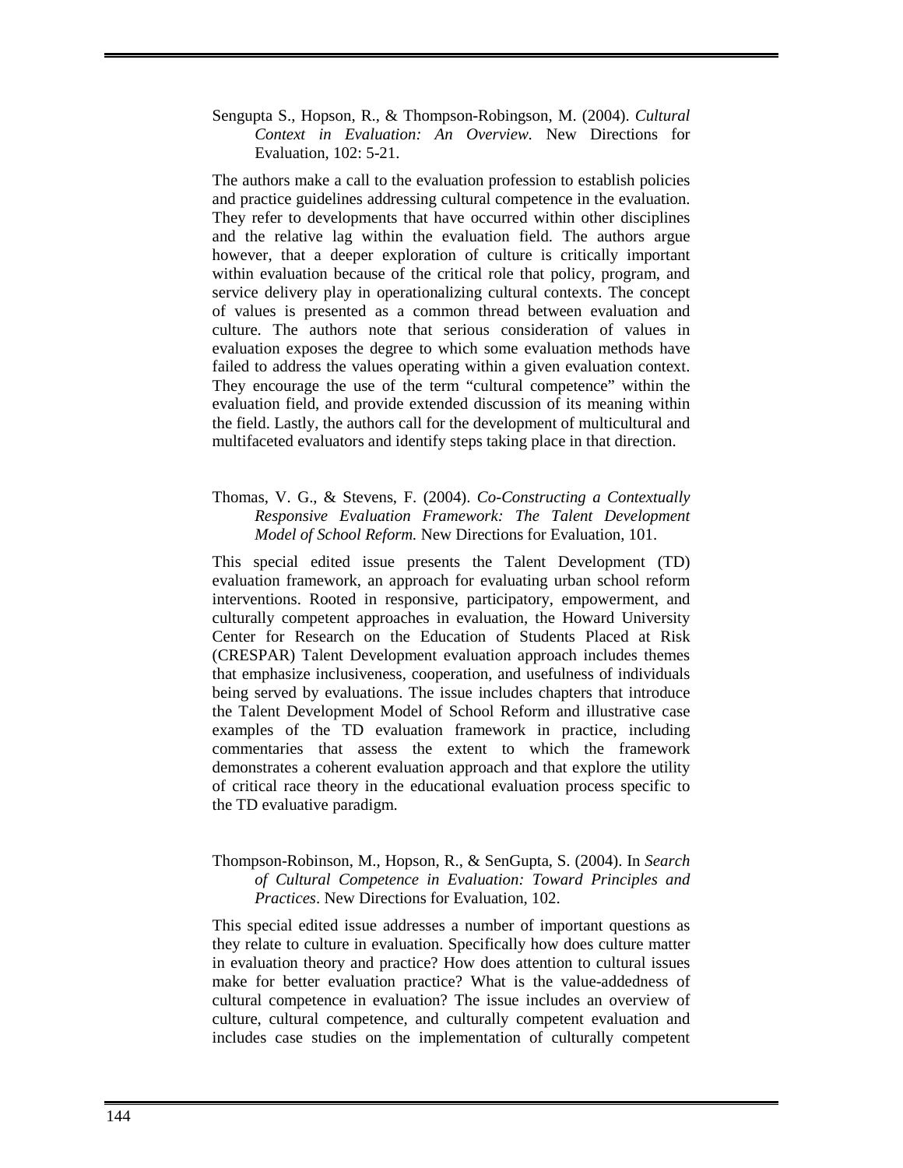Sengupta S., Hopson, R., & Thompson-Robingson, M. (2004). *Cultural Context in Evaluation: An Overview.* New Directions for Evaluation*,* 102: 5-21.

The authors make a call to the evaluation profession to establish policies and practice guidelines addressing cultural competence in the evaluation. They refer to developments that have occurred within other disciplines and the relative lag within the evaluation field. The authors argue however, that a deeper exploration of culture is critically important within evaluation because of the critical role that policy, program, and service delivery play in operationalizing cultural contexts. The concept of values is presented as a common thread between evaluation and culture. The authors note that serious consideration of values in evaluation exposes the degree to which some evaluation methods have failed to address the values operating within a given evaluation context. They encourage the use of the term "cultural competence" within the evaluation field, and provide extended discussion of its meaning within the field. Lastly, the authors call for the development of multicultural and multifaceted evaluators and identify steps taking place in that direction.

### Thomas, V. G., & Stevens, F. (2004). *Co-Constructing a Contextually Responsive Evaluation Framework: The Talent Development Model of School Reform.* New Directions for Evaluation, 101.

This special edited issue presents the Talent Development (TD) evaluation framework, an approach for evaluating urban school reform interventions. Rooted in responsive, participatory, empowerment, and culturally competent approaches in evaluation, the Howard University Center for Research on the Education of Students Placed at Risk (CRESPAR) Talent Development evaluation approach includes themes that emphasize inclusiveness, cooperation, and usefulness of individuals being served by evaluations. The issue includes chapters that introduce the Talent Development Model of School Reform and illustrative case examples of the TD evaluation framework in practice, including commentaries that assess the extent to which the framework demonstrates a coherent evaluation approach and that explore the utility of critical race theory in the educational evaluation process specific to the TD evaluative paradigm.

# Thompson-Robinson, M., Hopson, R., & SenGupta, S. (2004). In *Search of Cultural Competence in Evaluation: Toward Principles and Practices*. New Directions for Evaluation, 102.

This special edited issue addresses a number of important questions as they relate to culture in evaluation. Specifically how does culture matter in evaluation theory and practice? How does attention to cultural issues make for better evaluation practice? What is the value-addedness of cultural competence in evaluation? The issue includes an overview of culture, cultural competence, and culturally competent evaluation and includes case studies on the implementation of culturally competent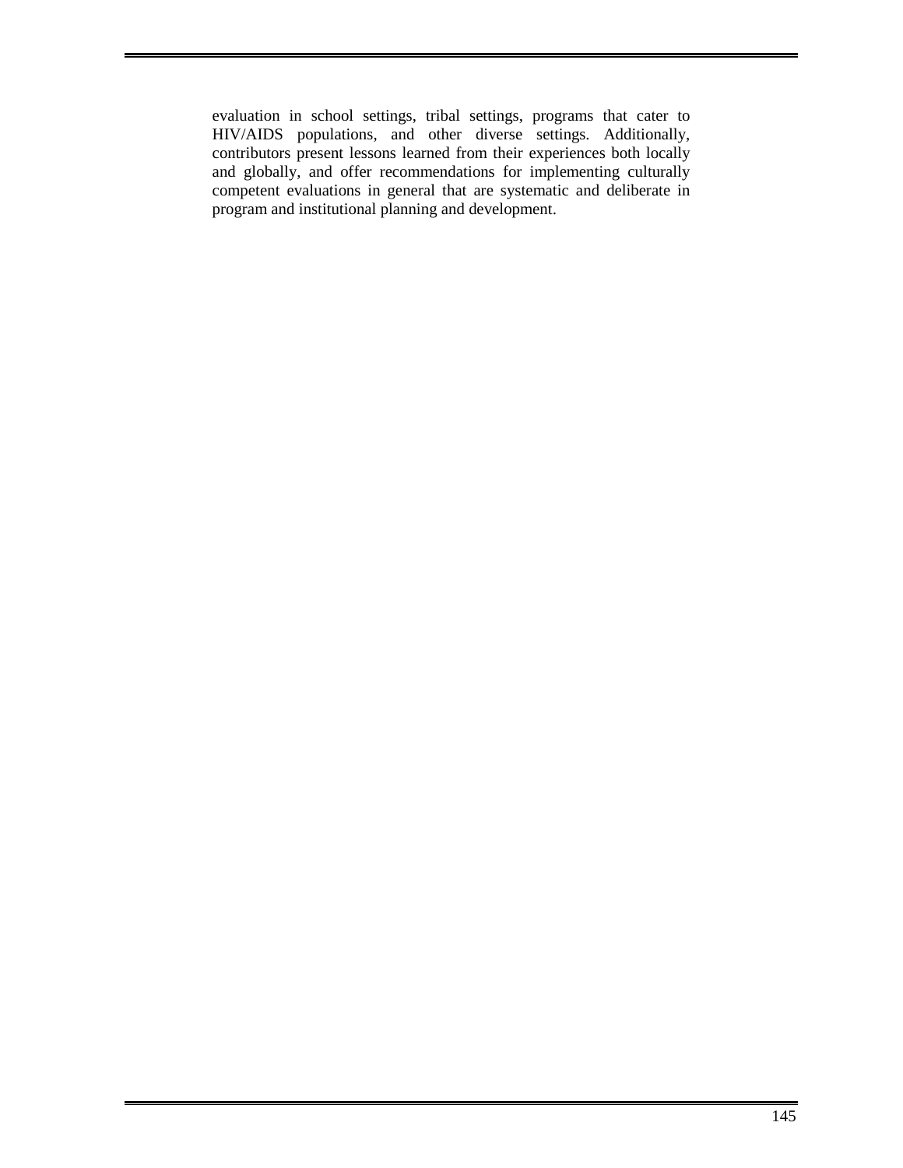evaluation in school settings, tribal settings, programs that cater to HIV/AIDS populations, and other diverse settings. Additionally, contributors present lessons learned from their experiences both locally and globally, and offer recommendations for implementing culturally competent evaluations in general that are systematic and deliberate in program and institutional planning and development.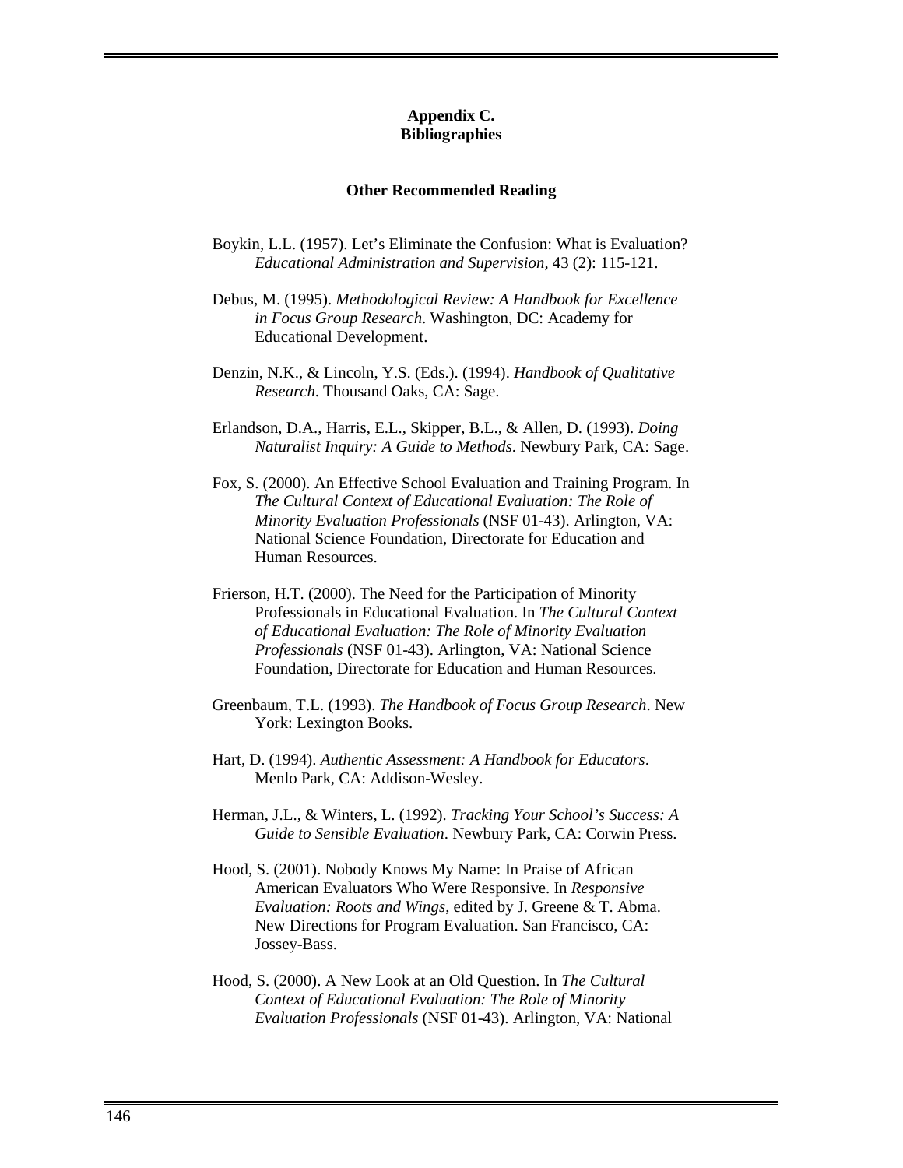### **Appendix C. Bibliographies**

#### **Other Recommended Reading**

- Boykin, L.L. (1957). Let's Eliminate the Confusion: What is Evaluation? *Educational Administration and Supervision,* 43 (2): 115-121.
- Debus, M. (1995). *Methodological Review: A Handbook for Excellence in Focus Group Research*. Washington, DC: Academy for Educational Development.
- Denzin, N.K., & Lincoln, Y.S. (Eds.). (1994). *Handbook of Qualitative Research*. Thousand Oaks, CA: Sage.
- Erlandson, D.A., Harris, E.L., Skipper, B.L., & Allen, D. (1993). *Doing Naturalist Inquiry: A Guide to Methods*. Newbury Park, CA: Sage.
- Fox, S. (2000). An Effective School Evaluation and Training Program. In *The Cultural Context of Educational Evaluation: The Role of Minority Evaluation Professionals* (NSF 01-43). Arlington, VA: National Science Foundation, Directorate for Education and Human Resources.
- Frierson, H.T. (2000). The Need for the Participation of Minority Professionals in Educational Evaluation. In *The Cultural Context of Educational Evaluation: The Role of Minority Evaluation Professionals* (NSF 01-43). Arlington, VA: National Science Foundation, Directorate for Education and Human Resources.
- Greenbaum, T.L. (1993). *The Handbook of Focus Group Research*. New York: Lexington Books.
- Hart, D. (1994). *Authentic Assessment: A Handbook for Educators*. Menlo Park, CA: Addison-Wesley.
- Herman, J.L., & Winters, L. (1992). *Tracking Your School's Success: A Guide to Sensible Evaluation*. Newbury Park, CA: Corwin Press.
- Hood, S. (2001). Nobody Knows My Name: In Praise of African American Evaluators Who Were Responsive. In *Responsive Evaluation: Roots and Wings*, edited by J. Greene & T. Abma. New Directions for Program Evaluation. San Francisco, CA: Jossey-Bass.
- Hood, S. (2000). A New Look at an Old Question. In *The Cultural Context of Educational Evaluation: The Role of Minority Evaluation Professionals* (NSF 01-43). Arlington, VA: National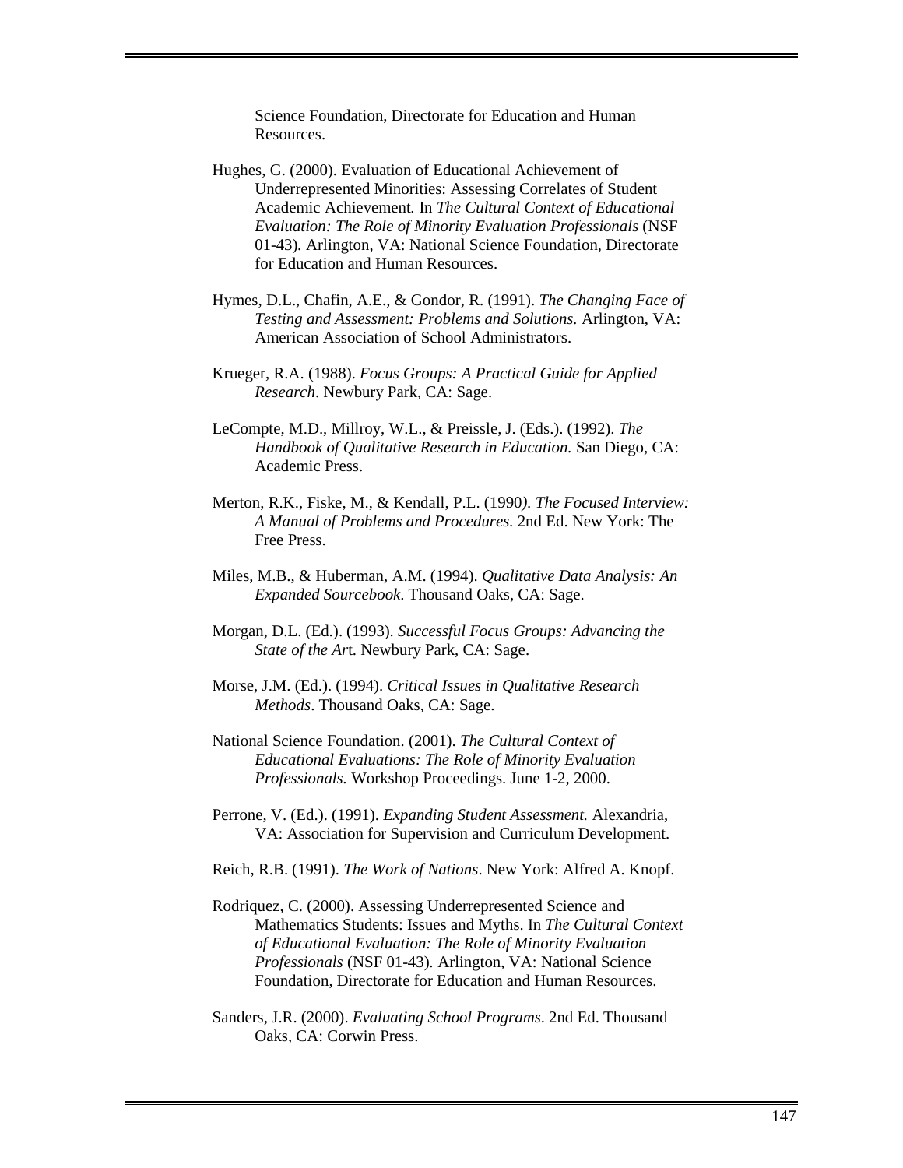Science Foundation, Directorate for Education and Human Resources.

- Hughes, G. (2000). Evaluation of Educational Achievement of Underrepresented Minorities: Assessing Correlates of Student Academic Achievement*.* In *The Cultural Context of Educational Evaluation: The Role of Minority Evaluation Professionals* (NSF 01-43)*.* Arlington, VA: National Science Foundation, Directorate for Education and Human Resources.
- Hymes, D.L., Chafin, A.E., & Gondor, R. (1991). *The Changing Face of Testing and Assessment: Problems and Solutions.* Arlington, VA: American Association of School Administrators.
- Krueger, R.A. (1988). *Focus Groups: A Practical Guide for Applied Research*. Newbury Park, CA: Sage.
- LeCompte, M.D., Millroy, W.L., & Preissle, J. (Eds.). (1992). *The Handbook of Qualitative Research in Education.* San Diego, CA: Academic Press.
- Merton, R.K., Fiske, M., & Kendall, P.L. (1990*). The Focused Interview: A Manual of Problems and Procedures.* 2nd Ed. New York: The Free Press.
- Miles, M.B., & Huberman, A.M. (1994). *Qualitative Data Analysis: An Expanded Sourcebook*. Thousand Oaks, CA: Sage.
- Morgan, D.L. (Ed.). (1993). *Successful Focus Groups: Advancing the State of the Ar*t. Newbury Park, CA: Sage.
- Morse, J.M. (Ed.). (1994). *Critical Issues in Qualitative Research Methods*. Thousand Oaks, CA: Sage.
- National Science Foundation. (2001). *The Cultural Context of Educational Evaluations: The Role of Minority Evaluation Professionals.* Workshop Proceedings. June 1-2, 2000.
- Perrone, V. (Ed.). (1991). *Expanding Student Assessment.* Alexandria, VA: Association for Supervision and Curriculum Development.
- Reich, R.B. (1991). *The Work of Nations*. New York: Alfred A. Knopf.
- Rodriquez, C. (2000). Assessing Underrepresented Science and Mathematics Students: Issues and Myths. In *The Cultural Context of Educational Evaluation: The Role of Minority Evaluation Professionals* (NSF 01-43)*.* Arlington, VA: National Science Foundation, Directorate for Education and Human Resources.
- Sanders, J.R. (2000). *Evaluating School Programs*. 2nd Ed. Thousand Oaks, CA: Corwin Press.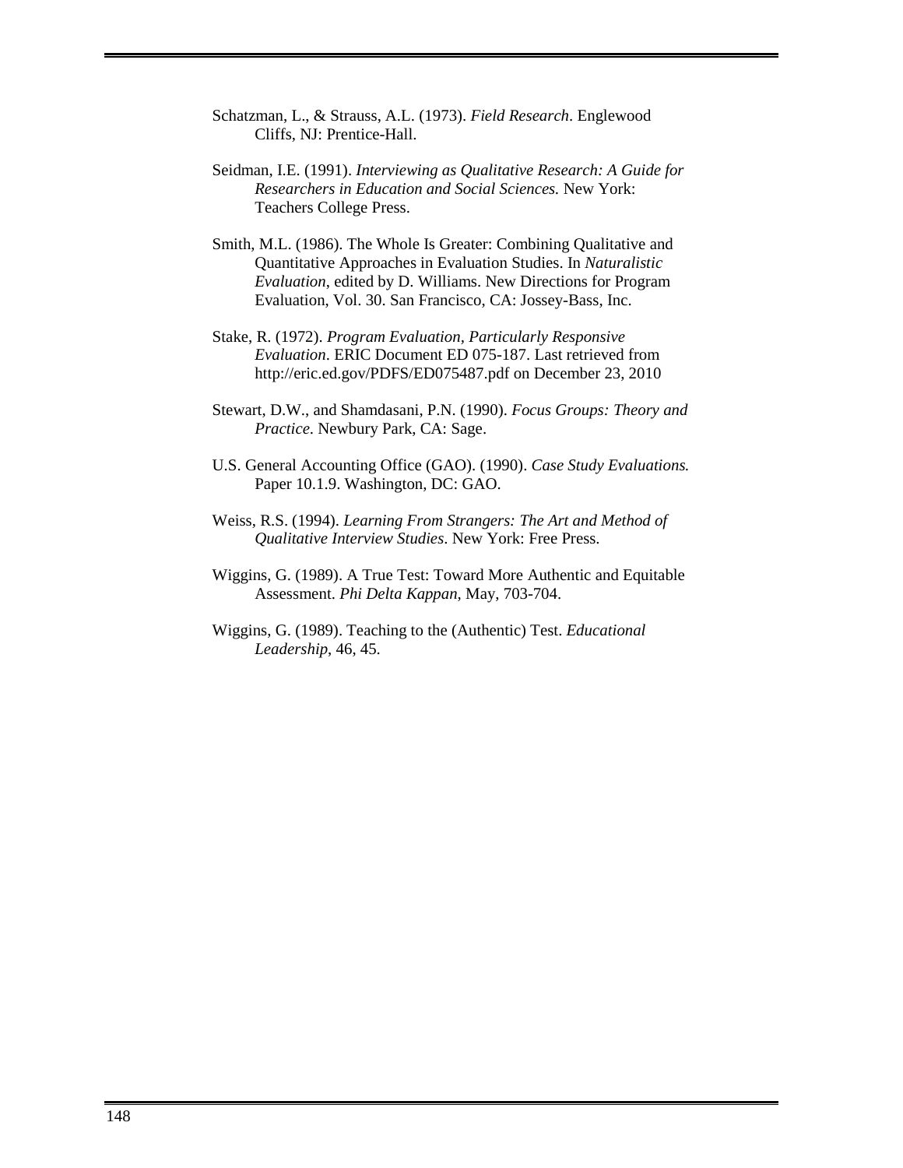- Schatzman, L., & Strauss, A.L. (1973). *Field Research*. Englewood Cliffs, NJ: Prentice-Hall.
- Seidman, I.E. (1991). *Interviewing as Qualitative Research: A Guide for Researchers in Education and Social Sciences.* New York: Teachers College Press.
- Smith, M.L. (1986). The Whole Is Greater: Combining Qualitative and Quantitative Approaches in Evaluation Studies. In *Naturalistic Evaluation*, edited by D. Williams. New Directions for Program Evaluation, Vol. 30. San Francisco, CA: Jossey-Bass, Inc.
- Stake, R. (1972). *Program Evaluation, Particularly Responsive Evaluation*. ERIC Document ED 075-187. Last retrieved from http://eric.ed.gov/PDFS/ED075487.pdf on December 23, 2010
- Stewart, D.W., and Shamdasani, P.N. (1990). *Focus Groups: Theory and Practice*. Newbury Park, CA: Sage.
- U.S. General Accounting Office (GAO). (1990). *Case Study Evaluations.* Paper 10.1.9. Washington, DC: GAO.
- Weiss, R.S. (1994). *Learning From Strangers: The Art and Method of Qualitative Interview Studies*. New York: Free Press.
- Wiggins, G. (1989). A True Test: Toward More Authentic and Equitable Assessment. *Phi Delta Kappan,* May, 703-704.
- Wiggins, G. (1989). Teaching to the (Authentic) Test. *Educational Leadership*, 46, 45.